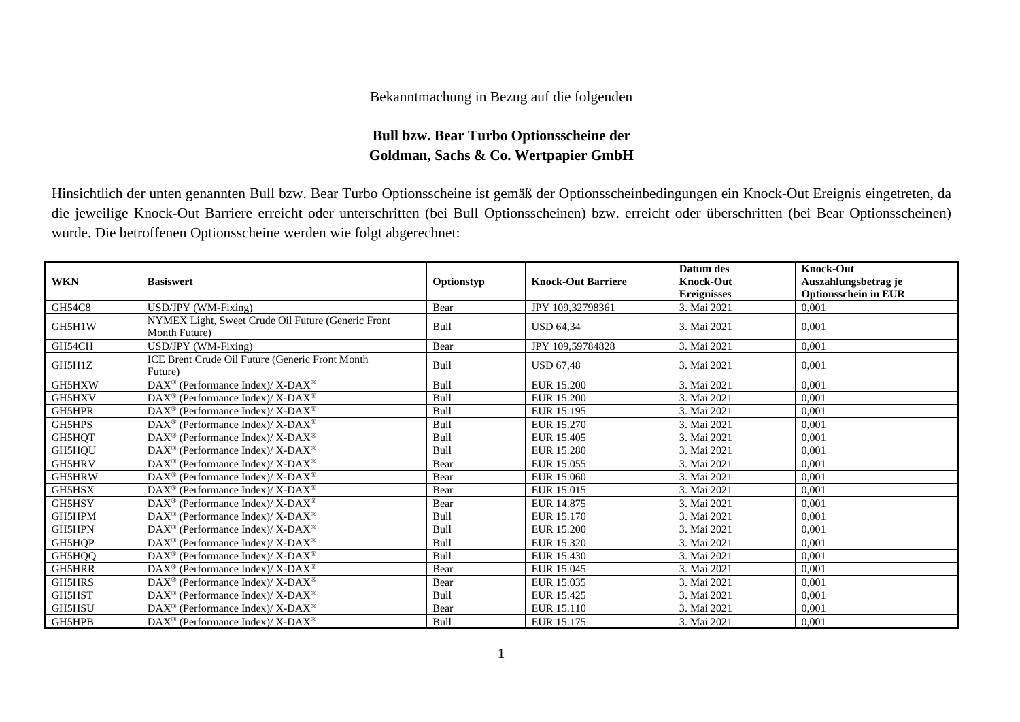## Bekanntmachung in Bezug auf die folgenden

## **Bull bzw. Bear Turbo Optionsscheine der Goldman, Sachs & Co. Wertpapier GmbH**

Hinsichtlich der unten genannten Bull bzw. Bear Turbo Optionsscheine ist gemäß der Optionsscheinbedingungen ein Knock-Out Ereignis eingetreten, da die jeweilige Knock-Out Barriere erreicht oder unterschritten (bei Bull Optionsscheinen) bzw. erreicht oder überschritten (bei Bear Optionsscheinen) wurde. Die betroffenen Optionsscheine werden wie folgt abgerechnet:

|               |                                                                     |            |                           | Datum des          | <b>Knock-Out</b>            |
|---------------|---------------------------------------------------------------------|------------|---------------------------|--------------------|-----------------------------|
| <b>WKN</b>    | <b>Basiswert</b>                                                    | Optionstyp | <b>Knock-Out Barriere</b> | <b>Knock-Out</b>   | Auszahlungsbetrag je        |
|               |                                                                     |            |                           | <b>Ereignisses</b> | <b>Optionsschein in EUR</b> |
| GH54C8        | USD/JPY (WM-Fixing)                                                 | Bear       | JPY 109,32798361          | 3. Mai 2021        | 0,001                       |
| GH5H1W        | NYMEX Light, Sweet Crude Oil Future (Generic Front<br>Month Future) | Bull       | <b>USD 64,34</b>          | 3. Mai 2021        | 0,001                       |
| GH54CH        | USD/JPY (WM-Fixing)                                                 | Bear       | JPY 109,59784828          | 3. Mai 2021        | 0,001                       |
| GH5H1Z        | ICE Brent Crude Oil Future (Generic Front Month<br>Future)          | Bull       | <b>USD 67,48</b>          | 3. Mai 2021        | 0.001                       |
| GH5HXW        | DAX <sup>®</sup> (Performance Index)/ X-DAX <sup>®</sup>            | Bull       | <b>EUR 15.200</b>         | 3. Mai 2021        | 0,001                       |
| GH5HXV        | DAX <sup>®</sup> (Performance Index)/X-DAX <sup>®</sup>             | Bull       | <b>EUR 15.200</b>         | 3. Mai 2021        | 0,001                       |
| GH5HPR        | DAX <sup>®</sup> (Performance Index)/ X-DAX <sup>®</sup>            | Bull       | EUR 15.195                | 3. Mai 2021        | 0,001                       |
| GH5HPS        | $\text{DAX}^{\circledast}$ (Performance Index)/ X-DAX <sup>®</sup>  | Bull       | EUR 15.270                | 3. Mai 2021        | 0,001                       |
| GH5HQT        | $DAX^{\circledast}$ (Performance Index)/ X-DAX <sup>®</sup>         | Bull       | EUR 15.405                | 3. Mai 2021        | 0,001                       |
| GH5HQU        | $DAX^{\circledast}$ (Performance Index)/X-DAX <sup>®</sup>          | Bull       | <b>EUR 15.280</b>         | 3. Mai 2021        | 0,001                       |
| GH5HRV        | $DAX^{\circledcirc}$ (Performance Index)/X-DAX <sup>®</sup>         | Bear       | EUR 15.055                | 3. Mai 2021        | 0,001                       |
| GH5HRW        | $DAX^{\circledast}$ (Performance Index)/ X-DAX <sup>®</sup>         | Bear       | EUR 15.060                | 3. Mai 2021        | 0,001                       |
| GH5HSX        | DAX <sup>®</sup> (Performance Index)/X-DAX <sup>®</sup>             | Bear       | EUR 15.015                | 3. Mai 2021        | 0,001                       |
| GH5HSY        | $\text{DAX}^{\circledast}$ (Performance Index)/ X-DAX <sup>®</sup>  | Bear       | EUR 14.875                | 3. Mai 2021        | 0,001                       |
| GH5HPM        | DAX <sup>®</sup> (Performance Index)/X-DAX <sup>®</sup>             | Bull       | EUR 15.170                | 3. Mai 2021        | 0,001                       |
| GH5HPN        | $DAX^{\circledast}$ (Performance Index)/ X-DAX <sup>®</sup>         | Bull       | <b>EUR 15.200</b>         | 3. Mai 2021        | 0,001                       |
| GH5HQP        | DAX <sup>®</sup> (Performance Index)/X-DAX <sup>®</sup>             | Bull       | EUR 15.320                | 3. Mai 2021        | 0,001                       |
| GH5HQQ        | $DAX^{\circledast}$ (Performance Index)/ X-DAX <sup>®</sup>         | Bull       | EUR 15.430                | 3. Mai 2021        | 0,001                       |
| <b>GH5HRR</b> | DAX <sup>®</sup> (Performance Index)/ X-DAX <sup>®</sup>            | Bear       | EUR 15.045                | 3. Mai 2021        | 0,001                       |
| GH5HRS        | $\text{DAX}^{\circledast}$ (Performance Index)/ X-DAX <sup>®</sup>  | Bear       | EUR 15.035                | 3. Mai 2021        | 0,001                       |
| GH5HST        | DAX <sup>®</sup> (Performance Index)/X-DAX <sup>®</sup>             | Bull       | EUR 15.425                | 3. Mai 2021        | 0,001                       |
| GH5HSU        | $\text{DAX}^{\circledast}$ (Performance Index)/ X-DAX <sup>®</sup>  | Bear       | EUR 15.110                | 3. Mai 2021        | 0,001                       |
| GH5HPB        | $\text{DAX}^{\circledast}$ (Performance Index)/ X-DAX <sup>®</sup>  | Bull       | EUR 15.175                | 3. Mai 2021        | 0,001                       |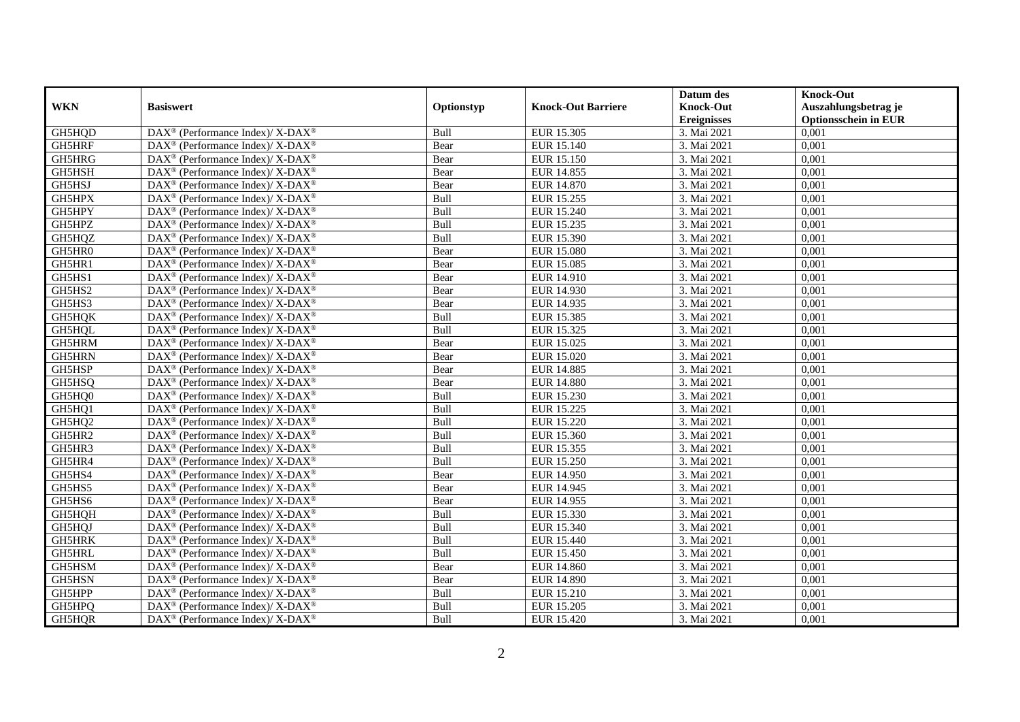|               |                                                             |             |                           | Datum des          | <b>Knock-Out</b>            |
|---------------|-------------------------------------------------------------|-------------|---------------------------|--------------------|-----------------------------|
| <b>WKN</b>    | <b>Basiswert</b>                                            | Optionstyp  | <b>Knock-Out Barriere</b> | <b>Knock-Out</b>   | Auszahlungsbetrag je        |
|               |                                                             |             |                           | <b>Ereignisses</b> | <b>Optionsschein in EUR</b> |
| GH5HQD        | DAX <sup>®</sup> (Performance Index)/X-DAX <sup>®</sup>     | Bull        | EUR 15.305                | 3. Mai 2021        | 0,001                       |
| GH5HRF        | $DAX^{\circledast}$ (Performance Index)/ X-DAX <sup>®</sup> | Bear        | EUR 15.140                | 3. Mai 2021        | 0,001                       |
| GH5HRG        | $DAX^{\circledast}$ (Performance Index)/ X-DAX <sup>®</sup> | Bear        | EUR 15.150                | 3. Mai 2021        | 0,001                       |
| GH5HSH        | $DAX^{\circledast}$ (Performance Index)/ X-DAX <sup>®</sup> | Bear        | EUR 14.855                | 3. Mai 2021        | 0,001                       |
| GH5HSJ        | DAX <sup>®</sup> (Performance Index)/X-DAX <sup>®</sup>     | Bear        | <b>EUR 14.870</b>         | 3. Mai 2021        | 0,001                       |
| GH5HPX        | DAX <sup>®</sup> (Performance Index)/ X-DAX <sup>®</sup>    | Bull        | EUR 15.255                | 3. Mai 2021        | 0,001                       |
| GH5HPY        | $DAX^{\circledast}$ (Performance Index)/ X-DAX <sup>®</sup> | Bull        | EUR 15.240                | 3. Mai 2021        | 0,001                       |
| GH5HPZ        | DAX <sup>®</sup> (Performance Index)/X-DAX <sup>®</sup>     | Bull        | EUR 15.235                | 3. Mai 2021        | 0,001                       |
| GH5HQZ        | DAX <sup>®</sup> (Performance Index)/ X-DAX <sup>®</sup>    | Bull        | EUR 15.390                | 3. Mai 2021        | 0,001                       |
| GH5HR0        | DAX <sup>®</sup> (Performance Index)/X-DAX <sup>®</sup>     | Bear        | <b>EUR 15.080</b>         | 3. Mai 2021        | 0,001                       |
| GH5HR1        | $DAX^{\circledast}$ (Performance Index)/ X-DAX <sup>®</sup> | Bear        | <b>EUR 15.085</b>         | 3. Mai 2021        | 0,001                       |
| GH5HS1        | DAX <sup>®</sup> (Performance Index)/X-DAX <sup>®</sup>     | Bear        | EUR 14.910                | 3. Mai 2021        | 0,001                       |
| GH5HS2        | DAX <sup>®</sup> (Performance Index)/ X-DAX <sup>®</sup>    | Bear        | EUR 14.930                | 3. Mai 2021        | 0,001                       |
| GH5HS3        | DAX <sup>®</sup> (Performance Index)/ X-DAX <sup>®</sup>    | Bear        | EUR 14.935                | 3. Mai 2021        | 0,001                       |
| GH5HQK        | $DAX^{\circledast}$ (Performance Index)/ X-DAX <sup>®</sup> | Bull        | EUR 15.385                | 3. Mai 2021        | 0,001                       |
| GH5HQL        | DAX <sup>®</sup> (Performance Index)/ X-DAX <sup>®</sup>    | Bull        | EUR 15.325                | 3. Mai 2021        | 0,001                       |
| GH5HRM        | DAX <sup>®</sup> (Performance Index)/ X-DAX <sup>®</sup>    | Bear        | EUR 15.025                | 3. Mai 2021        | 0,001                       |
| GH5HRN        | $DAX^{\circledast}$ (Performance Index)/ X-DAX <sup>®</sup> | Bear        | EUR 15.020                | 3. Mai 2021        | 0,001                       |
| GH5HSP        | DAX <sup>®</sup> (Performance Index)/ X-DAX <sup>®</sup>    | Bear        | EUR 14.885                | 3. Mai 2021        | 0,001                       |
| GH5HSQ        | DAX <sup>®</sup> (Performance Index)/ X-DAX <sup>®</sup>    | Bear        | <b>EUR 14.880</b>         | 3. Mai 2021        | 0,001                       |
| GH5HQ0        | $DAX^{\circledast}$ (Performance Index)/X-DAX <sup>®</sup>  | <b>Bull</b> | EUR 15.230                | 3. Mai 2021        | 0,001                       |
| GH5HQ1        | $DAX^{\circledast}$ (Performance Index)/ X-DAX <sup>®</sup> | Bull        | EUR 15.225                | 3. Mai 2021        | 0,001                       |
| GH5HQ2        | DAX <sup>®</sup> (Performance Index)/ X-DAX <sup>®</sup>    | Bull        | <b>EUR 15.220</b>         | 3. Mai 2021        | 0,001                       |
| GH5HR2        | DAX <sup>®</sup> (Performance Index)/X-DAX <sup>®</sup>     | Bull        | EUR 15.360                | 3. Mai 2021        | 0,001                       |
| GH5HR3        | DAX <sup>®</sup> (Performance Index)/ X-DAX <sup>®</sup>    | Bull        | EUR 15.355                | 3. Mai 2021        | 0,001                       |
| GH5HR4        | $DAX^{\circledast}$ (Performance Index)/ X-DAX <sup>®</sup> | Bull        | EUR 15.250                | 3. Mai 2021        | 0,001                       |
| GH5HS4        | DAX <sup>®</sup> (Performance Index)/ X-DAX <sup>®</sup>    | Bear        | <b>EUR 14.950</b>         | 3. Mai 2021        | 0,001                       |
| GH5HS5        | DAX <sup>®</sup> (Performance Index)/ X-DAX <sup>®</sup>    | Bear        | EUR 14.945                | 3. Mai 2021        | 0,001                       |
| GH5HS6        | DAX <sup>®</sup> (Performance Index)/X-DAX <sup>®</sup>     | Bear        | EUR 14.955                | 3. Mai 2021        | 0,001                       |
| GH5HQH        | $DAX^{\circledast}$ (Performance Index)/ X-DAX <sup>®</sup> | Bull        | EUR 15.330                | 3. Mai 2021        | 0,001                       |
| GH5HQJ        | $DAX^{\circledast}$ (Performance Index)/ X-DAX <sup>®</sup> | Bull        | EUR 15.340                | 3. Mai 2021        | 0,001                       |
| GH5HRK        | $DAX^{\circledast}$ (Performance Index)/ X-DAX <sup>®</sup> | Bull        | EUR 15.440                | 3. Mai 2021        | 0,001                       |
| GH5HRL        | $DAX^{\circledast}$ (Performance Index)/ X-DAX <sup>®</sup> | Bull        | EUR 15.450                | 3. Mai 2021        | 0,001                       |
| GH5HSM        | DAX <sup>®</sup> (Performance Index)/ X-DAX <sup>®</sup>    | Bear        | <b>EUR 14.860</b>         | 3. Mai 2021        | 0,001                       |
| <b>GH5HSN</b> | DAX <sup>®</sup> (Performance Index)/X-DAX <sup>®</sup>     | Bear        | <b>EUR 14.890</b>         | 3. Mai 2021        | 0,001                       |
| GH5HPP        | DAX <sup>®</sup> (Performance Index)/X-DAX <sup>®</sup>     | Bull        | EUR 15.210                | 3. Mai 2021        | 0,001                       |
| GH5HPQ        | DAX <sup>®</sup> (Performance Index)/ X-DAX <sup>®</sup>    | Bull        | EUR 15.205                | 3. Mai 2021        | 0,001                       |
| GH5HQR        | DAX <sup>®</sup> (Performance Index)/X-DAX <sup>®</sup>     | Bull        | <b>EUR 15.420</b>         | 3. Mai 2021        | 0,001                       |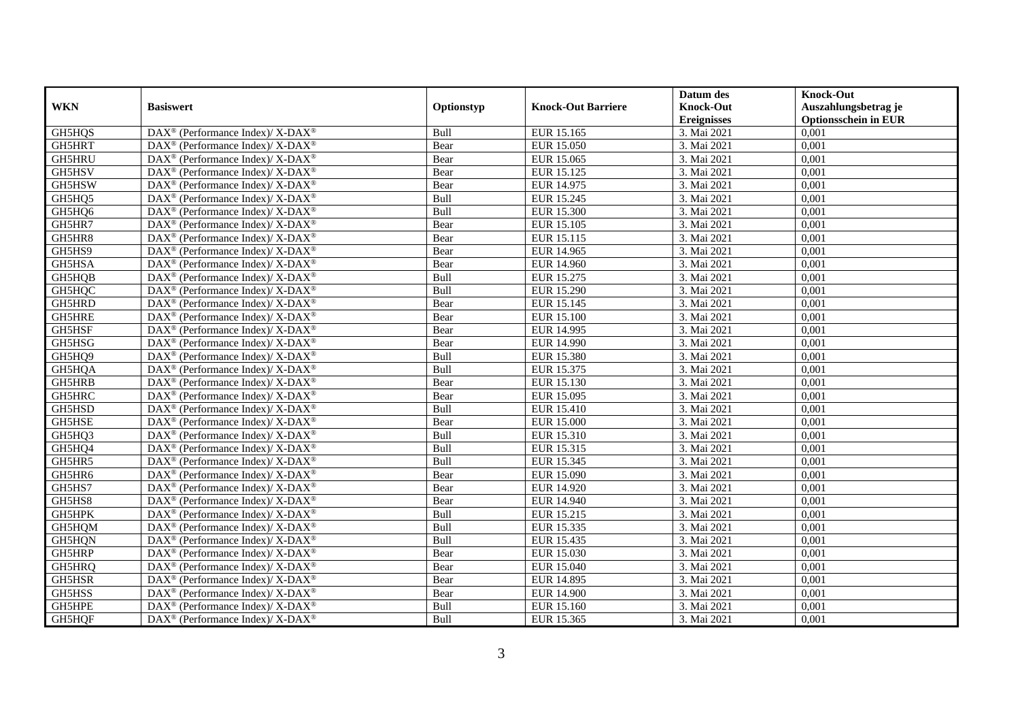|            |                                                                          |            |                           | Datum des          | <b>Knock-Out</b>            |
|------------|--------------------------------------------------------------------------|------------|---------------------------|--------------------|-----------------------------|
| <b>WKN</b> | <b>Basiswert</b>                                                         | Optionstyp | <b>Knock-Out Barriere</b> | <b>Knock-Out</b>   | Auszahlungsbetrag je        |
|            |                                                                          |            |                           | <b>Ereignisses</b> | <b>Optionsschein in EUR</b> |
| GH5HQS     | DAX <sup>®</sup> (Performance Index)/X-DAX <sup>®</sup>                  | Bull       | EUR 15.165                | 3. Mai 2021        | 0,001                       |
| GH5HRT     | $DAX^{\circledast}$ (Performance Index)/ X-DAX <sup>®</sup>              | Bear       | <b>EUR 15.050</b>         | 3. Mai 2021        | 0,001                       |
| GH5HRU     | $DAX^{\circledast}$ (Performance Index)/ X-DAX <sup>®</sup>              | Bear       | EUR 15.065                | 3. Mai 2021        | 0,001                       |
| GH5HSV     | $DAX^{\circledast}$ (Performance Index)/ X-DAX <sup>®</sup>              | Bear       | EUR 15.125                | 3. Mai 2021        | 0,001                       |
| GH5HSW     | DAX <sup>®</sup> (Performance Index)/X-DAX <sup>®</sup>                  | Bear       | EUR 14.975                | 3. Mai 2021        | 0,001                       |
| GH5HQ5     | DAX <sup>®</sup> (Performance Index)/ X-DAX <sup>®</sup>                 | Bull       | EUR 15.245                | 3. Mai 2021        | 0,001                       |
| GH5HQ6     | $DAX^{\circledast}$ (Performance Index)/ X-DAX <sup>®</sup>              | Bull       | EUR 15.300                | 3. Mai 2021        | 0,001                       |
| GH5HR7     | DAX <sup>®</sup> (Performance Index)/X-DAX <sup>®</sup>                  | Bear       | EUR 15.105                | 3. Mai 2021        | 0,001                       |
| GH5HR8     | DAX <sup>®</sup> (Performance Index)/ X-DAX <sup>®</sup>                 | Bear       | EUR 15.115                | 3. Mai 2021        | 0,001                       |
| GH5HS9     | DAX <sup>®</sup> (Performance Index)/X-DAX <sup>®</sup>                  | Bear       | EUR 14.965                | 3. Mai 2021        | 0,001                       |
| GH5HSA     | $DAX^{\circledast}$ (Performance Index)/ X-DAX <sup>®</sup>              | Bear       | <b>EUR 14.960</b>         | 3. Mai 2021        | 0,001                       |
| GH5HQB     | DAX <sup>®</sup> (Performance Index)/X-DAX <sup>®</sup>                  | Bull       | EUR 15.275                | 3. Mai 2021        | 0,001                       |
| GH5HQC     | DAX <sup>®</sup> (Performance Index)/ X-DAX <sup>®</sup>                 | Bull       | EUR 15.290                | 3. Mai 2021        | 0,001                       |
| GH5HRD     | DAX <sup>®</sup> (Performance Index)/ X-DAX <sup>®</sup>                 | Bear       | EUR 15.145                | 3. Mai 2021        | 0,001                       |
| GH5HRE     | $DAX^{\circledast}$ (Performance Index)/ X-DAX <sup>®</sup>              | Bear       | <b>EUR 15.100</b>         | 3. Mai 2021        | 0,001                       |
| GH5HSF     | DAX <sup>®</sup> (Performance Index)/ X-DAX <sup>®</sup>                 | Bear       | EUR 14.995                | 3. Mai 2021        | 0,001                       |
| GH5HSG     | DAX <sup>®</sup> (Performance Index)/ X-DAX <sup>®</sup>                 | Bear       | <b>EUR 14.990</b>         | 3. Mai 2021        | 0,001                       |
| GH5HQ9     | $DAX^{\circledast}$ (Performance Index)/ X-DAX <sup>®</sup>              | Bull       | <b>EUR 15.380</b>         | 3. Mai 2021        | 0,001                       |
| GH5HQA     | DAX <sup>®</sup> (Performance Index)/ X-DAX <sup>®</sup>                 | Bull       | EUR 15.375                | 3. Mai 2021        | 0,001                       |
| GH5HRB     | DAX <sup>®</sup> (Performance Index)/ X-DAX <sup>®</sup>                 | Bear       | EUR 15.130                | 3. Mai 2021        | 0,001                       |
| GH5HRC     | $DAX^{\circledast}$ (Performance Index)/X-DAX <sup>®</sup>               | Bear       | EUR 15.095                | 3. Mai 2021        | 0,001                       |
| GH5HSD     | $DAX^{\circledast}$ (Performance Index)/ X-DAX <sup>®</sup>              | Bull       | <b>EUR 15.410</b>         | 3. Mai 2021        | 0,001                       |
| GH5HSE     | DAX <sup>®</sup> (Performance Index)/ X-DAX <sup>®</sup>                 | Bear       | <b>EUR 15.000</b>         | 3. Mai 2021        | 0,001                       |
| GH5HQ3     | DAX <sup>®</sup> (Performance Index)/X-DAX <sup>®</sup>                  | Bull       | EUR 15.310                | 3. Mai 2021        | 0,001                       |
| GH5HQ4     | $\overline{\text{DAX}^{\otimes}}$ (Performance Index)/X-DAX <sup>®</sup> | Bull       | EUR 15.315                | 3. Mai 2021        | 0,001                       |
| GH5HR5     | $DAX^{\circledast}$ (Performance Index)/ X-DAX <sup>®</sup>              | Bull       | EUR 15.345                | 3. Mai 2021        | 0,001                       |
| GH5HR6     | DAX <sup>®</sup> (Performance Index)/ X-DAX <sup>®</sup>                 | Bear       | EUR 15.090                | 3. Mai 2021        | 0,001                       |
| GH5HS7     | DAX <sup>®</sup> (Performance Index)/ X-DAX <sup>®</sup>                 | Bear       | EUR 14.920                | 3. Mai 2021        | 0,001                       |
| GH5HS8     | DAX <sup>®</sup> (Performance Index)/X-DAX <sup>®</sup>                  | Bear       | EUR 14.940                | 3. Mai 2021        | 0,001                       |
| GH5HPK     | DAX <sup>®</sup> (Performance Index)/X-DAX <sup>®</sup>                  | Bull       | EUR 15.215                | 3. Mai 2021        | 0,001                       |
| GH5HQM     | DAX <sup>®</sup> (Performance Index)/X-DAX <sup>®</sup>                  | Bull       | EUR 15.335                | 3. Mai 2021        | 0,001                       |
| GH5HQN     | $DAX^{\circledast}$ (Performance Index)/ X-DAX <sup>®</sup>              | Bull       | EUR 15.435                | 3. Mai 2021        | 0,001                       |
| GH5HRP     | DAX <sup>®</sup> (Performance Index)/X-DAX <sup>®</sup>                  | Bear       | EUR 15.030                | 3. Mai 2021        | 0,001                       |
| GH5HRQ     | DAX <sup>®</sup> (Performance Index)/ X-DAX <sup>®</sup>                 | Bear       | EUR 15.040                | 3. Mai 2021        | 0,001                       |
| GH5HSR     | DAX <sup>®</sup> (Performance Index)/X-DAX <sup>®</sup>                  | Bear       | EUR 14.895                | 3. Mai 2021        | 0,001                       |
| GH5HSS     | DAX <sup>®</sup> (Performance Index)/X-DAX <sup>®</sup>                  | Bear       | <b>EUR 14.900</b>         | 3. Mai 2021        | 0,001                       |
| GH5HPE     | DAX <sup>®</sup> (Performance Index)/ X-DAX <sup>®</sup>                 | Bull       | EUR 15.160                | 3. Mai 2021        | 0,001                       |
| GH5HQF     | DAX <sup>®</sup> (Performance Index)/ X-DAX <sup>®</sup>                 | Bull       | EUR 15.365                | 3. Mai 2021        | 0,001                       |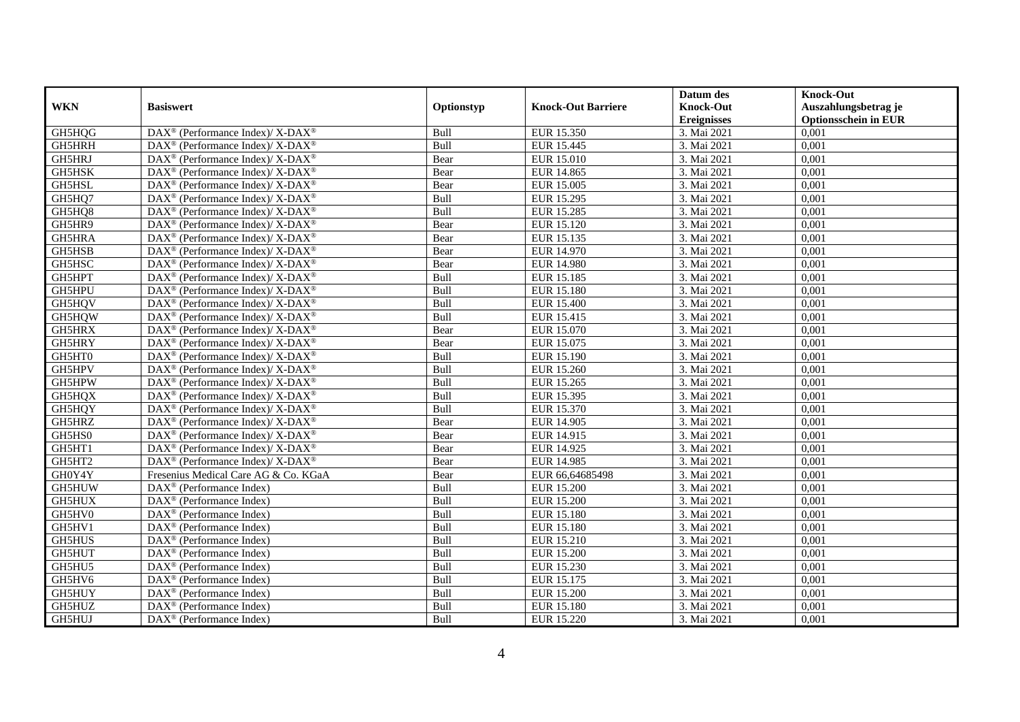|               |                                                          |            |                           | Datum des          | <b>Knock-Out</b>            |
|---------------|----------------------------------------------------------|------------|---------------------------|--------------------|-----------------------------|
| <b>WKN</b>    | <b>Basiswert</b>                                         | Optionstyp | <b>Knock-Out Barriere</b> | <b>Knock-Out</b>   | Auszahlungsbetrag je        |
|               |                                                          |            |                           | <b>Ereignisses</b> | <b>Optionsschein in EUR</b> |
| GH5HQG        | DAX <sup>®</sup> (Performance Index)/X-DAX <sup>®</sup>  | Bull       | EUR 15.350                | 3. Mai 2021        | 0,001                       |
| GH5HRH        | DAX <sup>®</sup> (Performance Index)/X-DAX <sup>®</sup>  | Bull       | EUR 15.445                | 3. Mai 2021        | 0,001                       |
| GH5HRJ        | DAX <sup>®</sup> (Performance Index)/ X-DAX <sup>®</sup> | Bear       | EUR 15.010                | 3. Mai 2021        | 0,001                       |
| GH5HSK        | DAX <sup>®</sup> (Performance Index)/X-DAX <sup>®</sup>  | Bear       | EUR 14.865                | 3. Mai 2021        | 0,001                       |
| GH5HSL        | DAX <sup>®</sup> (Performance Index)/X-DAX <sup>®</sup>  | Bear       | <b>EUR 15.005</b>         | 3. Mai 2021        | 0,001                       |
| GH5HQ7        | DAX <sup>®</sup> (Performance Index)/ X-DAX <sup>®</sup> | Bull       | EUR 15.295                | 3. Mai 2021        | 0,001                       |
| GH5HQ8        | DAX <sup>®</sup> (Performance Index)/ X-DAX <sup>®</sup> | Bull       | <b>EUR 15.285</b>         | 3. Mai 2021        | 0,001                       |
| GH5HR9        | DAX <sup>®</sup> (Performance Index)/X-DAX <sup>®</sup>  | Bear       | EUR 15.120                | 3. Mai 2021        | 0,001                       |
| GH5HRA        | DAX <sup>®</sup> (Performance Index)/X-DAX <sup>®</sup>  | Bear       | EUR 15.135                | 3. Mai 2021        | 0,001                       |
| GH5HSB        | DAX <sup>®</sup> (Performance Index)/ X-DAX <sup>®</sup> | Bear       | EUR 14.970                | 3. Mai 2021        | 0,001                       |
| GH5HSC        | DAX <sup>®</sup> (Performance Index)/ X-DAX <sup>®</sup> | Bear       | <b>EUR 14.980</b>         | 3. Mai 2021        | 0,001                       |
| GH5HPT        | DAX <sup>®</sup> (Performance Index)/ X-DAX <sup>®</sup> | Bull       | <b>EUR 15.185</b>         | 3. Mai 2021        | 0,001                       |
| GH5HPU        | DAX <sup>®</sup> (Performance Index)/X-DAX <sup>®</sup>  | Bull       | <b>EUR 15.180</b>         | 3. Mai 2021        | 0,001                       |
| GH5HQV        | DAX <sup>®</sup> (Performance Index)/ X-DAX <sup>®</sup> | Bull       | <b>EUR 15.400</b>         | 3. Mai 2021        | 0,001                       |
| GH5HQW        | DAX <sup>®</sup> (Performance Index)/ X-DAX <sup>®</sup> | Bull       | EUR 15.415                | 3. Mai 2021        | 0,001                       |
| GH5HRX        | DAX <sup>®</sup> (Performance Index)/ X-DAX <sup>®</sup> | Bear       | EUR 15.070                | 3. Mai 2021        | 0,001                       |
| GH5HRY        | DAX <sup>®</sup> (Performance Index)/ X-DAX <sup>®</sup> | Bear       | EUR 15.075                | 3. Mai 2021        | 0,001                       |
| GH5HT0        | DAX <sup>®</sup> (Performance Index)/X-DAX <sup>®</sup>  | Bull       | EUR 15.190                | 3. Mai 2021        | 0,001                       |
| GH5HPV        | DAX <sup>®</sup> (Performance Index)/X-DAX <sup>®</sup>  | Bull       | EUR 15.260                | 3. Mai 2021        | 0,001                       |
| GH5HPW        | DAX <sup>®</sup> (Performance Index)/ X-DAX <sup>®</sup> | Bull       | EUR 15.265                | 3. Mai 2021        | 0,001                       |
| GH5HQX        | DAX <sup>®</sup> (Performance Index)/X-DAX <sup>®</sup>  | Bull       | EUR 15.395                | 3. Mai 2021        | 0,001                       |
| GH5HQY        | DAX <sup>®</sup> (Performance Index)/X-DAX <sup>®</sup>  | Bull       | EUR 15.370                | 3. Mai 2021        | 0,001                       |
| GH5HRZ        | DAX <sup>®</sup> (Performance Index)/ X-DAX <sup>®</sup> | Bear       | EUR 14.905                | 3. Mai 2021        | 0,001                       |
| GH5HS0        | DAX <sup>®</sup> (Performance Index)/ X-DAX <sup>®</sup> | Bear       | EUR 14.915                | 3. Mai 2021        | 0,001                       |
| GH5HT1        | DAX <sup>®</sup> (Performance Index)/ X-DAX <sup>®</sup> | Bear       | EUR 14.925                | 3. Mai 2021        | 0.001                       |
| GH5HT2        | DAX <sup>®</sup> (Performance Index)/ X-DAX <sup>®</sup> | Bear       | EUR 14.985                | 3. Mai 2021        | 0,001                       |
| GH0Y4Y        | Fresenius Medical Care AG & Co. KGaA                     | Bear       | EUR 66,64685498           | 3. Mai 2021        | 0,001                       |
| GH5HUW        | $\overline{\text{DAX}^{\otimes}}$ (Performance Index)    | Bull       | <b>EUR 15.200</b>         | 3. Mai 2021        | 0,001                       |
| GH5HUX        | DAX <sup>®</sup> (Performance Index)                     | Bull       | <b>EUR 15.200</b>         | 3. Mai 2021        | 0,001                       |
| GH5HV0        | $DAX^{\circledast}$ (Performance Index)                  | Bull       | EUR 15.180                | 3. Mai 2021        | 0,001                       |
| GH5HV1        | $DAX^{\circledast}$ (Performance Index)                  | Bull       | EUR 15.180                | 3. Mai 2021        | 0,001                       |
| GH5HUS        | $DAX^{\circledcirc}$ (Performance Index)                 | Bull       | <b>EUR 15.210</b>         | 3. Mai 2021        | 0,001                       |
| <b>GH5HUT</b> | $DAX^{\circledR}$ (Performance Index)                    | Bull       | <b>EUR 15.200</b>         | 3. Mai 2021        | 0,001                       |
| GH5HU5        | $\overline{\text{DAX}}^{\textcirc}$ (Performance Index)  | Bull       | EUR 15.230                | 3. Mai 2021        | 0,001                       |
| GH5HV6        | $DAX^{\circledast}$ (Performance Index)                  | Bull       | EUR 15.175                | 3. Mai 2021        | 0,001                       |
| GH5HUY        | $DAX^{\circledR}$ (Performance Index)                    | Bull       | <b>EUR 15.200</b>         | 3. Mai 2021        | 0,001                       |
| GH5HUZ        | DAX <sup>®</sup> (Performance Index)                     | Bull       | EUR 15.180                | 3. Mai 2021        | 0,001                       |
| GH5HUJ        | DAX <sup>®</sup> (Performance Index)                     | Bull       | EUR 15.220                | 3. Mai 2021        | 0,001                       |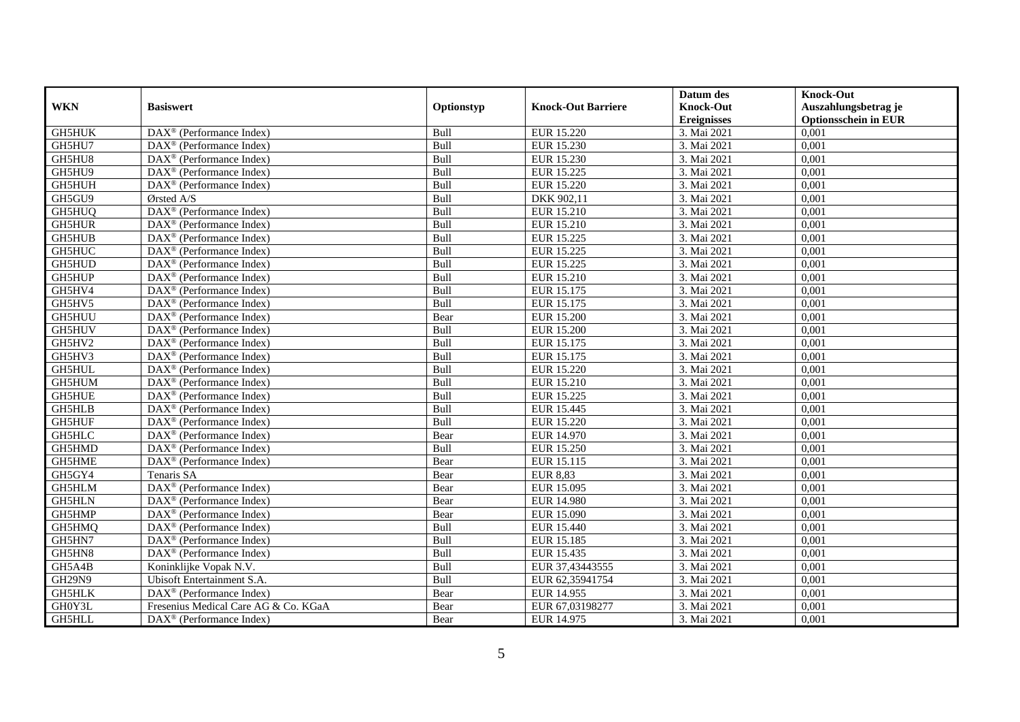|               |                                                         |            |                           | Datum des                         | <b>Knock-Out</b>                     |
|---------------|---------------------------------------------------------|------------|---------------------------|-----------------------------------|--------------------------------------|
| <b>WKN</b>    | <b>Basiswert</b>                                        | Optionstyp | <b>Knock-Out Barriere</b> | <b>Knock-Out</b>                  | Auszahlungsbetrag je                 |
| <b>GH5HUK</b> | $\overline{\text{DAX}}^{\textcirc}$ (Performance Index) | Bull       |                           | <b>Ereignisses</b><br>3. Mai 2021 | <b>Optionsschein in EUR</b><br>0,001 |
| GH5HU7        |                                                         |            | <b>EUR 15.220</b>         |                                   |                                      |
|               | $DAX^{\circledR}$ (Performance Index)                   | Bull       | EUR 15.230                | 3. Mai 2021                       | 0,001                                |
| GH5HU8        | DAX <sup>®</sup> (Performance Index)                    | Bull       | EUR 15.230                | 3. Mai 2021                       | 0,001                                |
| GH5HU9        | $DAX^{\circledast}$ (Performance Index)                 | Bull       | EUR 15.225                | 3. Mai 2021                       | 0,001                                |
| GH5HUH        | DAX <sup>®</sup> (Performance Index)                    | Bull       | <b>EUR 15.220</b>         | 3. Mai 2021                       | 0,001                                |
| GH5GU9        | Ørsted A/S                                              | Bull       | DKK 902,11                | 3. Mai 2021                       | 0,001                                |
| GH5HUQ        | $\overline{\text{DAX}^{\otimes}}$ (Performance Index)   | Bull       | EUR 15.210                | 3. Mai 2021                       | 0,001                                |
| GH5HUR        | $DAX^{\circledR}$ (Performance Index)                   | Bull       | EUR 15.210                | 3. Mai 2021                       | 0,001                                |
| <b>GH5HUB</b> | $DAX^{\circledR}$ (Performance Index)                   | Bull       | EUR 15.225                | 3. Mai 2021                       | 0,001                                |
| GH5HUC        | DAX <sup>®</sup> (Performance Index)                    | Bull       | EUR 15.225                | 3. Mai 2021                       | 0,001                                |
| GH5HUD        | DAX <sup>®</sup> (Performance Index)                    | Bull       | EUR 15.225                | 3. Mai 2021                       | 0,001                                |
| GH5HUP        | $\overline{\text{DAX}^{\otimes}}$ (Performance Index)   | Bull       | <b>EUR 15.210</b>         | 3. Mai 2021                       | 0,001                                |
| GH5HV4        | DAX <sup>®</sup> (Performance Index)                    | Bull       | EUR 15.175                | 3. Mai 2021                       | 0,001                                |
| GH5HV5        | DAX <sup>®</sup> (Performance Index)                    | Bull       | EUR 15.175                | 3. Mai 2021                       | 0,001                                |
| GH5HUU        | $DAX^{\circledast}$ (Performance Index)                 | Bear       | <b>EUR 15.200</b>         | 3. Mai 2021                       | 0,001                                |
| GH5HUV        | DAX <sup>®</sup> (Performance Index)                    | Bull       | <b>EUR 15.200</b>         | 3. Mai 2021                       | 0,001                                |
| GH5HV2        | DAX <sup>®</sup> (Performance Index)                    | Bull       | EUR 15.175                | 3. Mai 2021                       | 0,001                                |
| GH5HV3        | $DAX^{\circledcirc}$ (Performance Index)                | Bull       | EUR 15.175                | 3. Mai 2021                       | 0,001                                |
| <b>GH5HUL</b> | $DAX^{\circledR}$ (Performance Index)                   | Bull       | EUR 15.220                | 3. Mai 2021                       | 0,001                                |
| GH5HUM        | DAX <sup>®</sup> (Performance Index)                    | Bull       | <b>EUR 15.210</b>         | 3. Mai 2021                       | 0,001                                |
| <b>GH5HUE</b> | DAX <sup>®</sup> (Performance Index)                    | Bull       | EUR 15.225                | 3. Mai 2021                       | 0,001                                |
| <b>GH5HLB</b> | DAX <sup>®</sup> (Performance Index)                    | Bull       | EUR 15.445                | 3. Mai 2021                       | 0,001                                |
| <b>GH5HUF</b> | DAX <sup>®</sup> (Performance Index)                    | Bull       | <b>EUR 15.220</b>         | 3. Mai 2021                       | 0,001                                |
| <b>GH5HLC</b> | $DAX^{\circledast}$ (Performance Index)                 | Bear       | EUR 14.970                | 3. Mai 2021                       | 0,001                                |
| GH5HMD        | DAX <sup>®</sup> (Performance Index)                    | Bull       | <b>EUR 15.250</b>         | 3. Mai 2021                       | 0,001                                |
| GH5HME        | DAX <sup>®</sup> (Performance Index)                    | Bear       | EUR 15.115                | 3. Mai 2021                       | 0,001                                |
| GH5GY4        | Tenaris SA                                              | Bear       | <b>EUR 8,83</b>           | 3. Mai 2021                       | 0,001                                |
| GH5HLM        | DAX <sup>®</sup> (Performance Index)                    | Bear       | EUR 15.095                | 3. Mai 2021                       | 0,001                                |
| <b>GH5HLN</b> | DAX <sup>®</sup> (Performance Index)                    | Bear       | <b>EUR 14.980</b>         | 3. Mai 2021                       | 0,001                                |
| GH5HMP        | DAX <sup>®</sup> (Performance Index)                    | Bear       | <b>EUR 15.090</b>         | 3. Mai 2021                       | 0,001                                |
| GH5HMQ        | DAX <sup>®</sup> (Performance Index)                    | Bull       | EUR 15.440                | 3. Mai 2021                       | 0,001                                |
| GH5HN7        | DAX <sup>®</sup> (Performance Index)                    | Bull       | EUR 15.185                | 3. Mai 2021                       | 0,001                                |
| GH5HN8        | DAX <sup>®</sup> (Performance Index)                    | Bull       | EUR 15.435                | 3. Mai 2021                       | 0,001                                |
| GH5A4B        | Koninklijke Vopak N.V.                                  | Bull       | EUR 37,43443555           | 3. Mai 2021                       | 0,001                                |
| <b>GH29N9</b> | Ubisoft Entertainment S.A.                              | Bull       | EUR 62,35941754           | 3. Mai 2021                       | 0,001                                |
| GH5HLK        | $DAX^{\circledast}$ (Performance Index)                 | Bear       | EUR 14.955                | 3. Mai 2021                       | 0,001                                |
| GH0Y3L        | Fresenius Medical Care AG & Co. KGaA                    | Bear       | EUR 67,03198277           | 3. Mai 2021                       | 0,001                                |
| GH5HLL        | $\text{DAX}^{\textcircled{}}$ (Performance Index)       | Bear       | EUR 14.975                | 3. Mai 2021                       | 0,001                                |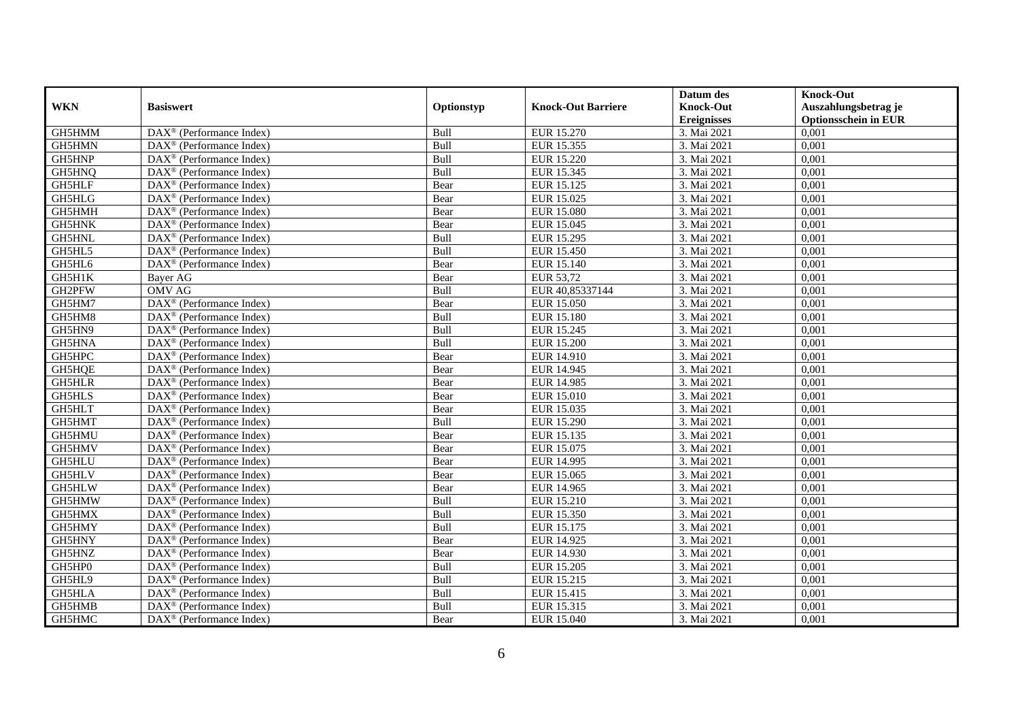|               |                                                         |            |                           | Datum des                         | <b>Knock-Out</b>                     |
|---------------|---------------------------------------------------------|------------|---------------------------|-----------------------------------|--------------------------------------|
| <b>WKN</b>    | <b>Basiswert</b>                                        | Optionstyp | <b>Knock-Out Barriere</b> | <b>Knock-Out</b>                  | Auszahlungsbetrag je                 |
| GH5HMM        | $\overline{\text{DAX}}^{\textcirc}$ (Performance Index) | Bull       |                           | <b>Ereignisses</b><br>3. Mai 2021 | <b>Optionsschein in EUR</b><br>0,001 |
|               |                                                         |            | EUR 15.270                |                                   |                                      |
| GH5HMN        | $DAX^{\circledR}$ (Performance Index)                   | Bull       | EUR 15.355                | 3. Mai 2021                       | 0,001                                |
| GH5HNP        | DAX <sup>®</sup> (Performance Index)                    | Bull       | EUR 15.220                | 3. Mai 2021                       | 0,001                                |
| GH5HNQ        | $DAX^{\circledast}$ (Performance Index)                 | Bull       | EUR 15.345                | 3. Mai 2021                       | 0,001                                |
| GH5HLF        | DAX <sup>®</sup> (Performance Index)                    | Bear       | EUR 15.125                | 3. Mai 2021                       | 0,001                                |
| GH5HLG        | $DAX^{\circledast}$ (Performance Index)                 | Bear       | EUR 15.025                | 3. Mai 2021                       | 0,001                                |
| GH5HMH        | $\text{DAX}^{\textcircled{}}$ (Performance Index)       | Bear       | <b>EUR 15.080</b>         | 3. Mai 2021                       | 0,001                                |
| GH5HNK        | $DAX^{\circledR}$ (Performance Index)                   | Bear       | EUR 15.045                | 3. Mai 2021                       | 0,001                                |
| GH5HNL        | $DAX^{\circledR}$ (Performance Index)                   | Bull       | EUR 15.295                | 3. Mai 2021                       | 0,001                                |
| GH5HL5        | $\overline{\text{DAX}^{\otimes}}$ (Performance Index)   | Bull       | <b>EUR 15.450</b>         | 3. Mai 2021                       | 0,001                                |
| GH5HL6        | DAX <sup>®</sup> (Performance Index)                    | Bear       | EUR 15.140                | 3. Mai 2021                       | 0,001                                |
| GH5H1K        | Bayer AG                                                | Bear       | EUR 53,72                 | 3. Mai 2021                       | 0,001                                |
| GH2PFW        | <b>OMV AG</b>                                           | Bull       | EUR 40,85337144           | 3. Mai 2021                       | 0,001                                |
| GH5HM7        | DAX <sup>®</sup> (Performance Index)                    | Bear       | <b>EUR 15.050</b>         | 3. Mai 2021                       | 0,001                                |
| GH5HM8        | $DAX^{\circledast}$ (Performance Index)                 | Bull       | EUR 15.180                | 3. Mai 2021                       | 0,001                                |
| GH5HN9        | $DAX^{\circledast}$ (Performance Index)                 | Bull       | EUR 15.245                | 3. Mai 2021                       | 0,001                                |
| GH5HNA        | DAX <sup>®</sup> (Performance Index)                    | Bull       | <b>EUR 15.200</b>         | 3. Mai 2021                       | 0,001                                |
| GH5HPC        | $\overline{\text{DAX}}^{\textcirc}$ (Performance Index) | Bear       | EUR 14.910                | 3. Mai 2021                       | 0,001                                |
| GH5HQE        | $DAX^{\circledR}$ (Performance Index)                   | Bear       | EUR 14.945                | 3. Mai 2021                       | 0,001                                |
| GH5HLR        | DAX <sup>®</sup> (Performance Index)                    | Bear       | EUR 14.985                | 3. Mai 2021                       | 0,001                                |
| <b>GH5HLS</b> | DAX <sup>®</sup> (Performance Index)                    | Bear       | EUR 15.010                | 3. Mai 2021                       | 0,001                                |
| GH5HLT        | DAX <sup>®</sup> (Performance Index)                    | Bear       | EUR 15.035                | 3. Mai 2021                       | 0,001                                |
| GH5HMT        | DAX <sup>®</sup> (Performance Index)                    | Bull       | EUR 15.290                | 3. Mai 2021                       | 0,001                                |
| GH5HMU        | $DAX^{\circledast}$ (Performance Index)                 | Bear       | EUR 15.135                | 3. Mai 2021                       | 0,001                                |
| GH5HMV        | DAX <sup>®</sup> (Performance Index)                    | Bear       | EUR 15.075                | 3. Mai 2021                       | 0,001                                |
| <b>GH5HLU</b> | DAX <sup>®</sup> (Performance Index)                    | Bear       | EUR 14.995                | 3. Mai 2021                       | 0,001                                |
| GH5HLV        | $DAX^{\circledast}$ (Performance Index)                 | Bear       | EUR 15.065                | 3. Mai 2021                       | 0,001                                |
| GH5HLW        | $DAX^{\circledR}$ (Performance Index)                   | Bear       | EUR 14.965                | 3. Mai 2021                       | 0,001                                |
| GH5HMW        | $\overline{\text{DAX}}^{\textcirc}$ (Performance Index) | Bull       | EUR 15.210                | 3. Mai 2021                       | 0,001                                |
| GH5HMX        | $DAX^{\circledcirc}$ (Performance Index)                | Bull       | EUR 15.350                | 3. Mai 2021                       | 0,001                                |
| GH5HMY        | DAX <sup>®</sup> (Performance Index)                    | Bull       | EUR 15.175                | 3. Mai 2021                       | 0,001                                |
| GH5HNY        | DAX <sup>®</sup> (Performance Index)                    | Bear       | EUR 14.925                | 3. Mai 2021                       | 0,001                                |
| GH5HNZ        | $\overline{\text{DAX}^{\otimes}}$ (Performance Index)   | Bear       | EUR 14.930                | 3. Mai 2021                       | 0,001                                |
| GH5HP0        | DAX <sup>®</sup> (Performance Index)                    | Bull       | EUR 15.205                | 3. Mai 2021                       | 0,001                                |
| GH5HL9        | $DAX^{\circledast}$ (Performance Index)                 | Bull       | EUR 15.215                | 3. Mai 2021                       | 0,001                                |
| GH5HLA        | $DAX^{\circledast}$ (Performance Index)                 | Bull       | EUR 15.415                | 3. Mai 2021                       | 0,001                                |
| GH5HMB        | DAX <sup>®</sup> (Performance Index)                    | Bull       | EUR 15.315                | 3. Mai 2021                       | 0,001                                |
| GH5HMC        | DAX <sup>®</sup> (Performance Index)                    | Bear       | EUR 15.040                | 3. Mai 2021                       | 0,001                                |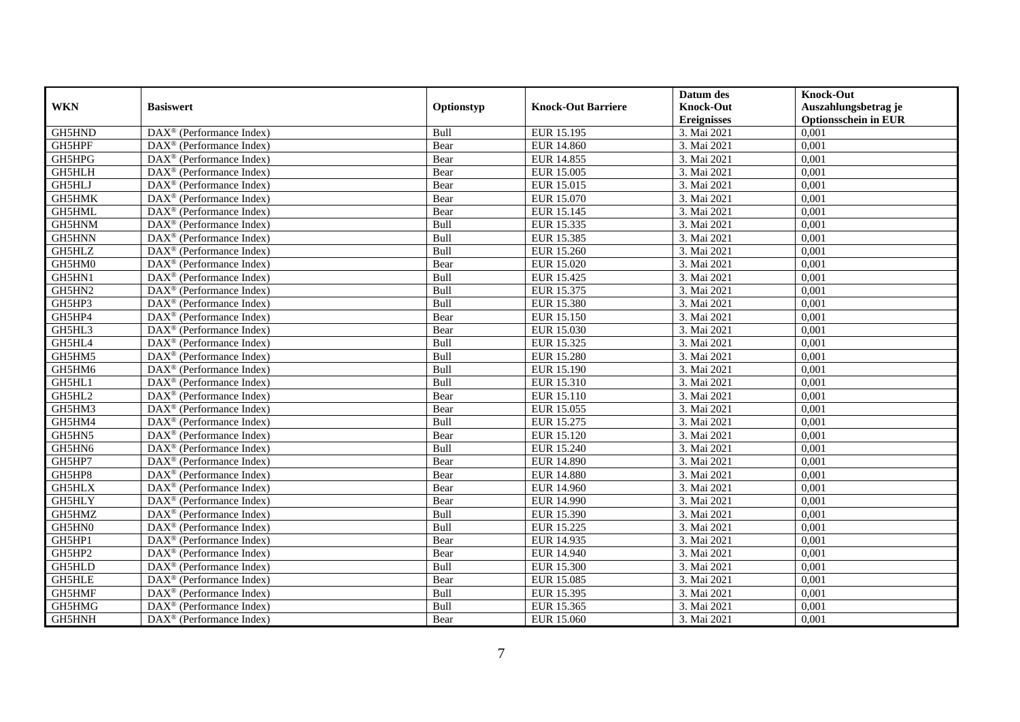|               |                                                         |            |                           | Datum des          | <b>Knock-Out</b>            |
|---------------|---------------------------------------------------------|------------|---------------------------|--------------------|-----------------------------|
| <b>WKN</b>    | <b>Basiswert</b>                                        | Optionstyp | <b>Knock-Out Barriere</b> | <b>Knock-Out</b>   | Auszahlungsbetrag je        |
|               |                                                         |            |                           | <b>Ereignisses</b> | <b>Optionsschein in EUR</b> |
| GH5HND        | DAX <sup>®</sup> (Performance Index)                    | Bull       | EUR 15.195                | 3. Mai 2021        | 0,001                       |
| GH5HPF        | $DAX^{\circledR}$ (Performance Index)                   | Bear       | <b>EUR 14.860</b>         | 3. Mai 2021        | 0,001                       |
| GH5HPG        | DAX <sup>®</sup> (Performance Index)                    | Bear       | EUR 14.855                | 3. Mai 2021        | 0,001                       |
| GH5HLH        | $\text{DAX}^{\circledast}$ (Performance Index)          | Bear       | EUR 15.005                | 3. Mai 2021        | 0,001                       |
| GH5HLJ        | DAX <sup>®</sup> (Performance Index)                    | Bear       | EUR 15.015                | 3. Mai 2021        | 0,001                       |
| GH5HMK        | $\text{DAX}^{\circledast}$ (Performance Index)          | Bear       | EUR 15.070                | 3. Mai 2021        | 0,001                       |
| GH5HML        | $\text{DAX}^{\textcircled{n}}$ (Performance Index)      | Bear       | EUR 15.145                | 3. Mai 2021        | 0,001                       |
| GH5HNM        | $\text{DAX}^{\textcircled{}}$ (Performance Index)       | Bull       | EUR 15.335                | 3. Mai 2021        | 0,001                       |
| GH5HNN        | $\text{DAX}^{\textcircled{D}}$ (Performance Index)      | Bull       | EUR 15.385                | 3. Mai 2021        | 0,001                       |
| GH5HLZ        | DAX <sup>®</sup> (Performance Index)                    | Bull       | EUR 15.260                | 3. Mai 2021        | 0,001                       |
| GH5HM0        | DAX <sup>®</sup> (Performance Index)                    | Bear       | EUR 15.020                | 3. Mai 2021        | 0,001                       |
| GH5HN1        | $\overline{\text{DAX}^{\otimes}}$ (Performance Index)   | Bull       | <b>EUR 15.425</b>         | 3. Mai 2021        | 0,001                       |
| GH5HN2        | $\text{DAX}^{\circledast}$ (Performance Index)          | Bull       | EUR 15.375                | 3. Mai 2021        | 0,001                       |
| GH5HP3        | DAX <sup>®</sup> (Performance Index)                    | Bull       | EUR 15.380                | 3. Mai 2021        | 0,001                       |
| GH5HP4        | DAX <sup>®</sup> (Performance Index)                    | Bear       | EUR 15.150                | 3. Mai 2021        | 0,001                       |
| GH5HL3        | DAX <sup>®</sup> (Performance Index)                    | Bear       | EUR 15.030                | 3. Mai 2021        | 0,001                       |
| GH5HL4        | DAX <sup>®</sup> (Performance Index)                    | Bull       | EUR 15.325                | 3. Mai 2021        | 0,001                       |
| GH5HM5        | $\overline{\text{DAX}}^{\textcirc}$ (Performance Index) | Bull       | <b>EUR 15.280</b>         | 3. Mai 2021        | 0,001                       |
| GH5HM6        | DAX <sup>®</sup> (Performance Index)                    | Bull       | EUR 15.190                | 3. Mai 2021        | 0,001                       |
| GH5HL1        | DAX <sup>®</sup> (Performance Index)                    | Bull       | EUR 15.310                | 3. Mai 2021        | 0,001                       |
| GH5HL2        | DAX <sup>®</sup> (Performance Index)                    | Bear       | EUR 15.110                | 3. Mai 2021        | 0,001                       |
| GH5HM3        | $\overline{\text{DAX}^{\otimes}}$ (Performance Index)   | Bear       | EUR 15.055                | 3. Mai 2021        | 0,001                       |
| GH5HM4        | $\text{DAX}^{\circledast}$ (Performance Index)          | Bull       | EUR 15.275                | 3. Mai 2021        | 0,001                       |
| GH5HN5        | DAX <sup>®</sup> (Performance Index)                    | Bear       | <b>EUR 15.120</b>         | 3. Mai 2021        | 0,001                       |
| GH5HN6        | DAX <sup>®</sup> (Performance Index)                    | Bull       | EUR 15.240                | 3. Mai 2021        | 0,001                       |
| GH5HP7        | $\text{DAX}^{\otimes}$ (Performance Index)              | Bear       | EUR 14.890                | 3. Mai 2021        | 0,001                       |
| GH5HP8        | $\text{DAX}^{\circledast}$ (Performance Index)          | Bear       | <b>EUR 14.880</b>         | 3. Mai 2021        | 0,001                       |
| <b>GH5HLX</b> | $DAX^{\circledR}$ (Performance Index)                   | Bear       | <b>EUR 14.960</b>         | 3. Mai 2021        | 0,001                       |
| <b>GH5HLY</b> | $\overline{\text{DAX}}^{\textcirc}$ (Performance Index) | Bear       | EUR 14.990                | 3. Mai 2021        | 0,001                       |
| GH5HMZ        | $\text{DAX}^{\circledR}$ (Performance Index)            | Bull       | EUR 15.390                | 3. Mai 2021        | 0,001                       |
| GH5HN0        | DAX <sup>®</sup> (Performance Index)                    | Bull       | EUR 15.225                | 3. Mai 2021        | 0,001                       |
| GH5HP1        | $\text{DAX}^{\otimes}$ (Performance Index)              | Bear       | EUR 14.935                | 3. Mai 2021        | 0,001                       |
| GH5HP2        | $\overline{\text{DAX}^{\otimes}}$ (Performance Index)   | Bear       | <b>EUR 14.940</b>         | 3. Mai 2021        | 0,001                       |
| GH5HLD        | $\text{DAX}^{\circledast}$ (Performance Index)          | Bull       | <b>EUR 15.300</b>         | 3. Mai 2021        | 0,001                       |
| <b>GH5HLE</b> | $\text{DAX}^{\otimes}$ (Performance Index)              | Bear       | EUR 15.085                | 3. Mai 2021        | 0,001                       |
| GH5HMF        | $\text{DAX}^{\circledast}$ (Performance Index)          | Bull       | EUR 15.395                | 3. Mai 2021        | 0,001                       |
| GH5HMG        | $\text{DAX}^{\otimes}$ (Performance Index)              | Bull       | EUR 15.365                | 3. Mai 2021        | 0,001                       |
| GH5HNH        | $\overline{\text{DAX}}^{\textcirc}$ (Performance Index) | Bear       | EUR 15.060                | 3. Mai 2021        | 0,001                       |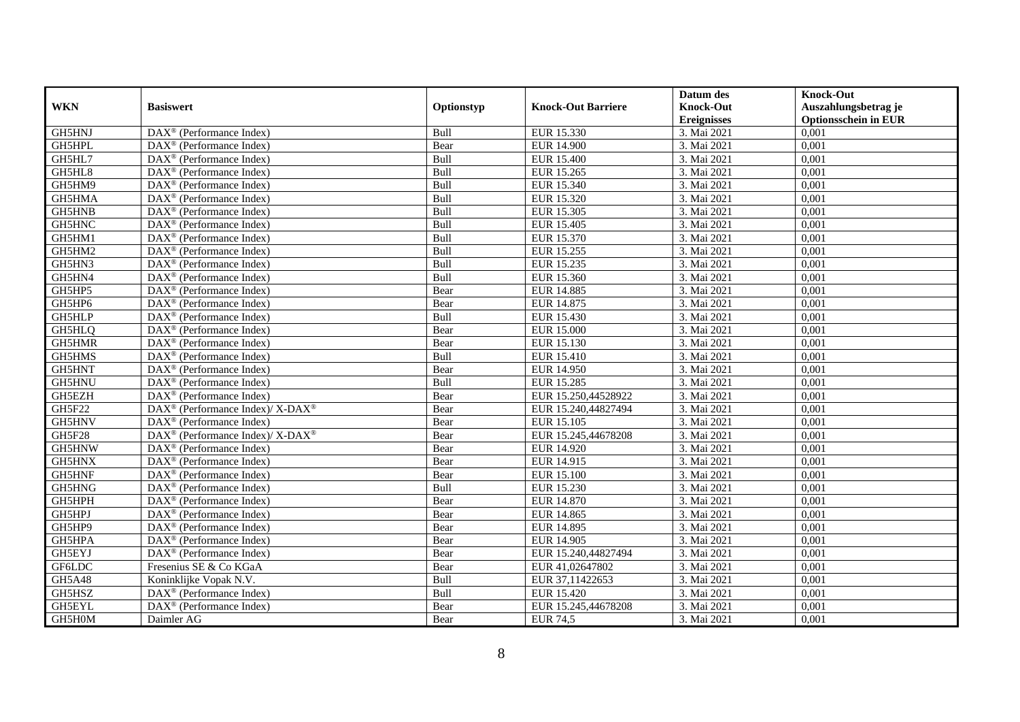|               |                                                                  |             |                           | Datum des          | <b>Knock-Out</b>            |
|---------------|------------------------------------------------------------------|-------------|---------------------------|--------------------|-----------------------------|
| <b>WKN</b>    | <b>Basiswert</b>                                                 | Optionstyp  | <b>Knock-Out Barriere</b> | <b>Knock-Out</b>   | Auszahlungsbetrag je        |
|               |                                                                  |             |                           | <b>Ereignisses</b> | <b>Optionsschein in EUR</b> |
| GH5HNJ        | DAX <sup>®</sup> (Performance Index)                             | Bull        | EUR 15.330                | 3. Mai 2021        | 0,001                       |
| GH5HPL        | $\text{DAX}^{\circledast}$ (Performance Index)                   | Bear        | <b>EUR 14.900</b>         | 3. Mai 2021        | 0,001                       |
| GH5HL7        | DAX <sup>®</sup> (Performance Index)                             | Bull        | <b>EUR 15.400</b>         | 3. Mai 2021        | 0,001                       |
| GH5HL8        | $\text{DAX}^{\otimes}$ (Performance Index)                       | Bull        | EUR 15.265                | 3. Mai 2021        | 0,001                       |
| GH5HM9        | DAX <sup>®</sup> (Performance Index)                             | Bull        | EUR 15.340                | 3. Mai 2021        | 0,001                       |
| GH5HMA        | $\text{DAX}^{\textcircled{p}}$ (Performance Index)               | Bull        | EUR 15.320                | 3. Mai 2021        | 0,001                       |
| <b>GH5HNB</b> | $\text{DAX}^{\textcircled{}}$ (Performance Index)                | Bull        | EUR 15.305                | 3. Mai 2021        | 0,001                       |
| GH5HNC        | $\text{DAX}^{\textcircled{n}}$ (Performance Index)               | Bull        | EUR 15.405                | 3. Mai 2021        | 0,001                       |
| GH5HM1        | $\text{DAX}^{\textcircled{n}}$ (Performance Index)               | Bull        | EUR 15.370                | 3. Mai 2021        | 0,001                       |
| GH5HM2        | $\text{DAX}^{\otimes}$ (Performance Index)                       | Bull        | EUR 15.255                | 3. Mai 2021        | 0,001                       |
| GH5HN3        | $\overline{\text{DAX}}^{\textcircled{}}$ (Performance Index)     | Bull        | EUR 15.235                | 3. Mai 2021        | 0,001                       |
| GH5HN4        | $\overline{\text{DAX}}^{\textcirc}$ (Performance Index)          | Bull        | EUR 15.360                | 3. Mai 2021        | 0,001                       |
| GH5HP5        | DAX <sup>®</sup> (Performance Index)                             | Bear        | <b>EUR 14.885</b>         | 3. Mai 2021        | 0,001                       |
| GH5HP6        | $DAX^{\circledR}$ (Performance Index)                            | Bear        | EUR 14.875                | 3. Mai 2021        | 0,001                       |
| GH5HLP        | $\text{DAX}^{\otimes}$ (Performance Index)                       | Bull        | EUR 15.430                | 3. Mai 2021        | 0,001                       |
| GH5HLQ        | $\overline{\text{DAX}}^{\textcircled{}}$ (Performance Index)     | Bear        | <b>EUR 15.000</b>         | 3. Mai 2021        | 0,001                       |
| GH5HMR        | DAX <sup>®</sup> (Performance Index)                             | Bear        | EUR 15.130                | 3. Mai 2021        | 0,001                       |
| GH5HMS        | $DAX^{\circledR}$ (Performance Index)                            | <b>Bull</b> | EUR 15.410                | 3. Mai 2021        | 0,001                       |
| GH5HNT        | DAX <sup>®</sup> (Performance Index)                             | Bear        | <b>EUR 14.950</b>         | 3. Mai 2021        | 0,001                       |
| GH5HNU        | DAX <sup>®</sup> (Performance Index)                             | Bull        | <b>EUR 15.285</b>         | 3. Mai 2021        | 0,001                       |
| GH5EZH        | $\overline{\text{DAX}^{\otimes}}$ (Performance Index)            | Bear        | EUR 15.250,44528922       | 3. Mai 2021        | 0,001                       |
| <b>GH5F22</b> | DAX <sup>®</sup> (Performance Index)/ X-DAX <sup>®</sup>         | Bear        | EUR 15.240,44827494       | 3. Mai 2021        | 0,001                       |
| GH5HNV        | DAX <sup>®</sup> (Performance Index)                             | Bear        | <b>EUR 15.105</b>         | 3. Mai 2021        | 0,001                       |
| GH5F28        | $\text{DAX}^{\circledR}$ (Performance Index)/ X-DAX <sup>®</sup> | Bear        | EUR 15.245,44678208       | 3. Mai 2021        | 0,001                       |
| GH5HNW        | $DAX^{\circledR}$ (Performance Index)                            | Bear        | EUR 14.920                | 3. Mai 2021        | 0.001                       |
| GH5HNX        | DAX <sup>®</sup> (Performance Index)                             | Bear        | EUR 14.915                | 3. Mai 2021        | 0,001                       |
| GH5HNF        | DAX <sup>®</sup> (Performance Index)                             | Bear        | <b>EUR 15.100</b>         | 3. Mai 2021        | 0,001                       |
| GH5HNG        | $\text{DAX}^{\textcircled{p}}$ (Performance Index)               | Bull        | EUR 15.230                | 3. Mai 2021        | 0,001                       |
| GH5HPH        | $\overline{\text{DAX}^{\otimes}}$ (Performance Index)            | Bear        | <b>EUR 14.870</b>         | 3. Mai 2021        | 0,001                       |
| GH5HPJ        | $\text{DAX}^{\circledast}$ (Performance Index)                   | Bear        | EUR 14.865                | 3. Mai 2021        | 0,001                       |
| GH5HP9        | $\text{DAX}^{\textcircled{n}}$ (Performance Index)               | Bear        | EUR 14.895                | 3. Mai 2021        | 0,001                       |
| GH5HPA        | $DAX^{\circledR}$ (Performance Index)                            | Bear        | EUR 14.905                | 3. Mai 2021        | 0,001                       |
| GH5EYJ        | $\overline{\text{DAX}}^{\textcircled{}}$ (Performance Index)     | Bear        | EUR 15.240,44827494       | 3. Mai 2021        | 0,001                       |
| GF6LDC        | Fresenius SE & Co KGaA                                           | Bear        | EUR 41,02647802           | 3. Mai 2021        | 0,001                       |
| GH5A48        | Koninklijke Vopak N.V.                                           | Bull        | EUR 37,11422653           | 3. Mai 2021        | 0,001                       |
| GH5HSZ        | DAX <sup>®</sup> (Performance Index)                             | Bull        | EUR 15.420                | 3. Mai 2021        | 0,001                       |
| GH5EYL        | $DAX^{\circledast}$ (Performance Index)                          | Bear        | EUR 15.245,44678208       | 3. Mai 2021        | 0,001                       |
| GH5H0M        | Daimler AG                                                       | Bear        | <b>EUR 74,5</b>           | 3. Mai 2021        | 0,001                       |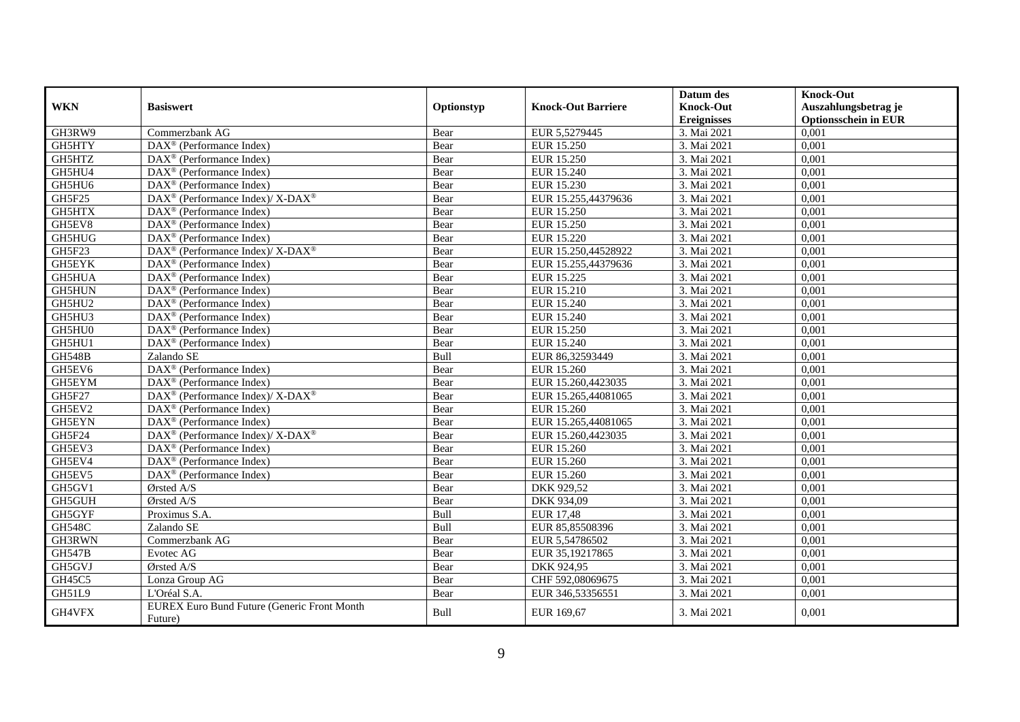| <b>WKN</b>    | <b>Basiswert</b>                                         | Optionstyp | <b>Knock-Out Barriere</b> | Datum des<br><b>Knock-Out</b> | <b>Knock-Out</b><br>Auszahlungsbetrag je |
|---------------|----------------------------------------------------------|------------|---------------------------|-------------------------------|------------------------------------------|
|               |                                                          |            |                           | <b>Ereignisses</b>            | <b>Optionsschein in EUR</b>              |
| GH3RW9        | Commerzbank AG                                           | Bear       | EUR 5,5279445             | 3. Mai 2021                   | 0,001                                    |
| GH5HTY        | $\overline{\text{DAX}^{\otimes}}$ (Performance Index)    | Bear       | <b>EUR 15.250</b>         | 3. Mai 2021                   | 0,001                                    |
| GH5HTZ        | $DAX^{\circledcirc}$ (Performance Index)                 | Bear       | <b>EUR 15.250</b>         | 3. Mai 2021                   | 0,001                                    |
| GH5HU4        | $\text{DAX}^{\textcircled{}}$ (Performance Index)        | Bear       | EUR 15.240                | 3. Mai 2021                   | 0,001                                    |
| GH5HU6        | DAX <sup>®</sup> (Performance Index)                     | Bear       | EUR 15.230                | 3. Mai 2021                   | 0,001                                    |
| GH5F25        | DAX <sup>®</sup> (Performance Index)/ X-DAX <sup>®</sup> | Bear       | EUR 15.255,44379636       | 3. Mai 2021                   | 0,001                                    |
| GH5HTX        | $\overline{\text{DAX}^{\otimes}}$ (Performance Index)    | Bear       | EUR 15.250                | 3. Mai 2021                   | 0,001                                    |
| GH5EV8        | $DAX^{\circledast}$ (Performance Index)                  | Bear       | <b>EUR 15.250</b>         | 3. Mai 2021                   | 0,001                                    |
| GH5HUG        | $DAX^{\circledcirc}$ (Performance Index)                 | Bear       | EUR 15.220                | 3. Mai 2021                   | 0,001                                    |
| GH5F23        | DAX <sup>®</sup> (Performance Index)/ X-DAX <sup>®</sup> | Bear       | EUR 15.250,44528922       | 3. Mai 2021                   | 0,001                                    |
| <b>GH5EYK</b> | DAX <sup>®</sup> (Performance Index)                     | Bear       | EUR 15.255,44379636       | 3. Mai 2021                   | 0,001                                    |
| GH5HUA        | $\overline{\text{DAX}^{\otimes}}$ (Performance Index)    | Bear       | EUR 15.225                | 3. Mai 2021                   | 0,001                                    |
| GH5HUN        | DAX <sup>®</sup> (Performance Index)                     | Bear       | EUR 15.210                | 3. Mai 2021                   | 0,001                                    |
| GH5HU2        | $DAX^{\circledast}$ (Performance Index)                  | Bear       | EUR 15.240                | 3. Mai 2021                   | 0,001                                    |
| GH5HU3        | $DAX^{\circledcirc}$ (Performance Index)                 | Bear       | EUR 15.240                | 3. Mai 2021                   | 0,001                                    |
| GH5HU0        | DAX <sup>®</sup> (Performance Index)                     | Bear       | EUR 15.250                | 3. Mai 2021                   | 0,001                                    |
| GH5HU1        | DAX <sup>®</sup> (Performance Index)                     | Bear       | EUR 15.240                | 3. Mai 2021                   | 0,001                                    |
| <b>GH548B</b> | Zalando SE                                               | Bull       | EUR 86,32593449           | 3. Mai 2021                   | 0,001                                    |
| GH5EV6        | $DAX^{\circledast}$ (Performance Index)                  | Bear       | EUR 15.260                | 3. Mai 2021                   | 0,001                                    |
| GH5EYM        | DAX <sup>®</sup> (Performance Index)                     | Bear       | EUR 15.260,4423035        | 3. Mai 2021                   | 0,001                                    |
| <b>GH5F27</b> | DAX <sup>®</sup> (Performance Index)/ X-DAX <sup>®</sup> | Bear       | EUR 15.265,44081065       | 3. Mai 2021                   | 0,001                                    |
| GH5EV2        | DAX <sup>®</sup> (Performance Index)                     | Bear       | <b>EUR 15.260</b>         | 3. Mai 2021                   | 0,001                                    |
| <b>GH5EYN</b> | $DAX^{\circledR}$ (Performance Index)                    | Bear       | EUR 15.265,44081065       | 3. Mai 2021                   | 0,001                                    |
| GH5F24        | DAX <sup>®</sup> (Performance Index)/ X-DAX <sup>®</sup> | Bear       | EUR 15.260,4423035        | 3. Mai 2021                   | 0,001                                    |
| GH5EV3        | DAX <sup>®</sup> (Performance Index)                     | Bear       | EUR 15.260                | 3. Mai 2021                   | 0,001                                    |
| GH5EV4        | $DAX^{\circledast}$ (Performance Index)                  | Bear       | EUR 15.260                | 3. Mai 2021                   | 0,001                                    |
| GH5EV5        | DAX <sup>®</sup> (Performance Index)                     | Bear       | EUR 15.260                | 3. Mai 2021                   | 0,001                                    |
| GH5GV1        | Ørsted A/S                                               | Bear       | DKK 929,52                | 3. Mai 2021                   | 0,001                                    |
| GH5GUH        | Ørsted A/S                                               | Bear       | DKK 934,09                | 3. Mai 2021                   | 0,001                                    |
| GH5GYF        | Proximus S.A.                                            | Bull       | <b>EUR 17,48</b>          | 3. Mai 2021                   | 0,001                                    |
| <b>GH548C</b> | Zalando SE                                               | Bull       | EUR 85,85508396           | 3. Mai 2021                   | 0,001                                    |
| GH3RWN        | Commerzbank AG                                           | Bear       | EUR 5,54786502            | 3. Mai 2021                   | 0,001                                    |
| <b>GH547B</b> | Evotec AG                                                | Bear       | EUR 35,19217865           | 3. Mai 2021                   | 0,001                                    |
| GH5GVJ        | Ørsted A/S                                               | Bear       | DKK 924,95                | 3. Mai 2021                   | 0,001                                    |
| GH45C5        | Lonza Group AG                                           | Bear       | CHF 592,08069675          | 3. Mai 2021                   | 0,001                                    |
| GH51L9        | L'Oréal S.A.                                             | Bear       | EUR 346,53356551          | 3. Mai 2021                   | 0,001                                    |
| GH4VFX        | EUREX Euro Bund Future (Generic Front Month<br>Future)   | Bull       | EUR 169,67                | 3. Mai 2021                   | 0,001                                    |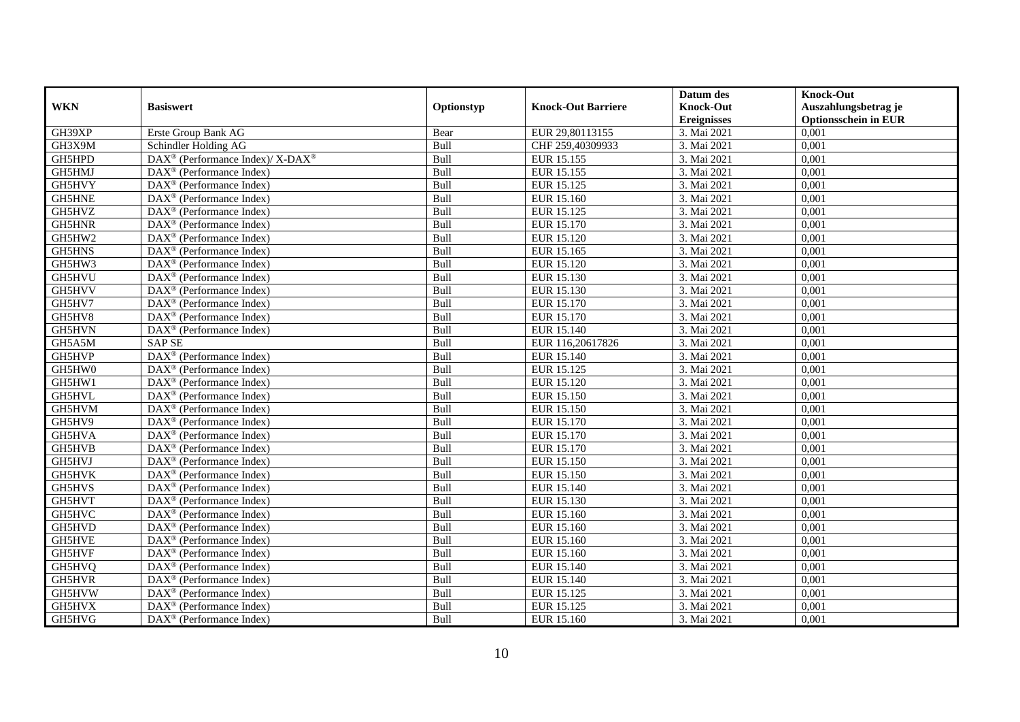|               |                                                                  |             |                           | Datum des          | <b>Knock-Out</b>            |
|---------------|------------------------------------------------------------------|-------------|---------------------------|--------------------|-----------------------------|
| <b>WKN</b>    | <b>Basiswert</b>                                                 | Optionstyp  | <b>Knock-Out Barriere</b> | <b>Knock-Out</b>   | Auszahlungsbetrag je        |
|               |                                                                  |             |                           | <b>Ereignisses</b> | <b>Optionsschein in EUR</b> |
| GH39XP        | Erste Group Bank AG                                              | Bear        | EUR 29,80113155           | 3. Mai 2021        | 0,001                       |
| GH3X9M        | Schindler Holding AG                                             | Bull        | CHF 259,40309933          | 3. Mai 2021        | 0,001                       |
| GH5HPD        | $\text{DAX}^{\circledR}$ (Performance Index)/ X-DAX <sup>®</sup> | Bull        | EUR 15.155                | 3. Mai 2021        | 0,001                       |
| GH5HMJ        | DAX <sup>®</sup> (Performance Index)                             | Bull        | EUR 15.155                | 3. Mai 2021        | 0,001                       |
| GH5HVY        | DAX <sup>®</sup> (Performance Index)                             | Bull        | EUR 15.125                | 3. Mai 2021        | 0,001                       |
| <b>GH5HNE</b> | DAX <sup>®</sup> (Performance Index)                             | Bull        | EUR 15.160                | 3. Mai 2021        | 0,001                       |
| GH5HVZ        | $\overline{\text{DAX}}^{\textcirc}$ (Performance Index)          | Bull        | EUR 15.125                | 3. Mai 2021        | 0,001                       |
| GH5HNR        | DAX <sup>®</sup> (Performance Index)                             | Bull        | EUR 15.170                | 3. Mai 2021        | 0,001                       |
| GH5HW2        | DAX <sup>®</sup> (Performance Index)                             | Bull        | EUR 15.120                | 3. Mai 2021        | 0,001                       |
| <b>GH5HNS</b> | DAX <sup>®</sup> (Performance Index)                             | Bull        | EUR 15.165                | 3. Mai 2021        | 0,001                       |
| GH5HW3        | $\overline{\text{DAX}^{\otimes}}$ (Performance Index)            | Bull        | EUR 15.120                | 3. Mai 2021        | 0,001                       |
| GH5HVU        | DAX <sup>®</sup> (Performance Index)                             | Bull        | EUR 15.130                | 3. Mai 2021        | 0,001                       |
| GH5HVV        | $\text{DAX}^{\textcircled{n}}$ (Performance Index)               | Bull        | EUR 15.130                | 3. Mai 2021        | 0,001                       |
| GH5HV7        | DAX <sup>®</sup> (Performance Index)                             | <b>Bull</b> | EUR 15.170                | 3. Mai 2021        | 0.001                       |
| GH5HV8        | $\overline{\text{DAX}}^{\textcirc}$ (Performance Index)          | Bull        | EUR 15.170                | 3. Mai 2021        | 0,001                       |
| GH5HVN        | DAX <sup>®</sup> (Performance Index)                             | Bull        | EUR 15.140                | 3. Mai 2021        | 0,001                       |
| GH5A5M        | <b>SAP SE</b>                                                    | Bull        | EUR 116,20617826          | 3. Mai 2021        | 0,001                       |
| GH5HVP        | DAX <sup>®</sup> (Performance Index)                             | Bull        | <b>EUR 15.140</b>         | 3. Mai 2021        | 0,001                       |
| GH5HW0        | $\text{DAX}^{\textcircled{n}}$ (Performance Index)               | Bull        | EUR 15.125                | 3. Mai 2021        | 0,001                       |
| GH5HW1        | $\text{DAX}^{\otimes}$ (Performance Index)                       | Bull        | EUR 15.120                | 3. Mai 2021        | 0,001                       |
| GH5HVL        | DAX <sup>®</sup> (Performance Index)                             | Bull        | EUR 15.150                | 3. Mai 2021        | 0,001                       |
| GH5HVM        | $DAX^{\circledR}$ (Performance Index)                            | Bull        | EUR 15.150                | 3. Mai 2021        | 0,001                       |
| GH5HV9        | $\overline{\text{DAX}}^{\textcirc}$ (Performance Index)          | Bull        | EUR 15.170                | 3. Mai 2021        | 0,001                       |
| GH5HVA        | $\text{DAX}^{\textcircled{p}}$ (Performance Index)               | Bull        | <b>EUR 15.170</b>         | 3. Mai 2021        | 0,001                       |
| GH5HVB        | $DAX^{\circledR}$ (Performance Index)                            | Bull        | EUR 15.170                | 3. Mai 2021        | 0,001                       |
| GH5HVJ        | DAX <sup>®</sup> (Performance Index)                             | Bull        | <b>EUR 15.150</b>         | 3. Mai 2021        | 0,001                       |
| GH5HVK        | DAX <sup>®</sup> (Performance Index)                             | Bull        | <b>EUR 15.150</b>         | 3. Mai 2021        | 0,001                       |
| GH5HVS        | DAX <sup>®</sup> (Performance Index)                             | Bull        | EUR 15.140                | 3. Mai 2021        | 0,001                       |
| GH5HVT        | $\text{DAX}^{\textcircled{n}}$ (Performance Index)               | Bull        | EUR 15.130                | 3. Mai 2021        | 0,001                       |
| GH5HVC        | $\text{DAX}^{\textcircled{n}}$ (Performance Index)               | Bull        | EUR 15.160                | 3. Mai 2021        | 0,001                       |
| GH5HVD        | DAX <sup>®</sup> (Performance Index)                             | Bull        | EUR 15.160                | 3. Mai 2021        | 0,001                       |
| GH5HVE        | DAX <sup>®</sup> (Performance Index)                             | Bull        | EUR 15.160                | 3. Mai 2021        | 0,001                       |
| GH5HVF        | $\overline{\text{DAX}^{\otimes}}$ (Performance Index)            | Bull        | EUR 15.160                | 3. Mai 2021        | 0,001                       |
| GH5HVQ        | $\overline{\text{DAX}}^{\textcirc}$ (Performance Index)          | Bull        | EUR 15.140                | 3. Mai 2021        | 0,001                       |
| GH5HVR        | $\text{DAX}^{\otimes}$ (Performance Index)                       | Bull        | EUR 15.140                | 3. Mai 2021        | 0,001                       |
| GH5HVW        | $\text{DAX}^{\circledast}$ (Performance Index)                   | Bull        | EUR 15.125                | 3. Mai 2021        | 0,001                       |
| GH5HVX        | $\text{DAX}^{\otimes}$ (Performance Index)                       | Bull        | EUR 15.125                | 3. Mai 2021        | 0,001                       |
| GH5HVG        | $\overline{\text{DAX}}^{\textcirc}$ (Performance Index)          | Bull        | EUR 15.160                | 3. Mai 2021        | 0,001                       |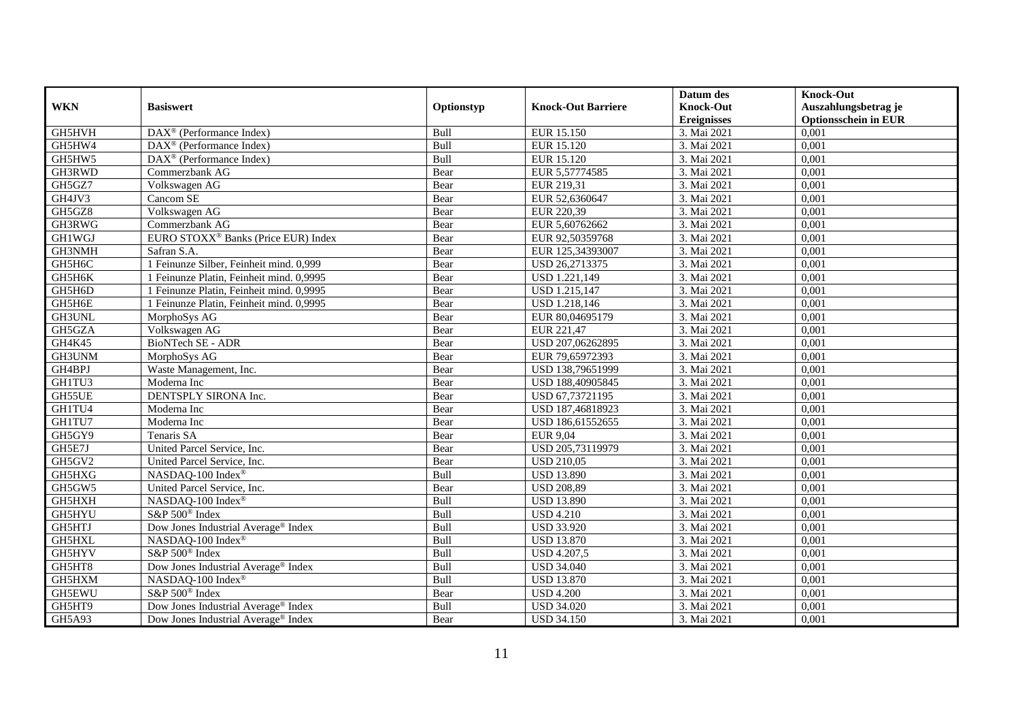| <b>WKN</b>    | <b>Basiswert</b>                                      | Optionstyp | <b>Knock-Out Barriere</b> | Datum des<br><b>Knock-Out</b> | <b>Knock-Out</b><br>Auszahlungsbetrag je |
|---------------|-------------------------------------------------------|------------|---------------------------|-------------------------------|------------------------------------------|
|               |                                                       |            |                           | <b>Ereignisses</b>            | <b>Optionsschein in EUR</b>              |
| GH5HVH        | $\overline{\text{DAX}^{\otimes}}$ (Performance Index) | Bull       | EUR 15.150                | 3. Mai 2021                   | 0,001                                    |
| GH5HW4        | $DAX^{\circledR}$ (Performance Index)                 | Bull       | EUR 15.120                | 3. Mai 2021                   | 0,001                                    |
| GH5HW5        | DAX <sup>®</sup> (Performance Index)                  | Bull       | EUR 15.120                | 3. Mai 2021                   | 0,001                                    |
| GH3RWD        | Commerzbank AG                                        | Bear       | EUR 5,57774585            | 3. Mai 2021                   | 0,001                                    |
| GH5GZ7        | Volkswagen AG                                         | Bear       | EUR 219,31                | 3. Mai 2021                   | 0,001                                    |
| GH4JV3        | Cancom SE                                             | Bear       | EUR 52,6360647            | 3. Mai 2021                   | 0,001                                    |
| GH5GZ8        | Volkswagen AG                                         | Bear       | EUR 220,39                | 3. Mai 2021                   | 0,001                                    |
| GH3RWG        | Commerzbank AG                                        | Bear       | EUR 5,60762662            | 3. Mai 2021                   | 0,001                                    |
| GH1WGJ        | EURO STOXX <sup>®</sup> Banks (Price EUR) Index       | Bear       | EUR 92,50359768           | 3. Mai 2021                   | 0,001                                    |
| GH3NMH        | Safran S.A.                                           | Bear       | EUR 125,34393007          | 3. Mai 2021                   | 0,001                                    |
| GH5H6C        | 1 Feinunze Silber, Feinheit mind. 0,999               | Bear       | USD 26,2713375            | 3. Mai 2021                   | 0,001                                    |
| GH5H6K        | 1 Feinunze Platin, Feinheit mind. 0,9995              | Bear       | USD 1.221,149             | 3. Mai 2021                   | 0,001                                    |
| GH5H6D        | 1 Feinunze Platin, Feinheit mind. 0,9995              | Bear       | USD 1.215,147             | 3. Mai 2021                   | 0,001                                    |
| GH5H6E        | 1 Feinunze Platin, Feinheit mind. 0,9995              | Bear       | USD 1.218,146             | 3. Mai 2021                   | 0,001                                    |
| GH3UNL        | MorphoSys AG                                          | Bear       | EUR 80,04695179           | 3. Mai 2021                   | 0,001                                    |
| GH5GZA        | Volkswagen AG                                         | Bear       | EUR 221,47                | 3. Mai 2021                   | 0,001                                    |
| GH4K45        | <b>BioNTech SE - ADR</b>                              | Bear       | USD 207,06262895          | 3. Mai 2021                   | 0,001                                    |
| GH3UNM        | MorphoSys AG                                          | Bear       | EUR 79,65972393           | 3. Mai 2021                   | 0,001                                    |
| GH4BPJ        | Waste Management, Inc.                                | Bear       | USD 138,79651999          | 3. Mai 2021                   | 0,001                                    |
| GH1TU3        | Moderna Inc                                           | Bear       | USD 188,40905845          | 3. Mai 2021                   | 0,001                                    |
| GH55UE        | DENTSPLY SIRONA Inc.                                  | Bear       | USD 67,73721195           | 3. Mai 2021                   | 0,001                                    |
| GH1TU4        | Moderna Inc                                           | Bear       | USD 187,46818923          | 3. Mai 2021                   | 0,001                                    |
| GH1TU7        | Moderna Inc                                           | Bear       | USD 186,61552655          | 3. Mai 2021                   | 0,001                                    |
| GH5GY9        | Tenaris SA                                            | Bear       | <b>EUR 9,04</b>           | 3. Mai 2021                   | 0,001                                    |
| GH5E7J        | United Parcel Service, Inc.                           | Bear       | USD 205,73119979          | 3. Mai 2021                   | 0,001                                    |
| GH5GV2        | United Parcel Service, Inc.                           | Bear       | <b>USD 210,05</b>         | 3. Mai 2021                   | 0,001                                    |
| GH5HXG        | NASDAQ-100 Index®                                     | Bull       | <b>USD 13.890</b>         | 3. Mai 2021                   | 0,001                                    |
| GH5GW5        | United Parcel Service, Inc.                           | Bear       | <b>USD 208,89</b>         | 3. Mai 2021                   | 0,001                                    |
| GH5HXH        | NASDAQ-100 Index®                                     | Bull       | <b>USD 13.890</b>         | 3. Mai 2021                   | 0,001                                    |
| GH5HYU        | S&P 500 <sup>®</sup> Index                            | Bull       | <b>USD 4.210</b>          | 3. Mai 2021                   | 0,001                                    |
| GH5HTJ        | Dow Jones Industrial Average® Index                   | Bull       | <b>USD 33.920</b>         | 3. Mai 2021                   | 0,001                                    |
| <b>GH5HXL</b> | NASDAQ-100 Index®                                     | Bull       | <b>USD 13.870</b>         | 3. Mai 2021                   | 0,001                                    |
| GH5HYV        | S&P 500 <sup>®</sup> Index                            | Bull       | <b>USD 4.207,5</b>        | 3. Mai 2021                   | 0,001                                    |
| GH5HT8        | Dow Jones Industrial Average® Index                   | Bull       | <b>USD 34.040</b>         | 3. Mai 2021                   | 0,001                                    |
| GH5HXM        | NASDAQ-100 Index®                                     | Bull       | <b>USD 13.870</b>         | 3. Mai 2021                   | 0,001                                    |
| GH5EWU        | S&P 500 <sup>®</sup> Index                            | Bear       | <b>USD 4.200</b>          | 3. Mai 2021                   | 0,001                                    |
| GH5HT9        | Dow Jones Industrial Average <sup>®</sup> Index       | Bull       | <b>USD 34.020</b>         | 3. Mai 2021                   | 0,001                                    |
| GH5A93        | Dow Jones Industrial Average® Index                   | Bear       | <b>USD 34.150</b>         | 3. Mai 2021                   | 0,001                                    |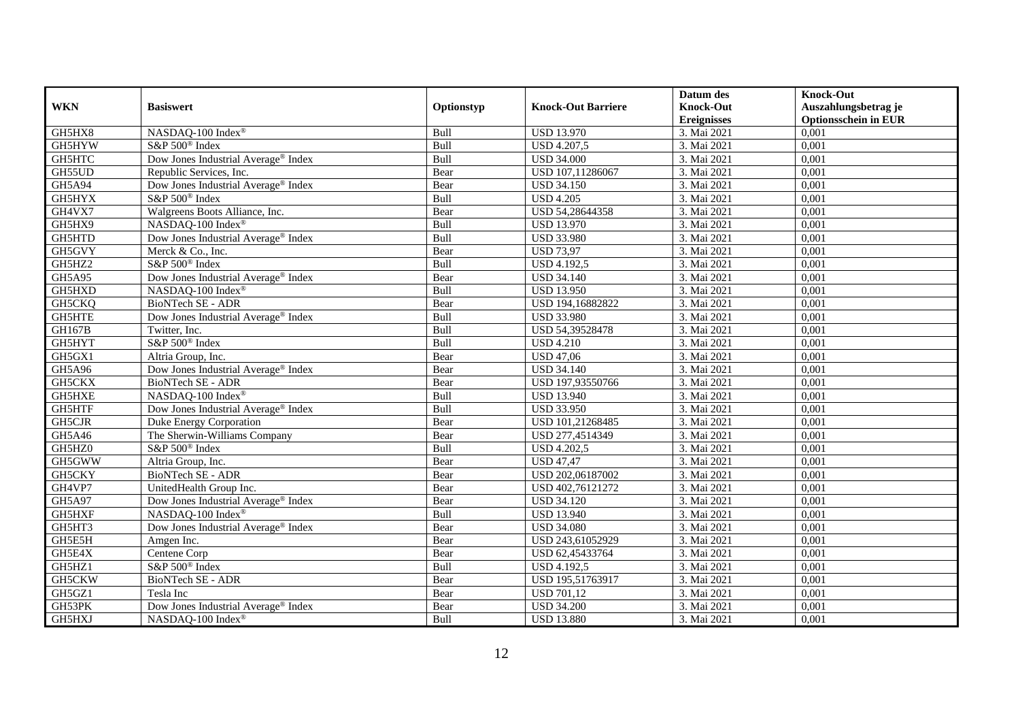|               |                                                 |            |                           | Datum des          | <b>Knock-Out</b>            |
|---------------|-------------------------------------------------|------------|---------------------------|--------------------|-----------------------------|
| <b>WKN</b>    | <b>Basiswert</b>                                | Optionstyp | <b>Knock-Out Barriere</b> | <b>Knock-Out</b>   | Auszahlungsbetrag je        |
|               |                                                 |            |                           | <b>Ereignisses</b> | <b>Optionsschein in EUR</b> |
| GH5HX8        | NASDAQ-100 Index®                               | Bull       | <b>USD 13.970</b>         | 3. Mai 2021        | 0,001                       |
| GH5HYW        | S&P 500 <sup>®</sup> Index                      | Bull       | <b>USD 4.207,5</b>        | 3. Mai 2021        | 0,001                       |
| GH5HTC        | Dow Jones Industrial Average <sup>®</sup> Index | Bull       | <b>USD 34.000</b>         | 3. Mai 2021        | 0,001                       |
| GH55UD        | Republic Services, Inc.                         | Bear       | USD 107,11286067          | 3. Mai 2021        | 0,001                       |
| GH5A94        | Dow Jones Industrial Average <sup>®</sup> Index | Bear       | <b>USD 34.150</b>         | 3. Mai 2021        | 0,001                       |
| GH5HYX        | S&P 500 <sup>®</sup> Index                      | Bull       | <b>USD 4.205</b>          | 3. Mai 2021        | 0,001                       |
| GH4VX7        | Walgreens Boots Alliance, Inc.                  | Bear       | USD 54,28644358           | 3. Mai 2021        | 0,001                       |
| GH5HX9        | NASDAQ-100 Index®                               | Bull       | <b>USD 13.970</b>         | 3. Mai 2021        | 0,001                       |
| GH5HTD        | Dow Jones Industrial Average <sup>®</sup> Index | Bull       | <b>USD 33.980</b>         | 3. Mai 2021        | 0,001                       |
| GH5GVY        | Merck & Co., Inc.                               | Bear       | <b>USD 73,97</b>          | 3. Mai 2021        | 0,001                       |
| GH5HZ2        | S&P 500 <sup>®</sup> Index                      | Bull       | <b>USD 4.192,5</b>        | 3. Mai 2021        | 0,001                       |
| <b>GH5A95</b> | Dow Jones Industrial Average <sup>®</sup> Index | Bear       | <b>USD 34.140</b>         | 3. Mai 2021        | 0,001                       |
| GH5HXD        | NASDAQ-100 Index®                               | Bull       | <b>USD 13.950</b>         | 3. Mai 2021        | 0,001                       |
| GH5CKQ        | <b>BioNTech SE - ADR</b>                        | Bear       | USD 194,16882822          | 3. Mai 2021        | 0,001                       |
| GH5HTE        | Dow Jones Industrial Average <sup>®</sup> Index | Bull       | <b>USD 33.980</b>         | 3. Mai 2021        | 0,001                       |
| GH167B        | Twitter, Inc.                                   | Bull       | USD 54,39528478           | 3. Mai 2021        | 0,001                       |
| GH5HYT        | S&P 500 <sup>®</sup> Index                      | Bull       | <b>USD 4.210</b>          | 3. Mai 2021        | 0,001                       |
| GH5GX1        | Altria Group, Inc.                              | Bear       | <b>USD 47,06</b>          | 3. Mai 2021        | 0,001                       |
| GH5A96        | Dow Jones Industrial Average® Index             | Bear       | <b>USD 34.140</b>         | 3. Mai 2021        | 0,001                       |
| GH5CKX        | BioNTech SE - ADR                               | Bear       | USD 197,93550766          | 3. Mai 2021        | 0,001                       |
| GH5HXE        | NASDAQ-100 Index®                               | Bull       | <b>USD 13.940</b>         | 3. Mai 2021        | 0,001                       |
| GH5HTF        | Dow Jones Industrial Average® Index             | Bull       | <b>USD 33.950</b>         | 3. Mai 2021        | 0,001                       |
| GH5CJR        | Duke Energy Corporation                         | Bear       | USD 101,21268485          | 3. Mai 2021        | 0,001                       |
| GH5A46        | The Sherwin-Williams Company                    | Bear       | USD 277,4514349           | 3. Mai 2021        | 0,001                       |
| GH5HZ0        | S&P 500 <sup>®</sup> Index                      | Bull       | <b>USD 4.202,5</b>        | 3. Mai 2021        | 0,001                       |
| GH5GWW        | Altria Group, Inc.                              | Bear       | <b>USD 47,47</b>          | 3. Mai 2021        | 0,001                       |
| GH5CKY        | <b>BioNTech SE - ADR</b>                        | Bear       | USD 202,06187002          | 3. Mai 2021        | 0,001                       |
| GH4VP7        | UnitedHealth Group Inc.                         | Bear       | USD 402,76121272          | 3. Mai 2021        | 0,001                       |
| GH5A97        | Dow Jones Industrial Average <sup>®</sup> Index | Bear       | <b>USD 34.120</b>         | 3. Mai 2021        | 0,001                       |
| GH5HXF        | NASDAQ-100 Index®                               | Bull       | <b>USD 13.940</b>         | 3. Mai 2021        | 0,001                       |
| GH5HT3        | Dow Jones Industrial Average <sup>®</sup> Index | Bear       | <b>USD 34.080</b>         | 3. Mai 2021        | 0,001                       |
| GH5E5H        | Amgen Inc.                                      | Bear       | USD 243,61052929          | 3. Mai 2021        | 0,001                       |
| GH5E4X        | Centene Corp                                    | Bear       | USD 62,45433764           | 3. Mai 2021        | 0,001                       |
| GH5HZ1        | S&P 500 <sup>®</sup> Index                      | Bull       | <b>USD 4.192,5</b>        | 3. Mai 2021        | 0,001                       |
| GH5CKW        | BioNTech SE - ADR                               | Bear       | USD 195,51763917          | 3. Mai 2021        | 0,001                       |
| GH5GZ1        | Tesla Inc                                       | Bear       | <b>USD 701,12</b>         | 3. Mai 2021        | 0,001                       |
| GH53PK        | Dow Jones Industrial Average® Index             | Bear       | <b>USD 34.200</b>         | 3. Mai 2021        | 0,001                       |
| GH5HXJ        | NASDAQ-100 Index®                               | Bull       | <b>USD 13.880</b>         | 3. Mai 2021        | 0,001                       |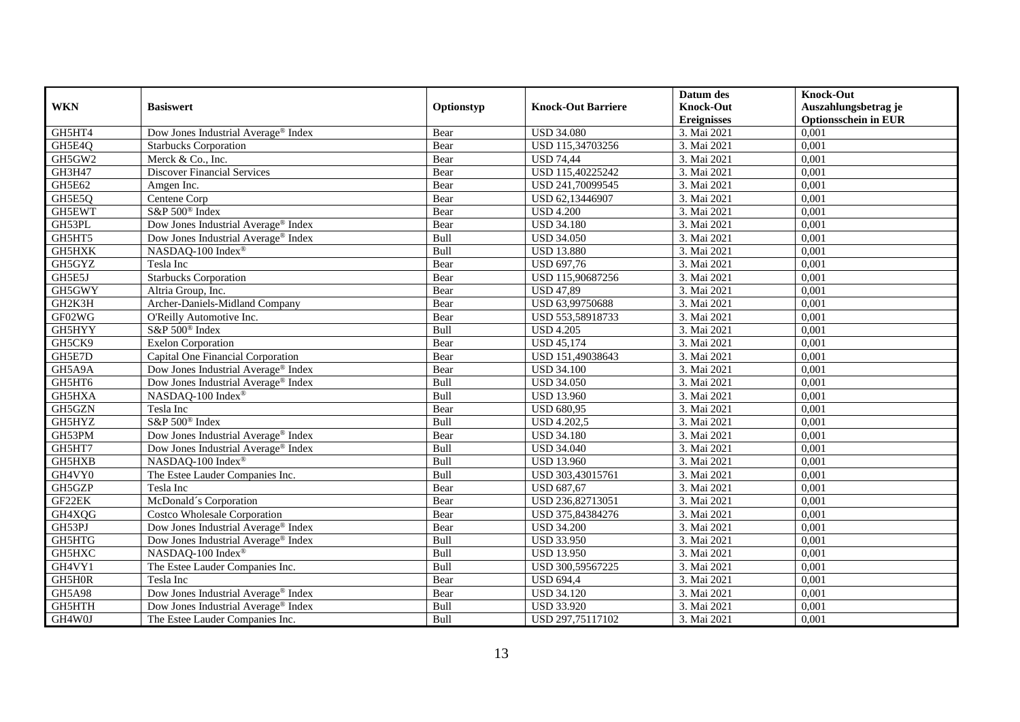|               |                                     |            |                           | Datum des          | <b>Knock-Out</b>            |
|---------------|-------------------------------------|------------|---------------------------|--------------------|-----------------------------|
| <b>WKN</b>    | <b>Basiswert</b>                    | Optionstyp | <b>Knock-Out Barriere</b> | <b>Knock-Out</b>   | Auszahlungsbetrag je        |
|               |                                     |            |                           | <b>Ereignisses</b> | <b>Optionsschein in EUR</b> |
| GH5HT4        | Dow Jones Industrial Average® Index | Bear       | <b>USD 34.080</b>         | 3. Mai 2021        | 0,001                       |
| GH5E4Q        | <b>Starbucks Corporation</b>        | Bear       | USD 115,34703256          | 3. Mai 2021        | 0,001                       |
| GH5GW2        | Merck & Co., Inc.                   | Bear       | <b>USD 74,44</b>          | 3. Mai 2021        | 0,001                       |
| GH3H47        | <b>Discover Financial Services</b>  | Bear       | USD 115,40225242          | 3. Mai 2021        | 0,001                       |
| GH5E62        | Amgen Inc.                          | Bear       | USD 241,70099545          | 3. Mai 2021        | 0,001                       |
| GH5E5Q        | Centene Corp                        | Bear       | USD 62,13446907           | 3. Mai 2021        | 0,001                       |
| GH5EWT        | S&P 500 <sup>®</sup> Index          | Bear       | <b>USD 4.200</b>          | 3. Mai 2021        | 0,001                       |
| GH53PL        | Dow Jones Industrial Average® Index | Bear       | <b>USD 34.180</b>         | 3. Mai 2021        | 0,001                       |
| GH5HT5        | Dow Jones Industrial Average® Index | Bull       | <b>USD 34.050</b>         | 3. Mai 2021        | 0,001                       |
| GH5HXK        | NASDAQ-100 Index <sup>®</sup>       | Bull       | <b>USD 13.880</b>         | 3. Mai 2021        | 0,001                       |
| GH5GYZ        | Tesla Inc                           | Bear       | <b>USD 697,76</b>         | 3. Mai 2021        | 0,001                       |
| GH5E5J        | <b>Starbucks Corporation</b>        | Bear       | USD 115,90687256          | 3. Mai 2021        | 0,001                       |
| GH5GWY        | Altria Group, Inc.                  | Bear       | <b>USD 47,89</b>          | 3. Mai 2021        | 0,001                       |
| GH2K3H        | Archer-Daniels-Midland Company      | Bear       | USD 63,99750688           | 3. Mai 2021        | 0,001                       |
| GF02WG        | O'Reilly Automotive Inc.            | Bear       | USD 553,58918733          | 3. Mai 2021        | 0,001                       |
| GH5HYY        | S&P 500 <sup>®</sup> Index          | Bull       | <b>USD 4.205</b>          | 3. Mai 2021        | 0,001                       |
| GH5CK9        | <b>Exelon Corporation</b>           | Bear       | <b>USD 45,174</b>         | 3. Mai 2021        | 0,001                       |
| GH5E7D        | Capital One Financial Corporation   | Bear       | USD 151,49038643          | 3. Mai 2021        | 0,001                       |
| GH5A9A        | Dow Jones Industrial Average® Index | Bear       | <b>USD 34.100</b>         | 3. Mai 2021        | 0,001                       |
| GH5HT6        | Dow Jones Industrial Average® Index | Bull       | <b>USD 34.050</b>         | 3. Mai 2021        | 0,001                       |
| GH5HXA        | NASDAQ-100 Index <sup>®</sup>       | Bull       | <b>USD 13.960</b>         | 3. Mai 2021        | 0,001                       |
| GH5GZN        | Tesla Inc                           | Bear       | <b>USD 680,95</b>         | 3. Mai 2021        | 0,001                       |
| GH5HYZ        | S&P 500 <sup>®</sup> Index          | Bull       | <b>USD 4.202,5</b>        | 3. Mai 2021        | 0,001                       |
| GH53PM        | Dow Jones Industrial Average® Index | Bear       | <b>USD 34.180</b>         | 3. Mai 2021        | 0,001                       |
| GH5HT7        | Dow Jones Industrial Average® Index | Bull       | <b>USD 34.040</b>         | 3. Mai 2021        | 0.001                       |
| GH5HXB        | NASDAQ-100 Index®                   | Bull       | <b>USD 13.960</b>         | 3. Mai 2021        | 0,001                       |
| GH4VY0        | The Estee Lauder Companies Inc.     | Bull       | USD 303,43015761          | 3. Mai 2021        | 0,001                       |
| GH5GZP        | Tesla Inc                           | Bear       | <b>USD 687,67</b>         | 3. Mai 2021        | 0,001                       |
| GF22EK        | McDonald's Corporation              | Bear       | USD 236,82713051          | 3. Mai 2021        | 0,001                       |
| GH4XQG        | <b>Costco Wholesale Corporation</b> | Bear       | USD 375,84384276          | 3. Mai 2021        | 0,001                       |
| GH53PJ        | Dow Jones Industrial Average® Index | Bear       | <b>USD 34.200</b>         | 3. Mai 2021        | 0,001                       |
| GH5HTG        | Dow Jones Industrial Average® Index | Bull       | <b>USD 33.950</b>         | 3. Mai 2021        | 0,001                       |
| GH5HXC        | NASDAQ-100 Index®                   | Bull       | <b>USD 13.950</b>         | 3. Mai 2021        | 0,001                       |
| GH4VY1        | The Estee Lauder Companies Inc.     | Bull       | USD 300,59567225          | 3. Mai 2021        | 0,001                       |
| GH5H0R        | Tesla Inc                           | Bear       | <b>USD 694,4</b>          | 3. Mai 2021        | 0,001                       |
| <b>GH5A98</b> | Dow Jones Industrial Average® Index | Bear       | <b>USD 34.120</b>         | 3. Mai 2021        | 0,001                       |
| GH5HTH        | Dow Jones Industrial Average® Index | Bull       | <b>USD 33.920</b>         | 3. Mai 2021        | 0,001                       |
| GH4W0J        | The Estee Lauder Companies Inc.     | Bull       | USD 297,75117102          | 3. Mai 2021        | 0,001                       |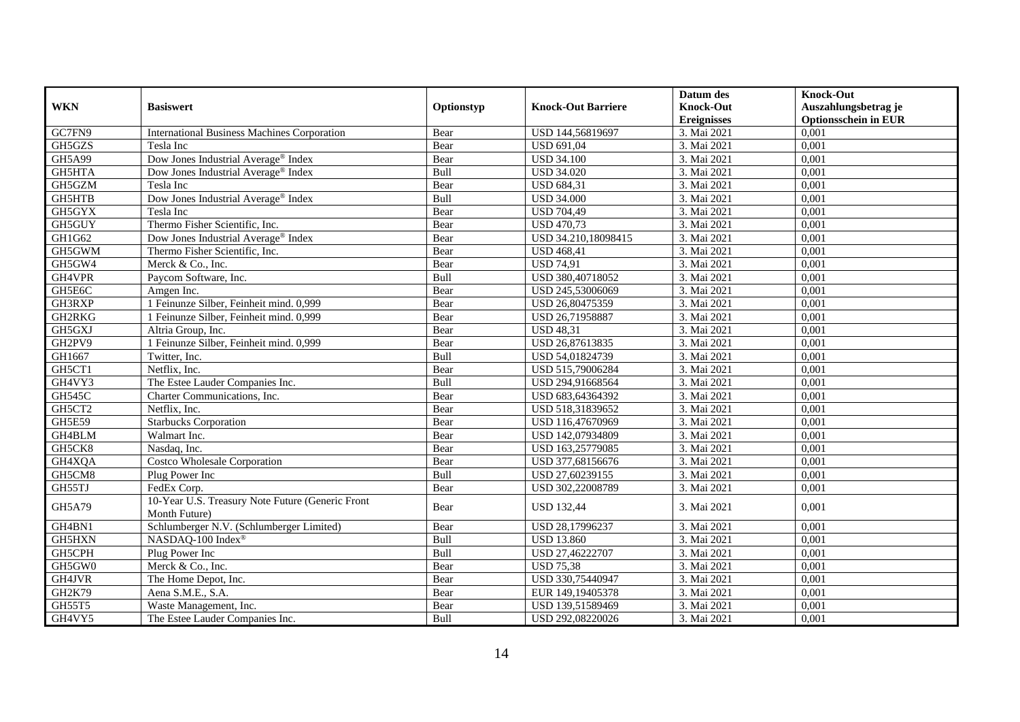| <b>WKN</b>    | <b>Basiswert</b>                                                  | Optionstyp | <b>Knock-Out Barriere</b> | Datum des<br><b>Knock-Out</b> | <b>Knock-Out</b><br>Auszahlungsbetrag je |
|---------------|-------------------------------------------------------------------|------------|---------------------------|-------------------------------|------------------------------------------|
|               |                                                                   |            |                           | <b>Ereignisses</b>            | <b>Optionsschein in EUR</b>              |
| GC7FN9        | <b>International Business Machines Corporation</b>                | Bear       | USD 144,56819697          | 3. Mai 2021                   | 0,001                                    |
| GH5GZS        | Tesla Inc                                                         | Bear       | <b>USD 691,04</b>         | 3. Mai 2021                   | 0,001                                    |
| GH5A99        | Dow Jones Industrial Average® Index                               | Bear       | <b>USD 34.100</b>         | 3. Mai 2021                   | 0,001                                    |
| <b>GH5HTA</b> | Dow Jones Industrial Average® Index                               | Bull       | <b>USD 34.020</b>         | 3. Mai 2021                   | 0,001                                    |
| GH5GZM        | Tesla Inc                                                         | Bear       | <b>USD 684,31</b>         | 3. Mai 2021                   | 0,001                                    |
| <b>GH5HTB</b> | Dow Jones Industrial Average® Index                               | Bull       | <b>USD 34.000</b>         | 3. Mai 2021                   | 0,001                                    |
| GH5GYX        | Tesla Inc                                                         | Bear       | <b>USD 704,49</b>         | 3. Mai 2021                   | 0,001                                    |
| GH5GUY        | Thermo Fisher Scientific, Inc.                                    | Bear       | <b>USD 470,73</b>         | 3. Mai 2021                   | 0,001                                    |
| GH1G62        | Dow Jones Industrial Average <sup>®</sup> Index                   | Bear       | USD 34.210,18098415       | 3. Mai 2021                   | 0.001                                    |
| GH5GWM        | Thermo Fisher Scientific, Inc.                                    | Bear       | <b>USD 468,41</b>         | 3. Mai 2021                   | 0,001                                    |
| GH5GW4        | Merck & Co., Inc.                                                 | Bear       | <b>USD 74,91</b>          | 3. Mai 2021                   | 0,001                                    |
| GH4VPR        | Paycom Software, Inc.                                             | Bull       | USD 380,40718052          | 3. Mai 2021                   | 0,001                                    |
| GH5E6C        | Amgen Inc.                                                        | Bear       | USD 245,53006069          | 3. Mai 2021                   | 0,001                                    |
| GH3RXP        | 1 Feinunze Silber, Feinheit mind. 0,999                           | Bear       | USD 26,80475359           | 3. Mai 2021                   | 0,001                                    |
| GH2RKG        | 1 Feinunze Silber, Feinheit mind. 0,999                           | Bear       | USD 26,71958887           | 3. Mai 2021                   | 0,001                                    |
| GH5GXJ        | Altria Group, Inc.                                                | Bear       | <b>USD 48,31</b>          | 3. Mai 2021                   | 0,001                                    |
| GH2PV9        | 1 Feinunze Silber, Feinheit mind. 0,999                           | Bear       | USD 26,87613835           | 3. Mai 2021                   | 0,001                                    |
| GH1667        | Twitter, Inc.                                                     | Bull       | USD 54,01824739           | 3. Mai 2021                   | 0,001                                    |
| GH5CT1        | Netflix, Inc.                                                     | Bear       | USD 515,79006284          | 3. Mai 2021                   | 0,001                                    |
| GH4VY3        | The Estee Lauder Companies Inc.                                   | Bull       | USD 294,91668564          | 3. Mai 2021                   | 0,001                                    |
| <b>GH545C</b> | Charter Communications, Inc.                                      | Bear       | USD 683,64364392          | 3. Mai 2021                   | 0,001                                    |
| GH5CT2        | Netflix, Inc.                                                     | Bear       | USD 518,31839652          | 3. Mai 2021                   | 0,001                                    |
| <b>GH5E59</b> | <b>Starbucks Corporation</b>                                      | Bear       | USD 116,47670969          | 3. Mai 2021                   | 0,001                                    |
| GH4BLM        | Walmart Inc.                                                      | Bear       | USD 142,07934809          | 3. Mai 2021                   | 0,001                                    |
| GH5CK8        | Nasdaq, Inc.                                                      | Bear       | USD 163,25779085          | 3. Mai 2021                   | 0,001                                    |
| GH4XQA        | Costco Wholesale Corporation                                      | Bear       | USD 377,68156676          | 3. Mai 2021                   | 0,001                                    |
| GH5CM8        | Plug Power Inc                                                    | Bull       | USD 27,60239155           | 3. Mai 2021                   | 0,001                                    |
| GH55TJ        | FedEx Corp.                                                       | Bear       | USD 302,22008789          | 3. Mai 2021                   | 0,001                                    |
| GH5A79        | 10-Year U.S. Treasury Note Future (Generic Front<br>Month Future) | Bear       | <b>USD 132,44</b>         | 3. Mai 2021                   | 0,001                                    |
| GH4BN1        | Schlumberger N.V. (Schlumberger Limited)                          | Bear       | USD 28,17996237           | 3. Mai 2021                   | 0,001                                    |
| GH5HXN        | NASDAQ-100 Index <sup>®</sup>                                     | Bull       | <b>USD 13.860</b>         | 3. Mai 2021                   | 0,001                                    |
| GH5CPH        | Plug Power Inc                                                    | Bull       | USD 27,46222707           | 3. Mai 2021                   | 0,001                                    |
| GH5GW0        | Merck & Co., Inc.                                                 | Bear       | <b>USD 75,38</b>          | 3. Mai 2021                   | 0,001                                    |
| GH4JVR        | The Home Depot, Inc.                                              | Bear       | USD 330,75440947          | 3. Mai 2021                   | 0,001                                    |
| GH2K79        | Aena S.M.E., S.A.                                                 | Bear       | EUR 149,19405378          | 3. Mai 2021                   | 0,001                                    |
| GH55T5        | Waste Management, Inc.                                            | Bear       | USD 139,51589469          | 3. Mai 2021                   | 0,001                                    |
| GH4VY5        | The Estee Lauder Companies Inc.                                   | Bull       | USD 292,08220026          | 3. Mai 2021                   | 0,001                                    |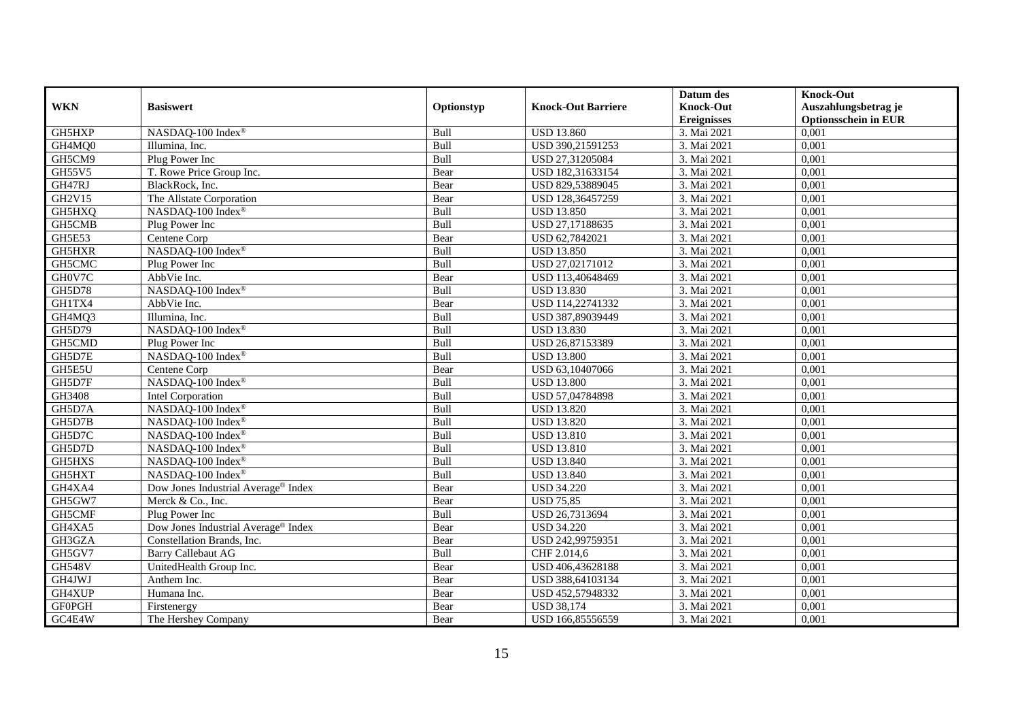|               |                                     |            |                           | Datum des          | <b>Knock-Out</b>            |
|---------------|-------------------------------------|------------|---------------------------|--------------------|-----------------------------|
| <b>WKN</b>    | <b>Basiswert</b>                    | Optionstyp | <b>Knock-Out Barriere</b> | <b>Knock-Out</b>   | Auszahlungsbetrag je        |
|               |                                     |            |                           | <b>Ereignisses</b> | <b>Optionsschein in EUR</b> |
| GH5HXP        | NASDAQ-100 Index®                   | Bull       | <b>USD 13.860</b>         | 3. Mai 2021        | 0,001                       |
| GH4MQ0        | Illumina, Inc.                      | Bull       | USD 390,21591253          | 3. Mai 2021        | 0,001                       |
| GH5CM9        | Plug Power Inc                      | Bull       | USD 27,31205084           | 3. Mai 2021        | 0,001                       |
| GH55V5        | T. Rowe Price Group Inc.            | Bear       | USD 182,31633154          | 3. Mai 2021        | 0,001                       |
| GH47RJ        | BlackRock, Inc.                     | Bear       | USD 829,53889045          | 3. Mai 2021        | 0,001                       |
| <b>GH2V15</b> | The Allstate Corporation            | Bear       | USD 128,36457259          | 3. Mai 2021        | 0,001                       |
| GH5HXQ        | NASDAQ-100 Index®                   | Bull       | <b>USD 13.850</b>         | 3. Mai 2021        | 0,001                       |
| GH5CMB        | Plug Power Inc                      | Bull       | USD 27,17188635           | 3. Mai 2021        | 0,001                       |
| GH5E53        | Centene Corp                        | Bear       | USD 62,7842021            | 3. Mai 2021        | 0,001                       |
| GH5HXR        | NASDAQ-100 Index®                   | Bull       | <b>USD 13.850</b>         | 3. Mai 2021        | 0,001                       |
| GH5CMC        | Plug Power Inc                      | Bull       | USD 27,02171012           | 3. Mai 2021        | 0,001                       |
| GH0V7C        | AbbVie Inc.                         | Bear       | USD 113,40648469          | 3. Mai 2021        | 0,001                       |
| GH5D78        | NASDAQ-100 Index®                   | Bull       | <b>USD 13.830</b>         | 3. Mai 2021        | 0,001                       |
| GH1TX4        | AbbVie Inc.                         | Bear       | USD 114,22741332          | 3. Mai 2021        | 0,001                       |
| GH4MQ3        | Illumina, Inc.                      | Bull       | USD 387,89039449          | 3. Mai 2021        | 0,001                       |
| GH5D79        | NASDAQ-100 Index®                   | Bull       | <b>USD 13.830</b>         | 3. Mai 2021        | 0,001                       |
| GH5CMD        | Plug Power Inc                      | Bull       | USD 26,87153389           | 3. Mai 2021        | 0,001                       |
| GH5D7E        | NASDAQ-100 Index®                   | Bull       | <b>USD 13.800</b>         | 3. Mai 2021        | 0,001                       |
| GH5E5U        | Centene Corp                        | Bear       | USD 63,10407066           | 3. Mai 2021        | 0,001                       |
| GH5D7F        | NASDAQ-100 Index®                   | Bull       | <b>USD 13.800</b>         | 3. Mai 2021        | 0,001                       |
| GH3408        | Intel Corporation                   | Bull       | USD 57,04784898           | 3. Mai 2021        | 0,001                       |
| GH5D7A        | NASDAQ-100 Index®                   | Bull       | <b>USD 13.820</b>         | 3. Mai 2021        | 0,001                       |
| GH5D7B        | NASDAQ-100 Index®                   | Bull       | <b>USD 13.820</b>         | 3. Mai 2021        | 0,001                       |
| GH5D7C        | NASDAQ-100 Index®                   | Bull       | <b>USD 13.810</b>         | 3. Mai 2021        | 0,001                       |
| GH5D7D        | NASDAQ-100 Index®                   | Bull       | <b>USD 13.810</b>         | 3. Mai 2021        | 0.001                       |
| GH5HXS        | NASDAQ-100 Index®                   | Bull       | <b>USD 13.840</b>         | 3. Mai 2021        | 0,001                       |
| GH5HXT        | NASDAQ-100 Index®                   | Bull       | <b>USD 13.840</b>         | 3. Mai 2021        | 0,001                       |
| GH4XA4        | Dow Jones Industrial Average® Index | Bear       | <b>USD 34.220</b>         | 3. Mai 2021        | 0,001                       |
| GH5GW7        | Merck & Co., Inc.                   | Bear       | <b>USD 75,85</b>          | 3. Mai 2021        | 0,001                       |
| GH5CMF        | Plug Power Inc                      | Bull       | USD 26,7313694            | 3. Mai 2021        | 0,001                       |
| GH4XA5        | Dow Jones Industrial Average® Index | Bear       | <b>USD 34.220</b>         | 3. Mai 2021        | 0,001                       |
| GH3GZA        | Constellation Brands, Inc.          | Bear       | USD 242,99759351          | 3. Mai 2021        | 0,001                       |
| GH5GV7        | <b>Barry Callebaut AG</b>           | Bull       | CHF 2.014,6               | 3. Mai 2021        | 0,001                       |
| <b>GH548V</b> | UnitedHealth Group Inc.             | Bear       | USD 406,43628188          | 3. Mai 2021        | 0,001                       |
| GH4JWJ        | Anthem Inc.                         | Bear       | USD 388,64103134          | 3. Mai 2021        | 0,001                       |
| GH4XUP        | Humana Inc.                         | Bear       | USD 452,57948332          | 3. Mai 2021        | 0,001                       |
| <b>GF0PGH</b> | Firstenergy                         | Bear       | <b>USD 38,174</b>         | 3. Mai 2021        | 0,001                       |
| GC4E4W        | The Hershey Company                 | Bear       | USD 166,85556559          | 3. Mai 2021        | 0,001                       |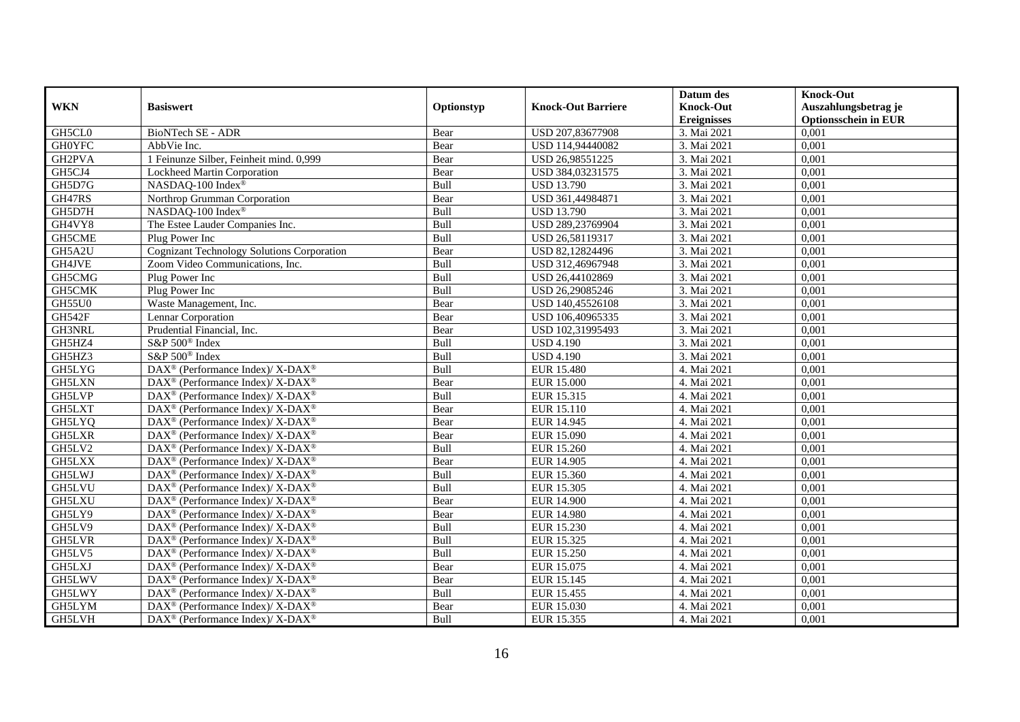|               |                                                                          |            |                           | Datum des                              | <b>Knock-Out</b>                                    |
|---------------|--------------------------------------------------------------------------|------------|---------------------------|----------------------------------------|-----------------------------------------------------|
| <b>WKN</b>    | <b>Basiswert</b>                                                         | Optionstyp | <b>Knock-Out Barriere</b> | <b>Knock-Out</b><br><b>Ereignisses</b> | Auszahlungsbetrag je<br><b>Optionsschein in EUR</b> |
| GH5CL0        | <b>BioNTech SE - ADR</b>                                                 | Bear       | USD 207,83677908          | 3. Mai 2021                            | 0,001                                               |
| <b>GH0YFC</b> | AbbVie Inc.                                                              | Bear       | USD 114,94440082          | 3. Mai 2021                            | 0,001                                               |
| GH2PVA        | 1 Feinunze Silber, Feinheit mind. 0,999                                  | Bear       | USD 26,98551225           | 3. Mai 2021                            | 0,001                                               |
| GH5CJ4        | Lockheed Martin Corporation                                              | Bear       | USD 384,03231575          | 3. Mai 2021                            | 0,001                                               |
| GH5D7G        | NASDAQ-100 Index®                                                        | Bull       | <b>USD 13.790</b>         | 3. Mai 2021                            | 0,001                                               |
| GH47RS        | Northrop Grumman Corporation                                             | Bear       | USD 361,44984871          | 3. Mai 2021                            | 0,001                                               |
| GH5D7H        | NASDAQ-100 Index®                                                        | Bull       | <b>USD 13.790</b>         | 3. Mai 2021                            | 0,001                                               |
| GH4VY8        | The Estee Lauder Companies Inc.                                          | Bull       | USD 289,23769904          | 3. Mai 2021                            | 0,001                                               |
| GH5CME        | Plug Power Inc                                                           | Bull       | USD 26,58119317           | 3. Mai 2021                            | 0,001                                               |
| GH5A2U        | <b>Cognizant Technology Solutions Corporation</b>                        | Bear       | USD 82,12824496           | 3. Mai 2021                            | 0,001                                               |
| GH4JVE        | Zoom Video Communications, Inc.                                          | Bull       | USD 312,46967948          | 3. Mai 2021                            | 0,001                                               |
| GH5CMG        | Plug Power Inc                                                           | Bull       | USD 26,44102869           | 3. Mai 2021                            | 0,001                                               |
| GH5CMK        | Plug Power Inc                                                           | Bull       | USD 26,29085246           | 3. Mai 2021                            | 0,001                                               |
| <b>GH55U0</b> | Waste Management, Inc.                                                   | Bear       | USD 140,45526108          | 3. Mai 2021                            | 0,001                                               |
| <b>GH542F</b> | Lennar Corporation                                                       | Bear       | USD 106,40965335          | 3. Mai 2021                            | 0,001                                               |
| GH3NRL        | Prudential Financial, Inc.                                               | Bear       | USD 102,31995493          | 3. Mai 2021                            | 0,001                                               |
| GH5HZ4        | S&P 500 <sup>®</sup> Index                                               | Bull       | <b>USD 4.190</b>          | 3. Mai 2021                            | 0,001                                               |
| GH5HZ3        | S&P 500 <sup>®</sup> Index                                               | Bull       | <b>USD 4.190</b>          | 3. Mai 2021                            | 0,001                                               |
| GH5LYG        | DAX <sup>®</sup> (Performance Index)/ X-DAX <sup>®</sup>                 | Bull       | <b>EUR 15.480</b>         | 4. Mai 2021                            | 0,001                                               |
| GH5LXN        | $\text{DAX}^{\circledast}$ (Performance Index)/ X-DAX <sup>®</sup>       | Bear       | <b>EUR 15.000</b>         | 4. Mai 2021                            | 0,001                                               |
| GH5LVP        | $DAX^{\circledast}$ (Performance Index)/X-DAX <sup>®</sup>               | Bull       | EUR 15.315                | 4. Mai 2021                            | 0,001                                               |
| GH5LXT        | $\text{DAX}^{\circledast}$ (Performance Index)/ X-DAX <sup>®</sup>       | Bear       | EUR 15.110                | 4. Mai 2021                            | 0,001                                               |
| GH5LYQ        | $\text{DAX}^{\circledR}$ (Performance Index)/ X-DAX <sup>®</sup>         | Bear       | EUR 14.945                | 4. Mai 2021                            | 0,001                                               |
| <b>GH5LXR</b> | $DAX^{\circledcirc}$ (Performance Index)/X-DAX <sup>®</sup>              | Bear       | EUR 15.090                | 4. Mai 2021                            | 0,001                                               |
| GH5LV2        | $\overline{\text{DAX}^{\otimes}}$ (Performance Index)/X-DAX <sup>®</sup> | Bull       | EUR 15.260                | 4. Mai 2021                            | 0,001                                               |
| GH5LXX        | DAX <sup>®</sup> (Performance Index)/ X-DAX <sup>®</sup>                 | Bear       | EUR 14.905                | 4. Mai 2021                            | 0,001                                               |
| GH5LWJ        | $\text{DAX}^{\circledast}$ (Performance Index)/ X-DAX <sup>®</sup>       | Bull       | EUR 15.360                | 4. Mai 2021                            | 0,001                                               |
| <b>GH5LVU</b> | $\text{DAX}^{\circledast}$ (Performance Index)/ X-DAX <sup>®</sup>       | Bull       | EUR 15.305                | 4. Mai 2021                            | 0,001                                               |
| GH5LXU        | $\text{DAX}^{\circledast}$ (Performance Index)/ X-DAX <sup>®</sup>       | Bear       | <b>EUR 14.900</b>         | 4. Mai 2021                            | 0,001                                               |
| GH5LY9        | $DAX^{\circledcirc}$ (Performance Index)/ X-DAX <sup>®</sup>             | Bear       | <b>EUR 14.980</b>         | 4. Mai 2021                            | 0.001                                               |
| GH5LV9        | $DAX^{\circledcirc}$ (Performance Index)/X-DAX <sup>®</sup>              | Bull       | EUR 15.230                | 4. Mai 2021                            | 0,001                                               |
| <b>GH5LVR</b> | $\overline{\text{DAX}^{\otimes}}$ (Performance Index)/X-DAX <sup>®</sup> | Bull       | EUR 15.325                | 4. Mai 2021                            | 0,001                                               |
| GH5LV5        | $\text{DAX}^{\circledast}$ (Performance Index)/ X-DAX <sup>®</sup>       | Bull       | <b>EUR 15.250</b>         | 4. Mai 2021                            | 0,001                                               |
| <b>GH5LXJ</b> | $\text{DAX}^{\circledR}$ (Performance Index)/ X-DAX <sup>®</sup>         | Bear       | EUR 15.075                | 4. Mai 2021                            | 0,001                                               |
| GH5LWV        | $\text{DAX}^{\circledR}$ (Performance Index)/ X-DAX <sup>®</sup>         | Bear       | EUR 15.145                | 4. Mai 2021                            | 0,001                                               |
| GH5LWY        | $\text{DAX}^{\otimes}$ (Performance Index)/X-DAX <sup>®</sup>            | Bull       | EUR 15.455                | 4. Mai 2021                            | 0,001                                               |
| GH5LYM        | DAX <sup>®</sup> (Performance Index)/ X-DAX <sup>®</sup>                 | Bear       | EUR 15.030                | 4. Mai 2021                            | 0,001                                               |
| GH5LVH        | DAX <sup>®</sup> (Performance Index)/X-DAX <sup>®</sup>                  | Bull       | EUR 15.355                | 4. Mai 2021                            | 0,001                                               |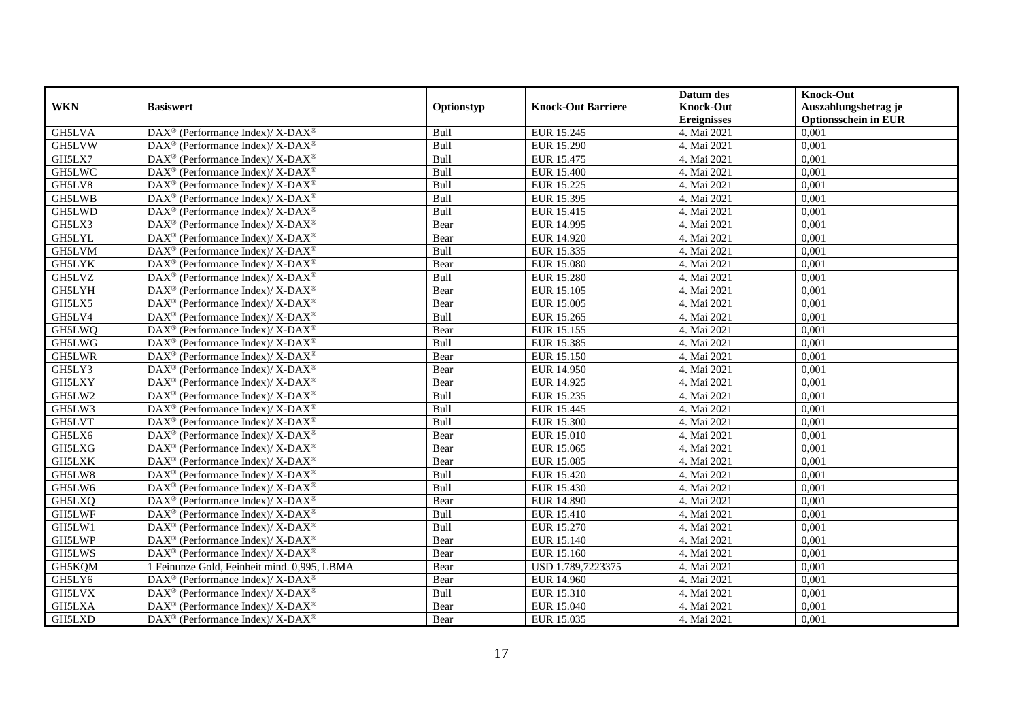|               |                                                                  |            |                           | Datum des          | <b>Knock-Out</b>            |
|---------------|------------------------------------------------------------------|------------|---------------------------|--------------------|-----------------------------|
| <b>WKN</b>    | <b>Basiswert</b>                                                 | Optionstyp | <b>Knock-Out Barriere</b> | <b>Knock-Out</b>   | Auszahlungsbetrag je        |
|               |                                                                  |            |                           | <b>Ereignisses</b> | <b>Optionsschein in EUR</b> |
| <b>GH5LVA</b> | DAX <sup>®</sup> (Performance Index)/X-DAX <sup>®</sup>          | Bull       | EUR 15.245                | 4. Mai 2021        | 0,001                       |
| GH5LVW        | $\text{DAX}^{\circledR}$ (Performance Index)/ X-DAX <sup>®</sup> | Bull       | <b>EUR 15.290</b>         | 4. Mai 2021        | 0,001                       |
| GH5LX7        | $DAX^{\circledast}$ (Performance Index)/X-DAX <sup>®</sup>       | Bull       | EUR 15.475                | 4. Mai 2021        | 0,001                       |
| GH5LWC        | DAX <sup>®</sup> (Performance Index)/X-DAX <sup>®</sup>          | Bull       | EUR 15.400                | 4. Mai 2021        | 0,001                       |
| GH5LV8        | $DAX^{\circledast}$ (Performance Index)/X-DAX <sup>®</sup>       | Bull       | EUR 15.225                | 4. Mai 2021        | 0,001                       |
| GH5LWB        | DAX <sup>®</sup> (Performance Index)/ X-DAX <sup>®</sup>         | Bull       | EUR 15.395                | 4. Mai 2021        | 0,001                       |
| GH5LWD        | DAX <sup>®</sup> (Performance Index)/ X-DAX <sup>®</sup>         | Bull       | EUR 15.415                | 4. Mai 2021        | 0,001                       |
| GH5LX3        | DAX <sup>®</sup> (Performance Index)/X-DAX <sup>®</sup>          | Bear       | EUR 14.995                | 4. Mai 2021        | 0,001                       |
| GH5LYL        | DAX <sup>®</sup> (Performance Index)/X-DAX <sup>®</sup>          | Bear       | EUR 14.920                | 4. Mai 2021        | 0,001                       |
| GH5LVM        | $DAX^{\circledast}$ (Performance Index)/ X-DAX <sup>®</sup>      | Bull       | EUR 15.335                | 4. Mai 2021        | 0,001                       |
| <b>GH5LYK</b> | $DAX^{\circledast}$ (Performance Index)/ X-DAX <sup>®</sup>      | Bear       | <b>EUR 15.080</b>         | 4. Mai 2021        | 0,001                       |
| <b>GH5LVZ</b> | DAX <sup>®</sup> (Performance Index)/ X-DAX <sup>®</sup>         | Bull       | <b>EUR 15.280</b>         | 4. Mai 2021        | 0,001                       |
| GH5LYH        | DAX <sup>®</sup> (Performance Index)/X-DAX <sup>®</sup>          | Bear       | EUR 15.105                | 4. Mai 2021        | 0,001                       |
| GH5LX5        | DAX <sup>®</sup> (Performance Index)/X-DAX <sup>®</sup>          | Bear       | <b>EUR 15.005</b>         | 4. Mai 2021        | 0,001                       |
| GH5LV4        | DAX <sup>®</sup> (Performance Index)/ X-DAX <sup>®</sup>         | Bull       | EUR 15.265                | 4. Mai 2021        | 0,001                       |
| GH5LWQ        | DAX <sup>®</sup> (Performance Index)/ X-DAX <sup>®</sup>         | Bear       | EUR 15.155                | 4. Mai 2021        | 0,001                       |
| GH5LWG        | DAX <sup>®</sup> (Performance Index)/ X-DAX <sup>®</sup>         | Bull       | EUR 15.385                | 4. Mai 2021        | 0,001                       |
| <b>GH5LWR</b> | $DAX^{\circledast}$ (Performance Index)/ X-DAX <sup>®</sup>      | Bear       | EUR 15.150                | 4. Mai 2021        | 0,001                       |
| GH5LY3        | $DAX^{\circledast}$ (Performance Index)/ X-DAX <sup>®</sup>      | Bear       | <b>EUR 14.950</b>         | 4. Mai 2021        | 0,001                       |
| GH5LXY        | DAX <sup>®</sup> (Performance Index)/X-DAX <sup>®</sup>          | Bear       | EUR 14.925                | 4. Mai 2021        | 0,001                       |
| GH5LW2        | DAX <sup>®</sup> (Performance Index)/X-DAX <sup>®</sup>          | Bull       | EUR 15.235                | 4. Mai 2021        | 0,001                       |
| GH5LW3        | $DAX^{\circledast}$ (Performance Index)/X-DAX <sup>®</sup>       | Bull       | EUR 15.445                | 4. Mai 2021        | 0,001                       |
| GH5LVT        | DAX <sup>®</sup> (Performance Index)/ X-DAX <sup>®</sup>         | Bull       | EUR 15.300                | 4. Mai 2021        | 0,001                       |
| GH5LX6        | DAX <sup>®</sup> (Performance Index)/X-DAX <sup>®</sup>          | Bear       | <b>EUR 15.010</b>         | 4. Mai 2021        | 0,001                       |
| GH5LXG        | DAX <sup>®</sup> (Performance Index)/X-DAX <sup>®</sup>          | Bear       | EUR 15.065                | 4. Mai 2021        | 0.001                       |
| GH5LXK        | DAX <sup>®</sup> (Performance Index)/ X-DAX <sup>®</sup>         | Bear       | EUR 15.085                | 4. Mai 2021        | 0,001                       |
| GH5LW8        | DAX <sup>®</sup> (Performance Index)/ X-DAX <sup>®</sup>         | Bull       | <b>EUR 15.420</b>         | 4. Mai 2021        | 0,001                       |
| GH5LW6        | DAX <sup>®</sup> (Performance Index)/ X-DAX <sup>®</sup>         | Bull       | <b>EUR 15.430</b>         | 4. Mai 2021        | 0,001                       |
| GH5LXQ        | DAX <sup>®</sup> (Performance Index)/ X-DAX <sup>®</sup>         | Bear       | <b>EUR 14.890</b>         | 4. Mai 2021        | 0,001                       |
| GH5LWF        | $DAX^{\circledast}$ (Performance Index)/ X-DAX <sup>®</sup>      | Bull       | EUR 15.410                | 4. Mai 2021        | 0,001                       |
| GH5LW1        | $DAX^{\circledast}$ (Performance Index)/ X-DAX <sup>®</sup>      | Bull       | EUR 15.270                | 4. Mai 2021        | 0,001                       |
| GH5LWP        | DAX <sup>®</sup> (Performance Index)/ X-DAX <sup>®</sup>         | Bear       | EUR 15.140                | 4. Mai 2021        | 0,001                       |
| GH5LWS        | DAX <sup>®</sup> (Performance Index)/ X-DAX <sup>®</sup>         | Bear       | <b>EUR 15.160</b>         | 4. Mai 2021        | 0,001                       |
| GH5KQM        | 1 Feinunze Gold, Feinheit mind. 0,995, LBMA                      | Bear       | USD 1.789,7223375         | 4. Mai 2021        | 0,001                       |
| GH5LY6        | DAX <sup>®</sup> (Performance Index)/ X-DAX <sup>®</sup>         | Bear       | <b>EUR 14.960</b>         | 4. Mai 2021        | 0,001                       |
| GH5LVX        | $DAX^{\circledast}$ (Performance Index)/X-DAX <sup>®</sup>       | Bull       | EUR 15.310                | 4. Mai 2021        | 0,001                       |
| GH5LXA        | DAX <sup>®</sup> (Performance Index)/ X-DAX <sup>®</sup>         | Bear       | EUR 15.040                | 4. Mai 2021        | 0,001                       |
| GH5LXD        | DAX <sup>®</sup> (Performance Index)/ X-DAX <sup>®</sup>         | Bear       | EUR 15.035                | 4. Mai 2021        | 0,001                       |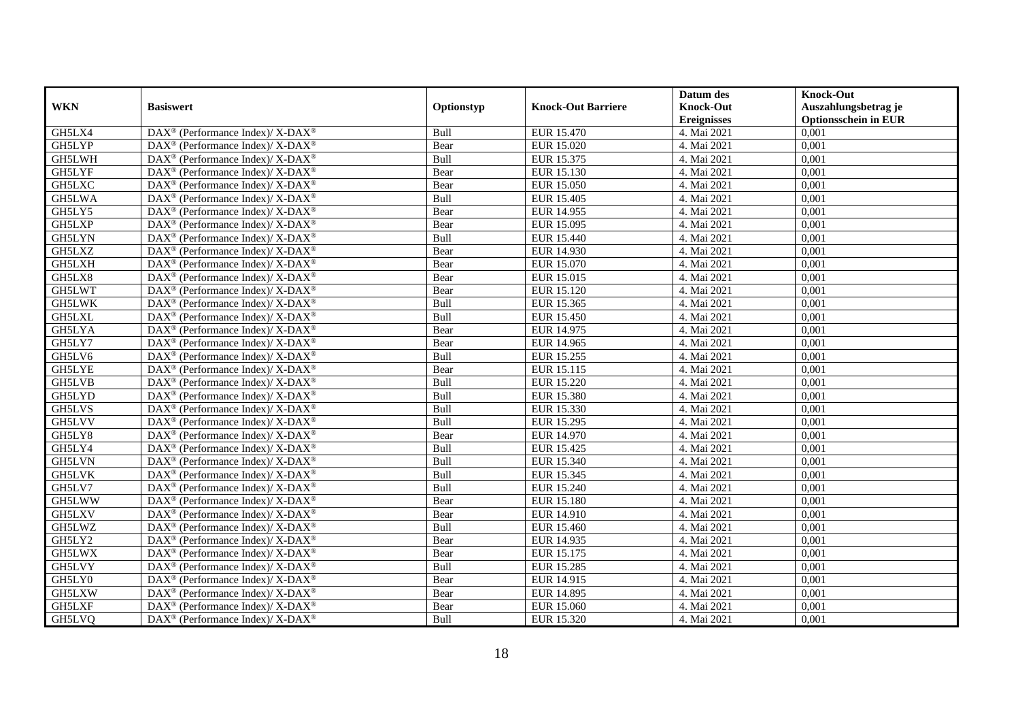|               |                                                                    |            |                           | Datum des          | <b>Knock-Out</b>            |
|---------------|--------------------------------------------------------------------|------------|---------------------------|--------------------|-----------------------------|
| <b>WKN</b>    | <b>Basiswert</b>                                                   | Optionstyp | <b>Knock-Out Barriere</b> | <b>Knock-Out</b>   | Auszahlungsbetrag je        |
|               |                                                                    |            |                           | <b>Ereignisses</b> | <b>Optionsschein in EUR</b> |
| GH5LX4        | DAX <sup>®</sup> (Performance Index)/X-DAX <sup>®</sup>            | Bull       | EUR 15.470                | 4. Mai 2021        | 0,001                       |
| GH5LYP        | $\text{DAX}^{\circledR}$ (Performance Index)/ X-DAX <sup>®</sup>   | Bear       | EUR 15.020                | 4. Mai 2021        | 0,001                       |
| GH5LWH        | $DAX^{\circledast}$ (Performance Index)/ X-DAX <sup>®</sup>        | Bull       | EUR 15.375                | 4. Mai 2021        | 0,001                       |
| GH5LYF        | $DAX^{\circledast}$ (Performance Index)/ X-DAX <sup>®</sup>        | Bear       | EUR 15.130                | 4. Mai 2021        | 0,001                       |
| GH5LXC        | $DAX^{\circledast}$ (Performance Index)/X-DAX <sup>®</sup>         | Bear       | <b>EUR 15.050</b>         | 4. Mai 2021        | 0,001                       |
| GH5LWA        | DAX <sup>®</sup> (Performance Index)/ X-DAX <sup>®</sup>           | Bull       | EUR 15.405                | 4. Mai 2021        | 0,001                       |
| GH5LY5        | DAX <sup>®</sup> (Performance Index)/X-DAX <sup>®</sup>            | Bear       | EUR 14.955                | 4. Mai 2021        | 0,001                       |
| GH5LXP        | DAX <sup>®</sup> (Performance Index)/ X-DAX <sup>®</sup>           | Bear       | EUR 15.095                | 4. Mai 2021        | 0,001                       |
| <b>GH5LYN</b> | $\text{DAX}^{\circledast}$ (Performance Index)/ X-DAX <sup>®</sup> | Bull       | EUR 15.440                | 4. Mai 2021        | 0,001                       |
| GH5LXZ        | $DAX^{\circledast}$ (Performance Index)/ X-DAX <sup>®</sup>        | Bear       | EUR 14.930                | 4. Mai 2021        | 0,001                       |
| GH5LXH        | $DAX^{\circledast}$ (Performance Index)/ X-DAX <sup>®</sup>        | Bear       | EUR 15.070                | 4. Mai 2021        | 0,001                       |
| GH5LX8        | DAX <sup>®</sup> (Performance Index)/ X-DAX <sup>®</sup>           | Bear       | EUR 15.015                | 4. Mai 2021        | 0,001                       |
| GH5LWT        | $DAX^{\circledast}$ (Performance Index)/ X-DAX <sup>®</sup>        | Bear       | EUR 15.120                | 4. Mai 2021        | 0,001                       |
| <b>GH5LWK</b> | DAX <sup>®</sup> (Performance Index)/X-DAX <sup>®</sup>            | Bull       | EUR 15.365                | 4. Mai 2021        | 0,001                       |
| GH5LXL        | DAX <sup>®</sup> (Performance Index)/ X-DAX <sup>®</sup>           | Bull       | EUR 15.450                | 4. Mai 2021        | 0,001                       |
| GH5LYA        | DAX <sup>®</sup> (Performance Index)/ X-DAX <sup>®</sup>           | Bear       | EUR 14.975                | 4. Mai 2021        | 0,001                       |
| GH5LY7        | DAX <sup>®</sup> (Performance Index)/ X-DAX <sup>®</sup>           | Bear       | EUR 14.965                | 4. Mai 2021        | 0,001                       |
| GH5LV6        | $DAX^{\circledast}$ (Performance Index)/ X-DAX <sup>®</sup>        | Bull       | EUR 15.255                | 4. Mai 2021        | 0,001                       |
| <b>GH5LYE</b> | $DAX^{\circledast}$ (Performance Index)/ X-DAX <sup>®</sup>        | Bear       | EUR 15.115                | 4. Mai 2021        | 0,001                       |
| <b>GH5LVB</b> | DAX <sup>®</sup> (Performance Index)/X-DAX <sup>®</sup>            | Bull       | <b>EUR 15.220</b>         | 4. Mai 2021        | 0,001                       |
| GH5LYD        | DAX <sup>®</sup> (Performance Index)/X-DAX <sup>®</sup>            | Bull       | <b>EUR 15.380</b>         | 4. Mai 2021        | 0,001                       |
| GH5LVS        | $\text{DAX}^{\circledast}$ (Performance Index)/ X-DAX <sup>®</sup> | Bull       | EUR 15.330                | 4. Mai 2021        | 0,001                       |
| GH5LVV        | DAX <sup>®</sup> (Performance Index)/ X-DAX <sup>®</sup>           | Bull       | EUR 15.295                | 4. Mai 2021        | 0,001                       |
| GH5LY8        | DAX <sup>®</sup> (Performance Index)/X-DAX <sup>®</sup>            | Bear       | EUR 14.970                | 4. Mai 2021        | 0,001                       |
| GH5LY4        | DAX <sup>®</sup> (Performance Index)/X-DAX <sup>®</sup>            | Bull       | EUR 15.425                | 4. Mai 2021        | 0,001                       |
| GH5LVN        | DAX <sup>®</sup> (Performance Index)/ X-DAX <sup>®</sup>           | Bull       | EUR 15.340                | 4. Mai 2021        | 0,001                       |
| <b>GH5LVK</b> | DAX <sup>®</sup> (Performance Index)/ X-DAX <sup>®</sup>           | Bull       | EUR 15.345                | 4. Mai 2021        | 0,001                       |
| GH5LV7        | DAX <sup>®</sup> (Performance Index)/ X-DAX <sup>®</sup>           | Bull       | <b>EUR 15.240</b>         | 4. Mai 2021        | 0,001                       |
| GH5LWW        | $\text{DAX}^{\circledast}$ (Performance Index)/ X-DAX <sup>®</sup> | Bear       | <b>EUR 15.180</b>         | 4. Mai 2021        | 0,001                       |
| GH5LXV        | $DAX^{\circledast}$ (Performance Index)/ X-DAX <sup>®</sup>        | Bear       | EUR 14.910                | 4. Mai 2021        | 0,001                       |
| GH5LWZ        | $DAX^{\circledast}$ (Performance Index)/ X-DAX <sup>®</sup>        | Bull       | EUR 15.460                | 4. Mai 2021        | 0,001                       |
| GH5LY2        | DAX <sup>®</sup> (Performance Index)/ X-DAX <sup>®</sup>           | Bear       | EUR 14.935                | 4. Mai 2021        | 0,001                       |
| GH5LWX        | $DAX^{\circledast}$ (Performance Index)/ X-DAX <sup>®</sup>        | Bear       | EUR 15.175                | 4. Mai 2021        | 0,001                       |
| GH5LVY        | DAX <sup>®</sup> (Performance Index)/ X-DAX <sup>®</sup>           | Bull       | <b>EUR 15.285</b>         | 4. Mai 2021        | 0,001                       |
| GH5LY0        | $DAX^{\circledast}$ (Performance Index)/ X-DAX <sup>®</sup>        | Bear       | EUR 14.915                | 4. Mai 2021        | 0,001                       |
| GH5LXW        | $\text{DAX}^{\circledast}$ (Performance Index)/ X-DAX <sup>®</sup> | Bear       | EUR 14.895                | 4. Mai 2021        | 0,001                       |
| GH5LXF        | DAX <sup>®</sup> (Performance Index)/ X-DAX <sup>®</sup>           | Bear       | EUR 15.060                | 4. Mai 2021        | 0,001                       |
| GH5LVQ        | DAX <sup>®</sup> (Performance Index)/ X-DAX <sup>®</sup>           | Bull       | EUR 15.320                | 4. Mai 2021        | 0,001                       |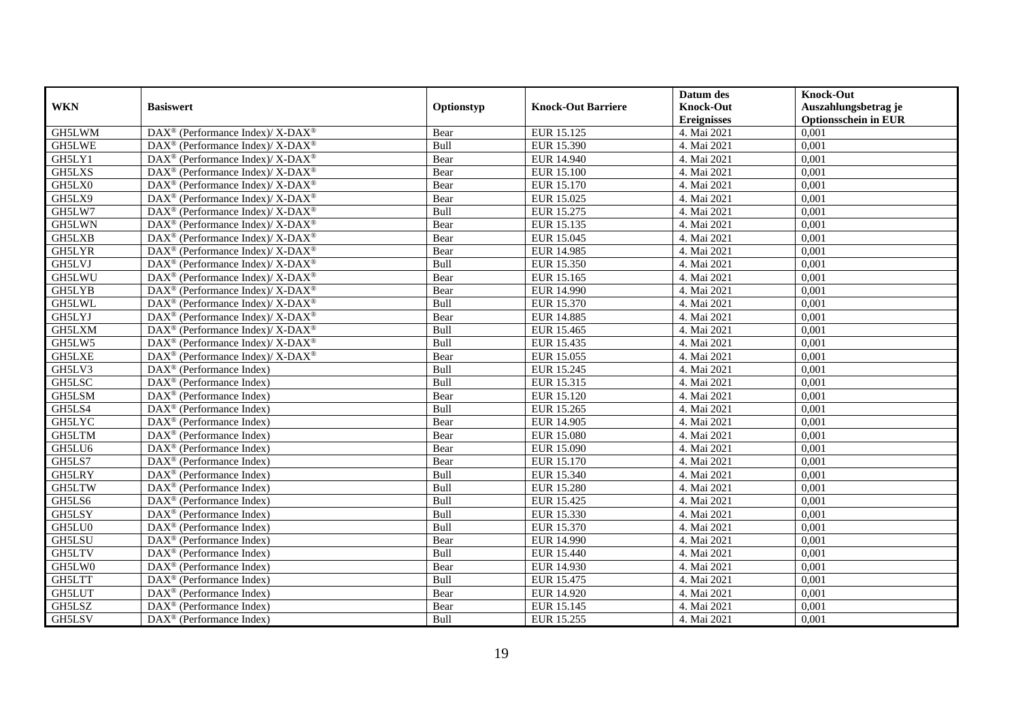|               |                                                             |            |                           | Datum des          | <b>Knock-Out</b>            |
|---------------|-------------------------------------------------------------|------------|---------------------------|--------------------|-----------------------------|
| <b>WKN</b>    | <b>Basiswert</b>                                            | Optionstyp | <b>Knock-Out Barriere</b> | <b>Knock-Out</b>   | Auszahlungsbetrag je        |
|               |                                                             |            |                           | <b>Ereignisses</b> | <b>Optionsschein in EUR</b> |
| GH5LWM        | DAX <sup>®</sup> (Performance Index)/X-DAX <sup>®</sup>     | Bear       | EUR 15.125                | 4. Mai 2021        | 0,001                       |
| GH5LWE        | $DAX^{\circledast}$ (Performance Index)/ X-DAX <sup>®</sup> | Bull       | EUR 15.390                | 4. Mai 2021        | 0,001                       |
| GH5LY1        | DAX <sup>®</sup> (Performance Index)/X-DAX <sup>®</sup>     | Bear       | EUR 14.940                | 4. Mai 2021        | 0,001                       |
| GH5LXS        | $DAX^{\circledast}$ (Performance Index)/ X-DAX <sup>®</sup> | Bear       | <b>EUR 15.100</b>         | 4. Mai 2021        | 0,001                       |
| GH5LX0        | DAX <sup>®</sup> (Performance Index)/X-DAX <sup>®</sup>     | Bear       | <b>EUR 15.170</b>         | 4. Mai 2021        | 0,001                       |
| GH5LX9        | DAX <sup>®</sup> (Performance Index)/ X-DAX <sup>®</sup>    | Bear       | EUR 15.025                | 4. Mai 2021        | 0,001                       |
| GH5LW7        | DAX <sup>®</sup> (Performance Index)/X-DAX <sup>®</sup>     | Bull       | EUR 15.275                | 4. Mai 2021        | 0,001                       |
| GH5LWN        | $DAX^{\circledast}$ (Performance Index)/ X-DAX <sup>®</sup> | Bear       | EUR 15.135                | 4. Mai 2021        | 0,001                       |
| GH5LXB        | $DAX^{\circledast}$ (Performance Index)/ X-DAX <sup>®</sup> | Bear       | EUR 15.045                | 4. Mai 2021        | 0,001                       |
| <b>GH5LYR</b> | DAX <sup>®</sup> (Performance Index)/ X-DAX <sup>®</sup>    | Bear       | EUR 14.985                | 4. Mai 2021        | 0,001                       |
| GH5LVJ        | DAX <sup>®</sup> (Performance Index)/ X-DAX <sup>®</sup>    | Bull       | EUR 15.350                | 4. Mai 2021        | 0,001                       |
| GH5LWU        | DAX <sup>®</sup> (Performance Index)/ X-DAX <sup>®</sup>    | Bear       | EUR 15.165                | 4. Mai 2021        | 0,001                       |
| <b>GH5LYB</b> | DAX <sup>®</sup> (Performance Index)/X-DAX <sup>®</sup>     | Bear       | EUR 14.990                | 4. Mai 2021        | 0,001                       |
| <b>GH5LWL</b> | DAX <sup>®</sup> (Performance Index)/X-DAX <sup>®</sup>     | Bull       | EUR 15.370                | 4. Mai 2021        | 0,001                       |
| GH5LYJ        | DAX <sup>®</sup> (Performance Index)/ X-DAX <sup>®</sup>    | Bear       | EUR 14.885                | 4. Mai 2021        | 0,001                       |
| GH5LXM        | DAX <sup>®</sup> (Performance Index)/ X-DAX <sup>®</sup>    | Bull       | EUR 15.465                | 4. Mai 2021        | 0,001                       |
| GH5LW5        | DAX <sup>®</sup> (Performance Index)/ X-DAX <sup>®</sup>    | Bull       | EUR 15.435                | 4. Mai 2021        | 0,001                       |
| <b>GH5LXE</b> | DAX <sup>®</sup> (Performance Index)/X-DAX <sup>®</sup>     | Bear       | EUR 15.055                | 4. Mai 2021        | 0,001                       |
| GH5LV3        | $DAX^{\circledast}$ (Performance Index)                     | Bull       | EUR 15.245                | 4. Mai 2021        | 0,001                       |
| GH5LSC        | DAX <sup>®</sup> (Performance Index)                        | Bull       | EUR 15.315                | 4. Mai 2021        | 0,001                       |
| <b>GH5LSM</b> | DAX <sup>®</sup> (Performance Index)                        | Bear       | EUR 15.120                | 4. Mai 2021        | 0,001                       |
| GH5LS4        | $\overline{\text{DAX}^{\otimes}}$ (Performance Index)       | Bull       | EUR 15.265                | 4. Mai 2021        | 0,001                       |
| <b>GH5LYC</b> | $\text{DAX}^{\textcircled{}}$ (Performance Index)           | Bear       | EUR 14.905                | 4. Mai 2021        | 0,001                       |
| <b>GH5LTM</b> | $DAX^{\circledast}$ (Performance Index)                     | Bear       | <b>EUR 15.080</b>         | 4. Mai 2021        | 0,001                       |
| GH5LU6        | $DAX^{\circledcirc}$ (Performance Index)                    | Bear       | EUR 15.090                | 4. Mai 2021        | 0.001                       |
| GH5LS7        | DAX <sup>®</sup> (Performance Index)                        | Bear       | EUR 15.170                | 4. Mai 2021        | 0,001                       |
| <b>GH5LRY</b> | $\overline{\text{DAX}^{\otimes}}$ (Performance Index)       | Bull       | <b>EUR 15.340</b>         | 4. Mai 2021        | 0,001                       |
| GH5LTW        | $DAX^{\circledR}$ (Performance Index)                       | Bull       | <b>EUR 15.280</b>         | 4. Mai 2021        | 0,001                       |
| GH5LS6        | DAX <sup>®</sup> (Performance Index)                        | Bull       | EUR 15.425                | 4. Mai 2021        | 0,001                       |
| GH5LSY        | $DAX^{\circledast}$ (Performance Index)                     | Bull       | EUR 15.330                | 4. Mai 2021        | 0,001                       |
| GH5LU0        | $DAX^{\circledast}$ (Performance Index)                     | Bull       | EUR 15.370                | 4. Mai 2021        | 0,001                       |
| GH5LSU        | $DAX^{\circledcirc}$ (Performance Index)                    | Bear       | EUR 14.990                | 4. Mai 2021        | 0,001                       |
| <b>GH5LTV</b> | $DAX^{\circledR}$ (Performance Index)                       | Bull       | <b>EUR 15.440</b>         | 4. Mai 2021        | 0,001                       |
| GH5LW0        | $\overline{\text{DAX}}^{\textcirc}$ (Performance Index)     | Bear       | EUR 14.930                | 4. Mai 2021        | 0,001                       |
| <b>GH5LTT</b> | $DAX^{\circledast}$ (Performance Index)                     | Bull       | EUR 15.475                | 4. Mai 2021        | 0,001                       |
| GH5LUT        | $DAX^{\circledR}$ (Performance Index)                       | Bear       | EUR 14.920                | 4. Mai 2021        | 0,001                       |
| GH5LSZ        | DAX <sup>®</sup> (Performance Index)                        | Bear       | EUR 15.145                | 4. Mai 2021        | 0,001                       |
| GH5LSV        | $DAX^{\circledast}$ (Performance Index)                     | Bull       | EUR 15.255                | 4. Mai 2021        | 0,001                       |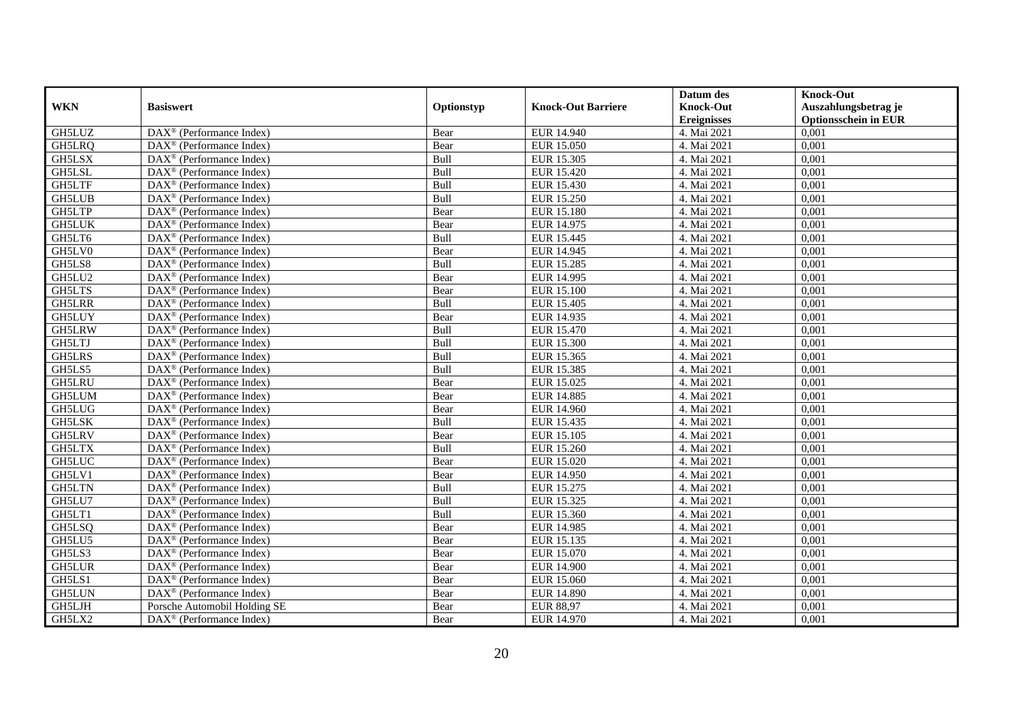|               |                                                              |            |                           | Datum des          | <b>Knock-Out</b>            |
|---------------|--------------------------------------------------------------|------------|---------------------------|--------------------|-----------------------------|
| <b>WKN</b>    | <b>Basiswert</b>                                             | Optionstyp | <b>Knock-Out Barriere</b> | <b>Knock-Out</b>   | Auszahlungsbetrag je        |
|               |                                                              |            |                           | <b>Ereignisses</b> | <b>Optionsschein in EUR</b> |
| GH5LUZ        | DAX <sup>®</sup> (Performance Index)                         | Bear       | EUR 14.940                | 4. Mai 2021        | 0,001                       |
| GH5LRQ        | $\text{DAX}^{\textcircled{n}}$ (Performance Index)           | Bear       | <b>EUR 15.050</b>         | 4. Mai 2021        | 0,001                       |
| GH5LSX        | DAX <sup>®</sup> (Performance Index)                         | Bull       | EUR 15.305                | 4. Mai 2021        | 0,001                       |
| GH5LSL        | $\text{DAX}^{\otimes}$ (Performance Index)                   | Bull       | EUR 15.420                | 4. Mai 2021        | 0,001                       |
| <b>GH5LTF</b> | DAX <sup>®</sup> (Performance Index)                         | Bull       | <b>EUR 15.430</b>         | 4. Mai 2021        | 0,001                       |
| <b>GH5LUB</b> | $\text{DAX}^{\textcircled{p}}$ (Performance Index)           | Bull       | <b>EUR 15.250</b>         | 4. Mai 2021        | 0,001                       |
| <b>GH5LTP</b> | $\overline{\text{DAX}^{\otimes}}$ (Performance Index)        | Bear       | <b>EUR 15.180</b>         | 4. Mai 2021        | 0,001                       |
| <b>GH5LUK</b> | $\text{DAX}^{\textcircled{n}}$ (Performance Index)           | Bear       | EUR 14.975                | 4. Mai 2021        | 0,001                       |
| GH5LT6        | $\text{DAX}^{\textcircled{n}}$ (Performance Index)           | Bull       | EUR 15.445                | 4. Mai 2021        | 0,001                       |
| GH5LV0        | $\text{DAX}^{\otimes}$ (Performance Index)                   | Bear       | EUR 14.945                | 4. Mai 2021        | 0,001                       |
| GH5LS8        | $\overline{\text{DAX}}^{\textcircled{}}$ (Performance Index) | Bull       | <b>EUR 15.285</b>         | 4. Mai 2021        | 0,001                       |
| GH5LU2        | $\overline{\text{DAX}}^{\textcircled{}}$ (Performance Index) | Bear       | EUR 14.995                | 4. Mai 2021        | 0,001                       |
| <b>GH5LTS</b> | DAX <sup>®</sup> (Performance Index)                         | Bear       | <b>EUR 15.100</b>         | 4. Mai 2021        | 0,001                       |
| <b>GH5LRR</b> | $DAX^{\circledR}$ (Performance Index)                        | Bull       | EUR 15.405                | 4. Mai 2021        | 0,001                       |
| <b>GH5LUY</b> | $\text{DAX}^{\otimes}$ (Performance Index)                   | Bear       | EUR 14.935                | 4. Mai 2021        | 0,001                       |
| GH5LRW        | DAX <sup>®</sup> (Performance Index)                         | Bull       | EUR 15.470                | 4. Mai 2021        | 0,001                       |
| GH5LTJ        | DAX <sup>®</sup> (Performance Index)                         | Bull       | EUR 15.300                | 4. Mai 2021        | 0,001                       |
| <b>GH5LRS</b> | $\overline{\text{DAX}}^{\textcirc}$ (Performance Index)      | Bull       | EUR 15.365                | 4. Mai 2021        | 0,001                       |
| GH5LS5        | DAX <sup>®</sup> (Performance Index)                         | Bull       | EUR 15.385                | 4. Mai 2021        | 0,001                       |
| <b>GH5LRU</b> | DAX <sup>®</sup> (Performance Index)                         | Bear       | EUR 15.025                | 4. Mai 2021        | 0,001                       |
| GH5LUM        | DAX <sup>®</sup> (Performance Index)                         | Bear       | <b>EUR 14.885</b>         | 4. Mai 2021        | 0,001                       |
| <b>GH5LUG</b> | $\overline{\text{DAX}^{\otimes}}$ (Performance Index)        | Bear       | EUR 14.960                | 4. Mai 2021        | 0,001                       |
| GH5LSK        | DAX <sup>®</sup> (Performance Index)                         | Bull       | EUR 15.435                | 4. Mai 2021        | 0,001                       |
| <b>GH5LRV</b> | $\text{DAX}^{\circledast}$ (Performance Index)               | Bear       | EUR 15.105                | 4. Mai 2021        | 0,001                       |
| <b>GH5LTX</b> | $DAX^{\circledR}$ (Performance Index)                        | Bull       | EUR 15.260                | 4. Mai 2021        | 0.001                       |
| <b>GH5LUC</b> | DAX <sup>®</sup> (Performance Index)                         | Bear       | EUR 15.020                | 4. Mai 2021        | 0,001                       |
| GH5LV1        | DAX <sup>®</sup> (Performance Index)                         | Bear       | <b>EUR 14.950</b>         | 4. Mai 2021        | 0,001                       |
| <b>GH5LTN</b> | $\text{DAX}^{\textcircled{p}}$ (Performance Index)           | Bull       | EUR 15.275                | 4. Mai 2021        | 0,001                       |
| GH5LU7        | DAX <sup>®</sup> (Performance Index)                         | Bull       | EUR 15.325                | 4. Mai 2021        | 0,001                       |
| GH5LT1        | $\text{DAX}^{\circledast}$ (Performance Index)               | Bull       | EUR 15.360                | 4. Mai 2021        | 0,001                       |
| GH5LSQ        | $\text{DAX}^{\textcircled{n}}$ (Performance Index)           | Bear       | EUR 14.985                | 4. Mai 2021        | 0,001                       |
| GH5LU5        | $DAX^{\circledR}$ (Performance Index)                        | Bear       | EUR 15.135                | 4. Mai 2021        | 0,001                       |
| GH5LS3        | $\overline{\text{DAX}}^{\textcirc}$ (Performance Index)      | Bear       | EUR 15.070                | 4. Mai 2021        | 0,001                       |
| <b>GH5LUR</b> | $\overline{\text{DAX}^{\otimes}(\text{Performance Index})}$  | Bear       | <b>EUR 14.900</b>         | 4. Mai 2021        | 0,001                       |
| GH5LS1        | DAX <sup>®</sup> (Performance Index)                         | Bear       | <b>EUR 15.060</b>         | 4. Mai 2021        | 0,001                       |
| <b>GH5LUN</b> | $\text{DAX}^{\circledast}$ (Performance Index)               | Bear       | <b>EUR 14.890</b>         | 4. Mai 2021        | 0,001                       |
| GH5LJH        | Porsche Automobil Holding SE                                 | Bear       | <b>EUR 88,97</b>          | 4. Mai 2021        | 0,001                       |
| GH5LX2        | $\text{DAX}^{\circledast}$ (Performance Index)               | Bear       | EUR 14.970                | 4. Mai 2021        | 0,001                       |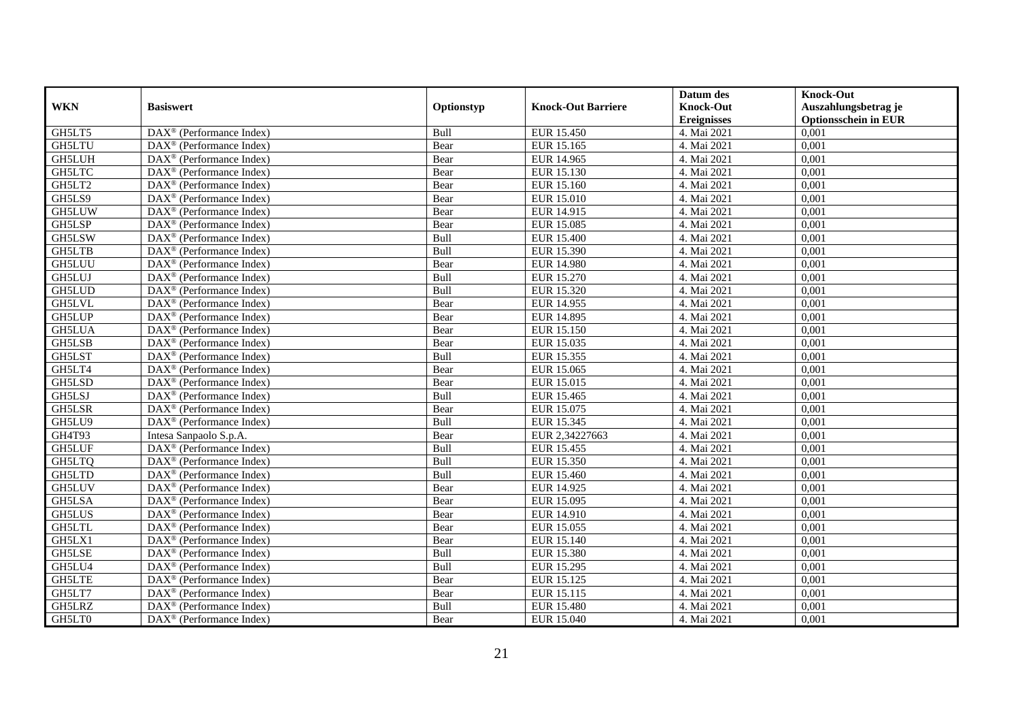|               |                                                              |             |                           | Datum des          | <b>Knock-Out</b>            |
|---------------|--------------------------------------------------------------|-------------|---------------------------|--------------------|-----------------------------|
| <b>WKN</b>    | <b>Basiswert</b>                                             | Optionstyp  | <b>Knock-Out Barriere</b> | <b>Knock-Out</b>   | Auszahlungsbetrag je        |
|               |                                                              |             |                           | <b>Ereignisses</b> | <b>Optionsschein in EUR</b> |
| GH5LT5        | DAX <sup>®</sup> (Performance Index)                         | Bull        | EUR 15.450                | 4. Mai 2021        | 0,001                       |
| <b>GH5LTU</b> | $\text{DAX}^{\textcircled{n}}$ (Performance Index)           | Bear        | EUR 15.165                | 4. Mai 2021        | 0,001                       |
| <b>GH5LUH</b> | DAX <sup>®</sup> (Performance Index)                         | Bear        | EUR 14.965                | 4. Mai 2021        | 0,001                       |
| GH5LTC        | $\text{DAX}^{\otimes}$ (Performance Index)                   | Bear        | EUR 15.130                | 4. Mai 2021        | 0,001                       |
| GH5LT2        | DAX <sup>®</sup> (Performance Index)                         | Bear        | EUR 15.160                | 4. Mai 2021        | 0,001                       |
| GH5LS9        | $\text{DAX}^{\textcircled{p}}$ (Performance Index)           | Bear        | <b>EUR 15.010</b>         | 4. Mai 2021        | 0,001                       |
| <b>GH5LUW</b> | $\overline{\text{DAX}^{\otimes}}$ (Performance Index)        | Bear        | EUR 14.915                | 4. Mai 2021        | 0,001                       |
| GH5LSP        | $\text{DAX}^{\textcircled{n}}$ (Performance Index)           | Bear        | EUR 15.085                | 4. Mai 2021        | 0,001                       |
| GH5LSW        | $\text{DAX}^{\textcircled{n}}$ (Performance Index)           | Bull        | <b>EUR 15.400</b>         | 4. Mai 2021        | 0,001                       |
| GH5LTB        | $\text{DAX}^{\otimes}$ (Performance Index)                   | Bull        | EUR 15.390                | 4. Mai 2021        | 0,001                       |
| <b>GH5LUU</b> | $\overline{\text{DAX}}^{\textcircled{}}$ (Performance Index) | Bear        | <b>EUR 14.980</b>         | 4. Mai 2021        | 0,001                       |
| <b>GH5LUJ</b> | $\overline{\text{DAX}}^{\textcircled{}}$ (Performance Index) | Bull        | <b>EUR 15.270</b>         | 4. Mai 2021        | 0,001                       |
| <b>GH5LUD</b> | DAX <sup>®</sup> (Performance Index)                         | Bull        | EUR 15.320                | 4. Mai 2021        | 0,001                       |
| GH5LVL        | $DAX^{\circledcirc}$ (Performance Index)                     | Bear        | EUR 14.955                | 4. Mai 2021        | 0,001                       |
| <b>GH5LUP</b> | $\text{DAX}^{\otimes}$ (Performance Index)                   | Bear        | EUR 14.895                | 4. Mai 2021        | 0,001                       |
| <b>GH5LUA</b> | DAX <sup>®</sup> (Performance Index)                         | Bear        | EUR 15.150                | 4. Mai 2021        | 0,001                       |
| GH5LSB        | DAX <sup>®</sup> (Performance Index)                         | Bear        | EUR 15.035                | 4. Mai 2021        | 0,001                       |
| GH5LST        | $\overline{\text{DAX}}^{\textcirc}$ (Performance Index)      | <b>Bull</b> | EUR 15.355                | 4. Mai 2021        | 0,001                       |
| GH5LT4        | DAX <sup>®</sup> (Performance Index)                         | Bear        | EUR 15.065                | 4. Mai 2021        | 0,001                       |
| GH5LSD        | DAX <sup>®</sup> (Performance Index)                         | Bear        | EUR 15.015                | 4. Mai 2021        | 0,001                       |
| <b>GH5LSJ</b> | DAX <sup>®</sup> (Performance Index)                         | Bull        | EUR 15.465                | 4. Mai 2021        | 0,001                       |
| <b>GH5LSR</b> | $\overline{\text{DAX}^{\otimes}}$ (Performance Index)        | Bear        | EUR 15.075                | 4. Mai 2021        | 0,001                       |
| GH5LU9        | $\overline{\text{DAX}^{\otimes}}$ (Performance Index)        | Bull        | EUR 15.345                | 4. Mai 2021        | 0,001                       |
| GH4T93        | Intesa Sanpaolo S.p.A.                                       | Bear        | EUR 2,34227663            | 4. Mai 2021        | 0,001                       |
| <b>GH5LUF</b> | $DAX^{\circledR}$ (Performance Index)                        | Bull        | EUR 15.455                | 4. Mai 2021        | 0.001                       |
| GH5LTQ        | DAX <sup>®</sup> (Performance Index)                         | Bull        | EUR 15.350                | 4. Mai 2021        | 0,001                       |
| GH5LTD        | DAX <sup>®</sup> (Performance Index)                         | Bull        | <b>EUR 15.460</b>         | 4. Mai 2021        | 0,001                       |
| <b>GH5LUV</b> | $\text{DAX}^{\textcircled{p}}$ (Performance Index)           | Bear        | EUR 14.925                | 4. Mai 2021        | 0,001                       |
| GH5LSA        | $\overline{\text{DAX}^{\otimes}}$ (Performance Index)        | Bear        | EUR 15.095                | 4. Mai 2021        | 0,001                       |
| <b>GH5LUS</b> | $\text{DAX}^{\circledast}$ (Performance Index)               | Bear        | EUR 14.910                | 4. Mai 2021        | 0,001                       |
| <b>GH5LTL</b> | $\text{DAX}^{\textcircled{n}}$ (Performance Index)           | Bear        | EUR 15.055                | 4. Mai 2021        | 0,001                       |
| GH5LX1        | $DAX^{\circledR}$ (Performance Index)                        | Bear        | EUR 15.140                | 4. Mai 2021        | 0,001                       |
| <b>GH5LSE</b> | $\overline{\text{DAX}}^{\textcirc}$ (Performance Index)      | Bull        | <b>EUR 15.380</b>         | 4. Mai 2021        | 0,001                       |
| GH5LU4        | $\overline{\text{DAX}}^{\textcircled{}}$ (Performance Index) | Bull        | EUR 15.295                | 4. Mai 2021        | 0,001                       |
| <b>GH5LTE</b> | DAX <sup>®</sup> (Performance Index)                         | Bear        | EUR 15.125                | 4. Mai 2021        | 0,001                       |
| GH5LT7        | DAX <sup>®</sup> (Performance Index)                         | Bear        | EUR 15.115                | 4. Mai 2021        | 0,001                       |
| GH5LRZ        | $\text{DAX}^{\circledast}$ (Performance Index)               | Bull        | EUR 15.480                | 4. Mai 2021        | 0,001                       |
| GH5LT0        | DAX <sup>®</sup> (Performance Index)                         | Bear        | EUR 15.040                | 4. Mai 2021        | 0,001                       |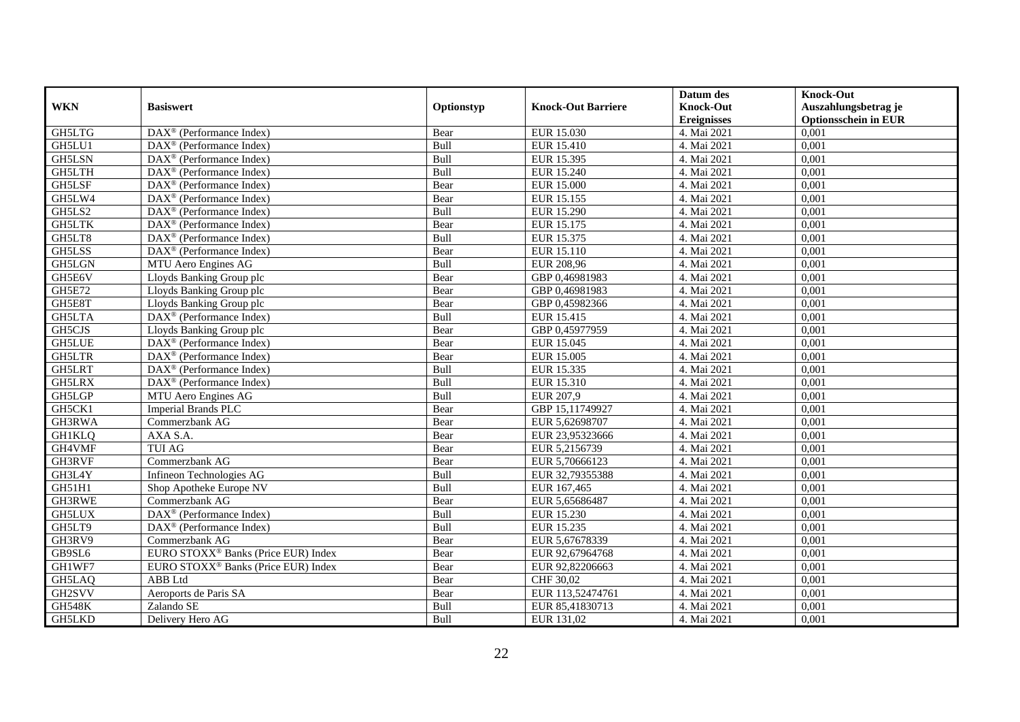|               |                                                              |            |                           | Datum des          | <b>Knock-Out</b>            |
|---------------|--------------------------------------------------------------|------------|---------------------------|--------------------|-----------------------------|
| <b>WKN</b>    | <b>Basiswert</b>                                             | Optionstyp | <b>Knock-Out Barriere</b> | <b>Knock-Out</b>   | Auszahlungsbetrag je        |
|               |                                                              |            |                           | <b>Ereignisses</b> | <b>Optionsschein in EUR</b> |
| GH5LTG        | DAX <sup>®</sup> (Performance Index)                         | Bear       | EUR 15.030                | 4. Mai 2021        | 0,001                       |
| GH5LU1        | $\text{DAX}^{\textcircled{n}}$ (Performance Index)           | Bull       | <b>EUR 15.410</b>         | 4. Mai 2021        | 0,001                       |
| GH5LSN        | DAX <sup>®</sup> (Performance Index)                         | Bull       | EUR 15.395                | 4. Mai 2021        | 0,001                       |
| GH5LTH        | $DAX^{\circledcirc}$ (Performance Index)                     | Bull       | EUR 15.240                | 4. Mai 2021        | 0,001                       |
| <b>GH5LSF</b> | DAX <sup>®</sup> (Performance Index)                         | Bear       | <b>EUR 15.000</b>         | 4. Mai 2021        | 0,001                       |
| GH5LW4        | $\text{DAX}^{\textcircled{p}}$ (Performance Index)           | Bear       | EUR 15.155                | 4. Mai 2021        | 0,001                       |
| GH5LS2        | $DAX^{\otimes}$ (Performance Index)                          | Bull       | EUR 15.290                | 4. Mai 2021        | 0,001                       |
| <b>GH5LTK</b> | $\overline{\text{DAX}}^{\textcirc}$ (Performance Index)      | Bear       | EUR 15.175                | 4. Mai 2021        | 0,001                       |
| GH5LT8        | $\text{DAX}^{\textcircled{n}}$ (Performance Index)           | Bull       | EUR 15.375                | 4. Mai 2021        | 0,001                       |
| GH5LSS        | $\text{DAX}^{\otimes}$ (Performance Index)                   | Bear       | EUR 15.110                | 4. Mai 2021        | 0,001                       |
| GH5LGN        | MTU Aero Engines AG                                          | Bull       | EUR 208.96                | 4. Mai 2021        | 0,001                       |
| GH5E6V        | Lloyds Banking Group plc                                     | Bear       | GBP 0,46981983            | 4. Mai 2021        | 0,001                       |
| <b>GH5E72</b> | Lloyds Banking Group plc                                     | Bear       | GBP 0,46981983            | 4. Mai 2021        | 0,001                       |
| GH5E8T        | Lloyds Banking Group plc                                     | Bear       | GBP 0,45982366            | 4. Mai 2021        | 0,001                       |
| <b>GH5LTA</b> | $\text{DAX}^{\otimes}$ (Performance Index)                   | Bull       | EUR 15.415                | 4. Mai 2021        | 0,001                       |
| GH5CJS        | Lloyds Banking Group plc                                     | Bear       | GBP 0,45977959            | 4. Mai 2021        | 0,001                       |
| <b>GH5LUE</b> | DAX <sup>®</sup> (Performance Index)                         | Bear       | EUR 15.045                | 4. Mai 2021        | 0,001                       |
| <b>GH5LTR</b> | $DAX^{\circledR}$ (Performance Index)                        | Bear       | EUR 15.005                | 4. Mai 2021        | 0,001                       |
| GH5LRT        | $\overline{\text{DAX}}^{\textcircled{}}$ (Performance Index) | Bull       | EUR 15.335                | 4. Mai 2021        | 0,001                       |
| <b>GH5LRX</b> | $\overline{\text{DAX}^{\otimes}}$ (Performance Index)        | Bull       | EUR 15.310                | 4. Mai 2021        | 0,001                       |
| GH5LGP        | MTU Aero Engines AG                                          | Bull       | EUR 207,9                 | 4. Mai 2021        | 0,001                       |
| GH5CK1        | <b>Imperial Brands PLC</b>                                   | Bear       | GBP 15,11749927           | 4. Mai 2021        | 0,001                       |
| GH3RWA        | Commerzbank AG                                               | Bear       | EUR 5,62698707            | 4. Mai 2021        | 0,001                       |
| <b>GH1KLQ</b> | AXA S.A.                                                     | Bear       | EUR 23,95323666           | 4. Mai 2021        | 0,001                       |
| GH4VMF        | <b>TUI AG</b>                                                | Bear       | EUR 5,2156739             | 4. Mai 2021        | 0.001                       |
| GH3RVF        | Commerzbank AG                                               | Bear       | EUR 5,70666123            | 4. Mai 2021        | 0,001                       |
| GH3L4Y        | Infineon Technologies AG                                     | Bull       | EUR 32,79355388           | 4. Mai 2021        | 0,001                       |
| GH51H1        | Shop Apotheke Europe NV                                      | Bull       | EUR 167,465               | 4. Mai 2021        | 0,001                       |
| GH3RWE        | Commerzbank AG                                               | Bear       | EUR 5,65686487            | 4. Mai 2021        | 0,001                       |
| <b>GH5LUX</b> | $\text{DAX}^{\circledast}$ (Performance Index)               | Bull       | EUR 15.230                | 4. Mai 2021        | 0,001                       |
| GH5LT9        | DAX <sup>®</sup> (Performance Index)                         | Bull       | EUR 15.235                | 4. Mai 2021        | 0,001                       |
| GH3RV9        | Commerzbank AG                                               | Bear       | EUR 5,67678339            | 4. Mai 2021        | 0,001                       |
| GB9SL6        | EURO STOXX <sup>®</sup> Banks (Price EUR) Index              | Bear       | EUR 92,67964768           | 4. Mai 2021        | 0,001                       |
| GH1WF7        | EURO STOXX <sup>®</sup> Banks (Price EUR) Index              | Bear       | EUR 92,82206663           | 4. Mai 2021        | 0,001                       |
| GH5LAQ        | ABB Ltd                                                      | Bear       | CHF 30,02                 | 4. Mai 2021        | 0,001                       |
| GH2SVV        | Aeroports de Paris SA                                        | Bear       | EUR 113,52474761          | 4. Mai 2021        | 0,001                       |
| <b>GH548K</b> | Zalando SE                                                   | Bull       | EUR 85,41830713           | 4. Mai 2021        | 0,001                       |
| GH5LKD        | Delivery Hero AG                                             | Bull       | EUR 131,02                | 4. Mai 2021        | 0,001                       |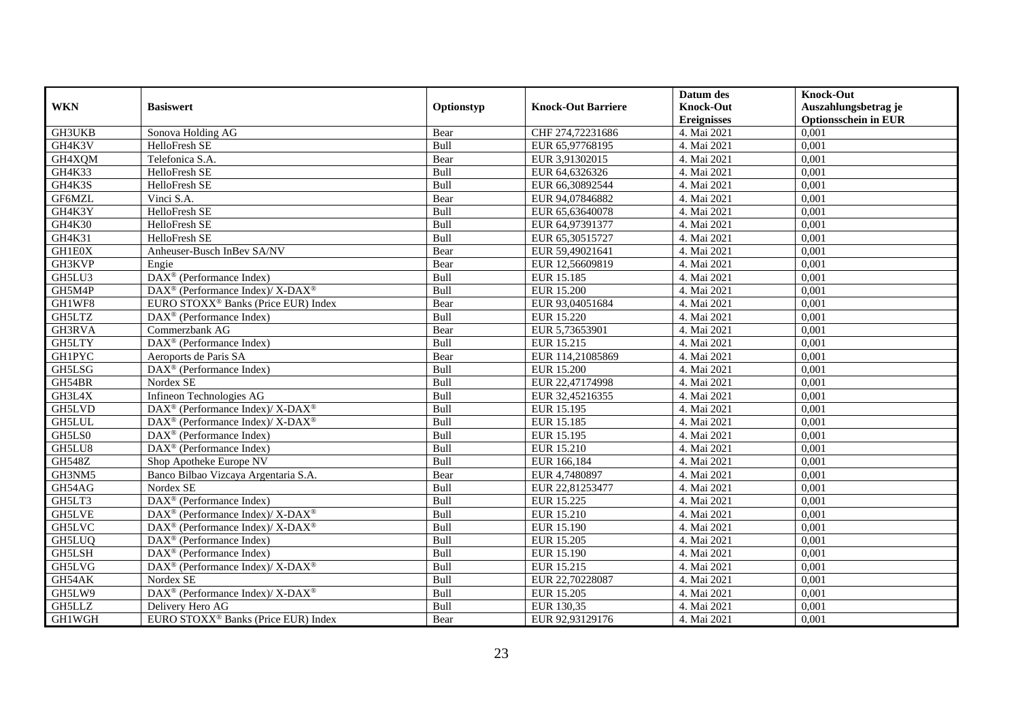|               |                                                                   |            |                           | Datum des                              | <b>Knock-Out</b>                                    |
|---------------|-------------------------------------------------------------------|------------|---------------------------|----------------------------------------|-----------------------------------------------------|
| <b>WKN</b>    | <b>Basiswert</b>                                                  | Optionstyp | <b>Knock-Out Barriere</b> | <b>Knock-Out</b><br><b>Ereignisses</b> | Auszahlungsbetrag je<br><b>Optionsschein in EUR</b> |
| GH3UKB        | Sonova Holding AG                                                 | Bear       | CHF 274,72231686          | 4. Mai 2021                            | 0,001                                               |
| GH4K3V        | HelloFresh SE                                                     | Bull       | EUR 65,97768195           | 4. Mai 2021                            | 0,001                                               |
| GH4XQM        | Telefonica S.A.                                                   | Bear       | EUR 3,91302015            | 4. Mai 2021                            | 0,001                                               |
| GH4K33        | HelloFresh SE                                                     | Bull       | EUR 64,6326326            | 4. Mai 2021                            | 0,001                                               |
| GH4K3S        | HelloFresh SE                                                     | Bull       | EUR 66,30892544           | 4. Mai 2021                            | 0,001                                               |
| GF6MZL        | Vinci S.A.                                                        | Bear       | EUR 94,07846882           | 4. Mai 2021                            | 0,001                                               |
| GH4K3Y        | HelloFresh SE                                                     | Bull       | EUR 65,63640078           | 4. Mai 2021                            | 0,001                                               |
| GH4K30        | HelloFresh SE                                                     | Bull       | EUR 64,97391377           | 4. Mai 2021                            | 0,001                                               |
| GH4K31        | HelloFresh SE                                                     | Bull       | EUR 65,30515727           | 4. Mai 2021                            | 0,001                                               |
| GH1E0X        | Anheuser-Busch InBev SA/NV                                        | Bear       | EUR 59,49021641           | 4. Mai 2021                            | 0,001                                               |
| GH3KVP        | Engie                                                             | Bear       | EUR 12,56609819           | 4. Mai 2021                            | 0,001                                               |
| GH5LU3        | DAX <sup>®</sup> (Performance Index)                              | Bull       | <b>EUR 15.185</b>         | 4. Mai 2021                            | 0,001                                               |
| GH5M4P        | $DAX^{\circledast}$ (Performance Index)/ X-DAX <sup>®</sup>       | Bull       | <b>EUR 15.200</b>         | 4. Mai 2021                            | 0,001                                               |
| GH1WF8        | EURO STOXX <sup>®</sup> Banks (Price EUR) Index                   | Bear       | EUR 93,04051684           | 4. Mai 2021                            | 0,001                                               |
| GH5LTZ        | $\text{DAX}^{\textcircled{n}}$ (Performance Index)                | Bull       | EUR 15.220                | 4. Mai 2021                            | 0,001                                               |
| GH3RVA        | Commerzbank AG                                                    | Bear       | EUR 5,73653901            | 4. Mai 2021                            | 0,001                                               |
| GH5LTY        | $\overline{\text{DA}}X^{\otimes}$ (Performance Index)             | Bull       | EUR 15.215                | 4. Mai 2021                            | 0,001                                               |
| <b>GH1PYC</b> | Aeroports de Paris SA                                             | Bear       | EUR 114,21085869          | 4. Mai 2021                            | 0,001                                               |
| GH5LSG        | DAX <sup>®</sup> (Performance Index)                              | Bull       | <b>EUR 15.200</b>         | 4. Mai 2021                            | 0,001                                               |
| GH54BR        | Nordex SE                                                         | Bull       | EUR 22,47174998           | 4. Mai 2021                            | 0,001                                               |
| GH3L4X        | Infineon Technologies AG                                          | Bull       | EUR 32,45216355           | 4. Mai 2021                            | 0,001                                               |
| <b>GH5LVD</b> | $\text{DAX}^{\circledR}$ (Performance Index)/ X-DAX <sup>®</sup>  | Bull       | EUR 15.195                | 4. Mai 2021                            | 0,001                                               |
| <b>GH5LUL</b> | DAX <sup>®</sup> (Performance Index)/ X-DAX <sup>®</sup>          | Bull       | EUR 15.185                | 4. Mai 2021                            | 0,001                                               |
| GH5LS0        | $\text{DAX}^{\textcircled{n}}$ (Performance Index)                | Bull       | EUR 15.195                | 4. Mai 2021                            | 0,001                                               |
| GH5LU8        | $\overline{\text{DAX}}^{\textcircled{}}$ (Performance Index)      | Bull       | EUR 15.210                | 4. Mai 2021                            | 0,001                                               |
| <b>GH548Z</b> | Shop Apotheke Europe NV                                           | Bull       | EUR 166,184               | 4. Mai 2021                            | 0,001                                               |
| GH3NM5        | Banco Bilbao Vizcaya Argentaria S.A.                              | Bear       | EUR 4,7480897             | 4. Mai 2021                            | 0,001                                               |
| GH54AG        | Nordex SE                                                         | Bull       | EUR 22,81253477           | 4. Mai 2021                            | 0,001                                               |
| GH5LT3        | DAX <sup>®</sup> (Performance Index)                              | Bull       | EUR 15.225                | 4. Mai 2021                            | 0,001                                               |
| <b>GH5LVE</b> | $\text{DAX}^{\circledR}$ (Performance Index)/ X-DAX <sup>®</sup>  | Bull       | EUR 15.210                | 4. Mai 2021                            | 0,001                                               |
| GH5LVC        | $\text{DAX}^{\circledast}$ (Performance Index)/X-DAX <sup>®</sup> | Bull       | EUR 15.190                | 4. Mai 2021                            | 0,001                                               |
| GH5LUQ        | $DAX^{\circledcirc}$ (Performance Index)                          | Bull       | EUR 15.205                | 4. Mai 2021                            | 0,001                                               |
| <b>GH5LSH</b> | $\overline{\text{DAX}}^{\textcirc}$ (Performance Index)           | Bull       | EUR 15.190                | 4. Mai 2021                            | 0,001                                               |
| GH5LVG        | $\text{DAX}^{\circledR}$ (Performance Index)/ X-DAX <sup>®</sup>  | Bull       | EUR 15.215                | 4. Mai 2021                            | 0,001                                               |
| GH54AK        | Nordex SE                                                         | Bull       | EUR 22,70228087           | 4. Mai 2021                            | 0,001                                               |
| GH5LW9        | DAX <sup>®</sup> (Performance Index)/ X-DAX <sup>®</sup>          | Bull       | <b>EUR 15.205</b>         | 4. Mai 2021                            | 0,001                                               |
| GH5LLZ        | Delivery Hero AG                                                  | Bull       | EUR 130,35                | 4. Mai 2021                            | 0,001                                               |
| GH1WGH        | EURO STOXX <sup>®</sup> Banks (Price EUR) Index                   | Bear       | EUR 92,93129176           | 4. Mai 2021                            | 0,001                                               |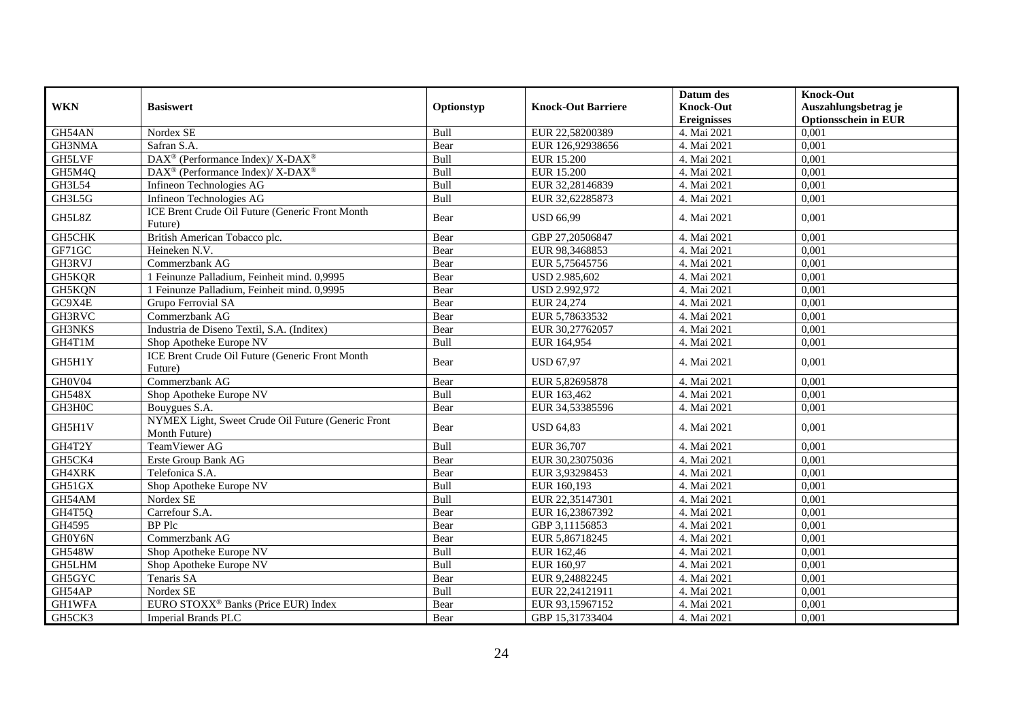| <b>WKN</b>    | <b>Basiswert</b>                                                    | Optionstyp | <b>Knock-Out Barriere</b> | Datum des<br><b>Knock-Out</b><br><b>Ereignisses</b> | <b>Knock-Out</b><br>Auszahlungsbetrag je<br><b>Optionsschein in EUR</b> |
|---------------|---------------------------------------------------------------------|------------|---------------------------|-----------------------------------------------------|-------------------------------------------------------------------------|
| GH54AN        | Nordex SE                                                           | Bull       | EUR 22,58200389           | 4. Mai 2021                                         | 0,001                                                                   |
| GH3NMA        | Safran S.A.                                                         | Bear       | EUR 126,92938656          | 4. Mai 2021                                         | 0,001                                                                   |
| GH5LVF        | $\text{DAX}^{\circledR}$ (Performance Index)/ X-DAX <sup>®</sup>    | Bull       | <b>EUR 15.200</b>         | 4. Mai 2021                                         | 0,001                                                                   |
| GH5M4Q        | DAX <sup>®</sup> (Performance Index)/ X-DAX <sup>®</sup>            | Bull       | <b>EUR 15.200</b>         | 4. Mai 2021                                         | 0,001                                                                   |
| <b>GH3L54</b> | Infineon Technologies AG                                            | Bull       | EUR 32,28146839           | 4. Mai 2021                                         | 0,001                                                                   |
| GH3L5G        | Infineon Technologies AG                                            | Bull       | EUR 32,62285873           | 4. Mai 2021                                         | 0,001                                                                   |
| GH5L8Z        | ICE Brent Crude Oil Future (Generic Front Month<br>Future)          | Bear       | <b>USD 66.99</b>          | 4. Mai 2021                                         | 0.001                                                                   |
| GH5CHK        | British American Tobacco plc.                                       | Bear       | GBP 27,20506847           | 4. Mai 2021                                         | 0,001                                                                   |
| GF71GC        | Heineken N.V.                                                       | Bear       | EUR 98,3468853            | 4. Mai 2021                                         | 0,001                                                                   |
| GH3RVJ        | Commerzbank AG                                                      | Bear       | EUR 5,75645756            | 4. Mai 2021                                         | 0,001                                                                   |
| GH5KQR        | 1 Feinunze Palladium, Feinheit mind. 0,9995                         | Bear       | USD 2.985,602             | 4. Mai 2021                                         | 0,001                                                                   |
| GH5KQN        | 1 Feinunze Palladium, Feinheit mind. 0,9995                         | Bear       | USD 2.992,972             | 4. Mai 2021                                         | 0,001                                                                   |
| GC9X4E        | Grupo Ferrovial SA                                                  | Bear       | EUR 24,274                | 4. Mai 2021                                         | 0,001                                                                   |
| GH3RVC        | Commerzbank AG                                                      | Bear       | EUR 5,78633532            | 4. Mai 2021                                         | 0,001                                                                   |
| <b>GH3NKS</b> | Industria de Diseno Textil, S.A. (Inditex)                          | Bear       | EUR 30,27762057           | 4. Mai 2021                                         | 0,001                                                                   |
| GH4T1M        | Shop Apotheke Europe NV                                             | Bull       | EUR 164,954               | 4. Mai 2021                                         | 0,001                                                                   |
| GH5H1Y        | ICE Brent Crude Oil Future (Generic Front Month<br>Future)          | Bear       | <b>USD 67,97</b>          | 4. Mai 2021                                         | 0,001                                                                   |
| GH0V04        | Commerzbank AG                                                      | Bear       | EUR 5,82695878            | 4. Mai 2021                                         | 0,001                                                                   |
| <b>GH548X</b> | Shop Apotheke Europe NV                                             | Bull       | EUR 163,462               | 4. Mai 2021                                         | 0,001                                                                   |
| GH3H0C        | Bouygues S.A.                                                       | Bear       | EUR 34,53385596           | 4. Mai 2021                                         | 0,001                                                                   |
| GH5H1V        | NYMEX Light, Sweet Crude Oil Future (Generic Front<br>Month Future) | Bear       | <b>USD 64,83</b>          | 4. Mai 2021                                         | 0.001                                                                   |
| GH4T2Y        | TeamViewer AG                                                       | Bull       | EUR 36,707                | 4. Mai 2021                                         | 0,001                                                                   |
| GH5CK4        | Erste Group Bank AG                                                 | Bear       | EUR 30,23075036           | 4. Mai 2021                                         | 0,001                                                                   |
| GH4XRK        | Telefonica S.A.                                                     | Bear       | EUR 3,93298453            | 4. Mai 2021                                         | 0,001                                                                   |
| GH51GX        | Shop Apotheke Europe NV                                             | Bull       | EUR 160,193               | 4. Mai 2021                                         | 0,001                                                                   |
| GH54AM        | Nordex SE                                                           | Bull       | EUR 22,35147301           | 4. Mai 2021                                         | 0,001                                                                   |
| GH4T5Q        | Carrefour S.A.                                                      | Bear       | EUR 16,23867392           | 4. Mai 2021                                         | 0,001                                                                   |
| GH4595        | BP Plc                                                              | Bear       | GBP 3,11156853            | 4. Mai 2021                                         | 0,001                                                                   |
| GH0Y6N        | Commerzbank AG                                                      | Bear       | EUR 5,86718245            | 4. Mai 2021                                         | 0,001                                                                   |
| <b>GH548W</b> | Shop Apotheke Europe NV                                             | Bull       | EUR 162,46                | 4. Mai 2021                                         | 0,001                                                                   |
| <b>GH5LHM</b> | Shop Apotheke Europe NV                                             | Bull       | EUR 160,97                | 4. Mai 2021                                         | 0,001                                                                   |
| GH5GYC        | Tenaris SA                                                          | Bear       | EUR 9,24882245            | 4. Mai 2021                                         | 0,001                                                                   |
| GH54AP        | Nordex SE                                                           | Bull       | EUR 22,24121911           | 4. Mai 2021                                         | 0,001                                                                   |
| <b>GH1WFA</b> | EURO STOXX <sup>®</sup> Banks (Price EUR) Index                     | Bear       | EUR 93,15967152           | 4. Mai 2021                                         | 0,001                                                                   |
| GH5CK3        | <b>Imperial Brands PLC</b>                                          | Bear       | GBP 15,31733404           | 4. Mai 2021                                         | 0,001                                                                   |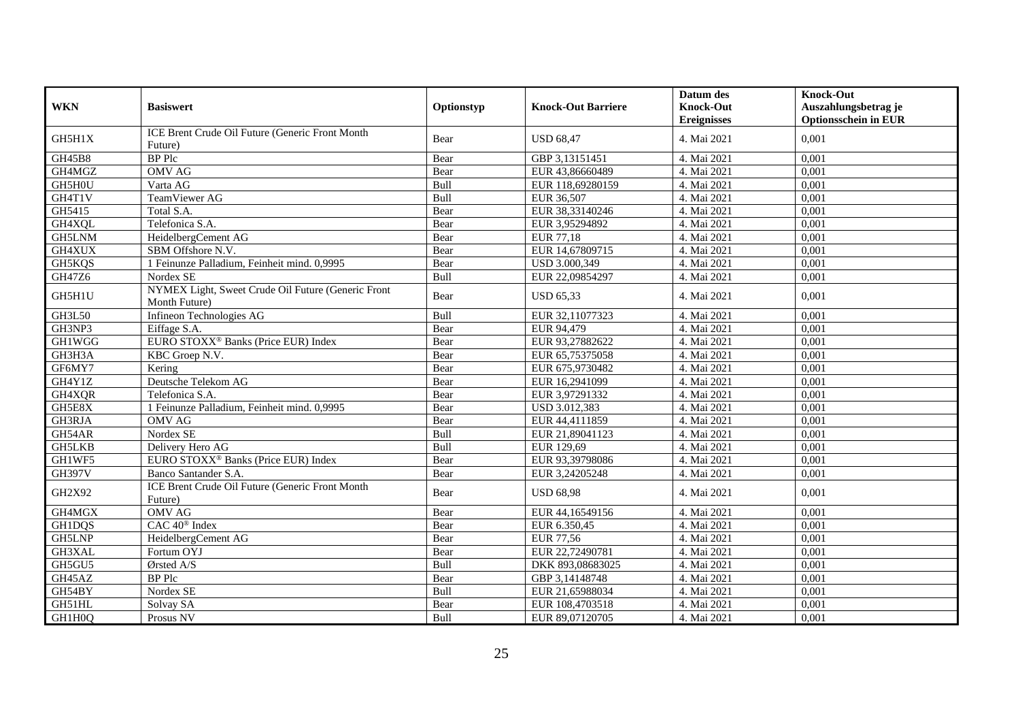|               |                                                                     |            |                           | Datum des          | <b>Knock-Out</b>            |
|---------------|---------------------------------------------------------------------|------------|---------------------------|--------------------|-----------------------------|
| <b>WKN</b>    | <b>Basiswert</b>                                                    | Optionstyp | <b>Knock-Out Barriere</b> | <b>Knock-Out</b>   | Auszahlungsbetrag je        |
|               |                                                                     |            |                           | <b>Ereignisses</b> | <b>Optionsschein in EUR</b> |
| GH5H1X        | ICE Brent Crude Oil Future (Generic Front Month<br>Future)          | Bear       | <b>USD 68.47</b>          | 4. Mai 2021        | 0.001                       |
| <b>GH45B8</b> | <b>BP</b> Plc                                                       | Bear       | GBP 3,13151451            | 4. Mai 2021        | 0,001                       |
| GH4MGZ        | OMV AG                                                              | Bear       | EUR 43,86660489           | 4. Mai 2021        | 0,001                       |
| GH5H0U        | Varta AG                                                            | Bull       | EUR 118,69280159          | 4. Mai 2021        | 0,001                       |
| GH4T1V        | TeamViewer AG                                                       | Bull       | EUR 36,507                | 4. Mai 2021        | 0,001                       |
| GH5415        | Total S.A.                                                          | Bear       | EUR 38,33140246           | 4. Mai 2021        | 0,001                       |
| GH4XQL        | Telefonica S.A.                                                     | Bear       | EUR 3,95294892            | 4. Mai 2021        | 0,001                       |
| GH5LNM        | HeidelbergCement AG                                                 | Bear       | <b>EUR 77,18</b>          | 4. Mai 2021        | 0,001                       |
| GH4XUX        | SBM Offshore N.V.                                                   | Bear       | EUR 14,67809715           | 4. Mai 2021        | 0.001                       |
| GH5KQS        | 1 Feinunze Palladium, Feinheit mind. 0,9995                         | Bear       | USD 3.000,349             | 4. Mai 2021        | 0,001                       |
| GH47Z6        | Nordex SE                                                           | Bull       | EUR 22,09854297           | 4. Mai 2021        | 0,001                       |
| GH5H1U        | NYMEX Light, Sweet Crude Oil Future (Generic Front<br>Month Future) | Bear       | <b>USD 65,33</b>          | 4. Mai 2021        | 0,001                       |
| GH3L50        | Infineon Technologies AG                                            | Bull       | EUR 32,11077323           | 4. Mai 2021        | 0.001                       |
| GH3NP3        | Eiffage S.A.                                                        | Bear       | EUR 94,479                | 4. Mai 2021        | 0,001                       |
| <b>GH1WGG</b> | EURO STOXX <sup>®</sup> Banks (Price EUR) Index                     | Bear       | EUR 93,27882622           | 4. Mai 2021        | 0,001                       |
| GH3H3A        | KBC Groep N.V.                                                      | Bear       | EUR 65,75375058           | 4. Mai 2021        | 0.001                       |
| GF6MY7        | Kering                                                              | Bear       | EUR 675,9730482           | 4. Mai 2021        | 0,001                       |
| GH4Y1Z        | Deutsche Telekom AG                                                 | Bear       | EUR 16,2941099            | 4. Mai 2021        | 0,001                       |
| GH4XQR        | Telefonica S.A.                                                     | Bear       | EUR 3,97291332            | 4. Mai 2021        | 0,001                       |
| GH5E8X        | 1 Feinunze Palladium, Feinheit mind. 0,9995                         | Bear       | USD 3.012,383             | 4. Mai 2021        | 0.001                       |
| GH3RJA        | <b>OMV AG</b>                                                       | Bear       | EUR 44,4111859            | 4. Mai 2021        | 0,001                       |
| GH54AR        | Nordex SE                                                           | Bull       | EUR 21,89041123           | 4. Mai 2021        | 0,001                       |
| <b>GH5LKB</b> | Delivery Hero AG                                                    | Bull       | EUR 129,69                | 4. Mai 2021        | 0,001                       |
| GH1WF5        | EURO STOXX <sup>®</sup> Banks (Price EUR) Index                     | Bear       | EUR 93,39798086           | 4. Mai 2021        | 0.001                       |
| <b>GH397V</b> | Banco Santander S.A.                                                | Bear       | EUR 3,24205248            | 4. Mai 2021        | 0,001                       |
| GH2X92        | ICE Brent Crude Oil Future (Generic Front Month<br>Future)          | Bear       | <b>USD 68,98</b>          | 4. Mai 2021        | 0,001                       |
| GH4MGX        | <b>OMV AG</b>                                                       | Bear       | EUR 44,16549156           | 4. Mai 2021        | 0,001                       |
| <b>GH1DQS</b> | CAC 40 <sup>®</sup> Index                                           | Bear       | EUR 6.350,45              | 4. Mai 2021        | 0,001                       |
| GH5LNP        | HeidelbergCement AG                                                 | Bear       | EUR 77,56                 | 4. Mai 2021        | 0,001                       |
| GH3XAL        | Fortum OYJ                                                          | Bear       | EUR 22,72490781           | 4. Mai 2021        | 0,001                       |
| GH5GU5        | Ørsted A/S                                                          | Bull       | DKK 893,08683025          | 4. Mai 2021        | 0,001                       |
| GH45AZ        | <b>BP</b> Plc                                                       | Bear       | GBP 3,14148748            | 4. Mai 2021        | 0,001                       |
| GH54BY        | Nordex SE                                                           | Bull       | EUR 21,65988034           | 4. Mai 2021        | 0,001                       |
| GH51HL        | Solvay SA                                                           | Bear       | EUR 108,4703518           | 4. Mai 2021        | 0,001                       |
| GH1H0Q        | Prosus NV                                                           | Bull       | EUR 89,07120705           | 4. Mai 2021        | 0,001                       |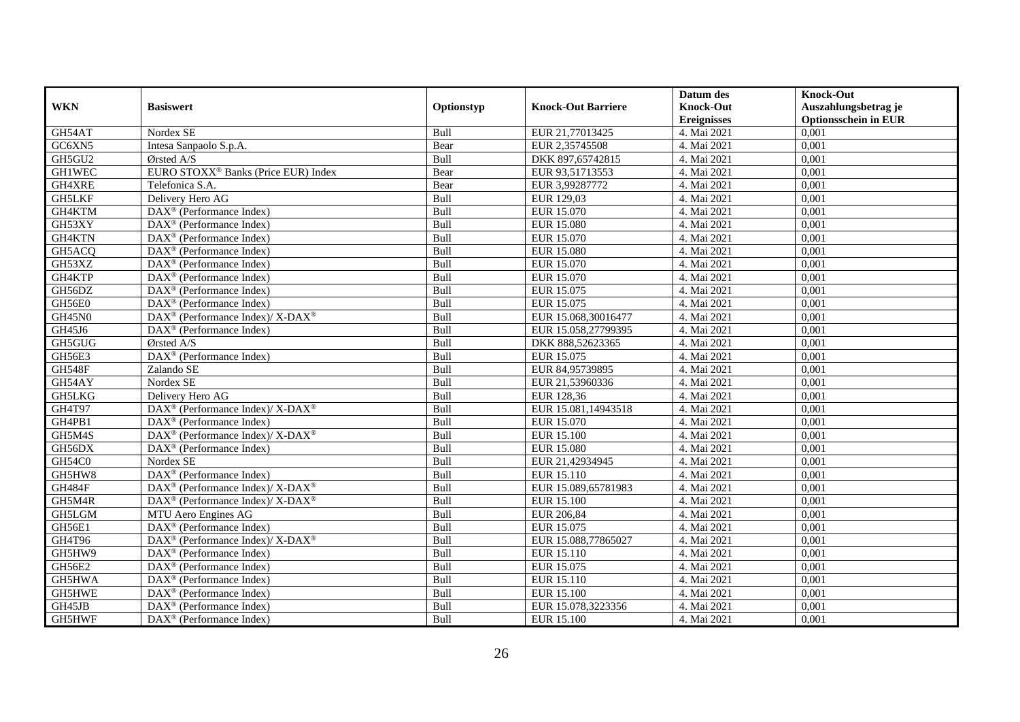|               |                                                                    |             |                           | Datum des          | <b>Knock-Out</b>            |
|---------------|--------------------------------------------------------------------|-------------|---------------------------|--------------------|-----------------------------|
| <b>WKN</b>    | <b>Basiswert</b>                                                   | Optionstyp  | <b>Knock-Out Barriere</b> | <b>Knock-Out</b>   | Auszahlungsbetrag je        |
|               |                                                                    |             |                           | <b>Ereignisses</b> | <b>Optionsschein in EUR</b> |
| GH54AT        | Nordex SE                                                          | Bull        | EUR 21,77013425           | 4. Mai 2021        | 0,001                       |
| GC6XN5        | Intesa Sanpaolo S.p.A.                                             | Bear        | EUR 2,35745508            | 4. Mai 2021        | 0,001                       |
| GH5GU2        | Ørsted A/S                                                         | Bull        | DKK 897,65742815          | 4. Mai 2021        | 0,001                       |
| <b>GH1WEC</b> | EURO STOXX <sup>®</sup> Banks (Price EUR) Index                    | Bear        | EUR 93,51713553           | 4. Mai 2021        | 0,001                       |
| GH4XRE        | Telefonica S.A.                                                    | Bear        | EUR 3,99287772            | 4. Mai 2021        | 0,001                       |
| <b>GH5LKF</b> | Delivery Hero AG                                                   | Bull        | EUR 129,03                | 4. Mai 2021        | 0,001                       |
| GH4KTM        | $\text{DAX}^{\textcircled{p}}$ (Performance Index)                 | Bull        | EUR 15.070                | 4. Mai 2021        | 0,001                       |
| GH53XY        | $\overline{\text{DAX}}^{\textcirc}$ (Performance Index)            | Bull        | <b>EUR 15.080</b>         | 4. Mai 2021        | 0,001                       |
| GH4KTN        | DAX <sup>®</sup> (Performance Index)                               | Bull        | EUR 15.070                | 4. Mai 2021        | 0,001                       |
| GH5ACQ        | $\text{DAX}^{\textcircled{}}$ (Performance Index)                  | Bull        | <b>EUR 15.080</b>         | 4. Mai 2021        | 0,001                       |
| GH53XZ        | $\overline{\text{DAX}^{\otimes}}$ (Performance Index)              | Bull        | EUR 15.070                | 4. Mai 2021        | 0,001                       |
| GH4KTP        | DAX <sup>®</sup> (Performance Index)                               | Bull        | EUR 15.070                | 4. Mai 2021        | 0,001                       |
| GH56DZ        | $\text{DAX}^{\textcircled{n}}$ (Performance Index)                 | Bull        | EUR 15.075                | 4. Mai 2021        | 0,001                       |
| GH56E0        | DAX <sup>®</sup> (Performance Index)                               | <b>Bull</b> | EUR 15.075                | 4. Mai 2021        | 0.001                       |
| <b>GH45N0</b> | DAX <sup>®</sup> (Performance Index)/ X-DAX <sup>®</sup>           | Bull        | EUR 15.068,30016477       | 4. Mai 2021        | 0,001                       |
| GH45J6        | DAX <sup>®</sup> (Performance Index)                               | Bull        | EUR 15.058,27799395       | 4. Mai 2021        | 0,001                       |
| GH5GUG        | Ørsted A/S                                                         | Bull        | DKK 888,52623365          | 4. Mai 2021        | 0,001                       |
| GH56E3        | DAX <sup>®</sup> (Performance Index)                               | Bull        | EUR 15.075                | 4. Mai 2021        | 0,001                       |
| <b>GH548F</b> | Zalando SE                                                         | Bull        | EUR 84,95739895           | 4. Mai 2021        | 0,001                       |
| GH54AY        | Nordex SE                                                          | Bull        | EUR 21,53960336           | 4. Mai 2021        | 0,001                       |
| GH5LKG        | Delivery Hero AG                                                   | Bull        | EUR 128,36                | 4. Mai 2021        | 0,001                       |
| <b>GH4T97</b> | $\text{DAX}^{\circledR}$ (Performance Index)/ X-DAX <sup>®</sup>   | Bull        | EUR 15.081,14943518       | 4. Mai 2021        | 0,001                       |
| GH4PB1        | $\text{DAX}^{\textcircled{p}}$ (Performance Index)                 | Bull        | EUR 15.070                | 4. Mai 2021        | 0,001                       |
| GH5M4S        | $\text{DAX}^{\circledR}$ (Performance Index)/ X-DAX <sup>®</sup>   | Bull        | <b>EUR 15.100</b>         | 4. Mai 2021        | 0,001                       |
| GH56DX        | $DAX^{\circledR}$ (Performance Index)                              | Bull        | <b>EUR 15.080</b>         | 4. Mai 2021        | 0,001                       |
| GH54C0        | Nordex SE                                                          | Bull        | EUR 21,42934945           | 4. Mai 2021        | 0,001                       |
| GH5HW8        | $\overline{\text{DAX}^{\circledast}}$ (Performance Index)          | Bull        | EUR 15.110                | 4. Mai 2021        | 0,001                       |
| GH484F        | $\text{DAX}^{\circledR}$ (Performance Index)/ X-DAX <sup>®</sup>   | Bull        | EUR 15.089,65781983       | 4. Mai 2021        | 0,001                       |
| GH5M4R        | $\text{DAX}^{\circledast}$ (Performance Index)/ X-DAX <sup>®</sup> | Bull        | <b>EUR 15.100</b>         | 4. Mai 2021        | 0,001                       |
| GH5LGM        | MTU Aero Engines AG                                                | Bull        | EUR 206,84                | 4. Mai 2021        | 0,001                       |
| GH56E1        | $\text{DAX}^{\textcircled{D}}$ (Performance Index)                 | Bull        | EUR 15.075                | 4. Mai 2021        | 0,001                       |
| GH4T96        | $\text{DAX}^{\circledR}$ (Performance Index)/ X-DAX <sup>®</sup>   | Bull        | EUR 15.088,77865027       | 4. Mai 2021        | 0,001                       |
| GH5HW9        | $\text{DAX}^{\textcircled{p}}$ (Performance Index)                 | Bull        | EUR 15.110                | 4. Mai 2021        | 0,001                       |
| GH56E2        | $\overline{\text{DAX}}^{\textcirc}$ (Performance Index)            | Bull        | EUR 15.075                | 4. Mai 2021        | 0,001                       |
| GH5HWA        | $\text{DAX}^{\textcircled{n}}$ (Performance Index)                 | Bull        | EUR 15.110                | 4. Mai 2021        | 0,001                       |
| GH5HWE        | DAX <sup>®</sup> (Performance Index)                               | Bull        | <b>EUR 15.100</b>         | 4. Mai 2021        | 0,001                       |
| GH45JB        | $\text{DAX}^{\otimes}$ (Performance Index)                         | Bull        | EUR 15.078,3223356        | 4. Mai 2021        | 0,001                       |
| GH5HWF        | $\text{DAX}^{\textcircled{n}}$ (Performance Index)                 | Bull        | <b>EUR 15.100</b>         | 4. Mai 2021        | 0,001                       |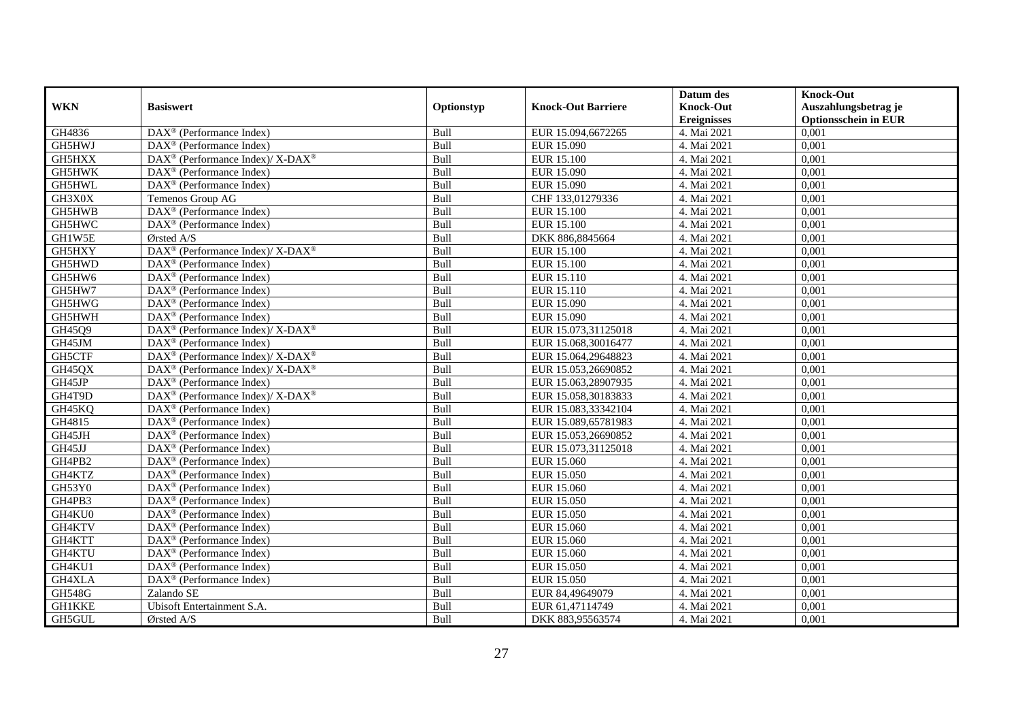| <b>WKN</b>    | <b>Basiswert</b>                                                   |            | <b>Knock-Out Barriere</b> | Datum des<br><b>Knock-Out</b> | <b>Knock-Out</b>                                    |
|---------------|--------------------------------------------------------------------|------------|---------------------------|-------------------------------|-----------------------------------------------------|
|               |                                                                    | Optionstyp |                           | <b>Ereignisses</b>            | Auszahlungsbetrag je<br><b>Optionsschein in EUR</b> |
| GH4836        | DAX <sup>®</sup> (Performance Index)                               | Bull       | EUR 15.094,6672265        | 4. Mai 2021                   | 0,001                                               |
| GH5HWJ        | $\text{DAX}^{\textcircled{p}}$ (Performance Index)                 | Bull       | EUR 15.090                | 4. Mai 2021                   | 0,001                                               |
| GH5HXX        | $\text{DAX}^{\circledast}$ (Performance Index)/ X-DAX <sup>®</sup> | Bull       | <b>EUR 15.100</b>         | 4. Mai 2021                   | 0,001                                               |
| GH5HWK        | $\text{DAX}^{\textcircled{n}}$ (Performance Index)                 | Bull       | EUR 15.090                | 4. Mai 2021                   | 0,001                                               |
| GH5HWL        | DAX <sup>®</sup> (Performance Index)                               | Bull       | EUR 15.090                | 4. Mai 2021                   | 0,001                                               |
| GH3X0X        | Temenos Group AG                                                   | Bull       | CHF 133,01279336          | 4. Mai 2021                   | 0,001                                               |
| GH5HWB        | $\overline{\text{DAX}^{\otimes}(\text{Performance Index})}$        | Bull       | <b>EUR 15.100</b>         | 4. Mai 2021                   | 0,001                                               |
| GH5HWC        | DAX <sup>®</sup> (Performance Index)                               | Bull       | <b>EUR 15.100</b>         | 4. Mai 2021                   | 0,001                                               |
| GH1W5E        | Ørsted A/S                                                         | Bull       | DKK 886,8845664           | 4. Mai 2021                   | 0,001                                               |
| GH5HXY        | $\text{DAX}^{\circledR}$ (Performance Index)/ X-DAX <sup>®</sup>   | Bull       | <b>EUR 15.100</b>         | 4. Mai 2021                   | 0,001                                               |
| GH5HWD        | DAX <sup>®</sup> (Performance Index)                               | Bull       | <b>EUR 15.100</b>         | 4. Mai 2021                   | 0,001                                               |
| GH5HW6        | DAX <sup>®</sup> (Performance Index)                               | Bull       | EUR 15.110                | 4. Mai 2021                   | 0,001                                               |
| GH5HW7        | $\text{DAX}^{\textcircled{n}}$ (Performance Index)                 | Bull       | EUR 15.110                | 4. Mai 2021                   | 0,001                                               |
| GH5HWG        | DAX <sup>®</sup> (Performance Index)                               | Bull       | EUR 15.090                | 4. Mai 2021                   | 0,001                                               |
| GH5HWH        | DAX <sup>®</sup> (Performance Index)                               | Bull       | EUR 15.090                | 4. Mai 2021                   | 0,001                                               |
| GH45Q9        | DAX <sup>®</sup> (Performance Index)/ X-DAX <sup>®</sup>           | Bull       | EUR 15.073,31125018       | 4. Mai 2021                   | 0,001                                               |
| GH45JM        | $\text{DAX}^{\textcircled{p}}$ (Performance Index)                 | Bull       | EUR 15.068,30016477       | 4. Mai 2021                   | 0,001                                               |
| GH5CTF        | $\text{DAX}^{\circledR}$ (Performance Index)/ X-DAX <sup>®</sup>   | Bull       | EUR 15.064,29648823       | 4. Mai 2021                   | 0,001                                               |
| GH45QX        | $\text{DAX}^{\circledast}$ (Performance Index)/ X-DAX <sup>®</sup> | Bull       | EUR 15.053,26690852       | 4. Mai 2021                   | 0,001                                               |
| GH45JP        | $\text{DAX}^{\circledast}$ (Performance Index)                     | Bull       | EUR 15.063,28907935       | 4. Mai 2021                   | 0,001                                               |
| GH4T9D        | $\text{DAX}^{\circledR}$ (Performance Index)/ X-DAX <sup>®</sup>   | Bull       | EUR 15.058,30183833       | 4. Mai 2021                   | 0,001                                               |
| GH45KQ        | $\overline{\text{DAX}}^{\textcircled{}}$ (Performance Index)       | Bull       | EUR 15.083,33342104       | 4. Mai 2021                   | 0,001                                               |
| GH4815        | DAX <sup>®</sup> (Performance Index)                               | Bull       | EUR 15.089,65781983       | 4. Mai 2021                   | 0,001                                               |
| GH45JH        | $\text{DAX}^{\textcircled{D}}$ (Performance Index)                 | Bull       | EUR 15.053,26690852       | 4. Mai 2021                   | 0,001                                               |
| GH45JJ        | $\text{DAX}^{\textcircled{D}}$ (Performance Index)                 | Bull       | EUR 15.073,31125018       | 4. Mai 2021                   | 0,001                                               |
| GH4PB2        | $\text{DAX}^{\textcircled{n}}$ (Performance Index)                 | Bull       | EUR 15.060                | 4. Mai 2021                   | 0,001                                               |
| GH4KTZ        | DAX <sup>®</sup> (Performance Index)                               | Bull       | <b>EUR 15.050</b>         | 4. Mai 2021                   | 0,001                                               |
| GH53Y0        | $\overline{\text{DAX}^{\otimes}}$ (Performance Index)              | Bull       | EUR 15.060                | 4. Mai 2021                   | 0,001                                               |
| GH4PB3        | DAX <sup>®</sup> (Performance Index)                               | Bull       | EUR 15.050                | 4. Mai 2021                   | 0,001                                               |
| GH4KU0        | $DAX^{\circledR}$ (Performance Index)                              | Bull       | EUR 15.050                | 4. Mai 2021                   | 0.001                                               |
| GH4KTV        | $\text{DAX}^{\textcircled{D}}$ (Performance Index)                 | Bull       | EUR 15.060                | 4. Mai 2021                   | 0,001                                               |
| GH4KTT        | $\text{DAX}^{\textcircled{D}}$ (Performance Index)                 | Bull       | EUR 15.060                | 4. Mai 2021                   | 0,001                                               |
| GH4KTU        | $\overline{\text{DAX}^{\otimes}}$ (Performance Index)              | Bull       | EUR 15.060                | 4. Mai 2021                   | 0,001                                               |
| GH4KU1        | DAX <sup>®</sup> (Performance Index)                               | Bull       | <b>EUR 15.050</b>         | 4. Mai 2021                   | 0,001                                               |
| GH4XLA        | $\text{DAX}^{\circledast}$ (Performance Index)                     | Bull       | <b>EUR 15.050</b>         | 4. Mai 2021                   | 0,001                                               |
| GH548G        | Zalando SE                                                         | Bull       | EUR 84,49649079           | 4. Mai 2021                   | 0,001                                               |
| <b>GH1KKE</b> | Ubisoft Entertainment S.A.                                         | Bull       | EUR 61,47114749           | 4. Mai 2021                   | 0,001                                               |
| GH5GUL        | Ørsted A/S                                                         | Bull       | DKK 883,95563574          | 4. Mai 2021                   | 0,001                                               |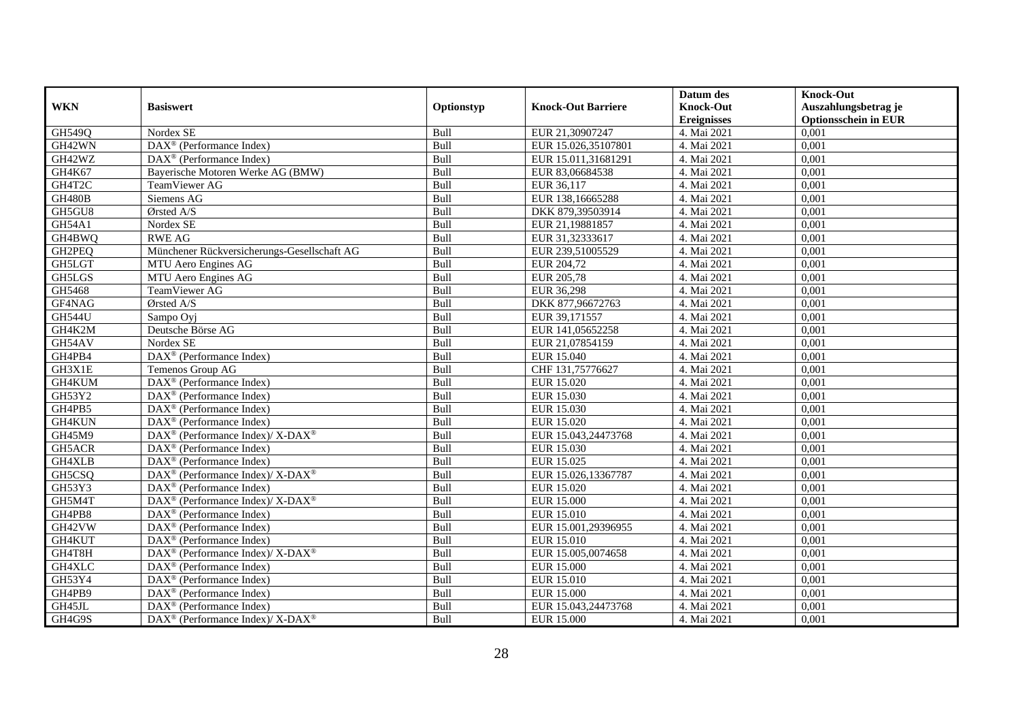| <b>WKN</b>    | <b>Basiswert</b>                                                              |            | <b>Knock-Out Barriere</b> | Datum des<br><b>Knock-Out</b> | <b>Knock-Out</b><br>Auszahlungsbetrag je |
|---------------|-------------------------------------------------------------------------------|------------|---------------------------|-------------------------------|------------------------------------------|
|               |                                                                               | Optionstyp |                           | <b>Ereignisses</b>            | <b>Optionsschein in EUR</b>              |
| GH549Q        | Nordex SE                                                                     | Bull       | EUR 21,30907247           | 4. Mai 2021                   | 0,001                                    |
| GH42WN        | $\overline{\text{DAX}^{\otimes}}$ (Performance Index)                         | Bull       | EUR 15.026,35107801       | 4. Mai 2021                   | 0,001                                    |
| GH42WZ        | $\text{DAX}^{\textcircled{n}}$ (Performance Index)                            | Bull       | EUR 15.011,31681291       | 4. Mai 2021                   | 0,001                                    |
| GH4K67        | Bayerische Motoren Werke AG (BMW)                                             | Bull       | EUR 83,06684538           | 4. Mai 2021                   | 0,001                                    |
| GH4T2C        | TeamViewer AG                                                                 | Bull       | EUR 36,117                | 4. Mai 2021                   | 0,001                                    |
| GH480B        | Siemens AG                                                                    | Bull       | EUR 138, 16665288         | 4. Mai 2021                   | 0,001                                    |
| GH5GU8        | Ørsted A/S                                                                    | Bull       | DKK 879,39503914          | 4. Mai 2021                   | 0,001                                    |
| GH54A1        | Nordex SE                                                                     | Bull       | EUR 21,19881857           | 4. Mai 2021                   | 0,001                                    |
| GH4BWQ        | <b>RWE AG</b>                                                                 | Bull       | EUR 31,32333617           | 4. Mai 2021                   | 0,001                                    |
| GH2PEQ        | Münchener Rückversicherungs-Gesellschaft AG                                   | Bull       | EUR 239,51005529          | 4. Mai 2021                   | 0,001                                    |
| GH5LGT        | MTU Aero Engines AG                                                           | Bull       | EUR 204,72                | 4. Mai 2021                   | 0,001                                    |
| GH5LGS        | MTU Aero Engines AG                                                           | Bull       | <b>EUR 205,78</b>         | 4. Mai 2021                   | 0,001                                    |
| GH5468        | TeamViewer AG                                                                 | Bull       | EUR 36,298                | 4. Mai 2021                   | 0,001                                    |
| GF4NAG        | Ørsted A/S                                                                    | Bull       | DKK 877,96672763          | 4. Mai 2021                   | 0,001                                    |
| <b>GH544U</b> | Sampo Oyj                                                                     | Bull       | EUR 39,171557             | 4. Mai 2021                   | 0,001                                    |
| GH4K2M        | Deutsche Börse AG                                                             | Bull       | EUR 141,05652258          | 4. Mai 2021                   | 0,001                                    |
| GH54AV        | Nordex SE                                                                     | Bull       | EUR 21,07854159           | 4. Mai 2021                   | 0,001                                    |
| GH4PB4        | DAX <sup>®</sup> (Performance Index)                                          | Bull       | EUR 15.040                | 4. Mai 2021                   | 0,001                                    |
| GH3X1E        | Temenos Group AG                                                              | Bull       | CHF 131,75776627          | 4. Mai 2021                   | 0,001                                    |
| GH4KUM        | $\text{DAX}^{\textcircled{n}}$ (Performance Index)                            | Bull       | EUR 15.020                | 4. Mai 2021                   | 0,001                                    |
| GH53Y2        | DAX <sup>®</sup> (Performance Index)                                          | Bull       | EUR 15.030                | 4. Mai 2021                   | 0,001                                    |
| GH4PB5        | $\overline{\text{DAX}^{\otimes}}$ (Performance Index)                         | Bull       | EUR 15.030                | 4. Mai 2021                   | 0,001                                    |
| GH4KUN        | DAX <sup>®</sup> (Performance Index)                                          | Bull       | EUR 15.020                | 4. Mai 2021                   | 0,001                                    |
| GH45M9        | $DAX^{\circledcirc}$ (Performance Index)/X-DAX <sup>®</sup>                   | Bull       | EUR 15.043,24473768       | 4. Mai 2021                   | 0,001                                    |
| GH5ACR        | $\text{DAX}^{\textcircled{p}}$ (Performance Index)                            | Bull       | EUR 15.030                | 4. Mai 2021                   | 0,001                                    |
| GH4XLB        | DAX <sup>®</sup> (Performance Index)                                          | Bull       | EUR 15.025                | 4. Mai 2021                   | 0,001                                    |
| GH5CSQ        | DAX <sup>®</sup> (Performance Index)/X-DAX <sup>®</sup>                       | Bull       | EUR 15.026,13367787       | 4. Mai 2021                   | 0,001                                    |
| GH53Y3        | $\overline{\text{DAX}^{\otimes}}$ (Performance Index)                         | Bull       | EUR 15.020                | 4. Mai 2021                   | 0,001                                    |
| GH5M4T        | $\overline{\text{DAX}^{\otimes}}$ (Performance Index)/X-DAX <sup>®</sup>      | Bull       | <b>EUR 15.000</b>         | 4. Mai 2021                   | 0,001                                    |
| GH4PB8        | $DAX^{\circledR}$ (Performance Index)                                         | Bull       | EUR 15.010                | 4. Mai 2021                   | 0.001                                    |
| GH42VW        | $\text{DAX}^{\textcircled{D}}$ (Performance Index)                            | Bull       | EUR 15.001,29396955       | 4. Mai 2021                   | 0,001                                    |
| GH4KUT        | $\text{DAX}^{\textcircled{D}}$ (Performance Index)                            | Bull       | EUR 15.010                | 4. Mai 2021                   | 0,001                                    |
| GH4T8H        | $DAX^{\circledast}$ (Performance Index)/ $X$ - $\overline{DAX^{\circledast}}$ | Bull       | EUR 15.005,0074658        | 4. Mai 2021                   | 0,001                                    |
| GH4XLC        | DAX <sup>®</sup> (Performance Index)                                          | Bull       | <b>EUR 15.000</b>         | 4. Mai 2021                   | 0,001                                    |
| GH53Y4        | DAX <sup>®</sup> (Performance Index)                                          | Bull       | <b>EUR 15.010</b>         | 4. Mai 2021                   | 0,001                                    |
| GH4PB9        | DAX <sup>®</sup> (Performance Index)                                          | Bull       | <b>EUR 15.000</b>         | 4. Mai 2021                   | 0,001                                    |
| GH45JL        | $\text{DAX}^{\circledast}$ (Performance Index)                                | Bull       | EUR 15.043,24473768       | 4. Mai 2021                   | 0,001                                    |
| GH4G9S        | DAX <sup>®</sup> (Performance Index)/ X-DAX <sup>®</sup>                      | Bull       | <b>EUR 15.000</b>         | 4. Mai 2021                   | 0,001                                    |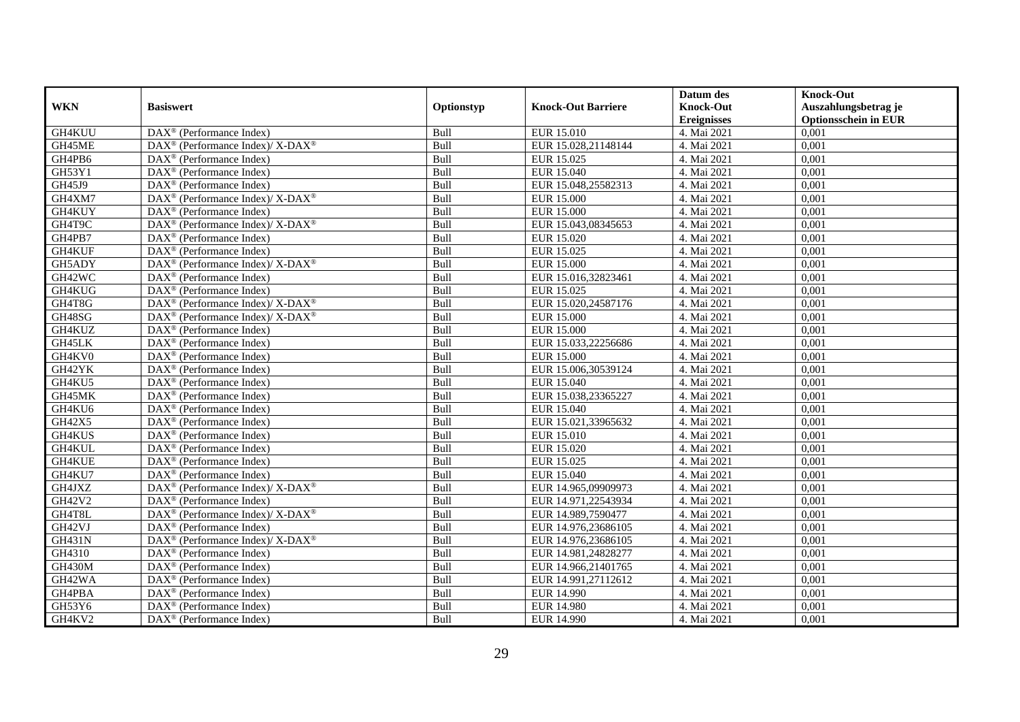|               |                                                                    |             |                           | Datum des          | <b>Knock-Out</b>            |
|---------------|--------------------------------------------------------------------|-------------|---------------------------|--------------------|-----------------------------|
| <b>WKN</b>    | <b>Basiswert</b>                                                   | Optionstyp  | <b>Knock-Out Barriere</b> | <b>Knock-Out</b>   | Auszahlungsbetrag je        |
|               |                                                                    |             |                           | <b>Ereignisses</b> | <b>Optionsschein in EUR</b> |
| GH4KUU        | DAX <sup>®</sup> (Performance Index)                               | Bull        | <b>EUR 15.010</b>         | 4. Mai 2021        | 0,001                       |
| GH45ME        | DAX <sup>®</sup> (Performance Index)/ X-DAX <sup>®</sup>           | Bull        | EUR 15.028,21148144       | 4. Mai 2021        | 0,001                       |
| GH4PB6        | DAX <sup>®</sup> (Performance Index)                               | Bull        | EUR 15.025                | 4. Mai 2021        | 0,001                       |
| GH53Y1        | $\text{DAX}^{\otimes}$ (Performance Index)                         | Bull        | EUR 15.040                | 4. Mai 2021        | 0,001                       |
| GH45J9        | DAX <sup>®</sup> (Performance Index)                               | Bull        | EUR 15.048,25582313       | 4. Mai 2021        | 0,001                       |
| GH4XM7        | DAX <sup>®</sup> (Performance Index)/X-DAX <sup>®</sup>            | Bull        | <b>EUR 15.000</b>         | 4. Mai 2021        | 0,001                       |
| GH4KUY        | $\text{DAX}^{\textcircled{p}}$ (Performance Index)                 | Bull        | <b>EUR 15.000</b>         | 4. Mai 2021        | 0,001                       |
| GH4T9C        | $\text{DAX}^{\circledast}$ (Performance Index)/ X-DAX <sup>®</sup> | Bull        | EUR 15.043,08345653       | 4. Mai 2021        | 0,001                       |
| GH4PB7        | $\text{DAX}^{\textcircled{n}}$ (Performance Index)                 | Bull        | EUR 15.020                | 4. Mai 2021        | 0,001                       |
| GH4KUF        | $\text{DAX}^{\otimes}$ (Performance Index)                         | Bull        | EUR 15.025                | 4. Mai 2021        | 0,001                       |
| GH5ADY        | DAX <sup>®</sup> (Performance Index)/ X-DAX <sup>®</sup>           | Bull        | EUR 15.000                | 4. Mai 2021        | 0,001                       |
| GH42WC        | DAX <sup>®</sup> (Performance Index)                               | Bull        | EUR 15.016,32823461       | 4. Mai 2021        | 0,001                       |
| GH4KUG        | $\overline{\text{DAX}^{\otimes}}$ (Performance Index)              | Bull        | EUR 15.025                | 4. Mai 2021        | 0,001                       |
| GH4T8G        | DAX <sup>®</sup> (Performance Index)/ X-DAX <sup>®</sup>           | Bull        | EUR 15.020,24587176       | 4. Mai 2021        | 0,001                       |
| GH48SG        | $DAX^{\circledast}$ (Performance Index)/ X-DAX <sup>®</sup>        | Bull        | <b>EUR 15.000</b>         | 4. Mai 2021        | 0,001                       |
| GH4KUZ        | DAX <sup>®</sup> (Performance Index)                               | Bull        | <b>EUR 15.000</b>         | 4. Mai 2021        | 0,001                       |
| GH45LK        | DAX <sup>®</sup> (Performance Index)                               | Bull        | EUR 15.033,22256686       | 4. Mai 2021        | 0,001                       |
| GH4KV0        | $DAX^{\circledR}$ (Performance Index)                              | Bull        | EUR 15.000                | 4. Mai 2021        | 0,001                       |
| GH42YK        | DAX <sup>®</sup> (Performance Index)                               | Bull        | EUR 15.006,30539124       | 4. Mai 2021        | 0,001                       |
| GH4KU5        | DAX <sup>®</sup> (Performance Index)                               | Bull        | EUR 15.040                | 4. Mai 2021        | 0,001                       |
| GH45MK        | DAX <sup>®</sup> (Performance Index)                               | Bull        | EUR 15.038,23365227       | 4. Mai 2021        | 0,001                       |
| GH4KU6        | $\overline{\text{DAX}^{\otimes}}$ (Performance Index)              | Bull        | EUR 15.040                | 4. Mai 2021        | 0,001                       |
| GH42X5        | DAX <sup>®</sup> (Performance Index)                               | Bull        | EUR 15.021,33965632       | 4. Mai 2021        | 0,001                       |
| GH4KUS        | $\text{DAX}^{\circledast}$ (Performance Index)                     | Bull        | <b>EUR 15.010</b>         | 4. Mai 2021        | 0,001                       |
| GH4KUL        | $DAX^{\circledR}$ (Performance Index)                              | <b>Bull</b> | EUR 15.020                | 4. Mai 2021        | 0.001                       |
| GH4KUE        | DAX <sup>®</sup> (Performance Index)                               | Bull        | EUR 15.025                | 4. Mai 2021        | 0,001                       |
| GH4KU7        | DAX <sup>®</sup> (Performance Index)                               | Bull        | <b>EUR 15.040</b>         | 4. Mai 2021        | 0,001                       |
| GH4JXZ        | DAX <sup>®</sup> (Performance Index)/X-DAX <sup>®</sup>            | Bull        | EUR 14.965,09909973       | 4. Mai 2021        | 0,001                       |
| GH42V2        | $\overline{\text{DAX}^{\otimes}}$ (Performance Index)              | Bull        | EUR 14.971,22543934       | 4. Mai 2021        | 0,001                       |
| GH4T8L        | $\text{DAX}^{\circledast}$ (Performance Index)/ X-DAX <sup>®</sup> | Bull        | EUR 14.989,7590477        | 4. Mai 2021        | 0,001                       |
| GH42VJ        | $\text{DAX}^{\textcircled{n}}$ (Performance Index)                 | Bull        | EUR 14.976,23686105       | 4. Mai 2021        | 0,001                       |
| <b>GH431N</b> | $DAX^{\circledcirc}$ (Performance Index)/X-DAX <sup>®</sup>        | Bull        | EUR 14.976,23686105       | 4. Mai 2021        | 0,001                       |
| GH4310        | $\overline{\text{DAX}}^{\textcirc}$ (Performance Index)            | Bull        | EUR 14.981,24828277       | 4. Mai 2021        | 0,001                       |
| GH430M        | DAX <sup>®</sup> (Performance Index)                               | Bull        | EUR 14.966,21401765       | 4. Mai 2021        | 0,001                       |
| GH42WA        | DAX <sup>®</sup> (Performance Index)                               | Bull        | EUR 14.991,27112612       | 4. Mai 2021        | 0,001                       |
| GH4PBA        | DAX <sup>®</sup> (Performance Index)                               | Bull        | EUR 14.990                | 4. Mai 2021        | 0,001                       |
| GH53Y6        | $\text{DAX}^{\otimes}$ (Performance Index)                         | Bull        | EUR 14.980                | 4. Mai 2021        | 0,001                       |
| GH4KV2        | DAX <sup>®</sup> (Performance Index)                               | Bull        | EUR 14.990                | 4. Mai 2021        | 0,001                       |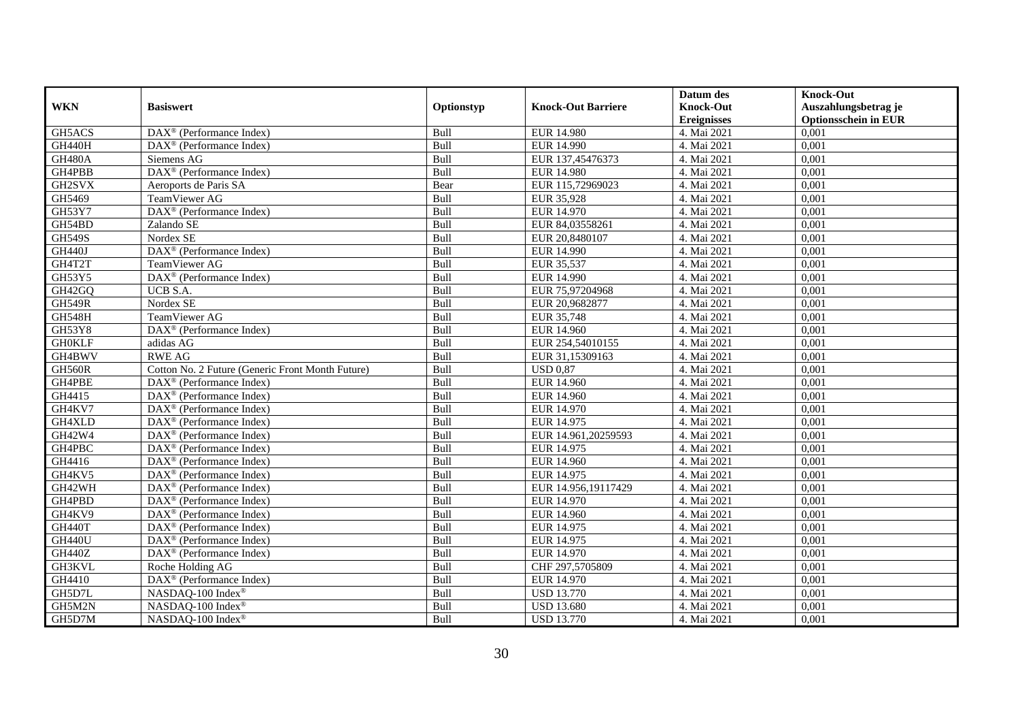|               |                                                         |            |                           | Datum des          | <b>Knock-Out</b>            |
|---------------|---------------------------------------------------------|------------|---------------------------|--------------------|-----------------------------|
| <b>WKN</b>    | <b>Basiswert</b>                                        | Optionstyp | <b>Knock-Out Barriere</b> | <b>Knock-Out</b>   | Auszahlungsbetrag je        |
|               |                                                         |            |                           | <b>Ereignisses</b> | <b>Optionsschein in EUR</b> |
| GH5ACS        | $\overline{\text{DAX}^{\otimes}}$ (Performance Index)   | Bull       | <b>EUR 14.980</b>         | 4. Mai 2021        | 0,001                       |
| <b>GH440H</b> | $\overline{\text{DAX}}^{\textcirc}$ (Performance Index) | Bull       | EUR 14.990                | 4. Mai 2021        | 0,001                       |
| <b>GH480A</b> | Siemens AG                                              | Bull       | EUR 137,45476373          | 4. Mai 2021        | 0,001                       |
| GH4PBB        | DAX <sup>®</sup> (Performance Index)                    | Bull       | EUR 14.980                | 4. Mai 2021        | 0,001                       |
| GH2SVX        | Aeroports de Paris SA                                   | Bear       | EUR 115,72969023          | 4. Mai 2021        | 0,001                       |
| GH5469        | TeamViewer AG                                           | Bull       | EUR 35,928                | 4. Mai 2021        | 0,001                       |
| GH53Y7        | $\overline{\text{DAX}^{\otimes}}$ (Performance Index)   | Bull       | EUR 14.970                | 4. Mai 2021        | 0,001                       |
| GH54BD        | Zalando SE                                              | Bull       | EUR 84,03558261           | 4. Mai 2021        | 0,001                       |
| <b>GH549S</b> | Nordex SE                                               | Bull       | EUR 20,8480107            | 4. Mai 2021        | 0,001                       |
| <b>GH440J</b> | DAX <sup>®</sup> (Performance Index)                    | Bull       | EUR 14.990                | 4. Mai 2021        | 0,001                       |
| GH4T2T        | TeamViewer AG                                           | Bull       | EUR 35,537                | 4. Mai 2021        | 0,001                       |
| <b>GH53Y5</b> | DAX <sup>®</sup> (Performance Index)                    | Bull       | EUR 14.990                | 4. Mai 2021        | 0,001                       |
| GH42GQ        | UCB S.A.                                                | Bull       | EUR 75,97204968           | 4. Mai 2021        | 0,001                       |
| <b>GH549R</b> | Nordex SE                                               | Bull       | EUR 20,9682877            | 4. Mai 2021        | 0,001                       |
| <b>GH548H</b> | TeamViewer AG                                           | Bull       | EUR 35,748                | 4. Mai 2021        | 0,001                       |
| GH53Y8        | DAX <sup>®</sup> (Performance Index)                    | Bull       | <b>EUR 14.960</b>         | 4. Mai 2021        | 0,001                       |
| <b>GH0KLF</b> | adidas AG                                               | Bull       | EUR 254,54010155          | 4. Mai 2021        | 0,001                       |
| GH4BWV        | <b>RWE AG</b>                                           | Bull       | EUR 31.15309163           | 4. Mai 2021        | 0,001                       |
| <b>GH560R</b> | Cotton No. 2 Future (Generic Front Month Future)        | Bull       | <b>USD 0,87</b>           | 4. Mai 2021        | 0,001                       |
| GH4PBE        | $\text{DAX}^{\textcircled{}}$ (Performance Index)       | Bull       | <b>EUR 14.960</b>         | 4. Mai 2021        | 0,001                       |
| GH4415        | $\overline{\text{DAX}^{\otimes}}$ (Performance Index)   | Bull       | <b>EUR 14.960</b>         | 4. Mai 2021        | 0,001                       |
| GH4KV7        | $\overline{\text{DAX}^{\otimes}}$ (Performance Index)   | Bull       | EUR 14.970                | 4. Mai 2021        | 0,001                       |
| GH4XLD        | $\overline{\text{DAX}^{\otimes}}$ (Performance Index)   | Bull       | EUR 14.975                | 4. Mai 2021        | 0,001                       |
| GH42W4        | DAX <sup>®</sup> (Performance Index)                    | Bull       | EUR 14.961,20259593       | 4. Mai 2021        | 0,001                       |
| GH4PBC        | DAX <sup>®</sup> (Performance Index)                    | Bull       | EUR 14.975                | 4. Mai 2021        | 0,001                       |
| GH4416        | $\text{DAX}^{\otimes}$ (Performance Index)              | Bull       | <b>EUR 14.960</b>         | 4. Mai 2021        | 0,001                       |
| GH4KV5        | DAX <sup>®</sup> (Performance Index)                    | Bull       | EUR 14.975                | 4. Mai 2021        | 0,001                       |
| GH42WH        | $\text{DAX}^{\textcircled{p}}$ (Performance Index)      | Bull       | EUR 14.956,19117429       | 4. Mai 2021        | 0.001                       |
| GH4PBD        | $\text{DAX}^{\textcircled{p}}$ (Performance Index)      | Bull       | EUR 14.970                | 4. Mai 2021        | 0,001                       |
| GH4KV9        | $\text{DAX}^{\textcircled{p}}$ (Performance Index)      | Bull       | <b>EUR 14.960</b>         | 4. Mai 2021        | 0,001                       |
| <b>GH440T</b> | DAX <sup>®</sup> (Performance Index)                    | Bull       | EUR 14.975                | 4. Mai 2021        | 0,001                       |
| <b>GH440U</b> | $\text{DAX}^{\textcircled{n}}$ (Performance Index)      | Bull       | EUR 14.975                | 4. Mai 2021        | 0,001                       |
| <b>GH440Z</b> | DAX <sup>®</sup> (Performance Index)                    | Bull       | EUR 14.970                | 4. Mai 2021        | 0,001                       |
| GH3KVL        | Roche Holding AG                                        | Bull       | CHF 297,5705809           | 4. Mai 2021        | 0,001                       |
| GH4410        | DAX <sup>®</sup> (Performance Index)                    | Bull       | EUR 14.970                | 4. Mai 2021        | 0,001                       |
| GH5D7L        | NASDAQ-100 Index®                                       | Bull       | <b>USD 13.770</b>         | 4. Mai 2021        | 0,001                       |
| GH5M2N        | NASDAQ-100 Index®                                       | Bull       | <b>USD 13.680</b>         | 4. Mai 2021        | 0,001                       |
| GH5D7M        | NASDAQ-100 Index®                                       | Bull       | <b>USD 13.770</b>         | 4. Mai 2021        | 0,001                       |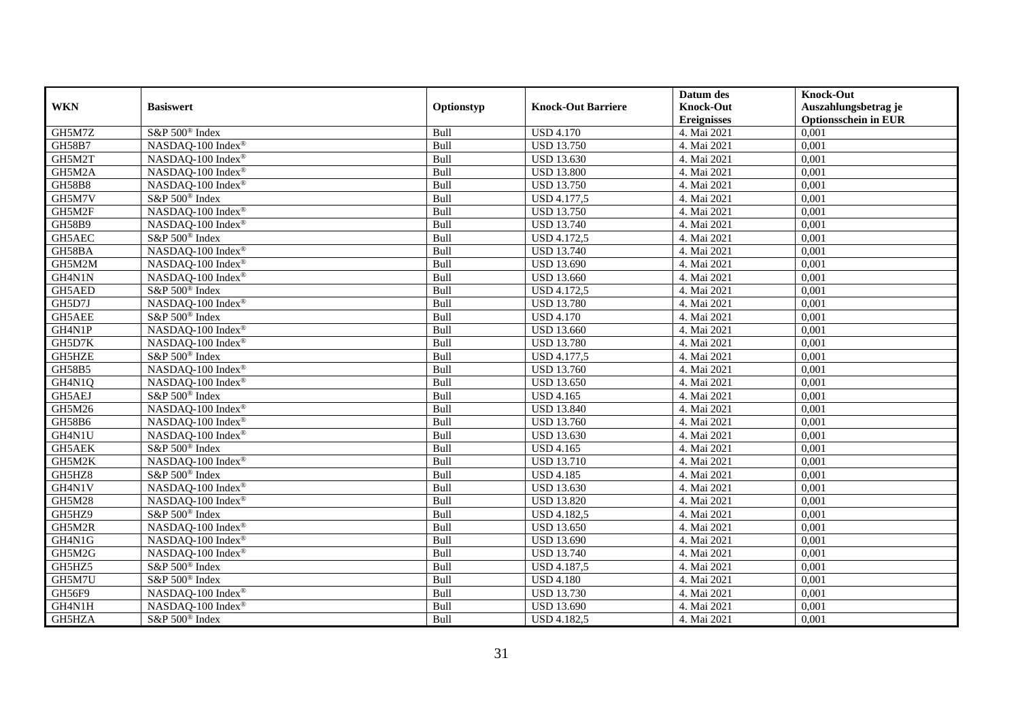|               |                               |            |                           | Datum des          | <b>Knock-Out</b>            |
|---------------|-------------------------------|------------|---------------------------|--------------------|-----------------------------|
| <b>WKN</b>    | <b>Basiswert</b>              | Optionstyp | <b>Knock-Out Barriere</b> | <b>Knock-Out</b>   | Auszahlungsbetrag je        |
|               |                               |            |                           | <b>Ereignisses</b> | <b>Optionsschein in EUR</b> |
| GH5M7Z        | S&P 500 <sup>®</sup> Index    | Bull       | <b>USD 4.170</b>          | 4. Mai 2021        | 0,001                       |
| <b>GH58B7</b> | NASDAQ-100 Index®             | Bull       | <b>USD 13.750</b>         | 4. Mai 2021        | 0,001                       |
| GH5M2T        | NASDAQ-100 Index®             | Bull       | <b>USD 13.630</b>         | 4. Mai 2021        | 0,001                       |
| GH5M2A        | NASDAQ-100 Index®             | Bull       | <b>USD 13.800</b>         | 4. Mai 2021        | 0,001                       |
| <b>GH58B8</b> | NASDAQ-100 Index®             | Bull       | <b>USD 13.750</b>         | 4. Mai 2021        | 0,001                       |
| GH5M7V        | S&P 500 <sup>®</sup> Index    | Bull       | <b>USD 4.177,5</b>        | 4. Mai 2021        | 0,001                       |
| GH5M2F        | NASDAQ-100 Index®             | Bull       | <b>USD 13.750</b>         | 4. Mai 2021        | 0,001                       |
| GH58B9        | NASDAQ-100 Index®             | Bull       | <b>USD 13.740</b>         | 4. Mai 2021        | 0,001                       |
| GH5AEC        | S&P 500 <sup>®</sup> Index    | Bull       | <b>USD 4.172,5</b>        | 4. Mai 2021        | 0,001                       |
| GH58BA        | NASDAQ-100 Index®             | Bull       | <b>USD 13.740</b>         | 4. Mai 2021        | 0,001                       |
| GH5M2M        | NASDAQ-100 Index®             | Bull       | <b>USD 13.690</b>         | 4. Mai 2021        | 0,001                       |
| GH4N1N        | NASDAQ-100 Index®             | Bull       | <b>USD 13.660</b>         | 4. Mai 2021        | 0,001                       |
| GH5AED        | S&P 500 <sup>®</sup> Index    | Bull       | <b>USD 4.172,5</b>        | 4. Mai 2021        | 0,001                       |
| GH5D7J        | NASDAO-100 Index <sup>®</sup> | Bull       | <b>USD 13.780</b>         | 4. Mai 2021        | 0,001                       |
| GH5AEE        | S&P 500 <sup>®</sup> Index    | Bull       | <b>USD 4.170</b>          | 4. Mai 2021        | 0,001                       |
| GH4N1P        | NASDAQ-100 Index®             | Bull       | <b>USD 13.660</b>         | 4. Mai 2021        | 0,001                       |
| GH5D7K        | NASDAQ-100 Index®             | Bull       | <b>USD 13.780</b>         | 4. Mai 2021        | 0,001                       |
| GH5HZE        | S&P 500 <sup>®</sup> Index    | Bull       | <b>USD</b> 4.177,5        | 4. Mai 2021        | 0,001                       |
| GH58B5        | NASDAQ-100 Index®             | Bull       | <b>USD 13.760</b>         | 4. Mai 2021        | 0,001                       |
| GH4N1Q        | NASDAQ-100 Index®             | Bull       | <b>USD 13.650</b>         | 4. Mai 2021        | 0,001                       |
| GH5AEJ        | S&P 500 <sup>®</sup> Index    | Bull       | <b>USD 4.165</b>          | 4. Mai 2021        | 0,001                       |
| GH5M26        | NASDAQ-100 Index®             | Bull       | <b>USD 13.840</b>         | 4. Mai 2021        | 0,001                       |
| GH58B6        | NASDAQ-100 Index®             | Bull       | <b>USD 13.760</b>         | 4. Mai 2021        | 0,001                       |
| GH4N1U        | NASDAQ-100 Index®             | Bull       | <b>USD 13.630</b>         | 4. Mai 2021        | 0,001                       |
| GH5AEK        | S&P 500 <sup>®</sup> Index    | Bull       | <b>USD 4.165</b>          | 4. Mai 2021        | 0,001                       |
| GH5M2K        | NASDAQ-100 Index®             | Bull       | <b>USD 13.710</b>         | 4. Mai 2021        | 0,001                       |
| GH5HZ8        | S&P 500 <sup>®</sup> Index    | Bull       | <b>USD 4.185</b>          | 4. Mai 2021        | 0,001                       |
| GH4N1V        | NASDAQ-100 Index®             | Bull       | <b>USD 13.630</b>         | 4. Mai 2021        | 0,001                       |
| <b>GH5M28</b> | NASDAQ-100 Index®             | Bull       | <b>USD 13.820</b>         | 4. Mai 2021        | 0,001                       |
| GH5HZ9        | S&P 500 <sup>®</sup> Index    | Bull       | <b>USD 4.182,5</b>        | 4. Mai 2021        | 0,001                       |
| GH5M2R        | NASDAQ-100 Index®             | Bull       | <b>USD 13.650</b>         | 4. Mai 2021        | 0,001                       |
| GH4N1G        | NASDAQ-100 Index®             | Bull       | <b>USD 13.690</b>         | 4. Mai 2021        | 0,001                       |
| GH5M2G        | NASDAQ-100 Index®             | Bull       | <b>USD 13.740</b>         | 4. Mai 2021        | 0,001                       |
| GH5HZ5        | S&P 500 <sup>®</sup> Index    | Bull       | <b>USD 4.187,5</b>        | 4. Mai 2021        | 0,001                       |
| GH5M7U        | S&P 500 <sup>®</sup> Index    | Bull       | <b>USD 4.180</b>          | 4. Mai 2021        | 0,001                       |
| GH56F9        | NASDAQ-100 Index®             | Bull       | <b>USD 13.730</b>         | 4. Mai 2021        | 0,001                       |
| GH4N1H        | NASDAQ-100 Index®             | Bull       | <b>USD 13.690</b>         | 4. Mai 2021        | 0,001                       |
| GH5HZA        | S&P 500 <sup>®</sup> Index    | Bull       | <b>USD 4.182,5</b>        | 4. Mai 2021        | 0,001                       |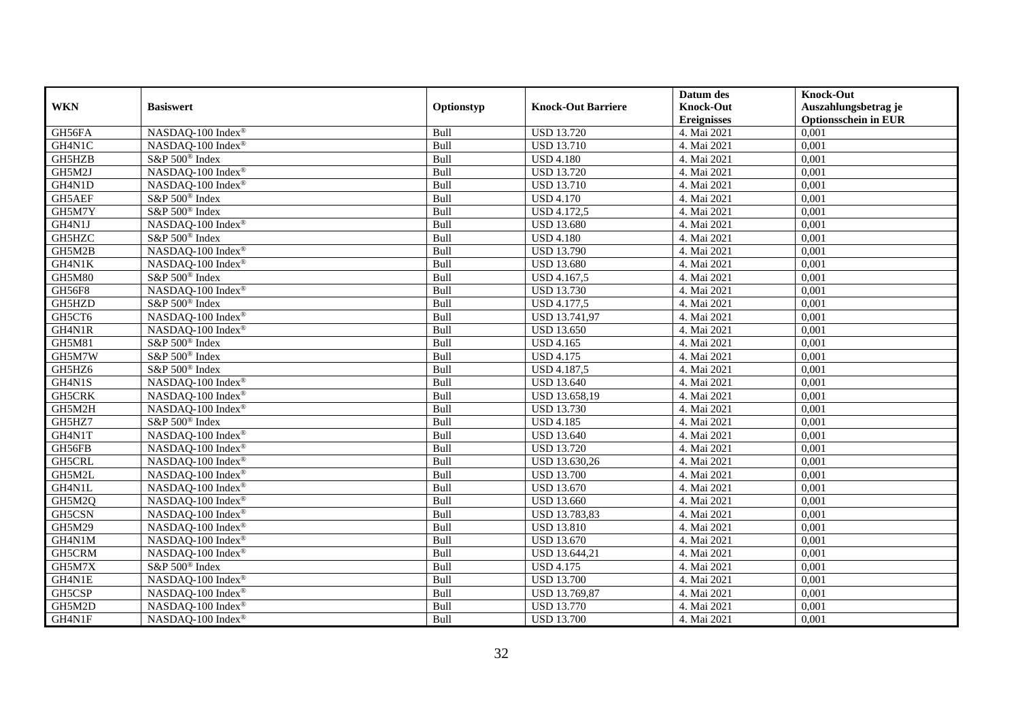|               |                            |            |                           | Datum des          | <b>Knock-Out</b>            |
|---------------|----------------------------|------------|---------------------------|--------------------|-----------------------------|
| <b>WKN</b>    | <b>Basiswert</b>           | Optionstyp | <b>Knock-Out Barriere</b> | <b>Knock-Out</b>   | Auszahlungsbetrag je        |
|               |                            |            |                           | <b>Ereignisses</b> | <b>Optionsschein in EUR</b> |
| GH56FA        | NASDAQ-100 Index®          | Bull       | <b>USD 13.720</b>         | 4. Mai 2021        | 0,001                       |
| GH4N1C        | NASDAQ-100 Index®          | Bull       | <b>USD 13.710</b>         | 4. Mai 2021        | 0,001                       |
| GH5HZB        | S&P 500 <sup>®</sup> Index | Bull       | <b>USD 4.180</b>          | 4. Mai 2021        | 0,001                       |
| GH5M2J        | NASDAQ-100 Index®          | Bull       | <b>USD 13.720</b>         | 4. Mai 2021        | 0,001                       |
| GH4N1D        | NASDAQ-100 Index®          | Bull       | <b>USD 13.710</b>         | 4. Mai 2021        | 0,001                       |
| GH5AEF        | S&P 500 <sup>®</sup> Index | Bull       | <b>USD 4.170</b>          | 4. Mai 2021        | 0,001                       |
| GH5M7Y        | S&P 500 <sup>®</sup> Index | Bull       | <b>USD 4.172,5</b>        | 4. Mai 2021        | 0,001                       |
| GH4N1J        | NASDAQ-100 Index®          | Bull       | <b>USD 13.680</b>         | 4. Mai 2021        | 0,001                       |
| GH5HZC        | S&P 500 <sup>®</sup> Index | Bull       | <b>USD 4.180</b>          | 4. Mai 2021        | 0,001                       |
| GH5M2B        | NASDAQ-100 Index®          | Bull       | <b>USD 13.790</b>         | 4. Mai 2021        | 0,001                       |
| GH4N1K        | NASDAQ-100 Index®          | Bull       | <b>USD 13.680</b>         | 4. Mai 2021        | 0,001                       |
| <b>GH5M80</b> | S&P 500 <sup>®</sup> Index | Bull       | USD 4.167,5               | 4. Mai 2021        | 0,001                       |
| <b>GH56F8</b> | NASDAQ-100 Index®          | Bull       | <b>USD 13.730</b>         | 4. Mai 2021        | 0,001                       |
| GH5HZD        | S&P 500 <sup>®</sup> Index | Bull       | <b>USD 4.177,5</b>        | 4. Mai 2021        | 0,001                       |
| GH5CT6        | NASDAQ-100 Index®          | Bull       | USD 13.741,97             | 4. Mai 2021        | 0,001                       |
| GH4N1R        | NASDAQ-100 Index®          | Bull       | <b>USD 13.650</b>         | 4. Mai 2021        | 0,001                       |
| GH5M81        | S&P 500 <sup>®</sup> Index | Bull       | <b>USD 4.165</b>          | 4. Mai 2021        | 0,001                       |
| GH5M7W        | S&P 500 <sup>®</sup> Index | Bull       | <b>USD 4.175</b>          | 4. Mai 2021        | 0,001                       |
| GH5HZ6        | S&P 500 <sup>®</sup> Index | Bull       | <b>USD 4.187,5</b>        | 4. Mai 2021        | 0,001                       |
| GH4N1S        | NASDAQ-100 Index®          | Bull       | <b>USD 13.640</b>         | 4. Mai 2021        | 0,001                       |
| GH5CRK        | NASDAQ-100 Index®          | Bull       | USD 13.658,19             | 4. Mai 2021        | 0,001                       |
| GH5M2H        | NASDAQ-100 Index®          | Bull       | <b>USD 13.730</b>         | 4. Mai 2021        | 0,001                       |
| GH5HZ7        | S&P 500 <sup>®</sup> Index | Bull       | <b>USD 4.185</b>          | 4. Mai 2021        | 0,001                       |
| GH4N1T        | NASDAQ-100 Index®          | Bull       | <b>USD 13.640</b>         | 4. Mai 2021        | 0,001                       |
| GH56FB        | NASDAQ-100 Index®          | Bull       | <b>USD 13.720</b>         | 4. Mai 2021        | 0,001                       |
| GH5CRL        | NASDAQ-100 Index®          | Bull       | USD 13.630,26             | 4. Mai 2021        | 0,001                       |
| GH5M2L        | NASDAQ-100 Index®          | Bull       | <b>USD 13.700</b>         | 4. Mai 2021        | 0,001                       |
| GH4N1L        | NASDAQ-100 Index®          | Bull       | <b>USD 13.670</b>         | 4. Mai 2021        | 0,001                       |
| GH5M2Q        | NASDAQ-100 Index®          | Bull       | <b>USD 13.660</b>         | 4. Mai 2021        | 0,001                       |
| GH5CSN        | NASDAQ-100 Index®          | Bull       | USD 13.783,83             | 4. Mai 2021        | 0,001                       |
| GH5M29        | NASDAQ-100 Index®          | Bull       | <b>USD 13.810</b>         | 4. Mai 2021        | 0,001                       |
| GH4N1M        | NASDAQ-100 Index®          | Bull       | <b>USD 13.670</b>         | 4. Mai 2021        | 0,001                       |
| GH5CRM        | NASDAQ-100 Index®          | Bull       | USD 13.644,21             | 4. Mai 2021        | 0,001                       |
| GH5M7X        | S&P 500 <sup>®</sup> Index | Bull       | <b>USD 4.175</b>          | 4. Mai 2021        | 0,001                       |
| GH4N1E        | NASDAQ-100 Index®          | Bull       | <b>USD 13.700</b>         | 4. Mai 2021        | 0,001                       |
| GH5CSP        | NASDAQ-100 Index®          | Bull       | USD 13.769,87             | 4. Mai 2021        | 0,001                       |
| GH5M2D        | NASDAQ-100 Index®          | Bull       | <b>USD 13.770</b>         | 4. Mai 2021        | 0,001                       |
| GH4N1F        | NASDAQ-100 Index®          | Bull       | <b>USD 13.700</b>         | 4. Mai 2021        | 0,001                       |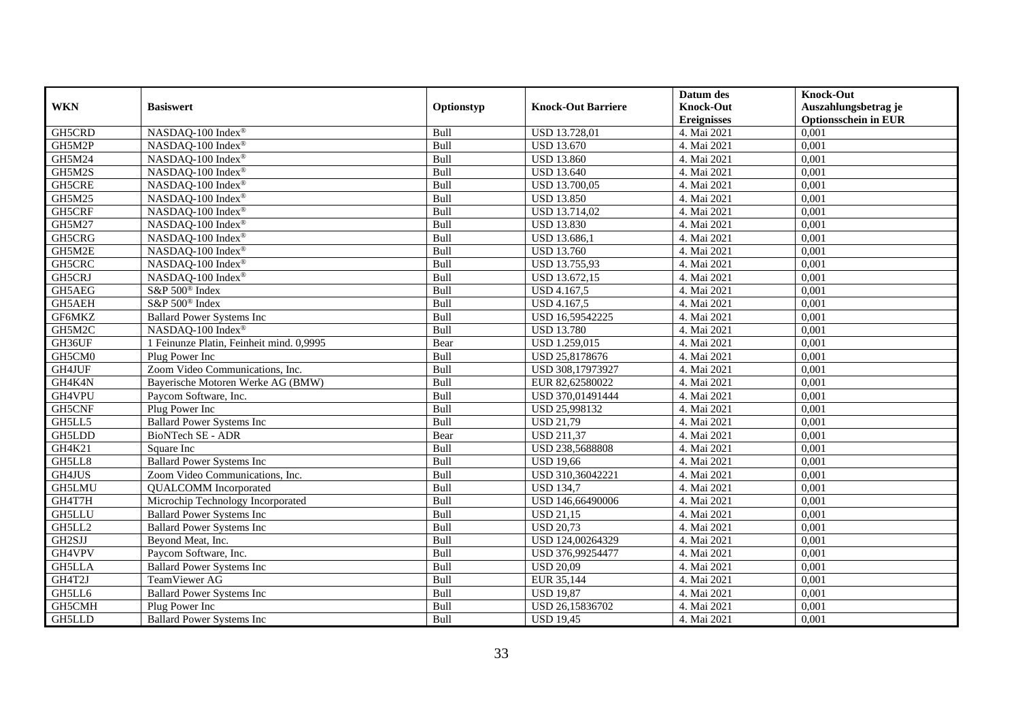|               |                                          |             |                           | Datum des          | <b>Knock-Out</b>            |
|---------------|------------------------------------------|-------------|---------------------------|--------------------|-----------------------------|
| <b>WKN</b>    | <b>Basiswert</b>                         | Optionstyp  | <b>Knock-Out Barriere</b> | <b>Knock-Out</b>   | Auszahlungsbetrag je        |
|               |                                          |             |                           | <b>Ereignisses</b> | <b>Optionsschein in EUR</b> |
| GH5CRD        | NASDAQ-100 Index®                        | Bull        | <b>USD 13.728,01</b>      | 4. Mai 2021        | 0,001                       |
| GH5M2P        | NASDAQ-100 Index®                        | Bull        | <b>USD 13.670</b>         | 4. Mai 2021        | 0,001                       |
| GH5M24        | NASDAQ-100 Index®                        | Bull        | <b>USD 13.860</b>         | 4. Mai 2021        | 0,001                       |
| GH5M2S        | NASDAQ-100 Index®                        | Bull        | <b>USD 13.640</b>         | 4. Mai 2021        | 0,001                       |
| GH5CRE        | NASDAQ-100 Index®                        | Bull        | USD 13.700,05             | 4. Mai 2021        | 0,001                       |
| GH5M25        | NASDAQ-100 Index®                        | Bull        | <b>USD 13.850</b>         | 4. Mai 2021        | 0,001                       |
| GH5CRF        | NASDAQ-100 Index®                        | Bull        | <b>USD 13.714,02</b>      | 4. Mai 2021        | 0,001                       |
| GH5M27        | NASDAQ-100 Index®                        | Bull        | <b>USD 13.830</b>         | 4. Mai 2021        | 0,001                       |
| GH5CRG        | NASDAQ-100 Index®                        | Bull        | USD 13.686,1              | 4. Mai 2021        | 0,001                       |
| GH5M2E        | NASDAQ-100 Index®                        | Bull        | <b>USD 13.760</b>         | 4. Mai 2021        | 0,001                       |
| GH5CRC        | NASDAQ-100 Index®                        | Bull        | USD 13.755,93             | 4. Mai 2021        | 0,001                       |
| GH5CRJ        | NASDAQ-100 Index®                        | Bull        | USD 13.672,15             | 4. Mai 2021        | 0,001                       |
| GH5AEG        | S&P 500 <sup>®</sup> Index               | Bull        | USD 4.167,5               | 4. Mai 2021        | 0,001                       |
| GH5AEH        | S&P 500 <sup>®</sup> Index               | <b>Bull</b> | <b>USD 4.167.5</b>        | 4. Mai 2021        | 0.001                       |
| GF6MKZ        | <b>Ballard Power Systems Inc</b>         | Bull        | USD 16,59542225           | 4. Mai 2021        | 0,001                       |
| GH5M2C        | NASDAQ-100 Index®                        | Bull        | <b>USD 13.780</b>         | 4. Mai 2021        | 0,001                       |
| GH36UF        | 1 Feinunze Platin, Feinheit mind. 0,9995 | Bear        | <b>USD 1.259,015</b>      | 4. Mai 2021        | 0,001                       |
| GH5CM0        | Plug Power Inc                           | Bull        | USD 25,8178676            | 4. Mai 2021        | 0,001                       |
| GH4JUF        | Zoom Video Communications, Inc.          | Bull        | USD 308,17973927          | 4. Mai 2021        | 0,001                       |
| GH4K4N        | Bayerische Motoren Werke AG (BMW)        | Bull        | EUR 82,62580022           | 4. Mai 2021        | 0,001                       |
| GH4VPU        | Paycom Software, Inc.                    | Bull        | USD 370,01491444          | 4. Mai 2021        | 0,001                       |
| GH5CNF        | Plug Power Inc                           | <b>Bull</b> | <b>USD 25.998132</b>      | 4. Mai 2021        | 0,001                       |
| GH5LL5        | <b>Ballard Power Systems Inc</b>         | Bull        | <b>USD 21,79</b>          | 4. Mai 2021        | 0,001                       |
| GH5LDD        | BioNTech SE - ADR                        | Bear        | <b>USD 211,37</b>         | 4. Mai 2021        | 0,001                       |
| GH4K21        | Square Inc                               | Bull        | USD 238,5688808           | 4. Mai 2021        | 0,001                       |
| GH5LL8        | <b>Ballard Power Systems Inc</b>         | Bull        | <b>USD 19,66</b>          | 4. Mai 2021        | 0,001                       |
| GH4JUS        | Zoom Video Communications, Inc.          | Bull        | USD 310,36042221          | 4. Mai 2021        | 0,001                       |
| GH5LMU        | <b>QUALCOMM</b> Incorporated             | Bull        | <b>USD 134,7</b>          | 4. Mai 2021        | 0,001                       |
| GH4T7H        | Microchip Technology Incorporated        | Bull        | USD 146,66490006          | 4. Mai 2021        | 0,001                       |
| <b>GH5LLU</b> | <b>Ballard Power Systems Inc</b>         | Bull        | <b>USD 21,15</b>          | 4. Mai 2021        | 0,001                       |
| GH5LL2        | <b>Ballard Power Systems Inc</b>         | Bull        | <b>USD 20,73</b>          | 4. Mai 2021        | 0,001                       |
| GH2SJJ        | Beyond Meat, Inc.                        | Bull        | USD 124,00264329          | 4. Mai 2021        | 0,001                       |
| GH4VPV        | Paycom Software, Inc.                    | Bull        | USD 376,99254477          | 4. Mai 2021        | 0,001                       |
| <b>GH5LLA</b> | <b>Ballard Power Systems Inc</b>         | Bull        | <b>USD 20,09</b>          | 4. Mai 2021        | 0,001                       |
| GH4T2J        | <b>TeamViewer AG</b>                     | Bull        | EUR 35,144                | 4. Mai 2021        | 0,001                       |
| GH5LL6        | <b>Ballard Power Systems Inc</b>         | Bull        | <b>USD 19,87</b>          | 4. Mai 2021        | 0,001                       |
| GH5CMH        | Plug Power Inc                           | Bull        | USD 26,15836702           | 4. Mai 2021        | 0,001                       |
| GH5LLD        | <b>Ballard Power Systems Inc</b>         | Bull        | <b>USD 19,45</b>          | 4. Mai 2021        | 0,001                       |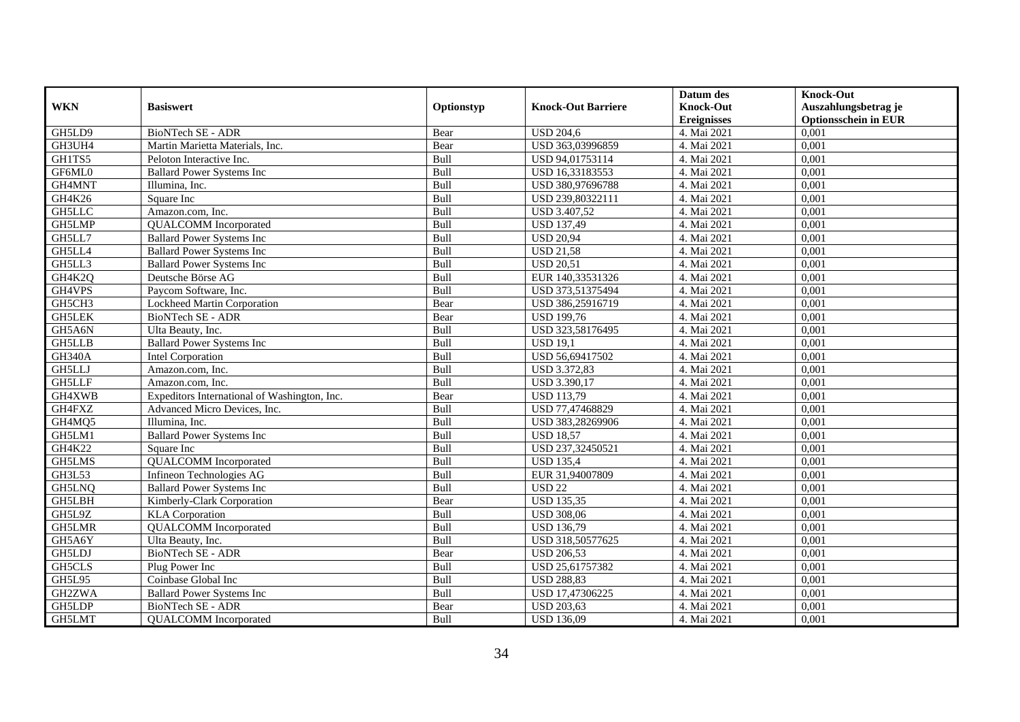|               |                                              |            |                           | Datum des          | <b>Knock-Out</b>            |
|---------------|----------------------------------------------|------------|---------------------------|--------------------|-----------------------------|
| <b>WKN</b>    | <b>Basiswert</b>                             | Optionstyp | <b>Knock-Out Barriere</b> | <b>Knock-Out</b>   | Auszahlungsbetrag je        |
|               |                                              |            |                           | <b>Ereignisses</b> | <b>Optionsschein in EUR</b> |
| GH5LD9        | BioNTech SE - ADR                            | Bear       | <b>USD 204,6</b>          | 4. Mai 2021        | 0,001                       |
| GH3UH4        | Martin Marietta Materials, Inc.              | Bear       | USD 363,03996859          | 4. Mai 2021        | 0,001                       |
| GH1TS5        | Peloton Interactive Inc.                     | Bull       | USD 94,01753114           | 4. Mai 2021        | 0,001                       |
| GF6ML0        | <b>Ballard Power Systems Inc</b>             | Bull       | USD 16,33183553           | 4. Mai 2021        | 0,001                       |
| GH4MNT        | Illumina, Inc.                               | Bull       | USD 380,97696788          | 4. Mai 2021        | 0,001                       |
| GH4K26        | Square Inc                                   | Bull       | USD 239,80322111          | 4. Mai 2021        | 0,001                       |
| <b>GH5LLC</b> | Amazon.com, Inc.                             | Bull       | <b>USD 3.407,52</b>       | 4. Mai 2021        | 0,001                       |
| GH5LMP        | <b>QUALCOMM</b> Incorporated                 | Bull       | <b>USD 137,49</b>         | 4. Mai 2021        | 0,001                       |
| GH5LL7        | <b>Ballard Power Systems Inc</b>             | Bull       | <b>USD 20,94</b>          | 4. Mai 2021        | 0,001                       |
| GH5LL4        | <b>Ballard Power Systems Inc</b>             | Bull       | <b>USD 21,58</b>          | 4. Mai 2021        | 0,001                       |
| GH5LL3        | <b>Ballard Power Systems Inc</b>             | Bull       | <b>USD 20,51</b>          | 4. Mai 2021        | 0,001                       |
| GH4K2Q        | Deutsche Börse AG                            | Bull       | EUR 140,33531326          | 4. Mai 2021        | 0,001                       |
| GH4VPS        | Paycom Software, Inc.                        | Bull       | USD 373,51375494          | 4. Mai 2021        | 0,001                       |
| GH5CH3        | Lockheed Martin Corporation                  | Bear       | USD 386,25916719          | 4. Mai 2021        | 0.001                       |
| <b>GH5LEK</b> | BioNTech SE - ADR                            | Bear       | <b>USD 199,76</b>         | 4. Mai 2021        | 0,001                       |
| GH5A6N        | Ulta Beauty, Inc.                            | Bull       | USD 323,58176495          | 4. Mai 2021        | 0,001                       |
| <b>GH5LLB</b> | <b>Ballard Power Systems Inc.</b>            | Bull       | <b>USD 19,1</b>           | 4. Mai 2021        | 0,001                       |
| <b>GH340A</b> | <b>Intel Corporation</b>                     | Bull       | USD 56,69417502           | 4. Mai 2021        | 0,001                       |
| GH5LLJ        | Amazon.com, Inc.                             | Bull       | USD 3.372,83              | 4. Mai 2021        | 0,001                       |
| GH5LLF        | Amazon.com, Inc.                             | Bull       | USD 3.390,17              | 4. Mai 2021        | 0,001                       |
| GH4XWB        | Expeditors International of Washington, Inc. | Bear       | <b>USD 113,79</b>         | 4. Mai 2021        | 0,001                       |
| GH4FXZ        | Advanced Micro Devices, Inc.                 | Bull       | USD 77,47468829           | 4. Mai 2021        | 0,001                       |
| GH4MQ5        | Illumina, Inc.                               | Bull       | USD 383,28269906          | 4. Mai 2021        | 0,001                       |
| GH5LM1        | <b>Ballard Power Systems Inc</b>             | Bull       | <b>USD 18,57</b>          | 4. Mai 2021        | 0,001                       |
| GH4K22        | Square Inc                                   | Bull       | USD 237,32450521          | 4. Mai 2021        | 0,001                       |
| GH5LMS        | <b>QUALCOMM</b> Incorporated                 | Bull       | <b>USD 135,4</b>          | 4. Mai 2021        | 0,001                       |
| <b>GH3L53</b> | Infineon Technologies AG                     | Bull       | EUR 31,94007809           | 4. Mai 2021        | 0,001                       |
| GH5LNQ        | <b>Ballard Power Systems Inc</b>             | Bull       | <b>USD 22</b>             | 4. Mai 2021        | 0,001                       |
| GH5LBH        | Kimberly-Clark Corporation                   | Bear       | <b>USD</b> 135,35         | 4. Mai 2021        | 0,001                       |
| GH5L9Z        | <b>KLA</b> Corporation                       | Bull       | <b>USD 308,06</b>         | 4. Mai 2021        | 0,001                       |
| GH5LMR        | <b>QUALCOMM</b> Incorporated                 | Bull       | <b>USD 136,79</b>         | 4. Mai 2021        | 0,001                       |
| GH5A6Y        | Ulta Beauty, Inc.                            | Bull       | USD 318,50577625          | 4. Mai 2021        | 0,001                       |
| <b>GH5LDJ</b> | <b>BioNTech SE - ADR</b>                     | Bear       | <b>USD 206,53</b>         | 4. Mai 2021        | 0,001                       |
| <b>GH5CLS</b> | Plug Power Inc                               | Bull       | USD 25,61757382           | 4. Mai 2021        | 0,001                       |
| GH5L95        | Coinbase Global Inc                          | Bull       | <b>USD 288,83</b>         | 4. Mai 2021        | 0,001                       |
| GH2ZWA        | <b>Ballard Power Systems Inc.</b>            | Bull       | USD 17,47306225           | 4. Mai 2021        | 0,001                       |
| GH5LDP        | BioNTech SE - ADR                            | Bear       | <b>USD 203,63</b>         | 4. Mai 2021        | 0,001                       |
| GH5LMT        | <b>QUALCOMM</b> Incorporated                 | Bull       | <b>USD 136,09</b>         | 4. Mai 2021        | 0,001                       |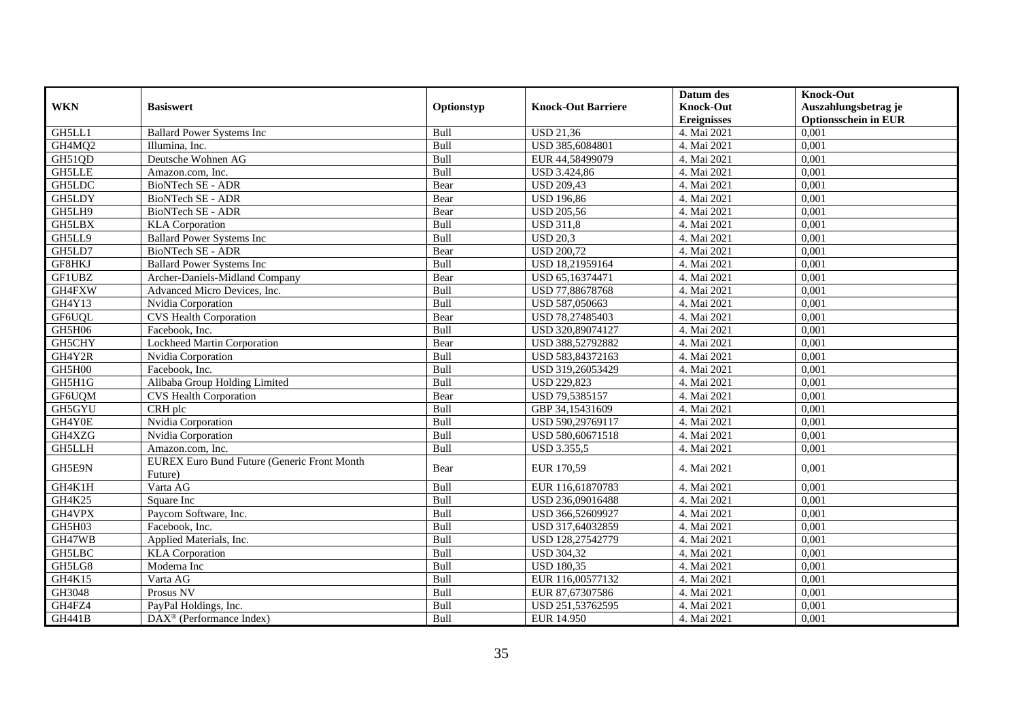| <b>WKN</b>    | <b>Basiswert</b>                                              | Optionstyp  | <b>Knock-Out Barriere</b> | Datum des<br><b>Knock-Out</b> | <b>Knock-Out</b><br>Auszahlungsbetrag je |
|---------------|---------------------------------------------------------------|-------------|---------------------------|-------------------------------|------------------------------------------|
|               |                                                               |             |                           | <b>Ereignisses</b>            | <b>Optionsschein in EUR</b>              |
| GH5LL1        | <b>Ballard Power Systems Inc.</b>                             | Bull        | <b>USD 21,36</b>          | 4. Mai 2021                   | 0,001                                    |
| GH4MQ2        | Illumina, Inc.                                                | Bull        | USD 385,6084801           | 4. Mai 2021                   | 0,001                                    |
| GH51QD        | Deutsche Wohnen AG                                            | Bull        | EUR 44,58499079           | 4. Mai 2021                   | 0,001                                    |
| <b>GH5LLE</b> | Amazon.com, Inc.                                              | Bull        | <b>USD 3.424,86</b>       | 4. Mai 2021                   | 0,001                                    |
| <b>GH5LDC</b> | BioNTech SE - ADR                                             | Bear        | <b>USD 209,43</b>         | 4. Mai 2021                   | 0,001                                    |
| GH5LDY        | <b>BioNTech SE - ADR</b>                                      | Bear        | <b>USD 196,86</b>         | 4. Mai 2021                   | 0,001                                    |
| GH5LH9        | BioNTech SE - ADR                                             | Bear        | <b>USD 205,56</b>         | 4. Mai 2021                   | 0,001                                    |
| GH5LBX        | <b>KLA</b> Corporation                                        | Bull        | <b>USD 311,8</b>          | 4. Mai 2021                   | 0,001                                    |
| GH5LL9        | <b>Ballard Power Systems Inc</b>                              | <b>Bull</b> | <b>USD 20.3</b>           | 4. Mai 2021                   | 0.001                                    |
| GH5LD7        | BioNTech SE - ADR                                             | Bear        | <b>USD 200,72</b>         | 4. Mai 2021                   | 0,001                                    |
| GF8HKJ        | <b>Ballard Power Systems Inc</b>                              | Bull        | USD 18,21959164           | 4. Mai 2021                   | 0,001                                    |
| <b>GF1UBZ</b> | Archer-Daniels-Midland Company                                | Bear        | USD 65,16374471           | 4. Mai 2021                   | 0,001                                    |
| GH4FXW        | Advanced Micro Devices, Inc.                                  | Bull        | USD 77,88678768           | 4. Mai 2021                   | 0,001                                    |
| GH4Y13        | Nvidia Corporation                                            | Bull        | USD 587,050663            | 4. Mai 2021                   | 0,001                                    |
| GF6UQL        | <b>CVS Health Corporation</b>                                 | Bear        | USD 78,27485403           | 4. Mai 2021                   | 0,001                                    |
| GH5H06        | Facebook, Inc.                                                | Bull        | USD 320,89074127          | 4. Mai 2021                   | 0,001                                    |
| GH5CHY        | Lockheed Martin Corporation                                   | Bear        | USD 388,52792882          | 4. Mai 2021                   | 0,001                                    |
| GH4Y2R        | Nvidia Corporation                                            | Bull        | USD 583,84372163          | 4. Mai 2021                   | 0,001                                    |
| GH5H00        | Facebook, Inc.                                                | Bull        | USD 319,26053429          | 4. Mai 2021                   | 0,001                                    |
| GH5H1G        | Alibaba Group Holding Limited                                 | Bull        | <b>USD 229,823</b>        | 4. Mai 2021                   | 0,001                                    |
| GF6UQM        | <b>CVS Health Corporation</b>                                 | Bear        | USD 79,5385157            | 4. Mai 2021                   | 0,001                                    |
| GH5GYU        | CRH plc                                                       | Bull        | GBP 34,15431609           | 4. Mai 2021                   | 0,001                                    |
| GH4Y0E        | Nvidia Corporation                                            | Bull        | USD 590,29769117          | 4. Mai 2021                   | 0,001                                    |
| GH4XZG        | Nvidia Corporation                                            | Bull        | USD 580,60671518          | 4. Mai 2021                   | 0,001                                    |
| <b>GH5LLH</b> | Amazon.com, Inc.                                              | Bull        | <b>USD 3.355,5</b>        | 4. Mai 2021                   | 0,001                                    |
| GH5E9N        | <b>EUREX Euro Bund Future (Generic Front Month</b><br>Future) | Bear        | EUR 170,59                | 4. Mai 2021                   | 0.001                                    |
| GH4K1H        | Varta AG                                                      | Bull        | EUR 116,61870783          | 4. Mai 2021                   | 0,001                                    |
| GH4K25        | Square Inc                                                    | Bull        | USD 236,09016488          | 4. Mai 2021                   | 0,001                                    |
| GH4VPX        | Paycom Software, Inc.                                         | Bull        | USD 366,52609927          | 4. Mai 2021                   | 0,001                                    |
| GH5H03        | Facebook, Inc.                                                | Bull        | USD 317,64032859          | 4. Mai 2021                   | 0,001                                    |
| GH47WB        | Applied Materials, Inc.                                       | Bull        | USD 128,27542779          | 4. Mai 2021                   | 0,001                                    |
| <b>GH5LBC</b> | <b>KLA</b> Corporation                                        | Bull        | <b>USD 304,32</b>         | 4. Mai 2021                   | 0,001                                    |
| GH5LG8        | Moderna Inc                                                   | Bull        | <b>USD 180,35</b>         | 4. Mai 2021                   | 0,001                                    |
| GH4K15        | Varta AG                                                      | Bull        | EUR 116,00577132          | 4. Mai 2021                   | 0,001                                    |
| GH3048        | Prosus NV                                                     | Bull        | EUR 87,67307586           | 4. Mai 2021                   | 0,001                                    |
| GH4FZ4        | PayPal Holdings, Inc.                                         | Bull        | USD 251,53762595          | 4. Mai 2021                   | 0,001                                    |
| <b>GH441B</b> | DAX <sup>®</sup> (Performance Index)                          | Bull        | EUR 14.950                | 4. Mai 2021                   | 0,001                                    |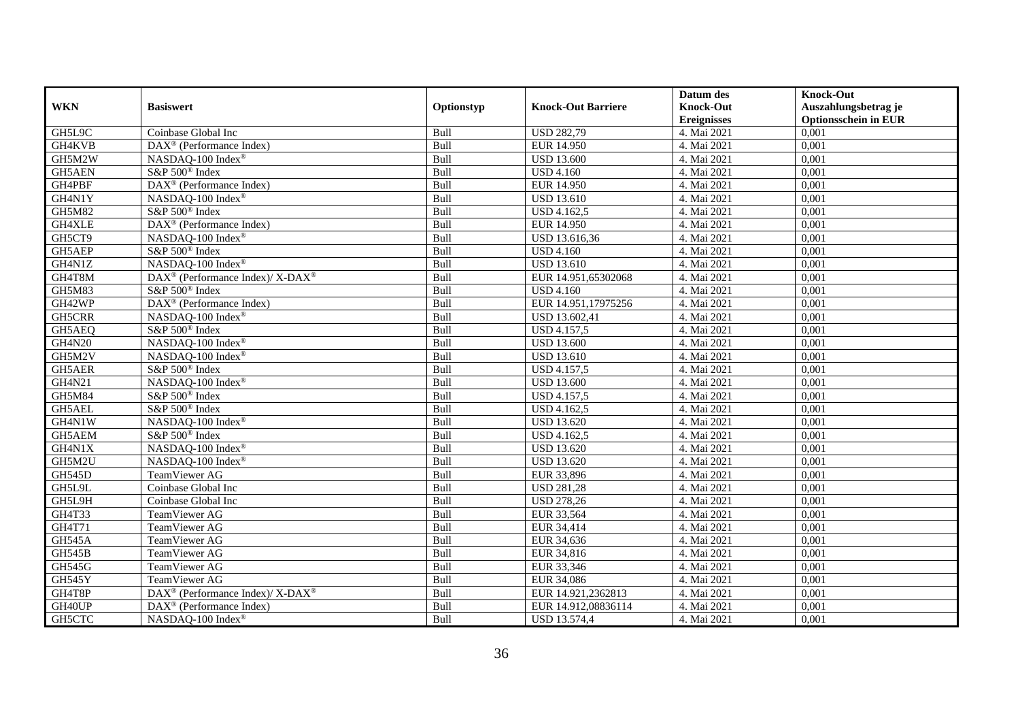|               |                                                                    |            |                           | Datum des          | <b>Knock-Out</b>            |
|---------------|--------------------------------------------------------------------|------------|---------------------------|--------------------|-----------------------------|
| <b>WKN</b>    | <b>Basiswert</b>                                                   | Optionstyp | <b>Knock-Out Barriere</b> | <b>Knock-Out</b>   | Auszahlungsbetrag je        |
|               |                                                                    |            |                           | <b>Ereignisses</b> | <b>Optionsschein in EUR</b> |
| GH5L9C        | Coinbase Global Inc                                                | Bull       | <b>USD 282,79</b>         | 4. Mai 2021        | 0,001                       |
| GH4KVB        | DAX <sup>®</sup> (Performance Index)                               | Bull       | <b>EUR 14.950</b>         | 4. Mai 2021        | 0,001                       |
| GH5M2W        | NASDAQ-100 Index <sup>®</sup>                                      | Bull       | <b>USD 13.600</b>         | 4. Mai 2021        | 0,001                       |
| GH5AEN        | S&P 500 <sup>®</sup> Index                                         | Bull       | <b>USD 4.160</b>          | 4. Mai 2021        | 0,001                       |
| GH4PBF        | DAX <sup>®</sup> (Performance Index)                               | Bull       | <b>EUR 14.950</b>         | 4. Mai 2021        | 0,001                       |
| GH4N1Y        | NASDAQ-100 Index®                                                  | Bull       | <b>USD 13.610</b>         | 4. Mai 2021        | 0,001                       |
| GH5M82        | S&P 500 <sup>®</sup> Index                                         | Bull       | <b>USD 4.162,5</b>        | 4. Mai 2021        | 0,001                       |
| GH4XLE        | DAX <sup>®</sup> (Performance Index)                               | Bull       | EUR 14.950                | 4. Mai 2021        | 0,001                       |
| GH5CT9        | NASDAQ-100 Index®                                                  | Bull       | USD 13.616,36             | 4. Mai 2021        | 0,001                       |
| GH5AEP        | S&P 500 <sup>®</sup> Index                                         | Bull       | <b>USD 4.160</b>          | 4. Mai 2021        | 0,001                       |
| GH4N1Z        | NASDAQ-100 Index®                                                  | Bull       | <b>USD 13.610</b>         | 4. Mai 2021        | 0,001                       |
| GH4T8M        | DAX <sup>®</sup> (Performance Index)/ X-DAX <sup>®</sup>           | Bull       | EUR 14.951,65302068       | 4. Mai 2021        | 0,001                       |
| <b>GH5M83</b> | S&P 500 <sup>®</sup> Index                                         | Bull       | <b>USD 4.160</b>          | 4. Mai 2021        | 0,001                       |
| GH42WP        | DAX <sup>®</sup> (Performance Index)                               | Bull       | EUR 14.951,17975256       | 4. Mai 2021        | 0,001                       |
| GH5CRR        | NASDAQ-100 Index <sup>®</sup>                                      | Bull       | USD 13.602,41             | 4. Mai 2021        | 0,001                       |
| GH5AEQ        | S&P 500 <sup>®</sup> Index                                         | Bull       | <b>USD 4.157,5</b>        | 4. Mai 2021        | 0,001                       |
| <b>GH4N20</b> | NASDAQ-100 Index®                                                  | Bull       | <b>USD 13.600</b>         | 4. Mai 2021        | 0,001                       |
| GH5M2V        | NASDAQ-100 Index®                                                  | Bull       | <b>USD</b> 13.610         | 4. Mai 2021        | 0,001                       |
| GH5AER        | S&P 500 <sup>®</sup> Index                                         | Bull       | <b>USD 4.157,5</b>        | 4. Mai 2021        | 0,001                       |
| GH4N21        | NASDAQ-100 Index®                                                  | Bull       | <b>USD 13.600</b>         | 4. Mai 2021        | 0,001                       |
| GH5M84        | S&P 500 <sup>®</sup> Index                                         | Bull       | <b>USD 4.157,5</b>        | 4. Mai 2021        | 0,001                       |
| GH5AEL        | S&P 500 <sup>®</sup> Index                                         | Bull       | <b>USD 4.162,5</b>        | 4. Mai 2021        | 0,001                       |
| GH4N1W        | NASDAQ-100 Index®                                                  | Bull       | <b>USD 13.620</b>         | 4. Mai 2021        | 0,001                       |
| GH5AEM        | S&P 500 <sup>®</sup> Index                                         | Bull       | USD 4.162,5               | 4. Mai 2021        | 0,001                       |
| GH4N1X        | NASDAQ-100 Index®                                                  | Bull       | <b>USD 13.620</b>         | 4. Mai 2021        | 0,001                       |
| GH5M2U        | NASDAQ-100 Index®                                                  | Bull       | <b>USD 13.620</b>         | 4. Mai 2021        | 0,001                       |
| <b>GH545D</b> | TeamViewer AG                                                      | Bull       | EUR 33,896                | 4. Mai 2021        | 0,001                       |
| GH5L9L        | Coinbase Global Inc                                                | Bull       | <b>USD 281,28</b>         | 4. Mai 2021        | 0,001                       |
| GH5L9H        | Coinbase Global Inc                                                | Bull       | <b>USD 278,26</b>         | 4. Mai 2021        | 0,001                       |
| GH4T33        | TeamViewer AG                                                      | Bull       | EUR 33,564                | 4. Mai 2021        | 0,001                       |
| GH4T71        | TeamViewer AG                                                      | Bull       | EUR 34,414                | 4. Mai 2021        | 0,001                       |
| <b>GH545A</b> | TeamViewer AG                                                      | Bull       | EUR 34,636                | 4. Mai 2021        | 0,001                       |
| <b>GH545B</b> | TeamViewer AG                                                      | Bull       | EUR 34,816                | 4. Mai 2021        | 0,001                       |
| <b>GH545G</b> | TeamViewer AG                                                      | Bull       | EUR 33,346                | 4. Mai 2021        | 0,001                       |
| <b>GH545Y</b> | TeamViewer AG                                                      | Bull       | EUR 34,086                | 4. Mai 2021        | 0,001                       |
| GH4T8P        | $\text{DAX}^{\circledast}$ (Performance Index)/ X-DAX <sup>®</sup> | Bull       | EUR 14.921,2362813        | 4. Mai 2021        | 0,001                       |
| GH40UP        | DAX <sup>®</sup> (Performance Index)                               | Bull       | EUR 14.912,08836114       | 4. Mai 2021        | 0,001                       |
| GH5CTC        | NASDAQ-100 Index®                                                  | Bull       | USD 13.574,4              | 4. Mai 2021        | 0,001                       |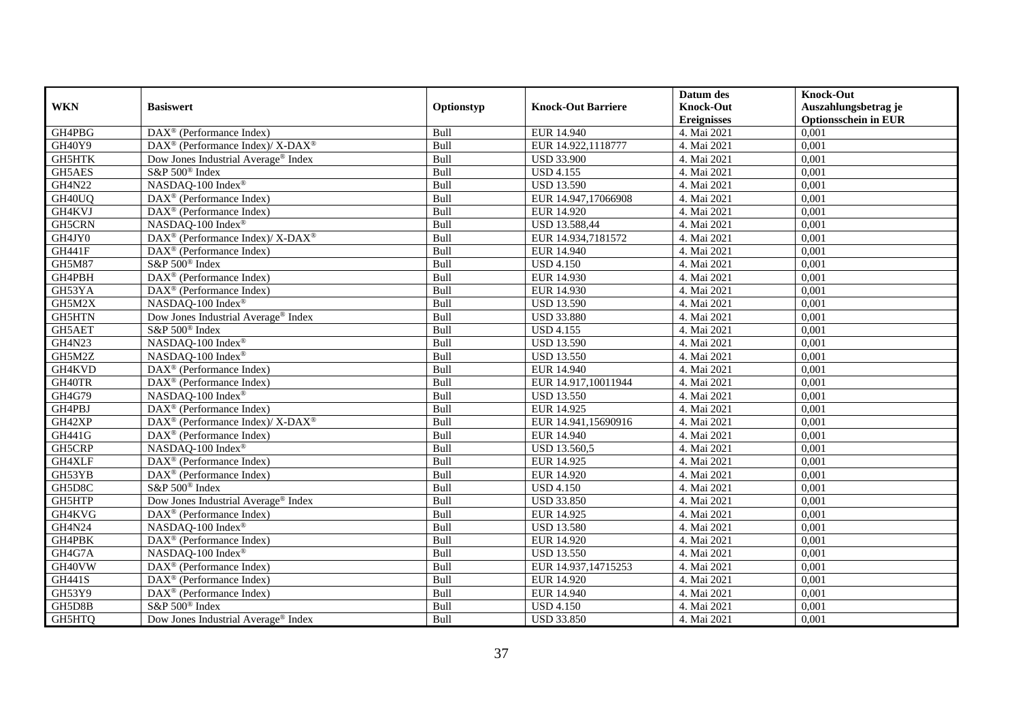|               |                                                                  |            |                           | Datum des          | <b>Knock-Out</b>            |
|---------------|------------------------------------------------------------------|------------|---------------------------|--------------------|-----------------------------|
| <b>WKN</b>    | <b>Basiswert</b>                                                 | Optionstyp | <b>Knock-Out Barriere</b> | <b>Knock-Out</b>   | Auszahlungsbetrag je        |
|               |                                                                  |            |                           | <b>Ereignisses</b> | <b>Optionsschein in EUR</b> |
| GH4PBG        | DAX <sup>®</sup> (Performance Index)                             | Bull       | EUR 14.940                | 4. Mai 2021        | 0,001                       |
| GH40Y9        | DAX <sup>®</sup> (Performance Index)/ X-DAX <sup>®</sup>         | Bull       | EUR 14.922,1118777        | 4. Mai 2021        | 0,001                       |
| GH5HTK        | Dow Jones Industrial Average <sup>®</sup> Index                  | Bull       | <b>USD 33.900</b>         | 4. Mai 2021        | 0,001                       |
| GH5AES        | S&P 500 <sup>®</sup> Index                                       | Bull       | <b>USD 4.155</b>          | 4. Mai 2021        | 0,001                       |
| <b>GH4N22</b> | NASDAQ-100 Index®                                                | Bull       | <b>USD 13.590</b>         | 4. Mai 2021        | 0,001                       |
| GH40UQ        | DAX <sup>®</sup> (Performance Index)                             | Bull       | EUR 14.947,17066908       | 4. Mai 2021        | 0,001                       |
| GH4KVJ        | $DAX^{\otimes}$ (Performance Index)                              | Bull       | EUR 14.920                | 4. Mai 2021        | 0,001                       |
| GH5CRN        | NASDAQ-100 Index®                                                | Bull       | USD 13.588,44             | 4. Mai 2021        | 0,001                       |
| GH4JY0        | $\text{DAX}^{\circledR}$ (Performance Index)/ X-DAX <sup>®</sup> | Bull       | EUR 14.934,7181572        | 4. Mai 2021        | 0,001                       |
| <b>GH441F</b> | $\text{DAX}^{\otimes}$ (Performance Index)                       | Bull       | EUR 14.940                | 4. Mai 2021        | 0,001                       |
| GH5M87        | S&P 500 <sup>®</sup> Index                                       | Bull       | <b>USD 4.150</b>          | 4. Mai 2021        | 0,001                       |
| GH4PBH        | DAX <sup>®</sup> (Performance Index)                             | Bull       | <b>EUR 14.930</b>         | 4. Mai 2021        | 0,001                       |
| GH53YA        | DAX <sup>®</sup> (Performance Index)                             | Bull       | EUR 14.930                | 4. Mai 2021        | 0,001                       |
| GH5M2X        | NASDAQ-100 Index®                                                | Bull       | <b>USD 13.590</b>         | 4. Mai 2021        | 0,001                       |
| GH5HTN        | Dow Jones Industrial Average® Index                              | Bull       | <b>USD 33.880</b>         | 4. Mai 2021        | 0,001                       |
| GH5AET        | S&P 500 <sup>®</sup> Index                                       | Bull       | <b>USD 4.155</b>          | 4. Mai 2021        | 0,001                       |
| <b>GH4N23</b> | NASDAQ-100 Index®                                                | Bull       | <b>USD 13.590</b>         | 4. Mai 2021        | 0,001                       |
| GH5M2Z        | NASDAO-100 Index®                                                | Bull       | <b>USD 13.550</b>         | 4. Mai 2021        | 0,001                       |
| GH4KVD        | $\overline{\text{DAX}}^{\textcircled{}}$ (Performance Index)     | Bull       | EUR 14.940                | 4. Mai 2021        | 0,001                       |
| GH40TR        | DAX <sup>®</sup> (Performance Index)                             | Bull       | EUR 14.917,10011944       | 4. Mai 2021        | 0,001                       |
| GH4G79        | NASDAQ-100 Index®                                                | Bull       | <b>USD 13.550</b>         | 4. Mai 2021        | 0,001                       |
| GH4PBJ        | DAX <sup>®</sup> (Performance Index)                             | Bull       | EUR 14.925                | 4. Mai 2021        | 0,001                       |
| GH42XP        | DAX <sup>®</sup> (Performance Index)/ X-DAX <sup>®</sup>         | Bull       | EUR 14.941,15690916       | 4. Mai 2021        | 0,001                       |
| GH441G        | DAX <sup>®</sup> (Performance Index)                             | Bull       | EUR 14.940                | 4. Mai 2021        | 0,001                       |
| GH5CRP        | NASDAO-100 Index <sup>®</sup>                                    | Bull       | USD 13.560,5              | 4. Mai 2021        | 0,001                       |
| GH4XLF        | DAX <sup>®</sup> (Performance Index)                             | Bull       | EUR 14.925                | 4. Mai 2021        | 0,001                       |
| GH53YB        | DAX <sup>®</sup> (Performance Index)                             | Bull       | <b>EUR 14.920</b>         | 4. Mai 2021        | 0,001                       |
| GH5D8C        | S&P 500 <sup>®</sup> Index                                       | Bull       | <b>USD 4.150</b>          | 4. Mai 2021        | 0,001                       |
| GH5HTP        | Dow Jones Industrial Average® Index                              | Bull       | <b>USD 33.850</b>         | 4. Mai 2021        | 0,001                       |
| GH4KVG        | $\text{DAX}^{\textcircled{n}}$ (Performance Index)               | Bull       | EUR 14.925                | 4. Mai 2021        | 0,001                       |
| GH4N24        | NASDAQ-100 Index®                                                | Bull       | <b>USD 13.580</b>         | 4. Mai 2021        | 0,001                       |
| GH4PBK        | DAX <sup>®</sup> (Performance Index)                             | Bull       | EUR 14.920                | 4. Mai 2021        | 0,001                       |
| GH4G7A        | NASDAQ-100 Index®                                                | Bull       | <b>USD 13.550</b>         | 4. Mai 2021        | 0,001                       |
| GH40VW        | DAX <sup>®</sup> (Performance Index)                             | Bull       | EUR 14.937,14715253       | 4. Mai 2021        | 0,001                       |
| <b>GH441S</b> | DAX <sup>®</sup> (Performance Index)                             | Bull       | EUR 14.920                | 4. Mai 2021        | 0,001                       |
| GH53Y9        | $DAX^{\circledR}$ (Performance Index)                            | Bull       | EUR 14.940                | 4. Mai 2021        | 0,001                       |
| GH5D8B        | S&P 500 <sup>®</sup> Index                                       | Bull       | <b>USD 4.150</b>          | 4. Mai 2021        | 0,001                       |
| GH5HTQ        | Dow Jones Industrial Average® Index                              | Bull       | <b>USD 33.850</b>         | 4. Mai 2021        | 0,001                       |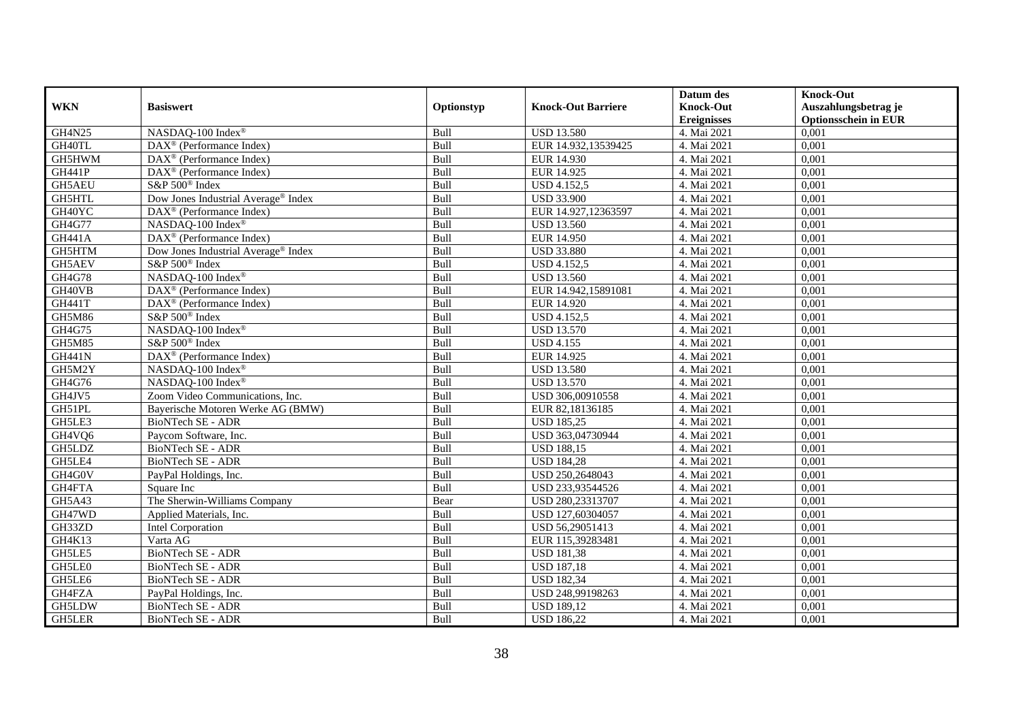|               |                                                    |            |                           | Datum des          | <b>Knock-Out</b>            |
|---------------|----------------------------------------------------|------------|---------------------------|--------------------|-----------------------------|
| <b>WKN</b>    | <b>Basiswert</b>                                   | Optionstyp | <b>Knock-Out Barriere</b> | <b>Knock-Out</b>   | Auszahlungsbetrag je        |
|               |                                                    |            |                           | <b>Ereignisses</b> | <b>Optionsschein in EUR</b> |
| <b>GH4N25</b> | NASDAQ-100 Index®                                  | Bull       | <b>USD 13.580</b>         | 4. Mai 2021        | 0,001                       |
| GH40TL        | $\text{DAX}^{\textcircled{p}}$ (Performance Index) | Bull       | EUR 14.932,13539425       | 4. Mai 2021        | 0,001                       |
| GH5HWM        | $\text{DAX}^{\textcircled{n}}$ (Performance Index) | Bull       | EUR 14.930                | 4. Mai 2021        | 0,001                       |
| <b>GH441P</b> | $\text{DAX}^{\circledast}$ (Performance Index)     | Bull       | EUR 14.925                | 4. Mai 2021        | 0,001                       |
| GH5AEU        | S&P 500 <sup>®</sup> Index                         | Bull       | USD 4.152,5               | 4. Mai 2021        | 0,001                       |
| GH5HTL        | Dow Jones Industrial Average <sup>®</sup> Index    | Bull       | <b>USD 33.900</b>         | 4. Mai 2021        | 0,001                       |
| GH40YC        | $\text{DAX}^{\textcircled{n}}$ (Performance Index) | Bull       | EUR 14.927,12363597       | 4. Mai 2021        | 0,001                       |
| GH4G77        | NASDAQ-100 Index®                                  | Bull       | <b>USD 13.560</b>         | 4. Mai 2021        | 0,001                       |
| <b>GH441A</b> | DAX <sup>®</sup> (Performance Index)               | Bull       | EUR 14.950                | 4. Mai 2021        | 0,001                       |
| GH5HTM        | Dow Jones Industrial Average <sup>®</sup> Index    | Bull       | <b>USD 33.880</b>         | 4. Mai 2021        | 0,001                       |
| GH5AEV        | S&P 500 <sup>®</sup> Index                         | Bull       | <b>USD 4.152,5</b>        | 4. Mai 2021        | 0,001                       |
| <b>GH4G78</b> | NASDAQ-100 Index®                                  | Bull       | <b>USD 13.560</b>         | 4. Mai 2021        | 0,001                       |
| GH40VB        | DAX <sup>®</sup> (Performance Index)               | Bull       | EUR 14.942,15891081       | 4. Mai 2021        | 0,001                       |
| <b>GH441T</b> | $\text{DAX}^{\textcircled{p}}$ (Performance Index) | Bull       | EUR 14.920                | 4. Mai 2021        | 0,001                       |
| GH5M86        | S&P 500 <sup>®</sup> Index                         | Bull       | <b>USD 4.152,5</b>        | 4. Mai 2021        | 0,001                       |
| GH4G75        | NASDAQ-100 Index®                                  | Bull       | <b>USD 13.570</b>         | 4. Mai 2021        | 0,001                       |
| GH5M85        | S&P 500 <sup>®</sup> Index                         | Bull       | <b>USD 4.155</b>          | 4. Mai 2021        | 0,001                       |
| <b>GH441N</b> | DAX <sup>®</sup> (Performance Index)               | Bull       | EUR 14.925                | 4. Mai 2021        | 0,001                       |
| GH5M2Y        | NASDAQ-100 Index®                                  | Bull       | <b>USD 13.580</b>         | 4. Mai 2021        | 0,001                       |
| GH4G76        | NASDAQ-100 Index®                                  | Bull       | <b>USD 13.570</b>         | 4. Mai 2021        | 0,001                       |
| GH4JV5        | Zoom Video Communications, Inc.                    | Bull       | USD 306,00910558          | 4. Mai 2021        | 0,001                       |
| GH51PL        | Bayerische Motoren Werke AG (BMW)                  | Bull       | EUR 82,18136185           | 4. Mai 2021        | 0,001                       |
| GH5LE3        | BioNTech SE - ADR                                  | Bull       | <b>USD 185,25</b>         | 4. Mai 2021        | 0,001                       |
| GH4VQ6        | Paycom Software, Inc.                              | Bull       | USD 363,04730944          | 4. Mai 2021        | 0,001                       |
| GH5LDZ        | BioNTech SE - ADR                                  | Bull       | <b>USD 188,15</b>         | 4. Mai 2021        | 0,001                       |
| GH5LE4        | <b>BioNTech SE - ADR</b>                           | Bull       | <b>USD 184,28</b>         | 4. Mai 2021        | 0,001                       |
| GH4G0V        | PayPal Holdings, Inc.                              | Bull       | USD 250,2648043           | 4. Mai 2021        | 0,001                       |
| GH4FTA        | Square Inc                                         | Bull       | USD 233,93544526          | 4. Mai 2021        | 0,001                       |
| GH5A43        | The Sherwin-Williams Company                       | Bear       | USD 280,23313707          | 4. Mai 2021        | 0,001                       |
| GH47WD        | Applied Materials, Inc.                            | Bull       | USD 127,60304057          | 4. Mai 2021        | 0,001                       |
| GH33ZD        | Intel Corporation                                  | Bull       | USD 56,29051413           | 4. Mai 2021        | 0,001                       |
| GH4K13        | Varta AG                                           | Bull       | EUR 115,39283481          | 4. Mai 2021        | 0,001                       |
| GH5LE5        | <b>BioNTech SE - ADR</b>                           | Bull       | <b>USD 181,38</b>         | 4. Mai 2021        | 0,001                       |
| GH5LE0        | <b>BioNTech SE - ADR</b>                           | Bull       | <b>USD 187,18</b>         | 4. Mai 2021        | 0,001                       |
| GH5LE6        | BioNTech SE - ADR                                  | Bull       | <b>USD 182,34</b>         | 4. Mai 2021        | 0,001                       |
| GH4FZA        | PayPal Holdings, Inc.                              | Bull       | USD 248,99198263          | 4. Mai 2021        | 0,001                       |
| GH5LDW        | BioNTech SE - ADR                                  | Bull       | <b>USD 189,12</b>         | 4. Mai 2021        | 0,001                       |
| GH5LER        | BioNTech SE - ADR                                  | Bull       | <b>USD 186,22</b>         | 4. Mai 2021        | 0,001                       |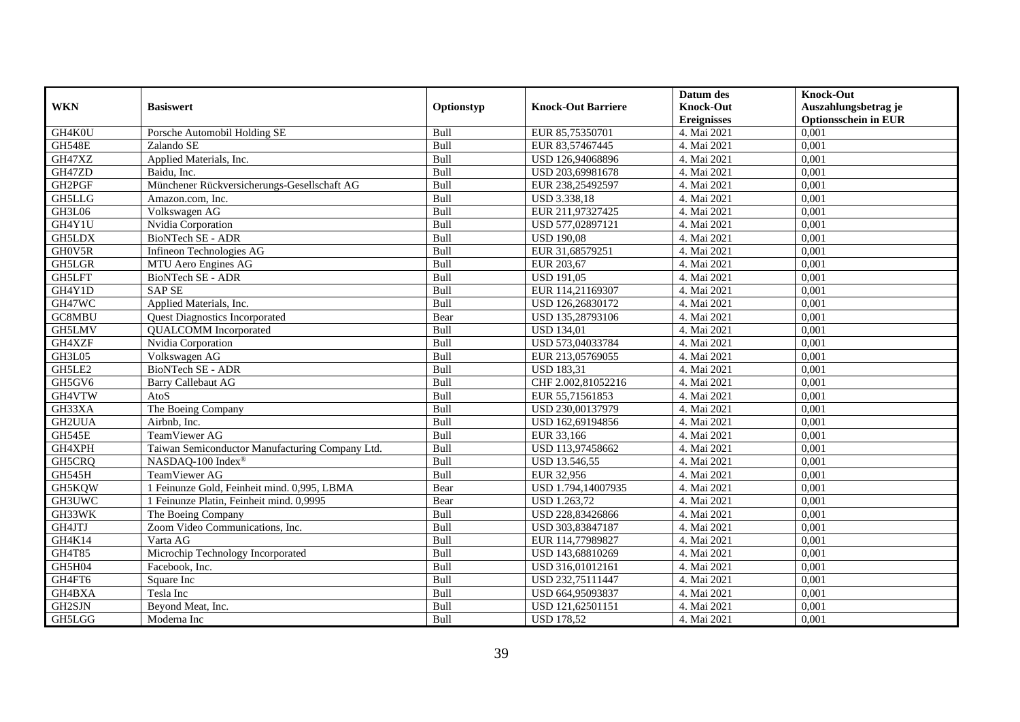| <b>WKN</b>    | <b>Basiswert</b>                                | Optionstyp | <b>Knock-Out Barriere</b> | Datum des<br><b>Knock-Out</b> | <b>Knock-Out</b><br>Auszahlungsbetrag je |
|---------------|-------------------------------------------------|------------|---------------------------|-------------------------------|------------------------------------------|
|               |                                                 |            |                           | <b>Ereignisses</b>            | <b>Optionsschein in EUR</b>              |
| GH4K0U        | Porsche Automobil Holding SE                    | Bull       | EUR 85,75350701           | 4. Mai 2021                   | 0,001                                    |
| <b>GH548E</b> | Zalando SE                                      | Bull       | EUR 83,57467445           | 4. Mai 2021                   | 0,001                                    |
| GH47XZ        | Applied Materials, Inc.                         | Bull       | USD 126,94068896          | 4. Mai 2021                   | 0,001                                    |
| GH47ZD        | Baidu, Inc.                                     | Bull       | USD 203,69981678          | 4. Mai 2021                   | 0,001                                    |
| GH2PGF        | Münchener Rückversicherungs-Gesellschaft AG     | Bull       | EUR 238,25492597          | 4. Mai 2021                   | 0,001                                    |
| <b>GH5LLG</b> | Amazon.com. Inc.                                | Bull       | USD 3.338,18              | 4. Mai 2021                   | 0,001                                    |
| GH3L06        | Volkswagen AG                                   | Bull       | EUR 211,97327425          | 4. Mai 2021                   | 0,001                                    |
| GH4Y1U        | Nvidia Corporation                              | Bull       | USD 577,02897121          | 4. Mai 2021                   | 0,001                                    |
| <b>GH5LDX</b> | <b>BioNTech SE - ADR</b>                        | Bull       | <b>USD 190,08</b>         | 4. Mai 2021                   | 0,001                                    |
| GH0V5R        | Infineon Technologies AG                        | Bull       | EUR 31,68579251           | 4. Mai 2021                   | 0,001                                    |
| GH5LGR        | MTU Aero Engines AG                             | Bull       | EUR 203,67                | 4. Mai 2021                   | 0,001                                    |
| <b>GH5LFT</b> | BioNTech SE - ADR                               | Bull       | <b>USD 191,05</b>         | 4. Mai 2021                   | 0,001                                    |
| GH4Y1D        | <b>SAP SE</b>                                   | Bull       | EUR 114,21169307          | 4. Mai 2021                   | 0,001                                    |
| GH47WC        | Applied Materials, Inc.                         | Bull       | USD 126,26830172          | 4. Mai 2021                   | 0,001                                    |
| GC8MBU        | <b>Quest Diagnostics Incorporated</b>           | Bear       | USD 135,28793106          | 4. Mai 2021                   | 0,001                                    |
| GH5LMV        | <b>QUALCOMM</b> Incorporated                    | Bull       | <b>USD 134,01</b>         | 4. Mai 2021                   | 0,001                                    |
| GH4XZF        | Nvidia Corporation                              | Bull       | USD 573,04033784          | 4. Mai 2021                   | 0,001                                    |
| GH3L05        | Volkswagen AG                                   | Bull       | EUR 213,05769055          | 4. Mai 2021                   | 0,001                                    |
| GH5LE2        | BioNTech SE - ADR                               | Bull       | <b>USD 183,31</b>         | 4. Mai 2021                   | 0,001                                    |
| GH5GV6        | <b>Barry Callebaut AG</b>                       | Bull       | CHF 2.002,81052216        | 4. Mai 2021                   | 0,001                                    |
| GH4VTW        | AtoS                                            | Bull       | EUR 55,71561853           | 4. Mai 2021                   | 0,001                                    |
| GH33XA        | The Boeing Company                              | Bull       | USD 230,00137979          | 4. Mai 2021                   | 0,001                                    |
| GH2UUA        | Airbnb, Inc.                                    | Bull       | USD 162,69194856          | 4. Mai 2021                   | 0,001                                    |
| GH545E        | TeamViewer AG                                   | Bull       | EUR 33,166                | 4. Mai 2021                   | 0,001                                    |
| GH4XPH        | Taiwan Semiconductor Manufacturing Company Ltd. | Bull       | USD 113,97458662          | 4. Mai 2021                   | 0,001                                    |
| GH5CRQ        | NASDAQ-100 Index®                               | Bull       | USD 13.546,55             | 4. Mai 2021                   | 0,001                                    |
| GH545H        | TeamViewer AG                                   | Bull       | EUR 32,956                | 4. Mai 2021                   | 0,001                                    |
| GH5KQW        | 1 Feinunze Gold, Feinheit mind. 0,995, LBMA     | Bear       | USD 1.794,14007935        | 4. Mai 2021                   | 0,001                                    |
| GH3UWC        | 1 Feinunze Platin, Feinheit mind. 0,9995        | Bear       | USD 1.263,72              | 4. Mai 2021                   | 0,001                                    |
| GH33WK        | The Boeing Company                              | Bull       | USD 228,83426866          | 4. Mai 2021                   | 0.001                                    |
| GH4JTJ        | Zoom Video Communications, Inc.                 | Bull       | USD 303,83847187          | 4. Mai 2021                   | 0,001                                    |
| GH4K14        | Varta AG                                        | Bull       | EUR 114,77989827          | 4. Mai 2021                   | 0,001                                    |
| GH4T85        | Microchip Technology Incorporated               | Bull       | USD 143,68810269          | 4. Mai 2021                   | 0,001                                    |
| GH5H04        | Facebook, Inc.                                  | Bull       | USD 316,01012161          | 4. Mai 2021                   | 0,001                                    |
| GH4FT6        | Square Inc                                      | Bull       | USD 232,75111447          | 4. Mai 2021                   | 0,001                                    |
| GH4BXA        | Tesla Inc                                       | Bull       | USD 664,95093837          | 4. Mai 2021                   | 0,001                                    |
| GH2SJN        | Beyond Meat, Inc.                               | Bull       | USD 121,62501151          | 4. Mai 2021                   | 0,001                                    |
| GH5LGG        | Moderna Inc                                     | Bull       | <b>USD 178,52</b>         | 4. Mai 2021                   | 0,001                                    |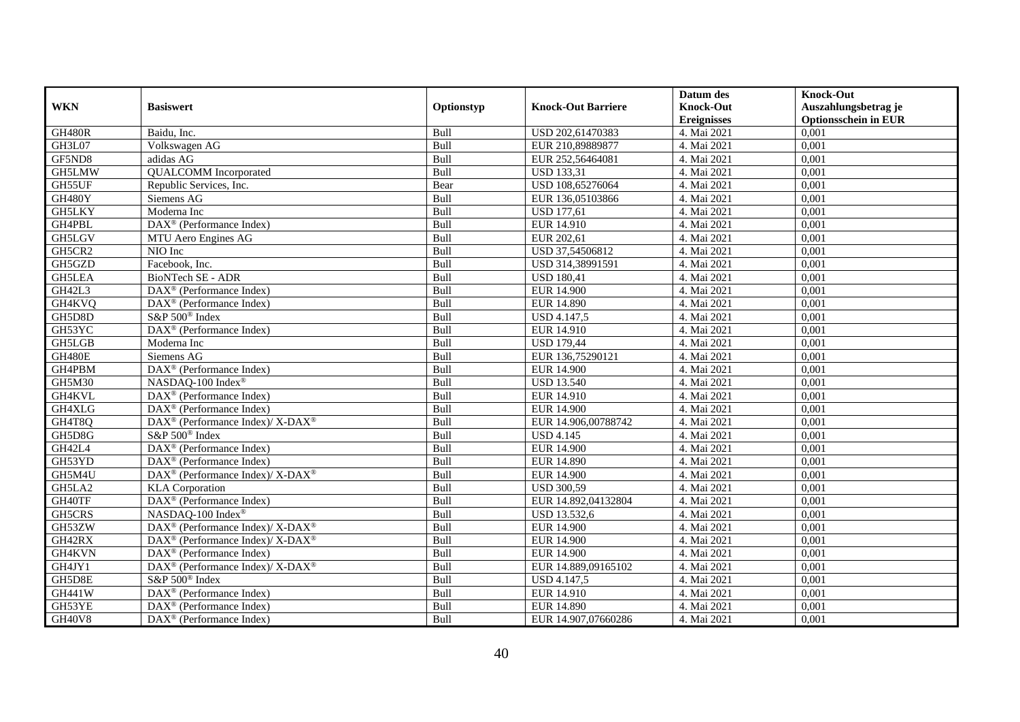|               |                                                                    |            |                           | Datum des          | <b>Knock-Out</b>            |
|---------------|--------------------------------------------------------------------|------------|---------------------------|--------------------|-----------------------------|
| <b>WKN</b>    | <b>Basiswert</b>                                                   | Optionstyp | <b>Knock-Out Barriere</b> | <b>Knock-Out</b>   | Auszahlungsbetrag je        |
|               |                                                                    |            |                           | <b>Ereignisses</b> | <b>Optionsschein in EUR</b> |
| <b>GH480R</b> | Baidu, Inc.                                                        | Bull       | USD 202,61470383          | 4. Mai 2021        | 0,001                       |
| GH3L07        | Volkswagen AG                                                      | Bull       | EUR 210,89889877          | 4. Mai 2021        | 0,001                       |
| GF5ND8        | adidas AG                                                          | Bull       | EUR 252,56464081          | 4. Mai 2021        | 0,001                       |
| GH5LMW        | <b>QUALCOMM</b> Incorporated                                       | Bull       | <b>USD 133,31</b>         | 4. Mai 2021        | 0,001                       |
| GH55UF        | Republic Services, Inc.                                            | Bear       | USD 108,65276064          | 4. Mai 2021        | 0,001                       |
| GH480Y        | Siemens AG                                                         | Bull       | EUR 136,05103866          | 4. Mai 2021        | 0,001                       |
| <b>GH5LKY</b> | Moderna Inc                                                        | Bull       | <b>USD 177,61</b>         | 4. Mai 2021        | 0,001                       |
| GH4PBL        | DAX <sup>®</sup> (Performance Index)                               | Bull       | EUR 14.910                | 4. Mai 2021        | 0,001                       |
| <b>GH5LGV</b> | MTU Aero Engines AG                                                | Bull       | EUR 202,61                | 4. Mai 2021        | 0,001                       |
| GH5CR2        | NIO Inc                                                            | Bull       | USD 37,54506812           | 4. Mai 2021        | 0,001                       |
| GH5GZD        | Facebook, Inc.                                                     | Bull       | USD 314,38991591          | 4. Mai 2021        | 0,001                       |
| <b>GH5LEA</b> | <b>BioNTech SE - ADR</b>                                           | Bull       | <b>USD 180,41</b>         | 4. Mai 2021        | 0,001                       |
| GH42L3        | $\overline{\text{DAX}}^{\textcircled{}}$ (Performance Index)       | Bull       | <b>EUR 14.900</b>         | 4. Mai 2021        | 0,001                       |
| GH4KVQ        | DAX <sup>®</sup> (Performance Index)                               | Bull       | EUR 14.890                | 4. Mai 2021        | 0,001                       |
| GH5D8D        | S&P 500 <sup>®</sup> Index                                         | Bull       | <b>USD 4.147,5</b>        | 4. Mai 2021        | 0,001                       |
| GH53YC        | $\overline{\text{DAX}^{\circledast}}$ (Performance Index)          | Bull       | EUR 14.910                | 4. Mai 2021        | 0,001                       |
| GH5LGB        | Moderna Inc                                                        | Bull       | <b>USD 179,44</b>         | 4. Mai 2021        | 0,001                       |
| <b>GH480E</b> | Siemens AG                                                         | Bull       | EUR 136,75290121          | 4. Mai 2021        | 0,001                       |
| GH4PBM        | DAX <sup>®</sup> (Performance Index)                               | Bull       | <b>EUR 14.900</b>         | 4. Mai 2021        | 0,001                       |
| GH5M30        | NASDAQ-100 Index®                                                  | Bull       | <b>USD 13.540</b>         | 4. Mai 2021        | 0,001                       |
| GH4KVL        | DAX <sup>®</sup> (Performance Index)                               | Bull       | EUR 14.910                | 4. Mai 2021        | 0,001                       |
| GH4XLG        | DAX <sup>®</sup> (Performance Index)                               | Bull       | EUR 14.900                | 4. Mai 2021        | 0,001                       |
| GH4T8Q        | $\text{DAX}^{\circledast}$ (Performance Index)/ X-DAX <sup>®</sup> | Bull       | EUR 14.906.00788742       | 4. Mai 2021        | 0,001                       |
| GH5D8G        | S&P 500 <sup>®</sup> Index                                         | Bull       | <b>USD 4.145</b>          | 4. Mai 2021        | 0,001                       |
| GH42L4        | DAX <sup>®</sup> (Performance Index)                               | Bull       | <b>EUR 14.900</b>         | 4. Mai 2021        | 0,001                       |
| GH53YD        | $\text{DAX}^{\otimes}$ (Performance Index)                         | Bull       | <b>EUR 14.890</b>         | 4. Mai 2021        | 0,001                       |
| GH5M4U        | DAX <sup>®</sup> (Performance Index)/ X-DAX <sup>®</sup>           | Bull       | <b>EUR 14.900</b>         | 4. Mai 2021        | 0,001                       |
| GH5LA2        | <b>KLA</b> Corporation                                             | Bull       | <b>USD 300.59</b>         | 4. Mai 2021        | 0,001                       |
| GH40TF        | DAX <sup>®</sup> (Performance Index)                               | Bull       | EUR 14.892,04132804       | 4. Mai 2021        | 0,001                       |
| GH5CRS        | NASDAQ-100 Index®                                                  | Bull       | USD 13.532,6              | 4. Mai 2021        | 0,001                       |
| GH53ZW        | DAX <sup>®</sup> (Performance Index)/X-DAX <sup>®</sup>            | Bull       | <b>EUR 14.900</b>         | 4. Mai 2021        | 0,001                       |
| GH42RX        | $\text{DAX}^{\circledR}$ (Performance Index)/ X-DAX <sup>®</sup>   | Bull       | <b>EUR 14.900</b>         | 4. Mai 2021        | 0,001                       |
| GH4KVN        | $\text{DAX}^{\textcircled{D}}$ (Performance Index)                 | Bull       | EUR 14.900                | 4. Mai 2021        | 0,001                       |
| GH4JY1        | $\text{DAX}^{\circledR}$ (Performance Index)/ X-DAX <sup>®</sup>   | Bull       | EUR 14.889,09165102       | 4. Mai 2021        | 0,001                       |
| GH5D8E        | S&P 500 <sup>®</sup> Index                                         | Bull       | <b>USD 4.147,5</b>        | 4. Mai 2021        | 0,001                       |
| GH441W        | $\text{DAX}^{\textcircled{n}}$ (Performance Index)                 | Bull       | EUR 14.910                | 4. Mai 2021        | 0,001                       |
| GH53YE        | $\text{DAX}^{\otimes}$ (Performance Index)                         | Bull       | <b>EUR 14.890</b>         | 4. Mai 2021        | 0,001                       |
| <b>GH40V8</b> | $\text{DAX}^{\textcircled{n}}$ (Performance Index)                 | Bull       | EUR 14.907,07660286       | 4. Mai 2021        | 0,001                       |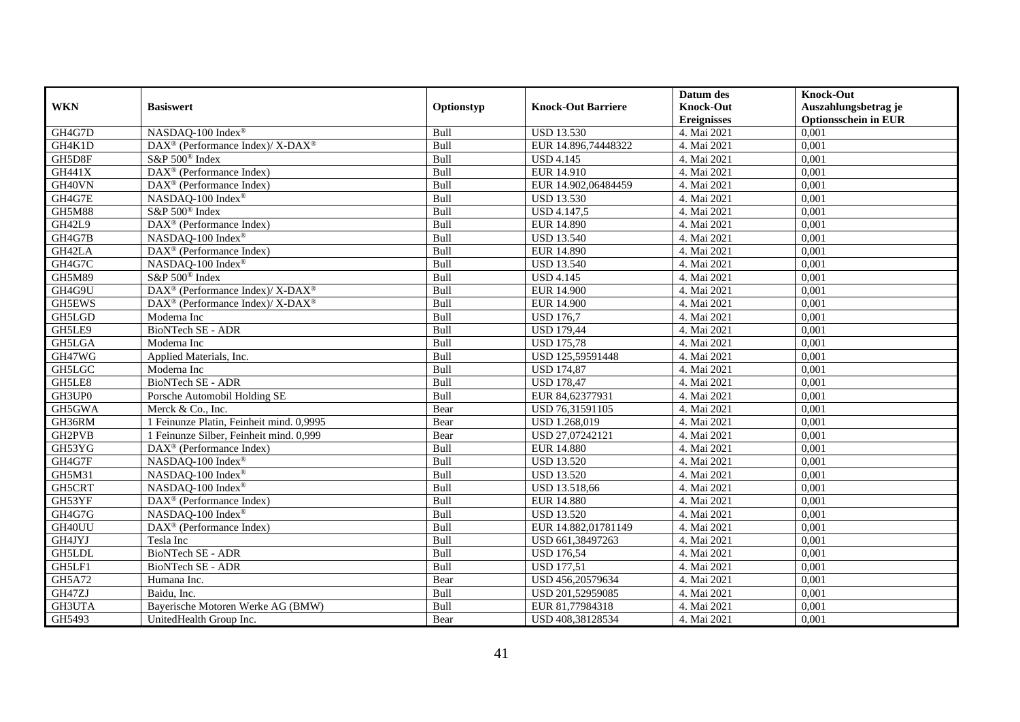|               |                                                                  |            |                           | Datum des          | <b>Knock-Out</b>            |
|---------------|------------------------------------------------------------------|------------|---------------------------|--------------------|-----------------------------|
| <b>WKN</b>    | <b>Basiswert</b>                                                 | Optionstyp | <b>Knock-Out Barriere</b> | <b>Knock-Out</b>   | Auszahlungsbetrag je        |
|               |                                                                  |            |                           | <b>Ereignisses</b> | <b>Optionsschein in EUR</b> |
| GH4G7D        | NASDAQ-100 Index®                                                | Bull       | <b>USD 13.530</b>         | 4. Mai 2021        | 0,001                       |
| GH4K1D        | $\text{DAX}^{\circledR}$ (Performance Index)/ X-DAX <sup>®</sup> | Bull       | EUR 14.896,74448322       | 4. Mai 2021        | 0,001                       |
| GH5D8F        | S&P 500 <sup>®</sup> Index                                       | Bull       | <b>USD 4.145</b>          | 4. Mai 2021        | 0,001                       |
| GH441X        | $\text{DAX}^{\textcircled{n}}$ (Performance Index)               | Bull       | EUR 14.910                | 4. Mai 2021        | 0,001                       |
| GH40VN        | DAX <sup>®</sup> (Performance Index)                             | Bull       | EUR 14.902,06484459       | 4. Mai 2021        | 0,001                       |
| GH4G7E        | NASDAQ-100 Index®                                                | Bull       | <b>USD 13.530</b>         | 4. Mai 2021        | 0,001                       |
| <b>GH5M88</b> | S&P 500 <sup>®</sup> Index                                       | Bull       | <b>USD 4.147,5</b>        | 4. Mai 2021        | 0,001                       |
| GH42L9        | DAX <sup>®</sup> (Performance Index)                             | Bull       | <b>EUR 14.890</b>         | 4. Mai 2021        | 0,001                       |
| GH4G7B        | NASDAQ-100 Index®                                                | Bull       | <b>USD 13.540</b>         | 4. Mai 2021        | 0,001                       |
| GH42LA        | DAX <sup>®</sup> (Performance Index)                             | Bull       | <b>EUR 14.890</b>         | 4. Mai 2021        | 0,001                       |
| GH4G7C        | NASDAQ-100 Index®                                                | Bull       | <b>USD 13.540</b>         | 4. Mai 2021        | 0,001                       |
| <b>GH5M89</b> | S&P 500 <sup>®</sup> Index                                       | Bull       | <b>USD 4.145</b>          | 4. Mai 2021        | 0,001                       |
| GH4G9U        | DAX <sup>®</sup> (Performance Index)/ X-DAX <sup>®</sup>         | Bull       | <b>EUR 14.900</b>         | 4. Mai 2021        | 0,001                       |
| GH5EWS        | DAX <sup>®</sup> (Performance Index)/X-DAX <sup>®</sup>          | Bull       | <b>EUR 14.900</b>         | 4. Mai 2021        | 0,001                       |
| GH5LGD        | Moderna Inc                                                      | Bull       | <b>USD 176,7</b>          | 4. Mai 2021        | 0,001                       |
| GH5LE9        | BioNTech SE - ADR                                                | Bull       | <b>USD 179,44</b>         | 4. Mai 2021        | 0,001                       |
| GH5LGA        | Moderna Inc                                                      | Bull       | <b>USD 175,78</b>         | 4. Mai 2021        | 0,001                       |
| GH47WG        | Applied Materials, Inc.                                          | Bull       | USD 125,59591448          | 4. Mai 2021        | 0,001                       |
| GH5LGC        | Moderna Inc                                                      | Bull       | <b>USD 174,87</b>         | 4. Mai 2021        | 0,001                       |
| GH5LE8        | BioNTech SE - ADR                                                | Bull       | <b>USD 178,47</b>         | 4. Mai 2021        | 0,001                       |
| GH3UP0        | Porsche Automobil Holding SE                                     | Bull       | EUR 84,62377931           | 4. Mai 2021        | 0,001                       |
| GH5GWA        | Merck & Co., Inc.                                                | Bear       | USD 76,31591105           | 4. Mai 2021        | 0,001                       |
| GH36RM        | 1 Feinunze Platin, Feinheit mind. 0,9995                         | Bear       | USD 1.268,019             | 4. Mai 2021        | 0,001                       |
| GH2PVB        | 1 Feinunze Silber, Feinheit mind. 0,999                          | Bear       | USD 27,07242121           | 4. Mai 2021        | 0,001                       |
| GH53YG        | $\text{DAX}^{\textcircled{n}}$ (Performance Index)               | Bull       | <b>EUR 14.880</b>         | 4. Mai 2021        | 0,001                       |
| GH4G7F        | NASDAQ-100 Index®                                                | Bull       | <b>USD 13.520</b>         | 4. Mai 2021        | 0,001                       |
| GH5M31        | NASDAQ-100 Index®                                                | Bull       | <b>USD 13.520</b>         | 4. Mai 2021        | 0,001                       |
| GH5CRT        | NASDAQ-100 Index®                                                | Bull       | USD 13.518,66             | 4. Mai 2021        | 0.001                       |
| GH53YF        | DAX <sup>®</sup> (Performance Index)                             | Bull       | <b>EUR 14.880</b>         | 4. Mai 2021        | 0,001                       |
| GH4G7G        | NASDAQ-100 Index <sup>®</sup>                                    | Bull       | <b>USD 13.520</b>         | 4. Mai 2021        | 0,001                       |
| GH40UU        | DAX <sup>®</sup> (Performance Index)                             | Bull       | EUR 14.882,01781149       | 4. Mai 2021        | 0,001                       |
| GH4JYJ        | Tesla Inc                                                        | Bull       | USD 661,38497263          | 4. Mai 2021        | 0,001                       |
| <b>GH5LDL</b> | <b>BioNTech SE - ADR</b>                                         | Bull       | <b>USD 176,54</b>         | 4. Mai 2021        | 0,001                       |
| GH5LF1        | BioNTech SE - ADR                                                | Bull       | <b>USD 177,51</b>         | 4. Mai 2021        | 0,001                       |
| GH5A72        | Humana Inc.                                                      | Bear       | USD 456,20579634          | 4. Mai 2021        | 0,001                       |
| GH47ZJ        | Baidu, Inc.                                                      | Bull       | USD 201,52959085          | 4. Mai 2021        | 0,001                       |
| GH3UTA        | Bayerische Motoren Werke AG (BMW)                                | Bull       | EUR 81,77984318           | 4. Mai 2021        | 0,001                       |
| GH5493        | UnitedHealth Group Inc.                                          | Bear       | USD 408,38128534          | 4. Mai 2021        | 0,001                       |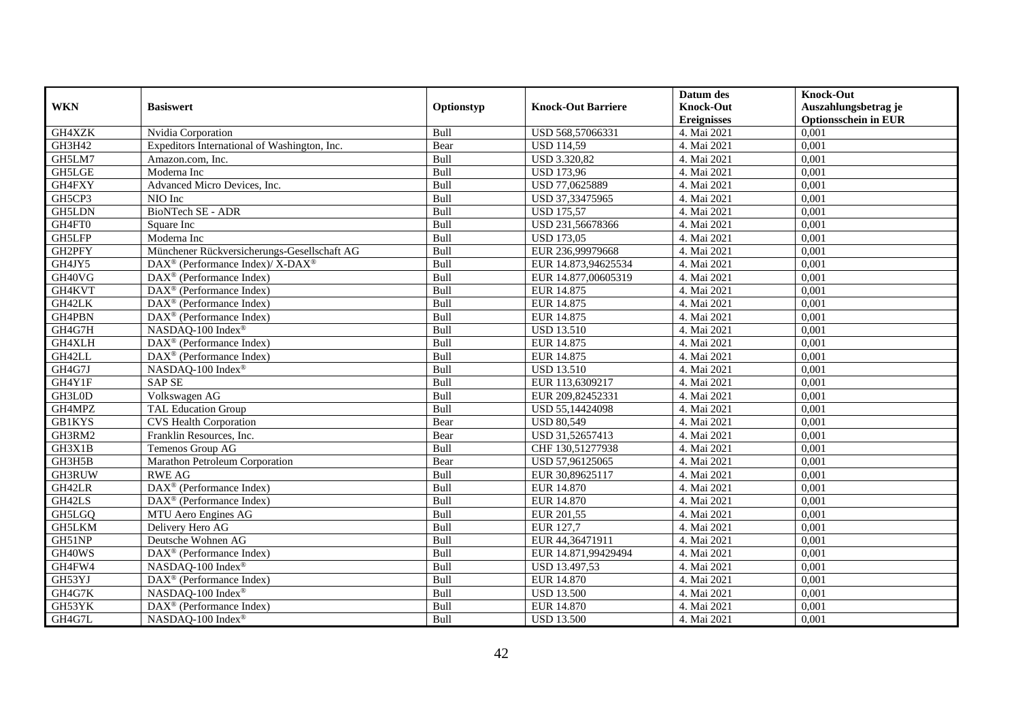|               |                                                                  |            |                           | Datum des          | <b>Knock-Out</b>            |
|---------------|------------------------------------------------------------------|------------|---------------------------|--------------------|-----------------------------|
| <b>WKN</b>    | <b>Basiswert</b>                                                 | Optionstyp | <b>Knock-Out Barriere</b> | <b>Knock-Out</b>   | Auszahlungsbetrag je        |
|               |                                                                  |            |                           | <b>Ereignisses</b> | <b>Optionsschein in EUR</b> |
| GH4XZK        | Nvidia Corporation                                               | Bull       | USD 568,57066331          | 4. Mai 2021        | 0,001                       |
| GH3H42        | Expeditors International of Washington, Inc.                     | Bear       | <b>USD 114,59</b>         | 4. Mai 2021        | 0,001                       |
| GH5LM7        | Amazon.com, Inc.                                                 | Bull       | USD 3.320,82              | 4. Mai 2021        | 0,001                       |
| GH5LGE        | Moderna Inc                                                      | Bull       | <b>USD 173,96</b>         | 4. Mai 2021        | 0,001                       |
| GH4FXY        | Advanced Micro Devices, Inc.                                     | Bull       | USD 77,0625889            | 4. Mai 2021        | 0,001                       |
| GH5CP3        | NIO Inc                                                          | Bull       | USD 37,33475965           | 4. Mai 2021        | 0,001                       |
| <b>GH5LDN</b> | BioNTech SE - ADR                                                | Bull       | <b>USD 175,57</b>         | 4. Mai 2021        | 0,001                       |
| GH4FT0        | Square Inc                                                       | Bull       | USD 231,56678366          | 4. Mai 2021        | 0,001                       |
| <b>GH5LFP</b> | Moderna Inc                                                      | Bull       | <b>USD 173,05</b>         | 4. Mai 2021        | 0,001                       |
| GH2PFY        | Münchener Rückversicherungs-Gesellschaft AG                      | Bull       | EUR 236,99979668          | 4. Mai 2021        | 0,001                       |
| GH4JY5        | $\text{DAX}^{\circledR}$ (Performance Index)/ X-DAX <sup>®</sup> | Bull       | EUR 14.873,94625534       | 4. Mai 2021        | 0,001                       |
| GH40VG        | DAX <sup>®</sup> (Performance Index)                             | Bull       | EUR 14.877,00605319       | 4. Mai 2021        | 0,001                       |
| GH4KVT        | $\text{DAX}^{\textcircled{n}}$ (Performance Index)               | Bull       | EUR 14.875                | 4. Mai 2021        | 0,001                       |
| GH42LK        | $\text{DAX}^{\textcircled{n}}$ (Performance Index)               | Bull       | EUR 14.875                | 4. Mai 2021        | 0,001                       |
| GH4PBN        | $\text{DAX}^{\otimes}$ (Performance Index)                       | Bull       | EUR 14.875                | 4. Mai 2021        | 0,001                       |
| GH4G7H        | NASDAQ-100 Index®                                                | Bull       | <b>USD 13.510</b>         | 4. Mai 2021        | 0,001                       |
| GH4XLH        | DAX <sup>®</sup> (Performance Index)                             | Bull       | EUR 14.875                | 4. Mai 2021        | 0,001                       |
| GH42LL        | $DAX^{\circledR}$ (Performance Index)                            | Bull       | EUR 14.875                | 4. Mai 2021        | 0,001                       |
| GH4G7J        | NASDAQ-100 Index®                                                | Bull       | <b>USD 13.510</b>         | 4. Mai 2021        | 0,001                       |
| GH4Y1F        | <b>SAP SE</b>                                                    | Bull       | EUR 113,6309217           | 4. Mai 2021        | 0,001                       |
| GH3L0D        | Volkswagen AG                                                    | Bull       | EUR 209,82452331          | 4. Mai 2021        | 0,001                       |
| GH4MPZ        | <b>TAL Education Group</b>                                       | Bull       | USD 55,14424098           | 4. Mai 2021        | 0,001                       |
| <b>GB1KYS</b> | <b>CVS Health Corporation</b>                                    | Bear       | <b>USD 80,549</b>         | 4. Mai 2021        | 0,001                       |
| GH3RM2        | Franklin Resources, Inc.                                         | Bear       | USD 31,52657413           | 4. Mai 2021        | 0,001                       |
| GH3X1B        | Temenos Group AG                                                 | Bull       | CHF 130,51277938          | 4. Mai 2021        | 0,001                       |
| GH3H5B        | Marathon Petroleum Corporation                                   | Bear       | USD 57,96125065           | 4. Mai 2021        | 0,001                       |
| GH3RUW        | <b>RWE AG</b>                                                    | Bull       | EUR 30,89625117           | 4. Mai 2021        | 0,001                       |
| GH42LR        | $\text{DAX}^{\textcircled{D}}$ (Performance Index)               | Bull       | EUR 14.870                | 4. Mai 2021        | 0.001                       |
| GH42LS        | $\text{DAX}^{\textcircled{D}}$ (Performance Index)               | Bull       | EUR 14.870                | 4. Mai 2021        | 0,001                       |
| GH5LGQ        | MTU Aero Engines AG                                              | Bull       | EUR 201,55                | 4. Mai 2021        | 0,001                       |
| GH5LKM        | Delivery Hero AG                                                 | Bull       | <b>EUR 127,7</b>          | 4. Mai 2021        | 0,001                       |
| GH51NP        | Deutsche Wohnen AG                                               | Bull       | EUR 44,36471911           | 4. Mai 2021        | 0,001                       |
| GH40WS        | DAX <sup>®</sup> (Performance Index)                             | Bull       | EUR 14.871,99429494       | 4. Mai 2021        | 0,001                       |
| GH4FW4        | NASDAQ-100 Index®                                                | Bull       | USD 13.497,53             | 4. Mai 2021        | 0,001                       |
| GH53YJ        | DAX <sup>®</sup> (Performance Index)                             | Bull       | EUR 14.870                | 4. Mai 2021        | 0,001                       |
| GH4G7K        | NASDAQ-100 Index®                                                | Bull       | <b>USD 13.500</b>         | 4. Mai 2021        | 0,001                       |
| GH53YK        | DAX <sup>®</sup> (Performance Index)                             | Bull       | EUR 14.870                | 4. Mai 2021        | 0,001                       |
| GH4G7L        | NASDAQ-100 Index®                                                | Bull       | <b>USD 13.500</b>         | 4. Mai 2021        | 0,001                       |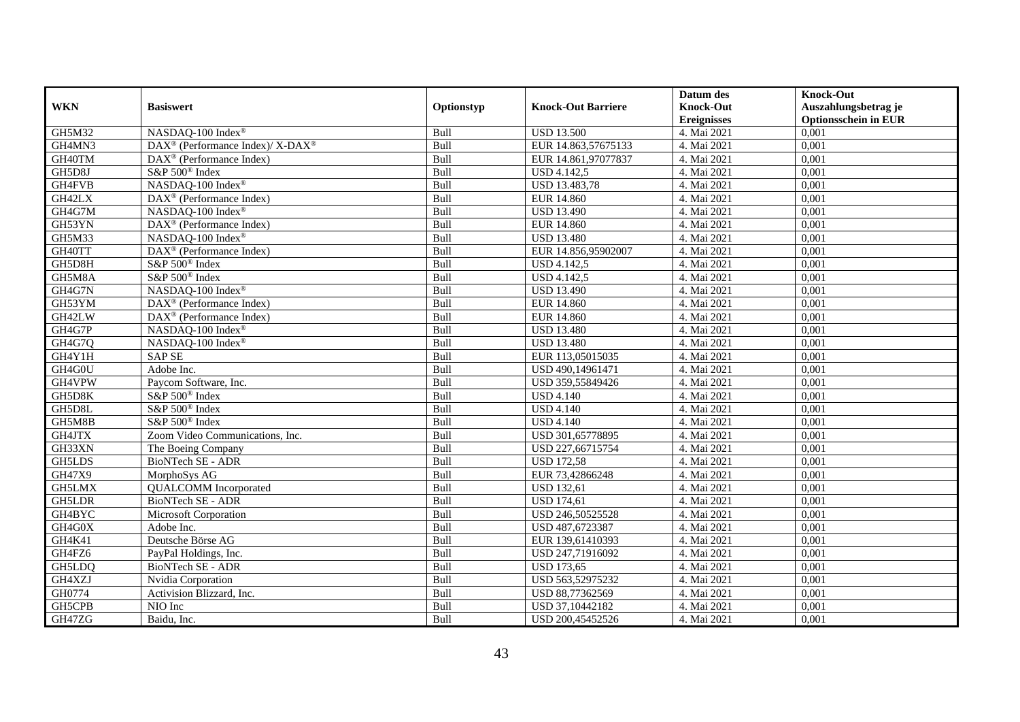| <b>WKN</b>    | <b>Basiswert</b>                                        |            | <b>Knock-Out Barriere</b> | Datum des<br><b>Knock-Out</b> | <b>Knock-Out</b>                                    |
|---------------|---------------------------------------------------------|------------|---------------------------|-------------------------------|-----------------------------------------------------|
|               |                                                         | Optionstyp |                           | <b>Ereignisses</b>            | Auszahlungsbetrag je<br><b>Optionsschein in EUR</b> |
| GH5M32        | NASDAQ-100 Index®                                       | Bull       | <b>USD 13.500</b>         | 4. Mai 2021                   | 0,001                                               |
| GH4MN3        | DAX <sup>®</sup> (Performance Index)/X-DAX <sup>®</sup> | Bull       | EUR 14.863,57675133       | 4. Mai 2021                   | 0,001                                               |
| GH40TM        | DAX <sup>®</sup> (Performance Index)                    | Bull       | EUR 14.861,97077837       | 4. Mai 2021                   | 0,001                                               |
| GH5D8J        | S&P 500 <sup>®</sup> Index                              | Bull       | <b>USD 4.142,5</b>        | 4. Mai 2021                   | 0,001                                               |
| GH4FVB        | NASDAQ-100 Index®                                       | Bull       | <b>USD 13.483,78</b>      | 4. Mai 2021                   | 0,001                                               |
| GH42LX        | DAX <sup>®</sup> (Performance Index)                    | Bull       | <b>EUR 14.860</b>         | 4. Mai 2021                   | 0,001                                               |
| GH4G7M        | NASDAQ-100 Index®                                       | Bull       | <b>USD 13.490</b>         | 4. Mai 2021                   | 0,001                                               |
| GH53YN        | DAX <sup>®</sup> (Performance Index)                    | Bull       | <b>EUR 14.860</b>         | 4. Mai 2021                   | 0,001                                               |
| GH5M33        | NASDAQ-100 Index®                                       | Bull       | <b>USD 13.480</b>         | 4. Mai 2021                   | 0,001                                               |
| GH40TT        | DAX <sup>®</sup> (Performance Index)                    | Bull       | EUR 14.856,95902007       | 4. Mai 2021                   | 0,001                                               |
| GH5D8H        | S&P 500 <sup>®</sup> Index                              | Bull       | <b>USD 4.142,5</b>        | 4. Mai 2021                   | 0,001                                               |
| GH5M8A        | S&P 500 <sup>®</sup> Index                              | Bull       | <b>USD 4.142,5</b>        | 4. Mai 2021                   | 0,001                                               |
| GH4G7N        | NASDAQ-100 Index®                                       | Bull       | <b>USD 13.490</b>         | 4. Mai 2021                   | 0,001                                               |
| GH53YM        | DAX <sup>®</sup> (Performance Index)                    | Bull       | <b>EUR 14.860</b>         | 4. Mai 2021                   | 0,001                                               |
| GH42LW        | $\overline{\text{DAX}^{\otimes}}$ (Performance Index)   | Bull       | <b>EUR 14.860</b>         | 4. Mai 2021                   | 0,001                                               |
| GH4G7P        | NASDAQ-100 Index®                                       | Bull       | <b>USD 13.480</b>         | 4. Mai 2021                   | 0,001                                               |
| GH4G7Q        | NASDAQ-100 Index®                                       | Bull       | <b>USD 13.480</b>         | 4. Mai 2021                   | 0,001                                               |
| GH4Y1H        | <b>SAP SE</b>                                           | Bull       | EUR 113,05015035          | 4. Mai 2021                   | 0,001                                               |
| GH4G0U        | Adobe Inc.                                              | Bull       | USD 490,14961471          | 4. Mai 2021                   | 0,001                                               |
| GH4VPW        | Paycom Software, Inc.                                   | Bull       | USD 359,55849426          | 4. Mai 2021                   | 0,001                                               |
| GH5D8K        | S&P 500 <sup>®</sup> Index                              | Bull       | <b>USD 4.140</b>          | 4. Mai 2021                   | 0,001                                               |
| GH5D8L        | S&P 500 <sup>®</sup> Index                              | Bull       | <b>USD 4.140</b>          | 4. Mai 2021                   | 0,001                                               |
| GH5M8B        | S&P 500 <sup>®</sup> Index                              | Bull       | <b>USD 4.140</b>          | 4. Mai 2021                   | 0,001                                               |
| GH4JTX        | Zoom Video Communications, Inc.                         | Bull       | USD 301,65778895          | 4. Mai 2021                   | 0,001                                               |
| GH33XN        | The Boeing Company                                      | Bull       | USD 227,66715754          | 4. Mai 2021                   | 0,001                                               |
| GH5LDS        | BioNTech SE - ADR                                       | Bull       | <b>USD 172,58</b>         | 4. Mai 2021                   | 0,001                                               |
| GH47X9        | MorphoSys AG                                            | Bull       | EUR 73,42866248           | 4. Mai 2021                   | 0,001                                               |
| GH5LMX        | <b>QUALCOMM</b> Incorporated                            | Bull       | <b>USD 132,61</b>         | 4. Mai 2021                   | 0,001                                               |
| <b>GH5LDR</b> | BioNTech SE - ADR                                       | Bull       | <b>USD 174,61</b>         | 4. Mai 2021                   | 0,001                                               |
| GH4BYC        | Microsoft Corporation                                   | Bull       | USD 246,50525528          | 4. Mai 2021                   | 0.001                                               |
| GH4G0X        | Adobe Inc.                                              | Bull       | USD 487,6723387           | 4. Mai 2021                   | 0,001                                               |
| GH4K41        | Deutsche Börse AG                                       | Bull       | EUR 139,61410393          | 4. Mai 2021                   | 0,001                                               |
| GH4FZ6        | PayPal Holdings, Inc.                                   | Bull       | USD 247,71916092          | 4. Mai 2021                   | 0,001                                               |
| GH5LDQ        | <b>BioNTech SE - ADR</b>                                | Bull       | <b>USD 173,65</b>         | 4. Mai 2021                   | 0,001                                               |
| GH4XZJ        | Nvidia Corporation                                      | Bull       | USD 563,52975232          | 4. Mai 2021                   | 0,001                                               |
| GH0774        | Activision Blizzard, Inc.                               | Bull       | USD 88,77362569           | 4. Mai 2021                   | 0,001                                               |
| GH5CPB        | NIO Inc                                                 | Bull       | USD 37,10442182           | 4. Mai 2021                   | 0,001                                               |
| GH47ZG        | Baidu, Inc.                                             | Bull       | USD 200,45452526          | 4. Mai 2021                   | 0,001                                               |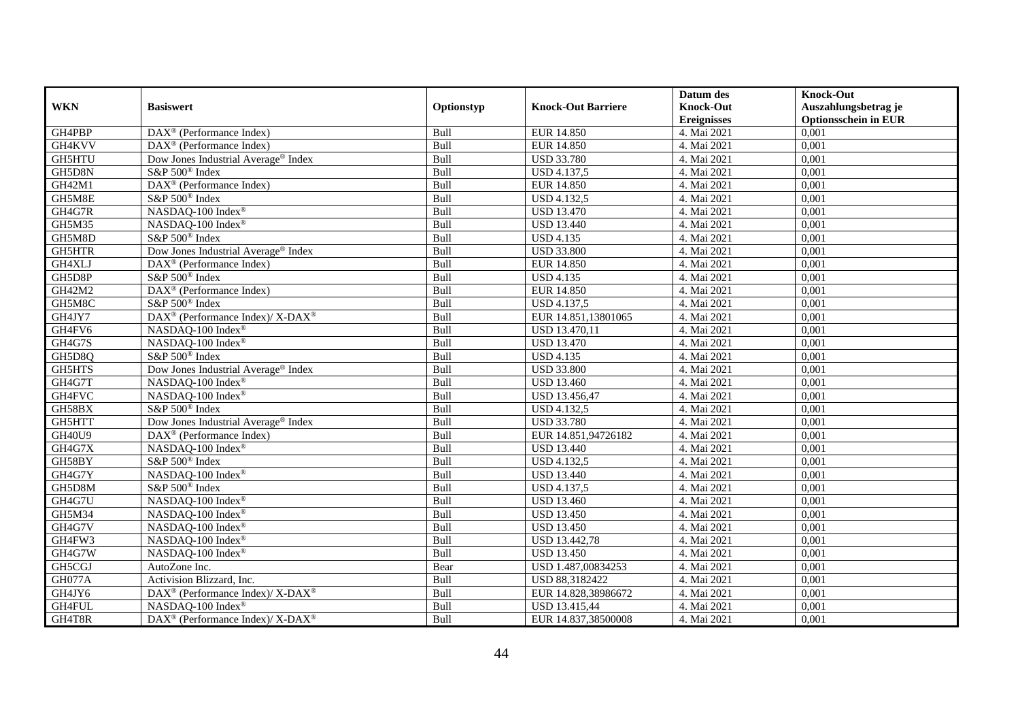|               |                                                                          |            |                           | Datum des          | <b>Knock-Out</b>            |
|---------------|--------------------------------------------------------------------------|------------|---------------------------|--------------------|-----------------------------|
| <b>WKN</b>    | <b>Basiswert</b>                                                         | Optionstyp | <b>Knock-Out Barriere</b> | <b>Knock-Out</b>   | Auszahlungsbetrag je        |
|               |                                                                          |            |                           | <b>Ereignisses</b> | <b>Optionsschein in EUR</b> |
| GH4PBP        | DAX <sup>®</sup> (Performance Index)                                     | Bull       | EUR 14.850                | 4. Mai 2021        | 0,001                       |
| GH4KVV        | $\text{DAX}^{\textcircled{n}}$ (Performance Index)                       | Bull       | <b>EUR 14.850</b>         | 4. Mai 2021        | 0,001                       |
| <b>GH5HTU</b> | Dow Jones Industrial Average <sup>®</sup> Index                          | Bull       | <b>USD 33.780</b>         | 4. Mai 2021        | 0,001                       |
| GH5D8N        | S&P 500 <sup>®</sup> Index                                               | Bull       | USD 4.137,5               | 4. Mai 2021        | 0,001                       |
| GH42M1        | DAX <sup>®</sup> (Performance Index)                                     | Bull       | <b>EUR 14.850</b>         | 4. Mai 2021        | 0,001                       |
| GH5M8E        | S&P 500 <sup>®</sup> Index                                               | Bull       | <b>USD 4.132,5</b>        | 4. Mai 2021        | 0,001                       |
| GH4G7R        | NASDAQ-100 Index®                                                        | Bull       | <b>USD 13.470</b>         | 4. Mai 2021        | 0,001                       |
| GH5M35        | NASDAQ-100 Index®                                                        | Bull       | <b>USD 13.440</b>         | 4. Mai 2021        | 0,001                       |
| GH5M8D        | S&P 500 <sup>®</sup> Index                                               | Bull       | <b>USD 4.135</b>          | 4. Mai 2021        | 0,001                       |
| GH5HTR        | Dow Jones Industrial Average <sup>®</sup> Index                          | Bull       | <b>USD 33.800</b>         | 4. Mai 2021        | 0,001                       |
| GH4XLJ        | $\text{DAX}^{\textcircled{n}}$ (Performance Index)                       | Bull       | <b>EUR 14.850</b>         | 4. Mai 2021        | 0,001                       |
| GH5D8P        | S&P 500 <sup>®</sup> Index                                               | Bull       | <b>USD 4.135</b>          | 4. Mai 2021        | 0,001                       |
| GH42M2        | DAX <sup>®</sup> (Performance Index)                                     | Bull       | <b>EUR 14.850</b>         | 4. Mai 2021        | 0,001                       |
| GH5M8C        | S&P 500 <sup>®</sup> Index                                               | Bull       | <b>USD 4.137,5</b>        | 4. Mai 2021        | 0,001                       |
| GH4JY7        | DAX <sup>®</sup> (Performance Index)/ X-DAX <sup>®</sup>                 | Bull       | EUR 14.851,13801065       | 4. Mai 2021        | 0,001                       |
| GH4FV6        | NASDAQ-100 Index®                                                        | Bull       | USD 13.470,11             | 4. Mai 2021        | 0,001                       |
| GH4G7S        | NASDAQ-100 Index®                                                        | Bull       | <b>USD 13.470</b>         | 4. Mai 2021        | 0,001                       |
| GH5D8Q        | S&P 500 <sup>®</sup> Index                                               | Bull       | <b>USD 4.135</b>          | 4. Mai 2021        | 0,001                       |
| GH5HTS        | Dow Jones Industrial Average® Index                                      | Bull       | <b>USD 33.800</b>         | 4. Mai 2021        | 0,001                       |
| GH4G7T        | NASDAQ-100 Index®                                                        | Bull       | <b>USD 13.460</b>         | 4. Mai 2021        | 0,001                       |
| GH4FVC        | NASDAQ-100 Index®                                                        | Bull       | USD 13.456,47             | 4. Mai 2021        | 0,001                       |
| GH58BX        | S&P 500 <sup>®</sup> Index                                               | Bull       | <b>USD 4.132,5</b>        | 4. Mai 2021        | 0,001                       |
| GH5HTT        | Dow Jones Industrial Average® Index                                      | Bull       | <b>USD 33.780</b>         | 4. Mai 2021        | 0,001                       |
| GH40U9        | DAX <sup>®</sup> (Performance Index)                                     | Bull       | EUR 14.851,94726182       | 4. Mai 2021        | 0,001                       |
| GH4G7X        | NASDAQ-100 Index®                                                        | Bull       | <b>USD 13.440</b>         | 4. Mai 2021        | 0,001                       |
| GH58BY        | S&P 500 <sup>®</sup> Index                                               | Bull       | <b>USD 4.132,5</b>        | 4. Mai 2021        | 0,001                       |
| GH4G7Y        | NASDAQ-100 Index®                                                        | Bull       | <b>USD 13.440</b>         | 4. Mai 2021        | 0,001                       |
| GH5D8M        | S&P 500 <sup>®</sup> Index                                               | Bull       | <b>USD 4.137,5</b>        | 4. Mai 2021        | 0,001                       |
| GH4G7U        | NASDAQ-100 Index®                                                        | Bull       | <b>USD 13.460</b>         | 4. Mai 2021        | 0,001                       |
| GH5M34        | NASDAQ-100 Index®                                                        | Bull       | <b>USD 13.450</b>         | 4. Mai 2021        | 0,001                       |
| GH4G7V        | NASDAQ-100 Index®                                                        | Bull       | <b>USD 13.450</b>         | 4. Mai 2021        | 0,001                       |
| GH4FW3        | NASDAQ-100 Index®                                                        | Bull       | USD 13.442,78             | 4. Mai 2021        | 0,001                       |
| GH4G7W        | NASDAQ-100 Index®                                                        | Bull       | <b>USD 13.450</b>         | 4. Mai 2021        | 0,001                       |
| GH5CGJ        | AutoZone Inc.                                                            | Bear       | USD 1.487,00834253        | 4. Mai 2021        | 0,001                       |
| GH077A        | Activision Blizzard, Inc.                                                | Bull       | USD 88,3182422            | 4. Mai 2021        | 0,001                       |
| GH4JY6        | DAX <sup>®</sup> (Performance Index)/ X-DAX <sup>®</sup>                 | Bull       | EUR 14.828,38986672       | 4. Mai 2021        | 0,001                       |
| GH4FUL        | NASDAQ-100 Index®                                                        | Bull       | USD 13.415,44             | 4. Mai 2021        | 0,001                       |
| GH4T8R        | $\overline{\text{DAX}^{\otimes}}$ (Performance Index)/X-DAX <sup>®</sup> | Bull       | EUR 14.837,38500008       | 4. Mai 2021        | 0,001                       |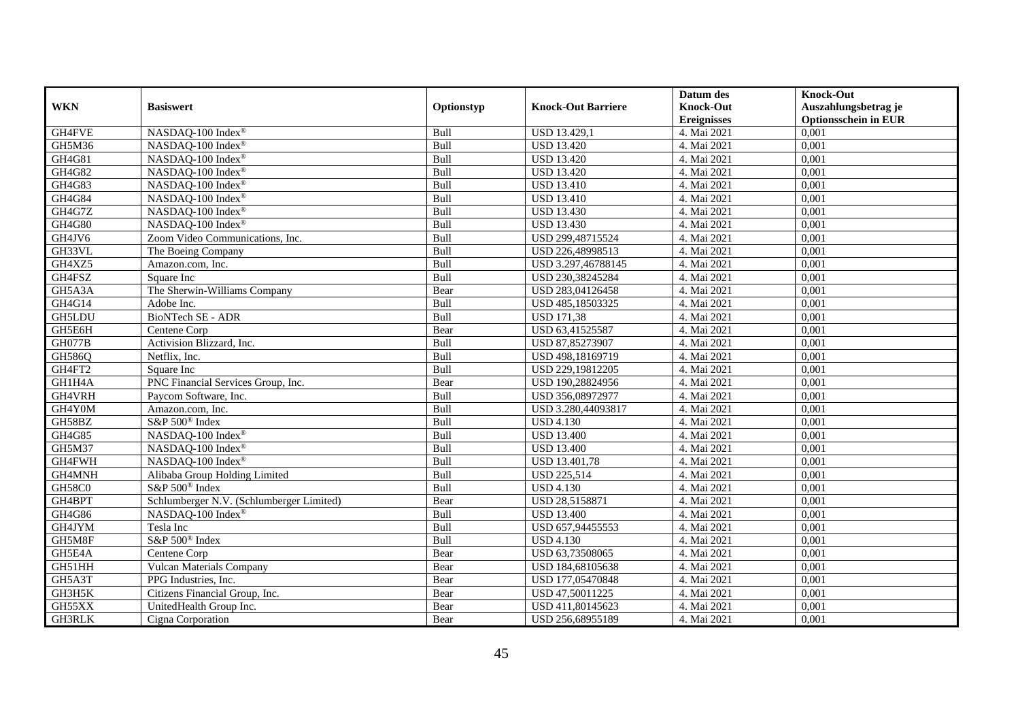|            |                                          |             |                           | Datum des          | <b>Knock-Out</b>            |
|------------|------------------------------------------|-------------|---------------------------|--------------------|-----------------------------|
| <b>WKN</b> | <b>Basiswert</b>                         | Optionstyp  | <b>Knock-Out Barriere</b> | <b>Knock-Out</b>   | Auszahlungsbetrag je        |
|            |                                          |             |                           | <b>Ereignisses</b> | <b>Optionsschein in EUR</b> |
| GH4FVE     | NASDAQ-100 Index®                        | Bull        | <b>USD 13.429,1</b>       | 4. Mai 2021        | 0,001                       |
| GH5M36     | NASDAQ-100 Index®                        | Bull        | <b>USD 13.420</b>         | 4. Mai 2021        | 0,001                       |
| GH4G81     | NASDAQ-100 Index®                        | Bull        | <b>USD 13.420</b>         | 4. Mai 2021        | 0,001                       |
| GH4G82     | $NASDAQ-100$ Index <sup>®</sup>          | Bull        | <b>USD 13.420</b>         | 4. Mai 2021        | 0,001                       |
| GH4G83     | NASDAQ-100 Index®                        | Bull        | <b>USD 13.410</b>         | 4. Mai 2021        | 0,001                       |
| GH4G84     | NASDAQ-100 Index®                        | Bull        | <b>USD 13.410</b>         | 4. Mai 2021        | 0,001                       |
| GH4G7Z     | NASDAQ-100 Index®                        | Bull        | <b>USD 13.430</b>         | 4. Mai 2021        | 0,001                       |
| GH4G80     | NASDAQ-100 Index®                        | Bull        | <b>USD 13.430</b>         | 4. Mai 2021        | 0,001                       |
| GH4JV6     | Zoom Video Communications, Inc.          | Bull        | USD 299,48715524          | 4. Mai 2021        | 0,001                       |
| GH33VL     | The Boeing Company                       | Bull        | USD 226,48998513          | 4. Mai 2021        | 0,001                       |
| GH4XZ5     | Amazon.com, Inc.                         | Bull        | USD 3.297,46788145        | 4. Mai 2021        | 0.001                       |
| GH4FSZ     | Square Inc                               | Bull        | USD 230,38245284          | 4. Mai 2021        | 0,001                       |
| GH5A3A     | The Sherwin-Williams Company             | Bear        | USD 283,04126458          | 4. Mai 2021        | 0,001                       |
| GH4G14     | Adobe Inc.                               | Bull        | USD 485,18503325          | 4. Mai 2021        | 0,001                       |
| GH5LDU     | <b>BioNTech SE - ADR</b>                 | Bull        | <b>USD 171,38</b>         | 4. Mai 2021        | 0,001                       |
| GH5E6H     | Centene Corp                             | Bear        | USD 63,41525587           | 4. Mai 2021        | 0,001                       |
| GH077B     | Activision Blizzard, Inc.                | Bull        | USD 87,85273907           | 4. Mai 2021        | 0,001                       |
| GH586Q     | Netflix, Inc.                            | <b>Bull</b> | USD 498,18169719          | 4. Mai 2021        | 0,001                       |
| GH4FT2     | Square Inc                               | Bull        | USD 229,19812205          | 4. Mai 2021        | 0,001                       |
| GH1H4A     | PNC Financial Services Group, Inc.       | Bear        | USD 190,28824956          | 4. Mai 2021        | 0,001                       |
| GH4VRH     | Paycom Software, Inc.                    | Bull        | USD 356,08972977          | 4. Mai 2021        | 0,001                       |
| GH4Y0M     | Amazon.com, Inc.                         | Bull        | USD 3.280,44093817        | 4. Mai 2021        | 0,001                       |
| GH58BZ     | S&P 500 <sup>®</sup> Index               | Bull        | <b>USD 4.130</b>          | 4. Mai 2021        | 0,001                       |
| GH4G85     | NASDAQ-100 Index®                        | Bull        | <b>USD 13.400</b>         | 4. Mai 2021        | 0,001                       |
| GH5M37     | NASDAO-100 Index <sup>®</sup>            | Bull        | <b>USD 13.400</b>         | 4. Mai 2021        | 0.001                       |
| GH4FWH     | NASDAQ-100 Index®                        | Bull        | USD 13.401,78             | 4. Mai 2021        | 0,001                       |
| GH4MNH     | Alibaba Group Holding Limited            | Bull        | <b>USD 225,514</b>        | 4. Mai 2021        | 0,001                       |
| GH58C0     | S&P 500 <sup>®</sup> Index               | Bull        | <b>USD 4.130</b>          | 4. Mai 2021        | 0,001                       |
| GH4BPT     | Schlumberger N.V. (Schlumberger Limited) | Bear        | USD 28,5158871            | 4. Mai 2021        | 0,001                       |
| GH4G86     | NASDAQ-100 Index®                        | Bull        | <b>USD 13.400</b>         | 4. Mai 2021        | 0,001                       |
| GH4JYM     | Tesla Inc                                | Bull        | USD 657,94455553          | 4. Mai 2021        | 0,001                       |
| GH5M8F     | S&P 500 <sup>®</sup> Index               | <b>Bull</b> | <b>USD 4.130</b>          | 4. Mai 2021        | 0,001                       |
| GH5E4A     | Centene Corp                             | Bear        | USD 63,73508065           | 4. Mai 2021        | 0,001                       |
| GH51HH     | <b>Vulcan Materials Company</b>          | Bear        | USD 184,68105638          | 4. Mai 2021        | 0,001                       |
| GH5A3T     | PPG Industries, Inc.                     | Bear        | USD 177,05470848          | 4. Mai 2021        | 0,001                       |
| GH3H5K     | Citizens Financial Group, Inc.           | Bear        | USD 47,50011225           | 4. Mai 2021        | 0,001                       |
| GH55XX     | UnitedHealth Group Inc.                  | Bear        | USD 411,80145623          | 4. Mai 2021        | 0,001                       |
| GH3RLK     | Cigna Corporation                        | Bear        | USD 256,68955189          | 4. Mai 2021        | 0,001                       |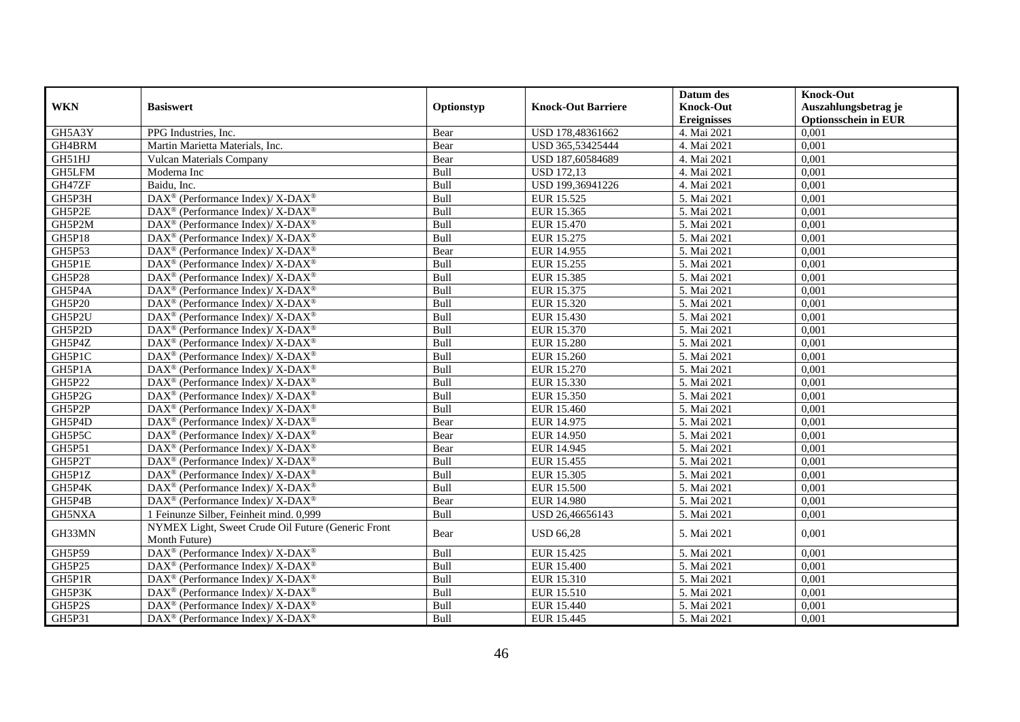|               |                                                                                        |            |                           | Datum des          | <b>Knock-Out</b>            |
|---------------|----------------------------------------------------------------------------------------|------------|---------------------------|--------------------|-----------------------------|
| <b>WKN</b>    | <b>Basiswert</b>                                                                       | Optionstyp | <b>Knock-Out Barriere</b> | <b>Knock-Out</b>   | Auszahlungsbetrag je        |
|               |                                                                                        |            |                           | <b>Ereignisses</b> | <b>Optionsschein in EUR</b> |
| GH5A3Y        | PPG Industries, Inc.                                                                   | Bear       | USD 178,48361662          | 4. Mai 2021        | 0,001                       |
| GH4BRM        | Martin Marietta Materials, Inc.                                                        | Bear       | USD 365,53425444          | 4. Mai 2021        | 0,001                       |
| GH51HJ        | <b>Vulcan Materials Company</b>                                                        | Bear       | USD 187,60584689          | 4. Mai 2021        | 0,001                       |
| GH5LFM        | Moderna Inc                                                                            | Bull       | <b>USD 172,13</b>         | 4. Mai 2021        | 0,001                       |
| GH47ZF        | Baidu, Inc.                                                                            | Bull       | USD 199,36941226          | 4. Mai 2021        | 0,001                       |
| GH5P3H        | DAX <sup>®</sup> (Performance Index)/ X-DAX <sup>®</sup>                               | Bull       | EUR 15.525                | 5. Mai 2021        | 0,001                       |
| GH5P2E        | DAX <sup>®</sup> (Performance Index)/ X-DAX <sup>®</sup>                               | Bull       | EUR 15.365                | 5. Mai 2021        | 0,001                       |
| GH5P2M        | DAX <sup>®</sup> (Performance Index)/ X-DAX <sup>®</sup>                               | Bull       | EUR 15.470                | 5. Mai 2021        | 0,001                       |
| GH5P18        | DAX <sup>®</sup> (Performance Index)/ X-DAX <sup>®</sup>                               | Bull       | EUR 15.275                | 5. Mai 2021        | 0,001                       |
| GH5P53        | DAX <sup>®</sup> (Performance Index)/ X-DAX <sup>®</sup>                               | Bear       | EUR 14.955                | 5. Mai 2021        | 0,001                       |
| GH5P1E        | DAX <sup>®</sup> (Performance Index)/ X-DAX <sup>®</sup>                               | Bull       | EUR 15.255                | 5. Mai 2021        | 0,001                       |
| <b>GH5P28</b> | DAX <sup>®</sup> (Performance Index)/ X-DAX <sup>®</sup>                               | Bull       | EUR 15.385                | 5. Mai 2021        | 0,001                       |
| GH5P4A        | $DAX^{\circledcirc}$ (Performance Index)/X-DAX <sup>®</sup>                            | Bull       | EUR 15.375                | 5. Mai 2021        | 0,001                       |
| GH5P20        | DAX <sup>®</sup> (Performance Index)/ X-DAX <sup>®</sup>                               | Bull       | EUR 15.320                | 5. Mai 2021        | 0,001                       |
| GH5P2U        | $\text{DAX}^{\circledast}$ (Performance Index)/ X-DAX <sup>®</sup>                     | Bull       | EUR 15.430                | 5. Mai 2021        | 0,001                       |
| GH5P2D        | DAX <sup>®</sup> (Performance Index)/ X-DAX <sup>®</sup>                               | Bull       | EUR 15.370                | 5. Mai 2021        | 0,001                       |
| GH5P4Z        | DAX <sup>®</sup> (Performance Index)/ X-DAX <sup>®</sup>                               | Bull       | <b>EUR 15.280</b>         | 5. Mai 2021        | 0,001                       |
| GH5P1C        | $\text{DAX}^{\circledast}$ (Performance Index)/ X-DAX <sup>®</sup>                     | Bull       | EUR 15.260                | 5. Mai 2021        | 0,001                       |
| GH5P1A        | DAX <sup>®</sup> (Performance Index)/ X-DAX <sup>®</sup>                               | Bull       | EUR 15.270                | 5. Mai 2021        | 0,001                       |
| GH5P22        | $\text{DAX}^{\circledast}$ (Performance Index)/ X-DAX <sup>®</sup>                     | Bull       | EUR 15.330                | 5. Mai 2021        | 0,001                       |
| GH5P2G        | $\text{DAX}^{\circledR}$ (Performance Index)/ X-DAX <sup>®</sup>                       | Bull       | EUR 15.350                | 5. Mai 2021        | 0,001                       |
| GH5P2P        | DAX <sup>®</sup> (Performance Index)/ X-DAX <sup>®</sup>                               | Bull       | EUR 15.460                | 5. Mai 2021        | 0,001                       |
| GH5P4D        | $\text{DAX}^{\circledast}$ (Performance Index)/ X-DAX <sup>®</sup>                     | Bear       | EUR 14.975                | 5. Mai 2021        | 0,001                       |
| GH5P5C        | $DAX^{\circledcirc}$ (Performance Index)/ X-DAX <sup>®</sup>                           | Bear       | EUR 14.950                | 5. Mai 2021        | 0,001                       |
| <b>GH5P51</b> | $\text{DAX}^{\circledR}$ (Performance Index)/ X-DAX <sup>®</sup>                       | Bear       | EUR 14.945                | 5. Mai 2021        | 0,001                       |
| GH5P2T        | $\text{DAX}^{\circledast}$ (Performance Index)/ X-DAX <sup>®</sup>                     | Bull       | EUR 15.455                | 5. Mai 2021        | 0,001                       |
| GH5P1Z        | DAX <sup>®</sup> (Performance Index)/ X-DAX <sup>®</sup>                               | Bull       | EUR 15.305                | 5. Mai 2021        | 0,001                       |
| GH5P4K        | $DAX^{\circledcirc}$ (Performance Index)/ X-DAX <sup>®</sup>                           | Bull       | <b>EUR 15.500</b>         | 5. Mai 2021        | 0,001                       |
| GH5P4B        | $\text{DAX}^{\circledR}$ (Performance Index)/ X-DAX <sup>®</sup>                       | Bear       | <b>EUR 14.980</b>         | 5. Mai 2021        | 0,001                       |
| GH5NXA        | 1 Feinunze Silber, Feinheit mind. 0,999                                                | Bull       | USD 26,46656143           | 5. Mai 2021        | 0,001                       |
| GH33MN        | NYMEX Light, Sweet Crude Oil Future (Generic Front                                     | Bear       | <b>USD 66,28</b>          | 5. Mai 2021        | 0,001                       |
| GH5P59        | Month Future)<br>DAX <sup>®</sup> (Performance Index)/ X-DAX <sup>®</sup>              | Bull       | EUR 15.425                | 5. Mai 2021        | 0,001                       |
| GH5P25        | DAX <sup>®</sup> (Performance Index)/X-DAX <sup>®</sup>                                | Bull       | <b>EUR 15.400</b>         | 5. Mai 2021        | 0,001                       |
| GH5P1R        | $DAX^{\circledcirc}$ (Performance Index)/ X-DAX <sup>®</sup>                           | Bull       | EUR 15.310                | 5. Mai 2021        | 0,001                       |
| GH5P3K        | $\overline{\text{DAX}^{\textcircled{\tiny 0}}}$ (Performance Index)/X-DAX <sup>®</sup> | Bull       | EUR 15.510                | 5. Mai 2021        | 0,001                       |
|               |                                                                                        |            |                           |                    |                             |
| GH5P2S        | DAX <sup>®</sup> (Performance Index)/ X-DAX <sup>®</sup>                               | Bull       | EUR 15.440                | 5. Mai 2021        | 0,001                       |
| GH5P31        | $\overline{\text{DAX}^{\textcircled{\tiny 0}}}$ (Performance Index)/X-DAX <sup>®</sup> | Bull       | EUR 15.445                | 5. Mai 2021        | 0,001                       |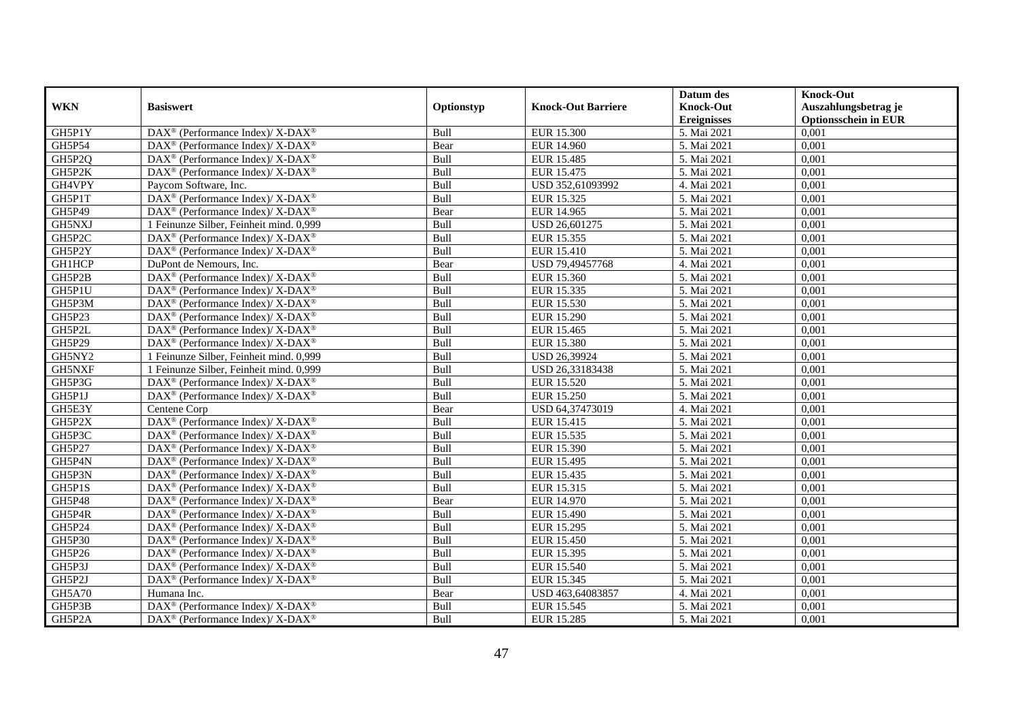|               |                                                                          |             |                           | Datum des          | <b>Knock-Out</b>            |
|---------------|--------------------------------------------------------------------------|-------------|---------------------------|--------------------|-----------------------------|
| <b>WKN</b>    | <b>Basiswert</b>                                                         | Optionstyp  | <b>Knock-Out Barriere</b> | <b>Knock-Out</b>   | Auszahlungsbetrag je        |
|               |                                                                          |             |                           | <b>Ereignisses</b> | <b>Optionsschein in EUR</b> |
| GH5P1Y        | DAX <sup>®</sup> (Performance Index)/X-DAX <sup>®</sup>                  | Bull        | <b>EUR 15.300</b>         | 5. Mai 2021        | 0,001                       |
| GH5P54        | $\text{DAX}^{\circledast}$ (Performance Index)/ X-DAX <sup>®</sup>       | Bear        | <b>EUR 14.960</b>         | 5. Mai 2021        | 0,001                       |
| GH5P2Q        | $\text{DAX}^{\circledast}$ (Performance Index)/ X-DAX <sup>®</sup>       | Bull        | EUR 15.485                | 5. Mai 2021        | 0,001                       |
| GH5P2K        | $DAX^{\circledast}$ (Performance Index)/ X-DAX <sup>®</sup>              | Bull        | EUR 15.475                | 5. Mai 2021        | 0,001                       |
| GH4VPY        | Paycom Software, Inc.                                                    | Bull        | USD 352,61093992          | 4. Mai 2021        | 0,001                       |
| GH5P1T        | DAX <sup>®</sup> (Performance Index)/ X-DAX <sup>®</sup>                 | Bull        | EUR 15.325                | 5. Mai 2021        | 0,001                       |
| GH5P49        | DAX <sup>®</sup> (Performance Index)/ X-DAX <sup>®</sup>                 | Bear        | EUR 14.965                | 5. Mai 2021        | 0,001                       |
| GH5NXJ        | 1 Feinunze Silber, Feinheit mind. 0,999                                  | Bull        | USD 26,601275             | 5. Mai 2021        | 0,001                       |
| GH5P2C        | $\text{DAX}^{\otimes}$ (Performance Index)/X-DAX <sup>®</sup>            | Bull        | EUR 15.355                | 5. Mai 2021        | 0,001                       |
| GH5P2Y        | $DAX^{\circledast}$ (Performance Index)/ X-DAX <sup>®</sup>              | Bull        | EUR 15.410                | 5. Mai 2021        | 0,001                       |
| <b>GH1HCP</b> | DuPont de Nemours, Inc.                                                  | Bear        | USD 79,49457768           | 4. Mai 2021        | 0,001                       |
| GH5P2B        | DAX <sup>®</sup> (Performance Index)/ X-DAX <sup>®</sup>                 | Bull        | EUR 15.360                | 5. Mai 2021        | 0,001                       |
| GH5P1U        | $\text{DAX}^{\circledast}$ (Performance Index)/ X-DAX <sup>®</sup>       | Bull        | EUR 15.335                | 5. Mai 2021        | 0,001                       |
| GH5P3M        | $\text{DAX}^{\circledast}$ (Performance Index)/ X-DAX <sup>®</sup>       | Bull        | EUR 15.530                | 5. Mai 2021        | 0,001                       |
| GH5P23        | DAX <sup>®</sup> (Performance Index)/ X-DAX <sup>®</sup>                 | Bull        | EUR 15.290                | 5. Mai 2021        | 0,001                       |
| GH5P2L        | DAX <sup>®</sup> (Performance Index)/ X-DAX <sup>®</sup>                 | Bull        | EUR 15.465                | 5. Mai 2021        | 0,001                       |
| GH5P29        | DAX <sup>®</sup> (Performance Index)/ X-DAX <sup>®</sup>                 | Bull        | EUR 15.380                | 5. Mai 2021        | 0,001                       |
| GH5NY2        | 1 Feinunze Silber, Feinheit mind. 0.999                                  | Bull        | <b>USD 26.39924</b>       | 5. Mai 2021        | 0,001                       |
| GH5NXF        | 1 Feinunze Silber, Feinheit mind. 0,999                                  | Bull        | USD 26,33183438           | 5. Mai 2021        | 0,001                       |
| GH5P3G        | DAX <sup>®</sup> (Performance Index)/ X-DAX <sup>®</sup>                 | Bull        | <b>EUR 15.520</b>         | 5. Mai 2021        | 0,001                       |
| GH5P1J        | DAX <sup>®</sup> (Performance Index)/ X-DAX <sup>®</sup>                 | Bull        | <b>EUR 15.250</b>         | 5. Mai 2021        | 0,001                       |
| GH5E3Y        | Centene Corp                                                             | Bear        | USD 64,37473019           | 4. Mai 2021        | 0,001                       |
| GH5P2X        | DAX <sup>®</sup> (Performance Index)/ X-DAX <sup>®</sup>                 | Bull        | EUR 15.415                | 5. Mai 2021        | 0,001                       |
| GH5P3C        | DAX <sup>®</sup> (Performance Index)/ X-DAX <sup>®</sup>                 | Bull        | EUR 15.535                | 5. Mai 2021        | 0,001                       |
| GH5P27        | $DAX^{\circledcirc}$ (Performance Index)/X-DAX <sup>®</sup>              | <b>Bull</b> | EUR 15.390                | 5. Mai 2021        | 0.001                       |
| GH5P4N        | $\text{DAX}^{\circledast}$ (Performance Index)/ X-DAX <sup>®</sup>       | Bull        | EUR 15.495                | 5. Mai 2021        | 0,001                       |
| GH5P3N        | DAX <sup>®</sup> (Performance Index)/ X-DAX <sup>®</sup>                 | Bull        | EUR 15.435                | 5. Mai 2021        | 0,001                       |
| GH5P1S        | DAX <sup>®</sup> (Performance Index)/ X-DAX <sup>®</sup>                 | Bull        | EUR 15.315                | 5. Mai 2021        | 0,001                       |
| GH5P48        | DAX <sup>®</sup> (Performance Index)/ X-DAX <sup>®</sup>                 | Bear        | <b>EUR 14.970</b>         | 5. Mai 2021        | 0,001                       |
| GH5P4R        | $\text{DAX}^{\otimes}$ (Performance Index)/X-DAX <sup>®</sup>            | Bull        | EUR 15.490                | 5. Mai 2021        | 0,001                       |
| GH5P24        | $\text{DAX}^{\circledast}$ (Performance Index)/ X-DAX <sup>®</sup>       | Bull        | EUR 15.295                | 5. Mai 2021        | 0,001                       |
| GH5P30        | $\overline{\text{DAX}^{\otimes}}$ (Performance Index)/X-DAX <sup>®</sup> | <b>Bull</b> | EUR 15.450                | 5. Mai 2021        | 0,001                       |
| GH5P26        | $\text{DAX}^{\circledast}$ (Performance Index)/ X-DAX <sup>®</sup>       | Bull        | EUR 15.395                | 5. Mai 2021        | 0,001                       |
| GH5P3J        | DAX <sup>®</sup> (Performance Index)/ X-DAX <sup>®</sup>                 | Bull        | EUR 15.540                | 5. Mai 2021        | 0,001                       |
| GH5P2J        | $\text{DAX}^{\circledast}$ (Performance Index)/ X-DAX <sup>®</sup>       | Bull        | EUR 15.345                | 5. Mai 2021        | 0,001                       |
| GH5A70        | Humana Inc.                                                              | Bear        | USD 463,64083857          | 4. Mai 2021        | 0,001                       |
| GH5P3B        | DAX <sup>®</sup> (Performance Index)/ X-DAX <sup>®</sup>                 | Bull        | EUR 15.545                | 5. Mai 2021        | 0,001                       |
| GH5P2A        | DAX <sup>®</sup> (Performance Index)/ X-DAX <sup>®</sup>                 | Bull        | <b>EUR 15.285</b>         | 5. Mai 2021        | 0,001                       |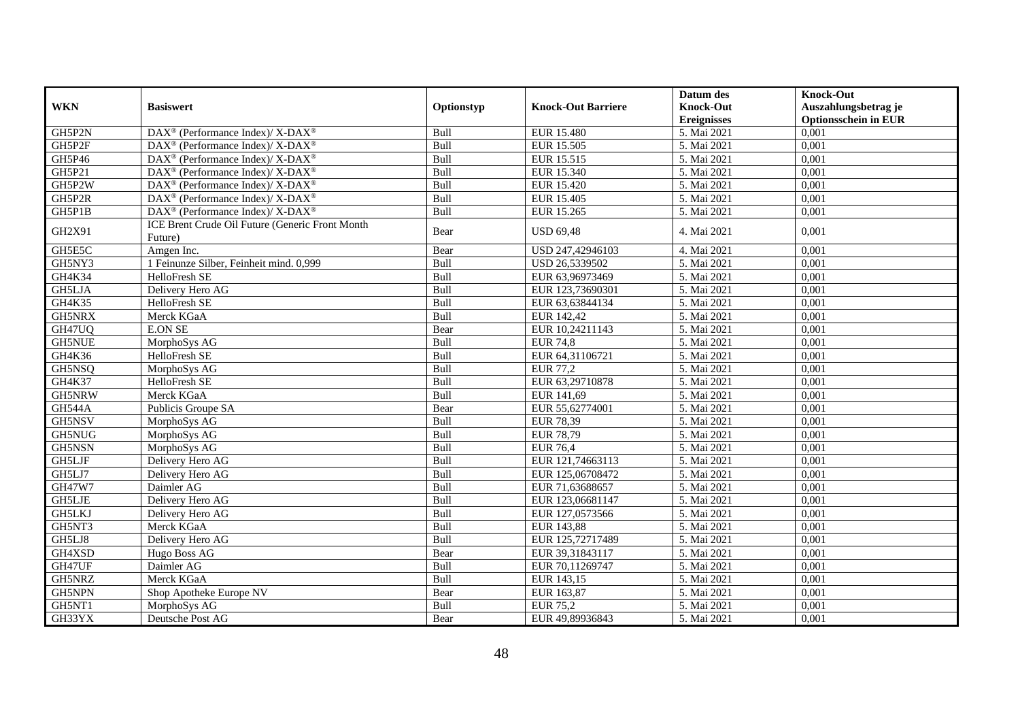|               |                                                                    |             |                           | Datum des          | <b>Knock-Out</b>            |
|---------------|--------------------------------------------------------------------|-------------|---------------------------|--------------------|-----------------------------|
| <b>WKN</b>    | <b>Basiswert</b>                                                   | Optionstyp  | <b>Knock-Out Barriere</b> | <b>Knock-Out</b>   | Auszahlungsbetrag je        |
|               |                                                                    |             |                           | <b>Ereignisses</b> | <b>Optionsschein in EUR</b> |
| GH5P2N        | DAX <sup>®</sup> (Performance Index)/ X-DAX <sup>®</sup>           | Bull        | EUR 15.480                | 5. Mai 2021        | 0,001                       |
| GH5P2F        | $\text{DAX}^{\circledast}$ (Performance Index)/ X-DAX <sup>®</sup> | Bull        | EUR 15.505                | 5. Mai 2021        | 0,001                       |
| GH5P46        | $DAX^{\circledcirc}$ (Performance Index)/X-DAX <sup>®</sup>        | <b>Bull</b> | EUR 15.515                | 5. Mai 2021        | 0,001                       |
| GH5P21        | DAX <sup>®</sup> (Performance Index)/ X-DAX <sup>®</sup>           | Bull        | EUR 15.340                | 5. Mai 2021        | 0,001                       |
| GH5P2W        | DAX <sup>®</sup> (Performance Index)/ X-DAX <sup>®</sup>           | Bull        | <b>EUR 15.420</b>         | 5. Mai 2021        | 0,001                       |
| GH5P2R        | DAX <sup>®</sup> (Performance Index)/ X-DAX <sup>®</sup>           | Bull        | <b>EUR 15.405</b>         | 5. Mai 2021        | 0,001                       |
| GH5P1B        | DAX <sup>®</sup> (Performance Index)/ X-DAX <sup>®</sup>           | Bull        | EUR 15.265                | 5. Mai 2021        | 0,001                       |
| GH2X91        | ICE Brent Crude Oil Future (Generic Front Month                    | Bear        | <b>USD 69,48</b>          | 4. Mai 2021        | 0,001                       |
|               | Future)                                                            |             |                           |                    |                             |
| GH5E5C        | Amgen Inc.                                                         | Bear        | USD 247,42946103          | 4. Mai 2021        | 0,001                       |
| GH5NY3        | 1 Feinunze Silber, Feinheit mind. 0,999                            | Bull        | USD 26,5339502            | 5. Mai 2021        | 0,001                       |
| GH4K34        | HelloFresh SE                                                      | Bull        | EUR 63,96973469           | 5. Mai 2021        | 0,001                       |
| GH5LJA        | Delivery Hero AG                                                   | Bull        | EUR 123,73690301          | 5. Mai 2021        | 0,001                       |
| GH4K35        | HelloFresh SE                                                      | Bull        | EUR 63,63844134           | 5. Mai 2021        | 0,001                       |
| GH5NRX        | Merck KGaA                                                         | <b>Bull</b> | EUR 142,42                | 5. Mai 2021        | 0,001                       |
| GH47UQ        | <b>E.ON SE</b>                                                     | Bear        | EUR 10,24211143           | 5. Mai 2021        | 0,001                       |
| <b>GH5NUE</b> | MorphoSys AG                                                       | Bull        | <b>EUR 74,8</b>           | 5. Mai 2021        | 0,001                       |
| GH4K36        | HelloFresh SE                                                      | Bull        | EUR 64,31106721           | 5. Mai 2021        | 0,001                       |
| GH5NSQ        | MorphoSys AG                                                       | Bull        | <b>EUR 77,2</b>           | 5. Mai 2021        | 0,001                       |
| GH4K37        | HelloFresh SE                                                      | Bull        | EUR 63,29710878           | 5. Mai 2021        | 0,001                       |
| GH5NRW        | Merck KGaA                                                         | Bull        | EUR 141,69                | 5. Mai 2021        | 0,001                       |
| <b>GH544A</b> | Publicis Groupe SA                                                 | Bear        | EUR 55,62774001           | 5. Mai 2021        | 0,001                       |
| GH5NSV        | MorphoSys AG                                                       | Bull        | <b>EUR 78,39</b>          | 5. Mai 2021        | 0,001                       |
| GH5NUG        | MorphoSys AG                                                       | Bull        | <b>EUR 78,79</b>          | 5. Mai 2021        | 0,001                       |
| GH5NSN        | MorphoSys AG                                                       | Bull        | <b>EUR 76,4</b>           | 5. Mai 2021        | 0,001                       |
| GH5LJF        | Delivery Hero AG                                                   | Bull        | EUR 121,74663113          | 5. Mai 2021        | 0,001                       |
| GH5LJ7        | Delivery Hero AG                                                   | Bull        | EUR 125,06708472          | 5. Mai 2021        | 0.001                       |
| <b>GH47W7</b> | Daimler AG                                                         | Bull        | EUR 71,63688657           | 5. Mai 2021        | 0,001                       |
| <b>GH5LJE</b> | Delivery Hero AG                                                   | Bull        | EUR 123,06681147          | 5. Mai 2021        | 0,001                       |
| <b>GH5LKJ</b> | Delivery Hero AG                                                   | Bull        | EUR 127,0573566           | 5. Mai 2021        | 0,001                       |
| GH5NT3        | Merck KGaA                                                         | Bull        | EUR 143,88                | 5. Mai 2021        | 0,001                       |
| GH5LJ8        | Delivery Hero AG                                                   | Bull        | EUR 125,72717489          | 5. Mai 2021        | 0,001                       |
| GH4XSD        | Hugo Boss AG                                                       | Bear        | EUR 39.31843117           | 5. Mai 2021        | 0,001                       |
| GH47UF        | Daimler AG                                                         | Bull        | EUR 70,11269747           | 5. Mai 2021        | 0,001                       |
| GH5NRZ        | Merck KGaA                                                         | Bull        | EUR 143,15                | 5. Mai 2021        | 0,001                       |
| GH5NPN        | Shop Apotheke Europe NV                                            | Bear        | EUR 163,87                | 5. Mai 2021        | 0,001                       |
| GH5NT1        | MorphoSys AG                                                       | Bull        | <b>EUR 75,2</b>           | 5. Mai 2021        | 0,001                       |
| GH33YX        | Deutsche Post AG                                                   | Bear        | EUR 49,89936843           | 5. Mai 2021        | 0,001                       |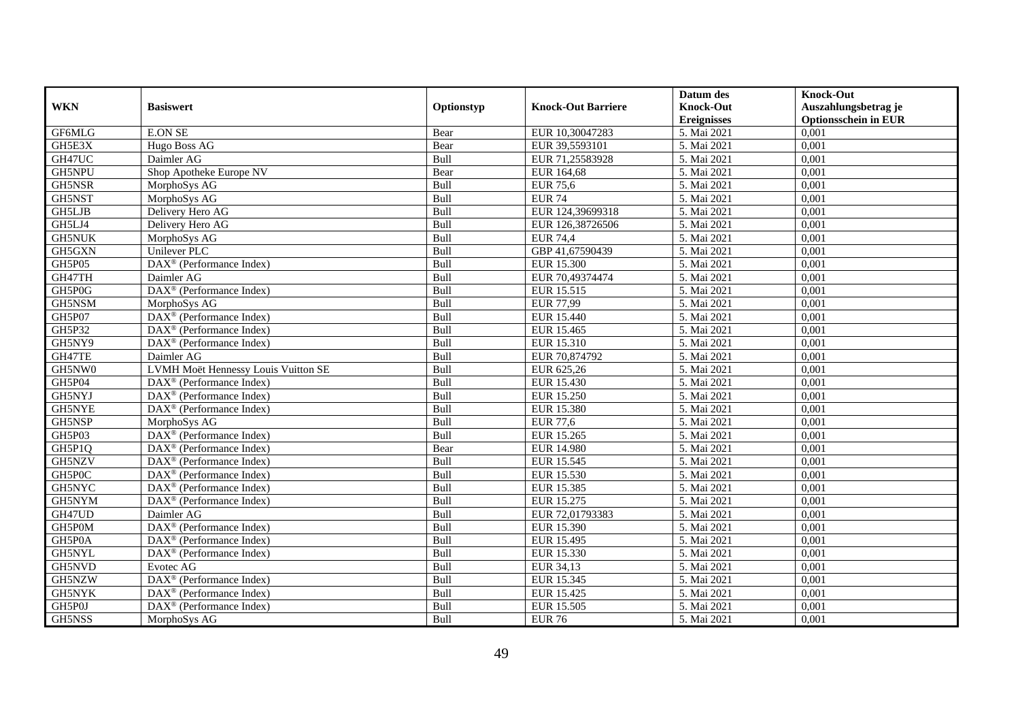|               |                                                    |            |                           | Datum des          | <b>Knock-Out</b>            |
|---------------|----------------------------------------------------|------------|---------------------------|--------------------|-----------------------------|
| <b>WKN</b>    | <b>Basiswert</b>                                   | Optionstyp | <b>Knock-Out Barriere</b> | <b>Knock-Out</b>   | Auszahlungsbetrag je        |
|               |                                                    |            |                           | <b>Ereignisses</b> | <b>Optionsschein in EUR</b> |
| GF6MLG        | <b>E.ON SE</b>                                     | Bear       | EUR 10,30047283           | 5. Mai 2021        | 0,001                       |
| GH5E3X        | Hugo Boss AG                                       | Bear       | EUR 39,5593101            | 5. Mai 2021        | 0,001                       |
| GH47UC        | Daimler AG                                         | Bull       | EUR 71,25583928           | 5. Mai 2021        | 0,001                       |
| GH5NPU        | Shop Apotheke Europe NV                            | Bear       | EUR 164,68                | 5. Mai 2021        | 0,001                       |
| GH5NSR        | MorphoSys AG                                       | Bull       | <b>EUR 75,6</b>           | 5. Mai 2021        | 0,001                       |
| <b>GH5NST</b> | MorphoSys AG                                       | Bull       | <b>EUR 74</b>             | 5. Mai 2021        | 0,001                       |
| <b>GH5LJB</b> | Delivery Hero AG                                   | Bull       | EUR 124,39699318          | 5. Mai 2021        | 0,001                       |
| GH5LJ4        | Delivery Hero AG                                   | Bull       | EUR 126,38726506          | 5. Mai 2021        | 0,001                       |
| <b>GH5NUK</b> | MorphoSys AG                                       | Bull       | <b>EUR 74,4</b>           | 5. Mai 2021        | 0,001                       |
| GH5GXN        | Unilever PLC                                       | Bull       | GBP 41,67590439           | 5. Mai 2021        | 0,001                       |
| GH5P05        | DAX <sup>®</sup> (Performance Index)               | Bull       | EUR 15.300                | 5. Mai 2021        | 0,001                       |
| GH47TH        | Daimler AG                                         | Bull       | EUR 70,49374474           | 5. Mai 2021        | 0,001                       |
| GH5P0G        | DAX <sup>®</sup> (Performance Index)               | Bull       | EUR 15.515                | 5. Mai 2021        | 0,001                       |
| GH5NSM        | MorphoSys AG                                       | Bull       | <b>EUR 77,99</b>          | 5. Mai 2021        | 0,001                       |
| GH5P07        | DAX <sup>®</sup> (Performance Index)               | Bull       | EUR 15.440                | 5. Mai 2021        | 0,001                       |
| GH5P32        | DAX <sup>®</sup> (Performance Index)               | Bull       | EUR 15.465                | 5. Mai 2021        | 0,001                       |
| GH5NY9        | DAX <sup>®</sup> (Performance Index)               | Bull       | EUR 15.310                | 5. Mai 2021        | 0,001                       |
| GH47TE        | Daimler AG                                         | Bull       | EUR 70.874792             | 5. Mai 2021        | 0,001                       |
| GH5NW0        | LVMH Moët Hennessy Louis Vuitton SE                | Bull       | EUR 625,26                | 5. Mai 2021        | 0,001                       |
| GH5P04        | DAX <sup>®</sup> (Performance Index)               | Bull       | EUR 15.430                | 5. Mai 2021        | 0,001                       |
| GH5NYJ        | $DAX^{\otimes}$ (Performance Index)                | Bull       | EUR 15.250                | 5. Mai 2021        | 0,001                       |
| <b>GH5NYE</b> | DAX <sup>®</sup> (Performance Index)               | Bull       | <b>EUR 15.380</b>         | 5. Mai 2021        | 0,001                       |
| GH5NSP        | MorphoSys AG                                       | Bull       | <b>EUR 77,6</b>           | 5. Mai 2021        | 0,001                       |
| GH5P03        | DAX <sup>®</sup> (Performance Index)               | Bull       | EUR 15.265                | 5. Mai 2021        | 0,001                       |
| GH5P1Q        | $DAX^{\circledR}$ (Performance Index)              | Bear       | <b>EUR 14.980</b>         | 5. Mai 2021        | 0.001                       |
| GH5NZV        | DAX <sup>®</sup> (Performance Index)               | Bull       | EUR 15.545                | 5. Mai 2021        | 0,001                       |
| GH5P0C        | DAX <sup>®</sup> (Performance Index)               | Bull       | <b>EUR 15.530</b>         | 5. Mai 2021        | 0,001                       |
| GH5NYC        | $\text{DAX}^{\textcircled{p}}$ (Performance Index) | Bull       | EUR 15.385                | 5. Mai 2021        | 0,001                       |
| GH5NYM        | DAX <sup>®</sup> (Performance Index)               | Bull       | EUR 15.275                | 5. Mai 2021        | 0,001                       |
| GH47UD        | Daimler AG                                         | Bull       | EUR 72,01793383           | 5. Mai 2021        | 0,001                       |
| GH5P0M        | DAX <sup>®</sup> (Performance Index)               | Bull       | EUR 15.390                | 5. Mai 2021        | 0,001                       |
| GH5P0A        | $DAX^{\otimes}$ (Performance Index)                | Bull       | EUR 15.495                | 5. Mai 2021        | 0,001                       |
| <b>GH5NYL</b> | DAX <sup>®</sup> (Performance Index)               | Bull       | EUR 15.330                | 5. Mai 2021        | 0,001                       |
| GH5NVD        | Evotec AG                                          | Bull       | EUR 34,13                 | 5. Mai 2021        | 0,001                       |
| GH5NZW        | DAX <sup>®</sup> (Performance Index)               | Bull       | EUR 15.345                | 5. Mai 2021        | 0,001                       |
| GH5NYK        | $\text{DAX}^{\textcircled{n}}$ (Performance Index) | Bull       | EUR 15.425                | 5. Mai 2021        | 0,001                       |
| GH5P0J        | $DAX^{\circledast}$ (Performance Index)            | Bull       | EUR 15.505                | 5. Mai 2021        | 0,001                       |
| GH5NSS        | MorphoSys AG                                       | Bull       | <b>EUR 76</b>             | 5. Mai 2021        | 0,001                       |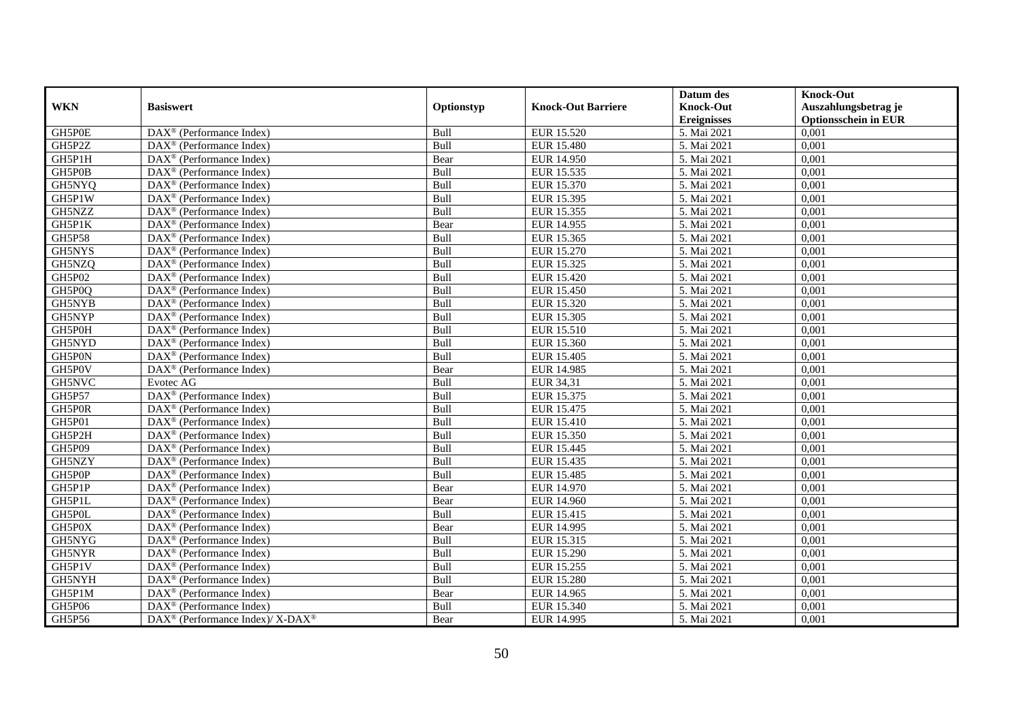|               |                                                              |             |                           | Datum des          | <b>Knock-Out</b>            |
|---------------|--------------------------------------------------------------|-------------|---------------------------|--------------------|-----------------------------|
| <b>WKN</b>    | <b>Basiswert</b>                                             | Optionstyp  | <b>Knock-Out Barriere</b> | <b>Knock-Out</b>   | Auszahlungsbetrag je        |
|               |                                                              |             |                           | <b>Ereignisses</b> | <b>Optionsschein in EUR</b> |
| GH5P0E        | DAX <sup>®</sup> (Performance Index)                         | Bull        | EUR 15.520                | 5. Mai 2021        | 0,001                       |
| GH5P2Z        | $\text{DAX}^{\circledast}$ (Performance Index)               | Bull        | <b>EUR 15.480</b>         | 5. Mai 2021        | 0,001                       |
| GH5P1H        | DAX <sup>®</sup> (Performance Index)                         | Bear        | EUR 14.950                | 5. Mai 2021        | 0,001                       |
| GH5P0B        | $\text{DAX}^{\otimes}$ (Performance Index)                   | Bull        | EUR 15.535                | 5. Mai 2021        | 0,001                       |
| GH5NYQ        | DAX <sup>®</sup> (Performance Index)                         | Bull        | EUR 15.370                | 5. Mai 2021        | 0,001                       |
| GH5P1W        | $\text{DAX}^{\textcircled{p}}$ (Performance Index)           | Bull        | EUR 15.395                | 5. Mai 2021        | 0,001                       |
| GH5NZZ        | $\overline{\text{DAX}^{\otimes}}$ (Performance Index)        | Bull        | EUR 15.355                | 5. Mai 2021        | 0,001                       |
| GH5P1K        | $\text{DAX}^{\textcircled{n}}$ (Performance Index)           | Bear        | EUR 14.955                | 5. Mai 2021        | 0,001                       |
| <b>GH5P58</b> | $\text{DAX}^{\textcircled{n}}$ (Performance Index)           | Bull        | EUR 15.365                | 5. Mai 2021        | 0,001                       |
| GH5NYS        | $\text{DAX}^{\otimes}$ (Performance Index)                   | Bull        | EUR 15.270                | 5. Mai 2021        | 0,001                       |
| GH5NZQ        | $\overline{\text{DAX}}^{\textcircled{}}$ (Performance Index) | Bull        | EUR 15.325                | 5. Mai 2021        | 0,001                       |
| GH5P02        | $\overline{\text{DAX}}^{\textcircled{}}$ (Performance Index) | Bull        | EUR 15.420                | 5. Mai 2021        | 0,001                       |
| GH5P0Q        | $\text{DAX}^{\textcircled{n}}$ (Performance Index)           | Bull        | <b>EUR 15.450</b>         | 5. Mai 2021        | 0,001                       |
| GH5NYB        | $DAX^{\circledR}$ (Performance Index)                        | Bull        | EUR 15.320                | 5. Mai 2021        | 0,001                       |
| GH5NYP        | $\text{DAX}^{\otimes}$ (Performance Index)                   | Bull        | EUR 15.305                | 5. Mai 2021        | 0,001                       |
| GH5P0H        | DAX <sup>®</sup> (Performance Index)                         | Bull        | EUR 15.510                | 5. Mai 2021        | 0,001                       |
| GH5NYD        | DAX <sup>®</sup> (Performance Index)                         | Bull        | EUR 15.360                | 5. Mai 2021        | 0,001                       |
| GH5P0N        | $\overline{\text{DAX}}^{\textcirc}$ (Performance Index)      | Bull        | EUR 15.405                | 5. Mai 2021        | 0,001                       |
| GH5P0V        | DAX <sup>®</sup> (Performance Index)                         | Bear        | EUR 14.985                | 5. Mai 2021        | 0,001                       |
| GH5NVC        | Evotec AG                                                    | Bull        | EUR 34,31                 | 5. Mai 2021        | 0,001                       |
| <b>GH5P57</b> | DAX <sup>®</sup> (Performance Index)                         | Bull        | EUR 15.375                | 5. Mai 2021        | 0,001                       |
| GH5P0R        | $\overline{\text{DAX}^{\otimes}}$ (Performance Index)        | Bull        | EUR 15.475                | 5. Mai 2021        | 0,001                       |
| GH5P01        | DAX <sup>®</sup> (Performance Index)                         | Bull        | EUR 15.410                | 5. Mai 2021        | 0,001                       |
| GH5P2H        | $\text{DAX}^{\circledast}$ (Performance Index)               | Bull        | EUR 15.350                | 5. Mai 2021        | 0,001                       |
| GH5P09        | DAX <sup>®</sup> (Performance Index)                         | Bull        | EUR 15.445                | 5. Mai 2021        | 0.001                       |
| GH5NZY        | DAX <sup>®</sup> (Performance Index)                         | Bull        | EUR 15.435                | 5. Mai 2021        | 0,001                       |
| GH5P0P        | DAX <sup>®</sup> (Performance Index)                         | Bull        | <b>EUR 15.485</b>         | 5. Mai 2021        | 0,001                       |
| GH5P1P        | $\text{DAX}^{\textcircled{p}}$ (Performance Index)           | Bear        | EUR 14.970                | 5. Mai 2021        | 0,001                       |
| GH5P1L        | DAX <sup>®</sup> (Performance Index)                         | Bear        | <b>EUR 14.960</b>         | 5. Mai 2021        | 0,001                       |
| GH5P0L        | $\text{DAX}^{\circledast}$ (Performance Index)               | Bull        | EUR 15.415                | 5. Mai 2021        | 0,001                       |
| GH5P0X        | $\text{DAX}^{\textcircled{n}}$ (Performance Index)           | Bear        | EUR 14.995                | 5. Mai 2021        | 0,001                       |
| GH5NYG        | $DAX^{\circledR}$ (Performance Index)                        | <b>Bull</b> | EUR 15.315                | 5. Mai 2021        | 0,001                       |
| GH5NYR        | $\overline{\text{DAX}}^{\textcirc}$ (Performance Index)      | Bull        | <b>EUR 15.290</b>         | 5. Mai 2021        | 0,001                       |
| GH5P1V        | $\overline{\text{DAX}^{\otimes}(\text{Performance Index})}$  | Bull        | EUR 15.255                | 5. Mai 2021        | 0,001                       |
| GH5NYH        | DAX <sup>®</sup> (Performance Index)                         | Bull        | <b>EUR 15.280</b>         | 5. Mai 2021        | 0,001                       |
| GH5P1M        | DAX <sup>®</sup> (Performance Index)                         | Bear        | EUR 14.965                | 5. Mai 2021        | 0,001                       |
| GH5P06        | $\text{DAX}^{\circledast}$ (Performance Index)               | Bull        | EUR 15.340                | 5. Mai 2021        | 0,001                       |
| GH5P56        | DAX <sup>®</sup> (Performance Index)/ X-DAX <sup>®</sup>     | Bear        | EUR 14.995                | 5. Mai 2021        | 0,001                       |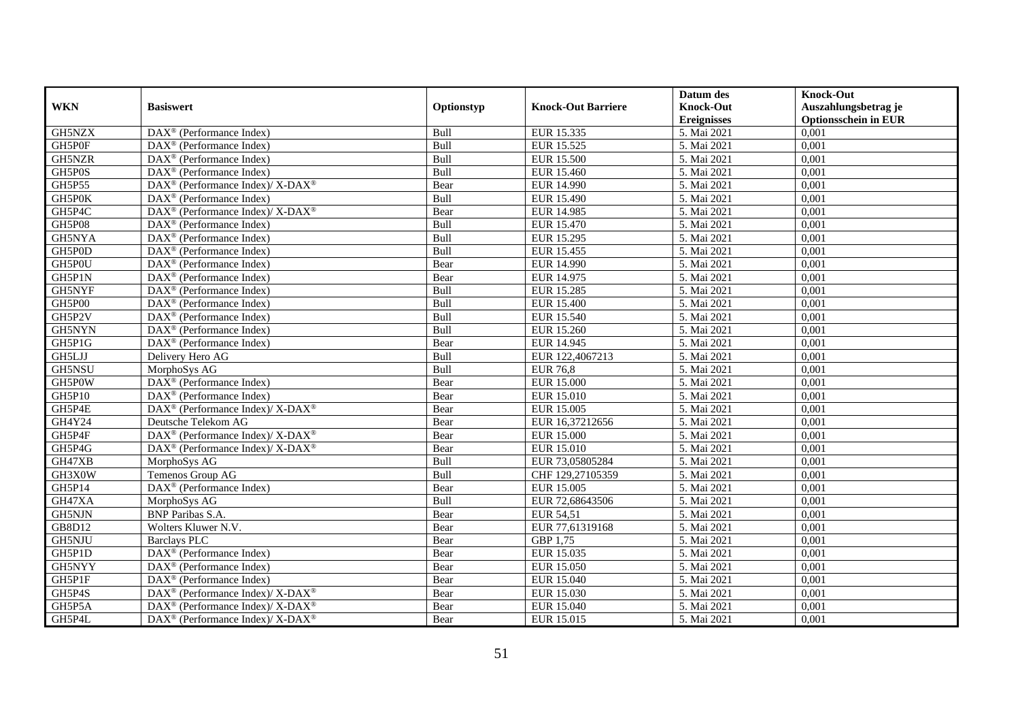|               |                                                               |             |                           | Datum des          | <b>Knock-Out</b>            |
|---------------|---------------------------------------------------------------|-------------|---------------------------|--------------------|-----------------------------|
| <b>WKN</b>    | <b>Basiswert</b>                                              | Optionstyp  | <b>Knock-Out Barriere</b> | <b>Knock-Out</b>   | Auszahlungsbetrag je        |
|               |                                                               |             |                           | <b>Ereignisses</b> | <b>Optionsschein in EUR</b> |
| GH5NZX        | DAX <sup>®</sup> (Performance Index)                          | Bull        | EUR 15.335                | 5. Mai 2021        | 0,001                       |
| GH5P0F        | $\text{DAX}^{\textcircled{n}}$ (Performance Index)            | Bull        | EUR 15.525                | 5. Mai 2021        | 0,001                       |
| GH5NZR        | DAX <sup>®</sup> (Performance Index)                          | Bull        | <b>EUR 15.500</b>         | 5. Mai 2021        | 0,001                       |
| GH5P0S        | $DAX^{\circledcirc}$ (Performance Index)                      | Bull        | EUR 15.460                | 5. Mai 2021        | 0,001                       |
| <b>GH5P55</b> | DAX <sup>®</sup> (Performance Index)/ X-DAX <sup>®</sup>      | Bear        | <b>EUR 14.990</b>         | 5. Mai 2021        | 0,001                       |
| GH5P0K        | $\text{DAX}^{\textcircled{p}}$ (Performance Index)            | Bull        | EUR 15.490                | 5. Mai 2021        | 0,001                       |
| GH5P4C        | $DAX^{\circledast}$ (Performance Index)/X-DAX <sup>®</sup>    | Bear        | EUR 14.985                | 5. Mai 2021        | 0,001                       |
| <b>GH5P08</b> | $\text{DAX}^{\textcircled{n}}$ (Performance Index)            | Bull        | EUR 15.470                | 5. Mai 2021        | 0,001                       |
| GH5NYA        | $\text{DAX}^{\textcircled{n}}$ (Performance Index)            | Bull        | EUR 15.295                | 5. Mai 2021        | 0,001                       |
| GH5P0D        | $\text{DAX}^{\otimes}$ (Performance Index)                    | Bull        | EUR 15.455                | 5. Mai 2021        | 0,001                       |
| GH5P0U        | $\overline{\text{DAX}}^{\textcirc}$ (Performance Index)       | Bear        | EUR 14.990                | 5. Mai 2021        | 0,001                       |
| GH5P1N        | DAX <sup>®</sup> (Performance Index)                          | Bear        | EUR 14.975                | 5. Mai 2021        | 0,001                       |
| <b>GH5NYF</b> | DAX <sup>®</sup> (Performance Index)                          | Bull        | EUR 15.285                | 5. Mai 2021        | 0,001                       |
| GH5P00        | $DAX^{\circledR}$ (Performance Index)                         | Bull        | <b>EUR 15.400</b>         | 5. Mai 2021        | 0,001                       |
| GH5P2V        | $\text{DAX}^{\otimes}$ (Performance Index)                    | Bull        | EUR 15.540                | 5. Mai 2021        | 0,001                       |
| GH5NYN        | DAX <sup>®</sup> (Performance Index)                          | Bull        | EUR 15.260                | 5. Mai 2021        | 0,001                       |
| GH5P1G        | DAX <sup>®</sup> (Performance Index)                          | Bear        | EUR 14.945                | 5. Mai 2021        | 0,001                       |
| GH5LJJ        | Delivery Hero AG                                              | <b>Bull</b> | EUR 122,4067213           | 5. Mai 2021        | 0,001                       |
| GH5NSU        | MorphoSys AG                                                  | Bull        | <b>EUR 76,8</b>           | 5. Mai 2021        | 0,001                       |
| GH5P0W        | DAX <sup>®</sup> (Performance Index)                          | Bear        | <b>EUR 15.000</b>         | 5. Mai 2021        | 0,001                       |
| GH5P10        | $DAX^{\otimes}$ (Performance Index)                           | Bear        | <b>EUR 15.010</b>         | 5. Mai 2021        | 0,001                       |
| GH5P4E        | DAX <sup>®</sup> (Performance Index)/ X-DAX <sup>®</sup>      | Bear        | <b>EUR 15.005</b>         | 5. Mai 2021        | 0,001                       |
| GH4Y24        | Deutsche Telekom AG                                           | Bear        | EUR 16,37212656           | 5. Mai 2021        | 0,001                       |
| GH5P4F        | DAX <sup>®</sup> (Performance Index)/ X-DAX <sup>®</sup>      | Bear        | <b>EUR 15.000</b>         | 5. Mai 2021        | 0,001                       |
| GH5P4G        | DAX <sup>®</sup> (Performance Index)/ X-DAX <sup>®</sup>      | Bear        | EUR 15.010                | 5. Mai 2021        | 0.001                       |
| GH47XB        | MorphoSys AG                                                  | Bull        | EUR 73,05805284           | 5. Mai 2021        | 0,001                       |
| GH3X0W        | Temenos Group AG                                              | Bull        | CHF 129,27105359          | 5. Mai 2021        | 0,001                       |
| GH5P14        | DAX <sup>®</sup> (Performance Index)                          | Bear        | <b>EUR 15.005</b>         | 5. Mai 2021        | 0,001                       |
| GH47XA        | MorphoSys AG                                                  | Bull        | EUR 72,68643506           | 5. Mai 2021        | 0,001                       |
| GH5NJN        | <b>BNP</b> Paribas S.A.                                       | Bear        | EUR 54,51                 | 5. Mai 2021        | 0,001                       |
| GB8D12        | Wolters Kluwer N.V.                                           | Bear        | EUR 77,61319168           | 5. Mai 2021        | 0,001                       |
| GH5NJU        | <b>Barclays PLC</b>                                           | Bear        | GBP 1.75                  | 5. Mai 2021        | 0,001                       |
| GH5P1D        | DAX <sup>®</sup> (Performance Index)                          | Bear        | EUR 15.035                | 5. Mai 2021        | 0,001                       |
| GH5NYY        | DAX <sup>®</sup> (Performance Index)                          | Bear        | <b>EUR 15.050</b>         | 5. Mai 2021        | 0,001                       |
| GH5P1F        | DAX <sup>®</sup> (Performance Index)                          | Bear        | EUR 15.040                | 5. Mai 2021        | 0,001                       |
| GH5P4S        | $\text{DAX}^{\otimes}$ (Performance Index)/X-DAX <sup>®</sup> | Bear        | EUR 15.030                | 5. Mai 2021        | 0,001                       |
| GH5P5A        | DAX <sup>®</sup> (Performance Index)/ X-DAX <sup>®</sup>      | Bear        | EUR 15.040                | 5. Mai 2021        | 0,001                       |
| GH5P4L        | DAX <sup>®</sup> (Performance Index)/ X-DAX <sup>®</sup>      | Bear        | EUR 15.015                | 5. Mai 2021        | 0,001                       |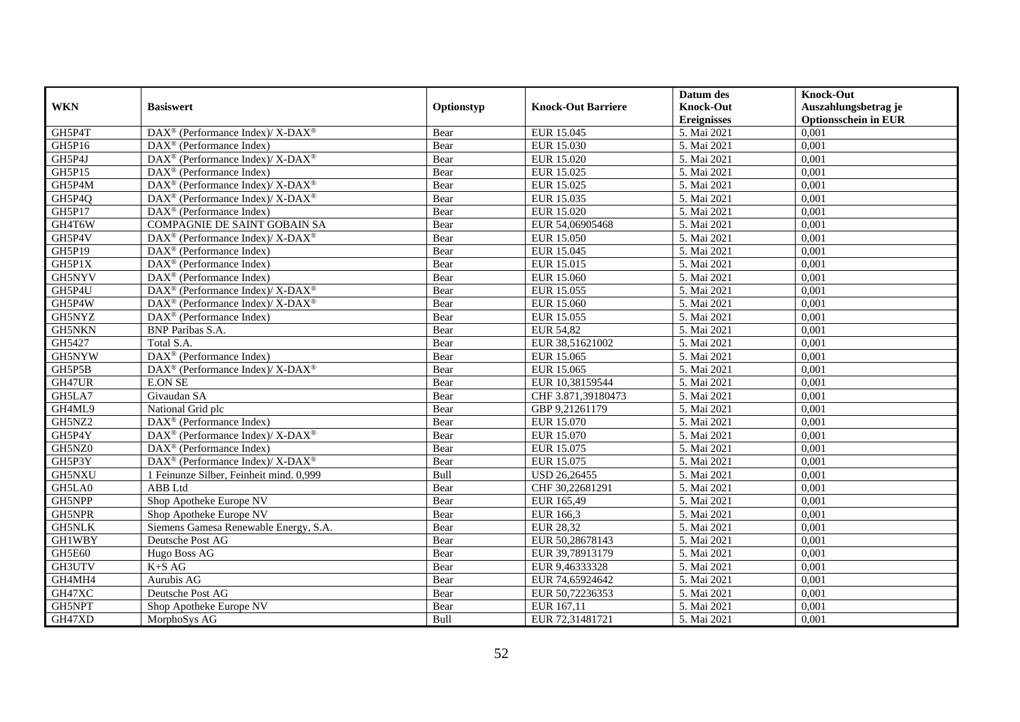|               |                                                                                         |            |                           | Datum des          | <b>Knock-Out</b>            |
|---------------|-----------------------------------------------------------------------------------------|------------|---------------------------|--------------------|-----------------------------|
| <b>WKN</b>    | <b>Basiswert</b>                                                                        | Optionstyp | <b>Knock-Out Barriere</b> | <b>Knock-Out</b>   | Auszahlungsbetrag je        |
|               |                                                                                         |            |                           | <b>Ereignisses</b> | <b>Optionsschein in EUR</b> |
| GH5P4T        | DAX <sup>®</sup> (Performance Index)/ X-DAX <sup>®</sup>                                | Bear       | EUR 15.045                | 5. Mai 2021        | 0,001                       |
| GH5P16        | $\text{DAX}^{\circledast}$ (Performance Index)                                          | Bear       | EUR 15.030                | 5. Mai 2021        | 0,001                       |
| GH5P4J        | $\text{DAX}^{\circledast}$ (Performance Index)/ X-DAX <sup>®</sup>                      | Bear       | EUR 15.020                | 5. Mai 2021        | 0,001                       |
| GH5P15        | DAX <sup>®</sup> (Performance Index)                                                    | Bear       | EUR 15.025                | 5. Mai 2021        | 0,001                       |
| GH5P4M        | DAX <sup>®</sup> (Performance Index)/ X-DAX <sup>®</sup>                                | Bear       | EUR 15.025                | 5. Mai 2021        | 0,001                       |
| GH5P4Q        | DAX <sup>®</sup> (Performance Index)/ X-DAX <sup>®</sup>                                | Bear       | EUR 15.035                | 5. Mai 2021        | 0,001                       |
| GH5P17        | $\text{DAX}^{\textcircled{p}}$ (Performance Index)                                      | Bear       | EUR 15.020                | 5. Mai 2021        | 0,001                       |
| GH4T6W        | COMPAGNIE DE SAINT GOBAIN SA                                                            | Bear       | EUR 54,06905468           | 5. Mai 2021        | 0,001                       |
| GH5P4V        | $\text{DAX}^{\circledast}$ (Performance Index)/ X-DAX <sup>®</sup>                      | Bear       | EUR 15.050                | 5. Mai 2021        | 0,001                       |
| GH5P19        | $\text{DAX}^{\otimes}$ (Performance Index)                                              | Bear       | EUR 15.045                | 5. Mai 2021        | 0,001                       |
| GH5P1X        | $\overline{\text{DAX}^{\otimes}}$ (Performance Index)                                   | Bear       | EUR 15.015                | 5. Mai 2021        | 0,001                       |
| GH5NYV        | DAX <sup>®</sup> (Performance Index)                                                    | Bear       | EUR 15.060                | 5. Mai 2021        | 0,001                       |
| GH5P4U        | DAX <sup>®</sup> (Performance Index)/ X-DAX <sup>®</sup>                                | Bear       | EUR 15.055                | 5. Mai 2021        | 0,001                       |
| GH5P4W        | DAX <sup>®</sup> (Performance Index)/X-DAX <sup>®</sup>                                 | Bear       | EUR 15.060                | 5. Mai 2021        | 0,001                       |
| GH5NYZ        | $\text{DAX}^{\circledast}$ (Performance Index)                                          | Bear       | EUR 15.055                | 5. Mai 2021        | 0,001                       |
| <b>GH5NKN</b> | <b>BNP</b> Paribas S.A.                                                                 | Bear       | <b>EUR 54,82</b>          | 5. Mai 2021        | 0,001                       |
| GH5427        | Total S.A.                                                                              | Bear       | EUR 38,51621002           | 5. Mai 2021        | 0,001                       |
| GH5NYW        | $\text{DAX}^{\textcircled{p}}$ (Performance Index)                                      | Bear       | EUR 15.065                | 5. Mai 2021        | 0,001                       |
| GH5P5B        | $\text{DAX}^{\textcircled{\tiny{\textcircled{\tiny \dag}}}}$ (Performance Index)/X-DAX® | Bear       | EUR 15.065                | 5. Mai 2021        | 0,001                       |
| GH47UR        | <b>E.ON SE</b>                                                                          | Bear       | EUR 10,38159544           | 5. Mai 2021        | 0,001                       |
| GH5LA7        | Givaudan SA                                                                             | Bear       | CHF 3.871,39180473        | 5. Mai 2021        | 0,001                       |
| GH4ML9        | National Grid plc                                                                       | Bear       | GBP 9,21261179            | 5. Mai 2021        | 0,001                       |
| GH5NZ2        | DAX <sup>®</sup> (Performance Index)                                                    | Bear       | EUR 15.070                | 5. Mai 2021        | 0,001                       |
| GH5P4Y        | DAX <sup>®</sup> (Performance Index)/ X-DAX <sup>®</sup>                                | Bear       | EUR 15.070                | 5. Mai 2021        | 0,001                       |
| GH5NZ0        | $DAX^{\circledR}$ (Performance Index)                                                   | Bear       | EUR 15.075                | 5. Mai 2021        | 0.001                       |
| GH5P3Y        | DAX <sup>®</sup> (Performance Index)/ X-DAX <sup>®</sup>                                | Bear       | EUR 15.075                | 5. Mai 2021        | 0,001                       |
| GH5NXU        | 1 Feinunze Silber, Feinheit mind. 0,999                                                 | Bull       | USD 26,26455              | 5. Mai 2021        | 0,001                       |
| GH5LA0        | ABB Ltd                                                                                 | Bear       | CHF 30,22681291           | 5. Mai 2021        | 0,001                       |
| GH5NPP        | Shop Apotheke Europe NV                                                                 | Bear       | EUR 165,49                | 5. Mai 2021        | 0,001                       |
| GH5NPR        | Shop Apotheke Europe NV                                                                 | Bear       | EUR 166,3                 | 5. Mai 2021        | 0,001                       |
| <b>GH5NLK</b> | Siemens Gamesa Renewable Energy, S.A.                                                   | Bear       | <b>EUR 28,32</b>          | 5. Mai 2021        | 0,001                       |
| GH1WBY        | Deutsche Post AG                                                                        | Bear       | EUR 50,28678143           | 5. Mai 2021        | 0,001                       |
| <b>GH5E60</b> | Hugo Boss AG                                                                            | Bear       | EUR 39,78913179           | 5. Mai 2021        | 0,001                       |
| GH3UTV        | $K+SAG$                                                                                 | Bear       | EUR 9,46333328            | 5. Mai 2021        | 0,001                       |
| GH4MH4        | Aurubis AG                                                                              | Bear       | EUR 74,65924642           | 5. Mai 2021        | 0,001                       |
| GH47XC        | Deutsche Post AG                                                                        | Bear       | EUR 50,72236353           | 5. Mai 2021        | 0,001                       |
| GH5NPT        | Shop Apotheke Europe NV                                                                 | Bear       | EUR 167,11                | 5. Mai 2021        | 0,001                       |
| GH47XD        | MorphoSys AG                                                                            | Bull       | EUR 72,31481721           | 5. Mai 2021        | 0,001                       |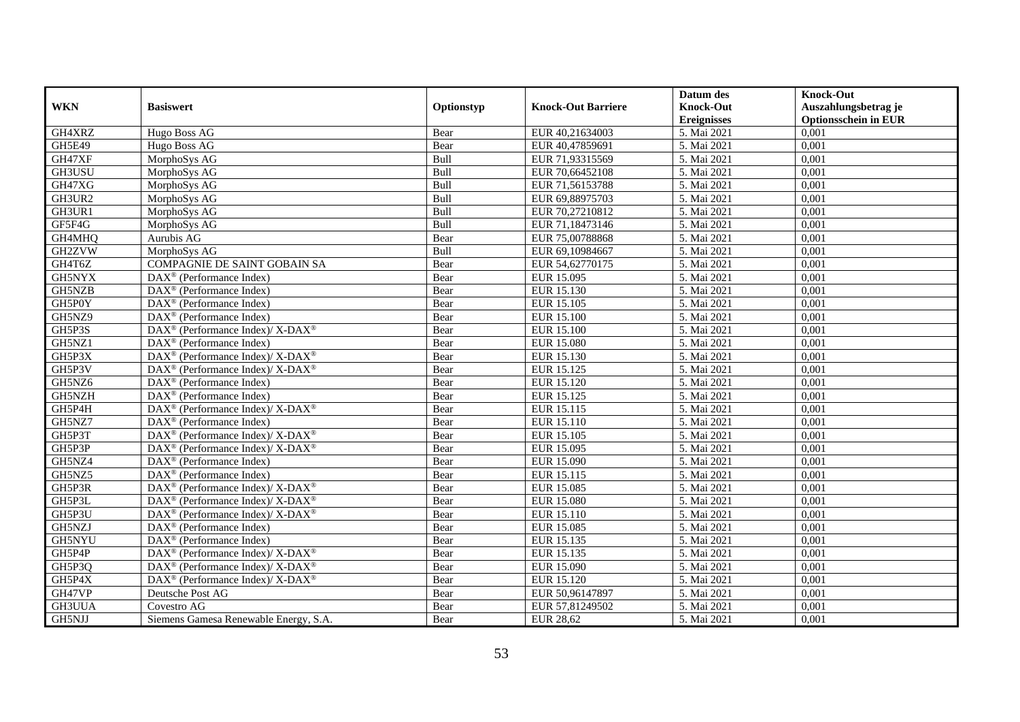|               |                                                                    |            |                           | Datum des                              | <b>Knock-Out</b>                                    |
|---------------|--------------------------------------------------------------------|------------|---------------------------|----------------------------------------|-----------------------------------------------------|
| <b>WKN</b>    | <b>Basiswert</b>                                                   | Optionstyp | <b>Knock-Out Barriere</b> | <b>Knock-Out</b><br><b>Ereignisses</b> | Auszahlungsbetrag je<br><b>Optionsschein in EUR</b> |
| GH4XRZ        | Hugo Boss AG                                                       | Bear       | EUR 40,21634003           | 5. Mai 2021                            | 0,001                                               |
| <b>GH5E49</b> | Hugo Boss AG                                                       | Bear       | EUR 40,47859691           | 5. Mai 2021                            | 0,001                                               |
| GH47XF        | MorphoSys AG                                                       | Bull       | EUR 71,93315569           | 5. Mai 2021                            | 0,001                                               |
| GH3USU        | MorphoSys AG                                                       | Bull       | EUR 70,66452108           | 5. Mai 2021                            | 0,001                                               |
| GH47XG        | MorphoSys AG                                                       | Bull       | EUR 71,56153788           | 5. Mai 2021                            | 0,001                                               |
| GH3UR2        | MorphoSys AG                                                       | Bull       | EUR 69,88975703           | 5. Mai 2021                            | 0,001                                               |
| GH3UR1        | MorphoSys AG                                                       | Bull       | EUR 70,27210812           | 5. Mai 2021                            | 0,001                                               |
| GF5F4G        | MorphoSys AG                                                       | Bull       | EUR 71,18473146           | 5. Mai 2021                            | 0,001                                               |
| GH4MHQ        | Aurubis AG                                                         | Bear       | EUR 75,00788868           | 5. Mai 2021                            | 0,001                                               |
| GH2ZVW        | MorphoSys AG                                                       | Bull       | EUR 69,10984667           | 5. Mai 2021                            | 0,001                                               |
| GH4T6Z        | COMPAGNIE DE SAINT GOBAIN SA                                       | Bear       | EUR 54,62770175           | 5. Mai 2021                            | 0,001                                               |
| GH5NYX        | DAX <sup>®</sup> (Performance Index)                               | Bear       | EUR 15.095                | 5. Mai 2021                            | 0,001                                               |
| GH5NZB        | $\text{DAX}^{\textcircled{p}}$ (Performance Index)                 | Bear       | EUR 15.130                | 5. Mai 2021                            | 0,001                                               |
| GH5P0Y        | $\text{DAX}^{\textcircled{n}}$ (Performance Index)                 | Bear       | EUR 15.105                | 5. Mai 2021                            | 0,001                                               |
| GH5NZ9        | $\text{DAX}^{\textcircled{n}}$ (Performance Index)                 | Bear       | <b>EUR 15.100</b>         | 5. Mai 2021                            | 0,001                                               |
| GH5P3S        | DAX <sup>®</sup> (Performance Index)/ X-DAX <sup>®</sup>           | Bear       | <b>EUR 15.100</b>         | 5. Mai 2021                            | 0,001                                               |
| GH5NZ1        | DAX <sup>®</sup> (Performance Index)                               | Bear       | <b>EUR 15.080</b>         | 5. Mai 2021                            | 0,001                                               |
| GH5P3X        | $\text{DAX}^{\circledast}$ (Performance Index)/X-DAX <sup>®</sup>  | Bear       | EUR 15.130                | 5. Mai 2021                            | 0,001                                               |
| GH5P3V        | DAX <sup>®</sup> (Performance Index)/ X-DAX <sup>®</sup>           | Bear       | EUR 15.125                | 5. Mai 2021                            | 0,001                                               |
| GH5NZ6        | $DAX^{\circledR}$ (Performance Index)                              | Bear       | EUR 15.120                | 5. Mai 2021                            | 0,001                                               |
| GH5NZH        | $DAX^{\otimes}$ (Performance Index)                                | Bear       | EUR 15.125                | 5. Mai 2021                            | 0,001                                               |
| GH5P4H        | DAX <sup>®</sup> (Performance Index)/ X-DAX <sup>®</sup>           | Bear       | EUR 15.115                | 5. Mai 2021                            | 0,001                                               |
| GH5NZ7        | DAX <sup>®</sup> (Performance Index)                               | Bear       | EUR 15.110                | 5. Mai 2021                            | 0,001                                               |
| GH5P3T        | $\text{DAX}^{\circledast}$ (Performance Index)/ X-DAX <sup>®</sup> | Bear       | EUR 15.105                | 5. Mai 2021                            | 0,001                                               |
| GH5P3P        | DAX <sup>®</sup> (Performance Index)/X-DAX <sup>®</sup>            | Bear       | EUR 15.095                | 5. Mai 2021                            | 0,001                                               |
| GH5NZ4        | DAX <sup>®</sup> (Performance Index)                               | Bear       | EUR 15.090                | 5. Mai 2021                            | 0,001                                               |
| GH5NZ5        | DAX <sup>®</sup> (Performance Index)                               | Bear       | EUR 15.115                | 5. Mai 2021                            | 0,001                                               |
| GH5P3R        | DAX <sup>®</sup> (Performance Index)/ X-DAX <sup>®</sup>           | Bear       | <b>EUR 15.085</b>         | 5. Mai 2021                            | 0,001                                               |
| GH5P3L        | $\text{DAX}^{\circledast}$ (Performance Index)/X-DAX <sup>®</sup>  | Bear       | <b>EUR 15.080</b>         | 5. Mai 2021                            | 0,001                                               |
| GH5P3U        | DAX <sup>®</sup> (Performance Index)/ X-DAX <sup>®</sup>           | Bear       | EUR 15.110                | 5. Mai 2021                            | 0,001                                               |
| GH5NZJ        | $\text{DAX}^{\textcircled{n}}$ (Performance Index)                 | Bear       | EUR 15.085                | 5. Mai 2021                            | 0,001                                               |
| GH5NYU        | $DAX^{\circledR}$ (Performance Index)                              | Bear       | EUR 15.135                | 5. Mai 2021                            | 0,001                                               |
| GH5P4P        | DAX <sup>®</sup> (Performance Index)/ X-DAX <sup>®</sup>           | Bear       | EUR 15.135                | 5. Mai 2021                            | 0,001                                               |
| GH5P3Q        | DAX <sup>®</sup> (Performance Index)/ X-DAX <sup>®</sup>           | Bear       | EUR 15.090                | 5. Mai 2021                            | 0,001                                               |
| GH5P4X        | DAX <sup>®</sup> (Performance Index)/ X-DAX <sup>®</sup>           | Bear       | EUR 15.120                | 5. Mai 2021                            | 0,001                                               |
| GH47VP        | Deutsche Post AG                                                   | Bear       | EUR 50,96147897           | 5. Mai 2021                            | 0,001                                               |
| GH3UUA        | Covestro AG                                                        | Bear       | EUR 57,81249502           | 5. Mai 2021                            | 0,001                                               |
| GH5NJJ        | Siemens Gamesa Renewable Energy, S.A.                              | Bear       | <b>EUR 28,62</b>          | 5. Mai 2021                            | 0,001                                               |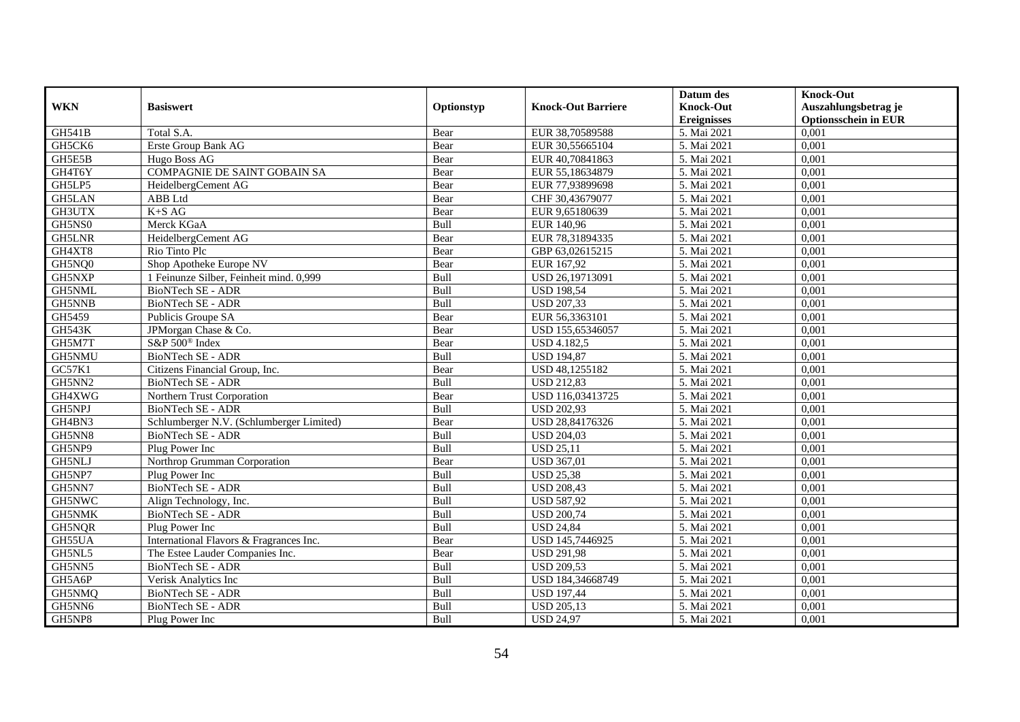|               |                                          |             |                           | Datum des          | <b>Knock-Out</b>            |
|---------------|------------------------------------------|-------------|---------------------------|--------------------|-----------------------------|
| <b>WKN</b>    | <b>Basiswert</b>                         | Optionstyp  | <b>Knock-Out Barriere</b> | <b>Knock-Out</b>   | Auszahlungsbetrag je        |
|               |                                          |             |                           | <b>Ereignisses</b> | <b>Optionsschein in EUR</b> |
| <b>GH541B</b> | Total S.A.                               | Bear        | EUR 38,70589588           | 5. Mai 2021        | 0,001                       |
| GH5CK6        | Erste Group Bank AG                      | Bear        | EUR 30,55665104           | 5. Mai 2021        | 0,001                       |
| GH5E5B        | Hugo Boss AG                             | Bear        | EUR 40,70841863           | 5. Mai 2021        | 0,001                       |
| GH4T6Y        | COMPAGNIE DE SAINT GOBAIN SA             | Bear        | EUR 55,18634879           | 5. Mai 2021        | 0,001                       |
| GH5LP5        | HeidelbergCement AG                      | Bear        | EUR 77,93899698           | 5. Mai 2021        | 0,001                       |
| <b>GH5LAN</b> | ABB Ltd                                  | Bear        | CHF 30,43679077           | 5. Mai 2021        | 0,001                       |
| <b>GH3UTX</b> | $K+SAG$                                  | Bear        | EUR 9,65180639            | 5. Mai 2021        | 0,001                       |
| GH5NS0        | Merck KGaA                               | Bull        | EUR 140,96                | 5. Mai 2021        | 0,001                       |
| <b>GH5LNR</b> | HeidelbergCement AG                      | Bear        | EUR 78,31894335           | 5. Mai 2021        | 0,001                       |
| GH4XT8        | Rio Tinto Plc                            | Bear        | GBP 63,02615215           | 5. Mai 2021        | 0,001                       |
| GH5NQ0        | Shop Apotheke Europe NV                  | Bear        | EUR 167,92                | 5. Mai 2021        | 0,001                       |
| GH5NXP        | 1 Feinunze Silber, Feinheit mind. 0,999  | Bull        | USD 26,19713091           | 5. Mai 2021        | 0,001                       |
| GH5NML        | <b>BioNTech SE - ADR</b>                 | Bull        | <b>USD 198,54</b>         | 5. Mai 2021        | 0,001                       |
| GH5NNB        | <b>BioNTech SE - ADR</b>                 | <b>Bull</b> | <b>USD 207,33</b>         | 5. Mai 2021        | 0.001                       |
| GH5459        | Publicis Groupe SA                       | Bear        | EUR 56,3363101            | 5. Mai 2021        | 0,001                       |
| <b>GH543K</b> | JPMorgan Chase & Co.                     | Bear        | USD 155,65346057          | 5. Mai 2021        | 0,001                       |
| GH5M7T        | S&P 500 <sup>®</sup> Index               | Bear        | <b>USD 4.182,5</b>        | 5. Mai 2021        | 0,001                       |
| GH5NMU        | <b>BioNTech SE - ADR</b>                 | Bull        | <b>USD 194,87</b>         | 5. Mai 2021        | 0,001                       |
| GC57K1        | Citizens Financial Group, Inc.           | Bear        | USD 48,1255182            | 5. Mai 2021        | 0,001                       |
| GH5NN2        | BioNTech SE - ADR                        | Bull        | <b>USD 212,83</b>         | 5. Mai 2021        | 0,001                       |
| GH4XWG        | Northern Trust Corporation               | Bear        | USD 116,03413725          | 5. Mai 2021        | 0,001                       |
| <b>GH5NPJ</b> | <b>BioNTech SE - ADR</b>                 | <b>Bull</b> | <b>USD 202,93</b>         | 5. Mai 2021        | 0,001                       |
| GH4BN3        | Schlumberger N.V. (Schlumberger Limited) | Bear        | USD 28,84176326           | 5. Mai 2021        | 0,001                       |
| GH5NN8        | <b>BioNTech SE - ADR</b>                 | Bull        | <b>USD 204,03</b>         | 5. Mai 2021        | 0,001                       |
| GH5NP9        | Plug Power Inc                           | Bull        | <b>USD 25,11</b>          | 5. Mai 2021        | 0,001                       |
| GH5NLJ        | Northrop Grumman Corporation             | Bear        | <b>USD 367,01</b>         | 5. Mai 2021        | 0,001                       |
| GH5NP7        | Plug Power Inc                           | Bull        | <b>USD 25,38</b>          | 5. Mai 2021        | 0,001                       |
| GH5NN7        | <b>BioNTech SE - ADR</b>                 | Bull        | <b>USD 208,43</b>         | 5. Mai 2021        | 0,001                       |
| GH5NWC        | Align Technology, Inc.                   | Bull        | <b>USD 587,92</b>         | 5. Mai 2021        | 0,001                       |
| GH5NMK        | BioNTech SE - ADR                        | Bull        | <b>USD 200,74</b>         | 5. Mai 2021        | 0,001                       |
| GH5NQR        | Plug Power Inc                           | Bull        | <b>USD 24,84</b>          | 5. Mai 2021        | 0,001                       |
| GH55UA        | International Flavors & Fragrances Inc.  | Bear        | USD 145,7446925           | 5. Mai 2021        | 0,001                       |
| GH5NL5        | The Estee Lauder Companies Inc.          | Bear        | <b>USD 291,98</b>         | 5. Mai 2021        | 0,001                       |
| GH5NN5        | BioNTech SE - ADR                        | Bull        | <b>USD 209,53</b>         | 5. Mai 2021        | 0,001                       |
| GH5A6P        | Verisk Analytics Inc                     | Bull        | USD 184,34668749          | 5. Mai 2021        | 0,001                       |
| GH5NMQ        | BioNTech SE - ADR                        | Bull        | <b>USD 197,44</b>         | 5. Mai 2021        | 0,001                       |
| GH5NN6        | BioNTech SE - ADR                        | Bull        | <b>USD 205,13</b>         | 5. Mai 2021        | 0,001                       |
| GH5NP8        | Plug Power Inc                           | Bull        | <b>USD 24,97</b>          | 5. Mai 2021        | 0,001                       |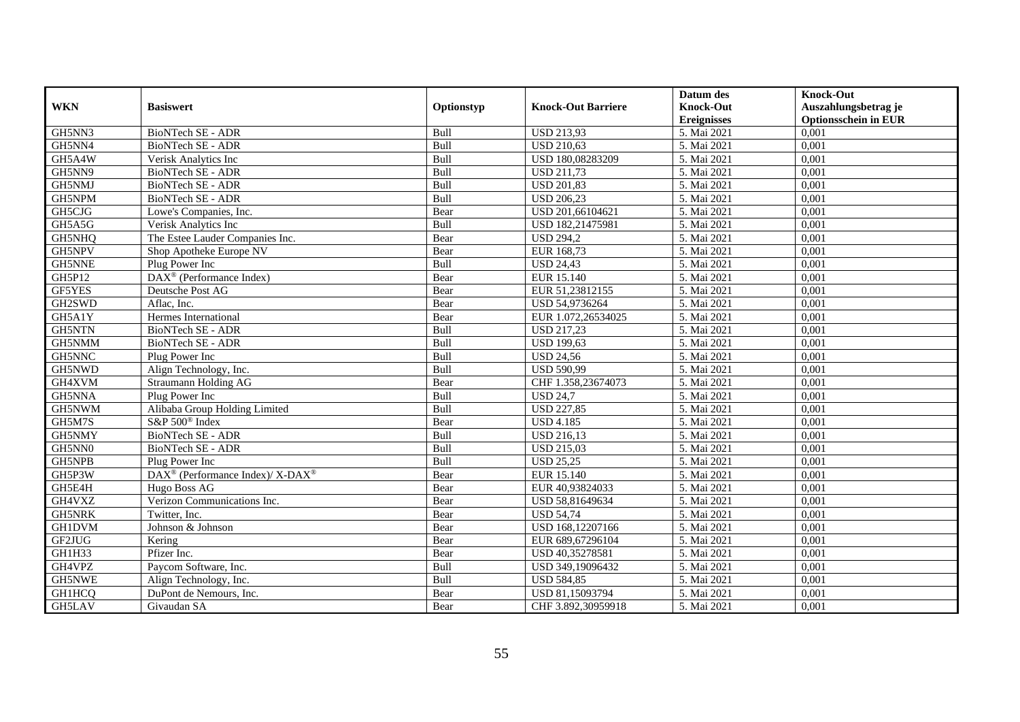|               |                                                          |             |                           | Datum des          | <b>Knock-Out</b>            |
|---------------|----------------------------------------------------------|-------------|---------------------------|--------------------|-----------------------------|
| <b>WKN</b>    | <b>Basiswert</b>                                         | Optionstyp  | <b>Knock-Out Barriere</b> | <b>Knock-Out</b>   | Auszahlungsbetrag je        |
|               |                                                          |             |                           | <b>Ereignisses</b> | <b>Optionsschein in EUR</b> |
| GH5NN3        | <b>BioNTech SE - ADR</b>                                 | Bull        | <b>USD 213,93</b>         | 5. Mai 2021        | 0,001                       |
| GH5NN4        | <b>BioNTech SE - ADR</b>                                 | Bull        | <b>USD 210,63</b>         | 5. Mai 2021        | 0,001                       |
| GH5A4W        | Verisk Analytics Inc                                     | Bull        | USD 180,08283209          | 5. Mai 2021        | 0,001                       |
| GH5NN9        | <b>BioNTech SE - ADR</b>                                 | Bull        | <b>USD 211,73</b>         | 5. Mai 2021        | 0,001                       |
| GH5NMJ        | BioNTech SE - ADR                                        | Bull        | <b>USD 201,83</b>         | 5. Mai 2021        | 0,001                       |
| GH5NPM        | BioNTech SE - ADR                                        | Bull        | <b>USD 206,23</b>         | 5. Mai 2021        | 0,001                       |
| GH5CJG        | Lowe's Companies, Inc.                                   | Bear        | USD 201,66104621          | 5. Mai 2021        | 0,001                       |
| GH5A5G        | Verisk Analytics Inc                                     | Bull        | USD 182,21475981          | 5. Mai 2021        | 0,001                       |
| GH5NHQ        | The Estee Lauder Companies Inc.                          | Bear        | <b>USD 294,2</b>          | 5. Mai 2021        | 0,001                       |
| GH5NPV        | Shop Apotheke Europe NV                                  | Bear        | EUR 168,73                | 5. Mai 2021        | 0,001                       |
| <b>GH5NNE</b> | Plug Power Inc                                           | <b>Bull</b> | <b>USD 24.43</b>          | 5. Mai 2021        | 0,001                       |
| GH5P12        | DAX <sup>®</sup> (Performance Index)                     | Bear        | EUR 15.140                | 5. Mai 2021        | 0,001                       |
| <b>GF5YES</b> | Deutsche Post AG                                         | Bear        | EUR 51,23812155           | 5. Mai 2021        | 0,001                       |
| GH2SWD        | Aflac, Inc.                                              | Bear        | USD 54,9736264            | 5. Mai 2021        | 0,001                       |
| GH5A1Y        | Hermes International                                     | Bear        | EUR 1.072,26534025        | 5. Mai 2021        | 0,001                       |
| <b>GH5NTN</b> | BioNTech SE - ADR                                        | Bull        | <b>USD 217,23</b>         | 5. Mai 2021        | 0,001                       |
| GH5NMM        | BioNTech SE - ADR                                        | Bull        | <b>USD 199,63</b>         | 5. Mai 2021        | 0,001                       |
| GH5NNC        | Plug Power Inc                                           | Bull        | <b>USD 24,56</b>          | 5. Mai 2021        | 0,001                       |
| GH5NWD        | Align Technology, Inc.                                   | Bull        | <b>USD 590,99</b>         | 5. Mai 2021        | 0,001                       |
| GH4XVM        | Straumann Holding AG                                     | Bear        | CHF 1.358,23674073        | 5. Mai 2021        | 0,001                       |
| GH5NNA        | Plug Power Inc                                           | Bull        | <b>USD 24,7</b>           | 5. Mai 2021        | 0,001                       |
| GH5NWM        | Alibaba Group Holding Limited                            | Bull        | <b>USD 227,85</b>         | 5. Mai 2021        | 0,001                       |
| GH5M7S        | S&P 500 <sup>®</sup> Index                               | Bear        | <b>USD 4.185</b>          | 5. Mai 2021        | 0,001                       |
| GH5NMY        | <b>BioNTech SE - ADR</b>                                 | Bull        | <b>USD 216,13</b>         | 5. Mai 2021        | 0,001                       |
| GH5NN0        | BioNTech SE - ADR                                        | Bull        | <b>USD 215,03</b>         | 5. Mai 2021        | 0,001                       |
| GH5NPB        | Plug Power Inc                                           | Bull        | <b>USD 25,25</b>          | 5. Mai 2021        | 0,001                       |
| GH5P3W        | DAX <sup>®</sup> (Performance Index)/ X-DAX <sup>®</sup> | Bear        | EUR 15.140                | 5. Mai 2021        | 0,001                       |
| GH5E4H        | Hugo Boss AG                                             | Bear        | EUR 40,93824033           | 5. Mai 2021        | 0,001                       |
| GH4VXZ        | Verizon Communications Inc.                              | Bear        | USD 58,81649634           | 5. Mai 2021        | 0,001                       |
| <b>GH5NRK</b> | Twitter, Inc.                                            | Bear        | <b>USD 54,74</b>          | 5. Mai 2021        | 0,001                       |
| <b>GH1DVM</b> | Johnson & Johnson                                        | Bear        | USD 168,12207166          | 5. Mai 2021        | 0,001                       |
| GF2JUG        | Kering                                                   | Bear        | EUR 689,67296104          | 5. Mai 2021        | 0,001                       |
| GH1H33        | Pfizer Inc.                                              | Bear        | USD 40,35278581           | 5. Mai 2021        | 0.001                       |
| GH4VPZ        | Paycom Software, Inc.                                    | Bull        | USD 349,19096432          | 5. Mai 2021        | 0,001                       |
| GH5NWE        | Align Technology, Inc.                                   | Bull        | <b>USD 584,85</b>         | 5. Mai 2021        | 0,001                       |
| GH1HCQ        | DuPont de Nemours, Inc.                                  | Bear        | USD 81,15093794           | 5. Mai 2021        | 0,001                       |
| GH5LAV        | Givaudan SA                                              | Bear        | CHF 3.892,30959918        | 5. Mai 2021        | 0,001                       |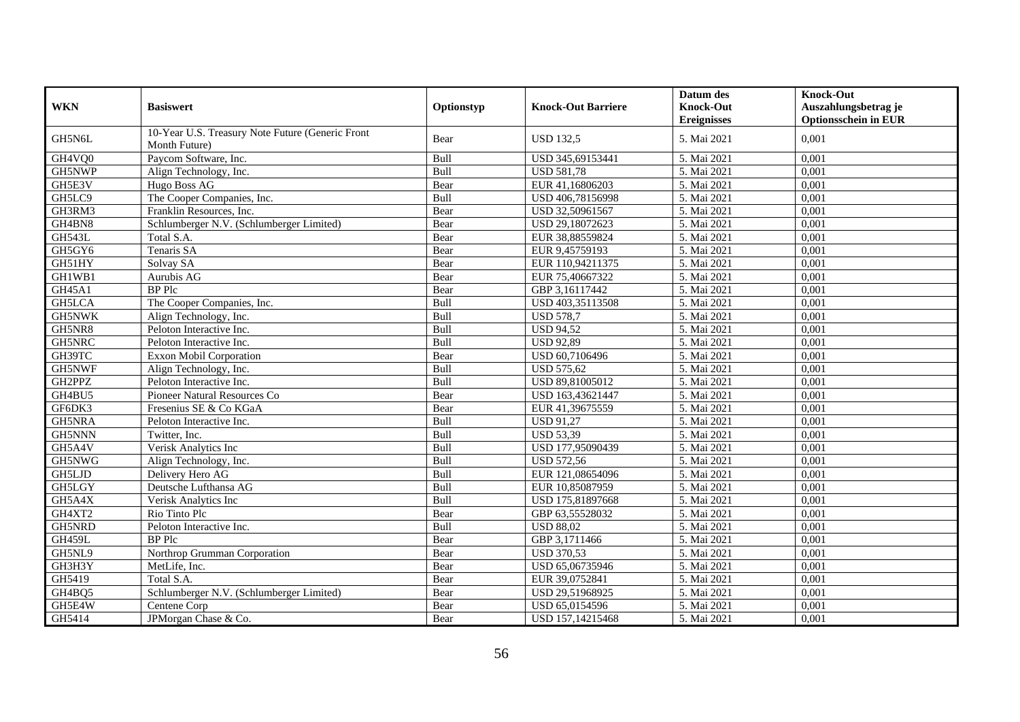|               |                                                                   |            |                           | Datum des          | <b>Knock-Out</b>            |
|---------------|-------------------------------------------------------------------|------------|---------------------------|--------------------|-----------------------------|
| <b>WKN</b>    | <b>Basiswert</b>                                                  | Optionstyp | <b>Knock-Out Barriere</b> | <b>Knock-Out</b>   | Auszahlungsbetrag je        |
|               |                                                                   |            |                           | <b>Ereignisses</b> | <b>Optionsschein in EUR</b> |
| GH5N6L        | 10-Year U.S. Treasury Note Future (Generic Front<br>Month Future) | Bear       | <b>USD 132,5</b>          | 5. Mai 2021        | 0,001                       |
| GH4VQ0        | Paycom Software, Inc.                                             | Bull       | USD 345,69153441          | 5. Mai 2021        | 0,001                       |
| GH5NWP        | Align Technology, Inc.                                            | Bull       | <b>USD 581,78</b>         | 5. Mai 2021        | 0.001                       |
| GH5E3V        | Hugo Boss AG                                                      | Bear       | EUR 41,16806203           | 5. Mai 2021        | 0,001                       |
| GH5LC9        | The Cooper Companies, Inc.                                        | Bull       | USD 406,78156998          | 5. Mai 2021        | 0,001                       |
| GH3RM3        | Franklin Resources, Inc.                                          | Bear       | USD 32,50961567           | 5. Mai 2021        | 0,001                       |
| GH4BN8        | Schlumberger N.V. (Schlumberger Limited)                          | Bear       | USD 29,18072623           | 5. Mai 2021        | 0,001                       |
| <b>GH543L</b> | Total S.A.                                                        | Bear       | EUR 38,88559824           | 5. Mai 2021        | 0,001                       |
| GH5GY6        | Tenaris SA                                                        | Bear       | EUR 9,45759193            | 5. Mai 2021        | 0,001                       |
| GH51HY        | Solvay SA                                                         | Bear       | EUR 110,94211375          | 5. Mai 2021        | 0,001                       |
| GH1WB1        | Aurubis AG                                                        | Bear       | EUR 75,40667322           | 5. Mai 2021        | 0,001                       |
| GH45A1        | <b>BP</b> Plc                                                     | Bear       | GBP 3,16117442            | 5. Mai 2021        | 0,001                       |
| <b>GH5LCA</b> | The Cooper Companies, Inc.                                        | Bull       | USD 403,35113508          | 5. Mai 2021        | 0,001                       |
| <b>GH5NWK</b> | Align Technology, Inc.                                            | Bull       | <b>USD 578,7</b>          | 5. Mai 2021        | 0,001                       |
| GH5NR8        | Peloton Interactive Inc.                                          | Bull       | <b>USD 94,52</b>          | 5. Mai 2021        | 0,001                       |
| GH5NRC        | Peloton Interactive Inc.                                          | Bull       | <b>USD 92,89</b>          | 5. Mai 2021        | 0,001                       |
| GH39TC        | <b>Exxon Mobil Corporation</b>                                    | Bear       | USD 60,7106496            | 5. Mai 2021        | 0.001                       |
| GH5NWF        | Align Technology, Inc.                                            | Bull       | <b>USD 575,62</b>         | 5. Mai 2021        | 0,001                       |
| GH2PPZ        | Peloton Interactive Inc.                                          | Bull       | USD 89,81005012           | 5. Mai 2021        | 0,001                       |
| GH4BU5        | Pioneer Natural Resources Co                                      | Bear       | USD 163,43621447          | 5. Mai 2021        | 0,001                       |
| GF6DK3        | Fresenius SE & Co KGaA                                            | Bear       | EUR 41,39675559           | 5. Mai 2021        | 0,001                       |
| GH5NRA        | Peloton Interactive Inc.                                          | Bull       | <b>USD 91,27</b>          | 5. Mai 2021        | 0,001                       |
| GH5NNN        | Twitter, Inc.                                                     | Bull       | <b>USD 53,39</b>          | 5. Mai 2021        | 0,001                       |
| GH5A4V        | Verisk Analytics Inc                                              | Bull       | USD 177,95090439          | 5. Mai 2021        | 0.001                       |
| GH5NWG        | Align Technology, Inc.                                            | Bull       | <b>USD 572,56</b>         | 5. Mai 2021        | 0,001                       |
| GH5LJD        | Delivery Hero AG                                                  | Bull       | EUR 121,08654096          | 5. Mai 2021        | 0,001                       |
| GH5LGY        | Deutsche Lufthansa AG                                             | Bull       | EUR 10,85087959           | 5. Mai 2021        | 0,001                       |
| GH5A4X        | Verisk Analytics Inc                                              | Bull       | USD 175,81897668          | 5. Mai 2021        | 0,001                       |
| GH4XT2        | Rio Tinto Plc                                                     | Bear       | GBP 63,55528032           | 5. Mai 2021        | 0,001                       |
| GH5NRD        | Peloton Interactive Inc.                                          | Bull       | <b>USD 88,02</b>          | 5. Mai 2021        | 0,001                       |
| <b>GH459L</b> | <b>BP</b> Plc                                                     | Bear       | GBP 3,1711466             | 5. Mai 2021        | 0,001                       |
| GH5NL9        | Northrop Grumman Corporation                                      | Bear       | <b>USD 370,53</b>         | 5. Mai 2021        | 0,001                       |
| GH3H3Y        | MetLife, Inc.                                                     | Bear       | USD 65,06735946           | 5. Mai 2021        | 0,001                       |
| GH5419        | Total S.A.                                                        | Bear       | EUR 39,0752841            | 5. Mai 2021        | 0,001                       |
| GH4BQ5        | Schlumberger N.V. (Schlumberger Limited)                          | Bear       | USD 29,51968925           | 5. Mai 2021        | 0,001                       |
| GH5E4W        | Centene Corp                                                      | Bear       | USD 65,0154596            | 5. Mai 2021        | 0,001                       |
| GH5414        | JPMorgan Chase & Co.                                              | Bear       | USD 157,14215468          | 5. Mai 2021        | 0,001                       |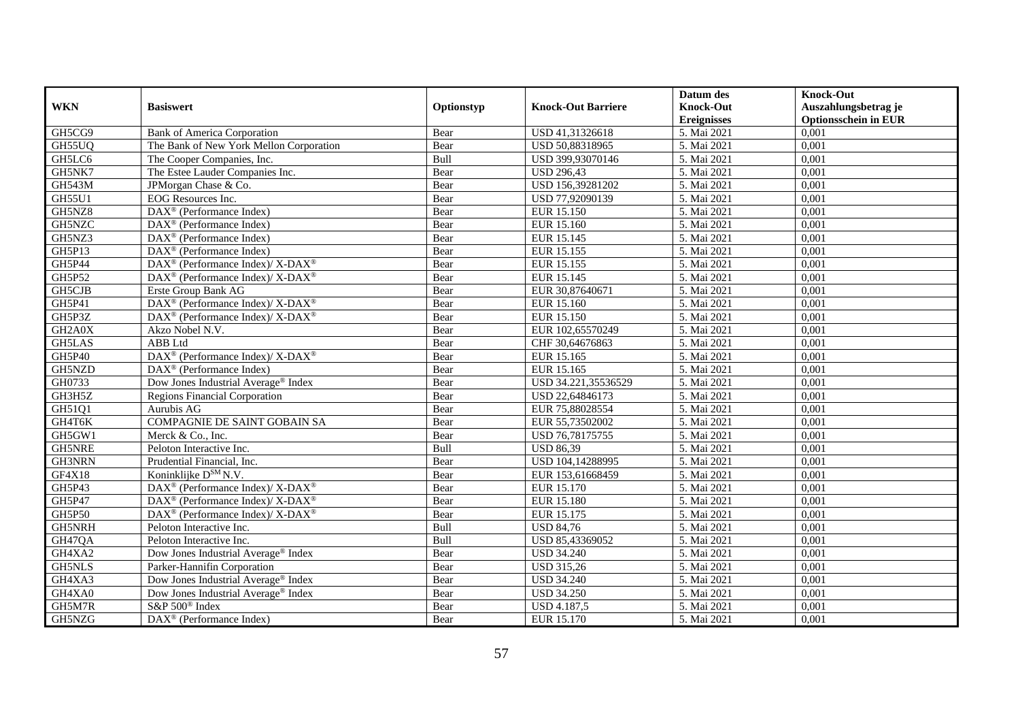|                     |                                                                    |            |                           | Datum des          | <b>Knock-Out</b>            |
|---------------------|--------------------------------------------------------------------|------------|---------------------------|--------------------|-----------------------------|
| <b>WKN</b>          | <b>Basiswert</b>                                                   | Optionstyp | <b>Knock-Out Barriere</b> | <b>Knock-Out</b>   | Auszahlungsbetrag je        |
|                     |                                                                    |            |                           | <b>Ereignisses</b> | <b>Optionsschein in EUR</b> |
| GH5CG9              | <b>Bank of America Corporation</b>                                 | Bear       | USD 41,31326618           | 5. Mai 2021        | 0,001                       |
| GH55UQ              | The Bank of New York Mellon Corporation                            | Bear       | USD 50,88318965           | 5. Mai 2021        | 0,001                       |
| GH5LC6              | The Cooper Companies, Inc.                                         | Bull       | USD 399,93070146          | 5. Mai 2021        | 0,001                       |
| GH5NK7              | The Estee Lauder Companies Inc.                                    | Bear       | <b>USD 296,43</b>         | 5. Mai 2021        | 0,001                       |
| GH543M              | JPMorgan Chase & Co.                                               | Bear       | USD 156,39281202          | 5. Mai 2021        | 0,001                       |
| <b>GH55U1</b>       | <b>EOG</b> Resources Inc.                                          | Bear       | USD 77,92090139           | 5. Mai 2021        | 0,001                       |
| GH5NZ8              | $\text{DAX}^{\textcircled{D}}$ (Performance Index)                 | Bear       | EUR 15.150                | 5. Mai 2021        | 0,001                       |
| GH5NZC              | $\overline{\text{DAX}}^{\textcirc}$ (Performance Index)            | Bear       | EUR 15.160                | 5. Mai 2021        | 0,001                       |
| GH5NZ3              | DAX <sup>®</sup> (Performance Index)                               | Bear       | EUR 15.145                | 5. Mai 2021        | 0,001                       |
| GH5P13              | $\text{DAX}^{\textcircled{}}$ (Performance Index)                  | Bear       | EUR 15.155                | 5. Mai 2021        | 0,001                       |
| GH5P44              | DAX <sup>®</sup> (Performance Index)/ X-DAX <sup>®</sup>           | Bear       | EUR 15.155                | 5. Mai 2021        | 0,001                       |
| GH5P52              | DAX <sup>®</sup> (Performance Index)/ X-DAX <sup>®</sup>           | Bear       | EUR 15.145                | 5. Mai 2021        | 0,001                       |
| GH5CJB              | Erste Group Bank AG                                                | Bear       | EUR 30,87640671           | 5. Mai 2021        | 0,001                       |
| GH5P41              | $DAX^{\circledcirc}$ (Performance Index)/ X-DAX <sup>®</sup>       | Bear       | EUR 15.160                | 5. Mai 2021        | 0.001                       |
| GH5P3Z              | DAX <sup>®</sup> (Performance Index)/ X-DAX <sup>®</sup>           | Bear       | EUR 15.150                | 5. Mai 2021        | 0,001                       |
| GH <sub>2</sub> A0X | Akzo Nobel N.V.                                                    | Bear       | EUR 102,65570249          | 5. Mai 2021        | 0,001                       |
| GH5LAS              | ABB Ltd                                                            | Bear       | CHF 30,64676863           | 5. Mai 2021        | 0,001                       |
| GH5P40              | $\text{DAX}^{\circledR}$ (Performance Index)/ X-DAX <sup>®</sup>   | Bear       | EUR 15.165                | 5. Mai 2021        | 0,001                       |
| GH5NZD              | $DAX^{\circledR}$ (Performance Index)                              | Bear       | EUR 15.165                | 5. Mai 2021        | 0,001                       |
| GH0733              | Dow Jones Industrial Average <sup>®</sup> Index                    | Bear       | USD 34.221,35536529       | 5. Mai 2021        | 0,001                       |
| GH3H5Z              | <b>Regions Financial Corporation</b>                               | Bear       | USD 22,64846173           | 5. Mai 2021        | 0,001                       |
| GH51Q1              | Aurubis AG                                                         | Bear       | EUR 75,88028554           | 5. Mai 2021        | 0,001                       |
| GH4T6K              | <b>COMPAGNIE DE SAINT GOBAIN SA</b>                                | Bear       | EUR 55,73502002           | 5. Mai 2021        | 0,001                       |
| GH5GW1              | Merck & Co., Inc.                                                  | Bear       | USD 76,78175755           | 5. Mai 2021        | 0,001                       |
| <b>GH5NRE</b>       | Peloton Interactive Inc.                                           | Bull       | <b>USD 86,39</b>          | 5. Mai 2021        | 0,001                       |
| GH3NRN              | Prudential Financial, Inc.                                         | Bear       | USD 104,14288995          | 5. Mai 2021        | 0,001                       |
| GF4X18              | Koninklijke D <sup>SM</sup> N.V.                                   | Bear       | EUR 153,61668459          | 5. Mai 2021        | 0,001                       |
| GH5P43              | DAX <sup>®</sup> (Performance Index)/ X-DAX <sup>®</sup>           | Bear       | EUR 15.170                | 5. Mai 2021        | 0,001                       |
| GH5P47              | $\text{DAX}^{\circledast}$ (Performance Index)/ X-DAX <sup>®</sup> | Bear       | <b>EUR 15.180</b>         | 5. Mai 2021        | 0,001                       |
| <b>GH5P50</b>       | $\text{DAX}^{\circledast}$ (Performance Index)/X-DAX <sup>®</sup>  | Bear       | EUR 15.175                | 5. Mai 2021        | 0,001                       |
| GH5NRH              | Peloton Interactive Inc.                                           | Bull       | <b>USD 84,76</b>          | 5. Mai 2021        | 0,001                       |
| GH47QA              | Peloton Interactive Inc.                                           | Bull       | USD 85,43369052           | 5. Mai 2021        | 0,001                       |
| GH4XA2              | Dow Jones Industrial Average® Index                                | Bear       | <b>USD 34.240</b>         | 5. Mai 2021        | 0,001                       |
| <b>GH5NLS</b>       | Parker-Hannifin Corporation                                        | Bear       | <b>USD 315,26</b>         | 5. Mai 2021        | 0,001                       |
| GH4XA3              | Dow Jones Industrial Average® Index                                | Bear       | <b>USD 34.240</b>         | 5. Mai 2021        | 0,001                       |
| GH4XA0              | Dow Jones Industrial Average <sup>®</sup> Index                    | Bear       | <b>USD 34.250</b>         | 5. Mai 2021        | 0,001                       |
| GH5M7R              | S&P 500 <sup>®</sup> Index                                         | Bear       | USD 4.187,5               | 5. Mai 2021        | 0,001                       |
| GH5NZG              | $\overline{\text{DAX}^{\otimes}}$ (Performance Index)              | Bear       | EUR 15.170                | 5. Mai 2021        | 0,001                       |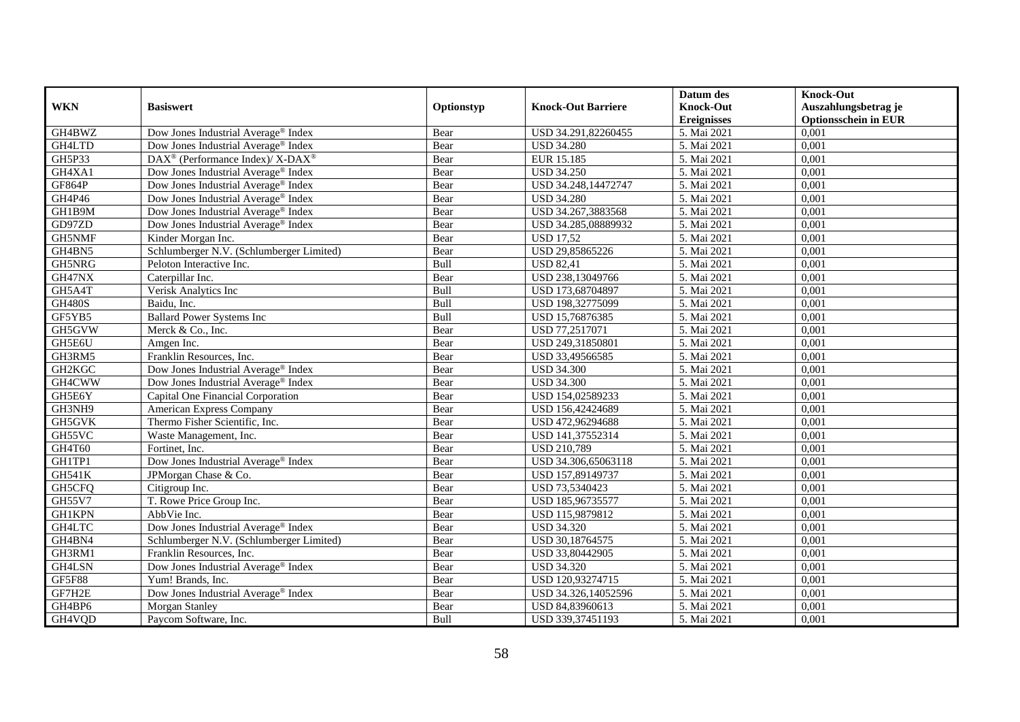|                         |                                                                                        |            |                                          | Datum des                              | <b>Knock-Out</b>                                    |
|-------------------------|----------------------------------------------------------------------------------------|------------|------------------------------------------|----------------------------------------|-----------------------------------------------------|
| <b>WKN</b>              | <b>Basiswert</b>                                                                       | Optionstyp | <b>Knock-Out Barriere</b>                | <b>Knock-Out</b><br><b>Ereignisses</b> | Auszahlungsbetrag je<br><b>Optionsschein in EUR</b> |
| GH4BWZ                  | Dow Jones Industrial Average® Index                                                    | Bear       | USD 34.291,82260455                      | 5. Mai 2021                            | 0,001                                               |
| GH4LTD                  | Dow Jones Industrial Average <sup>®</sup> Index                                        | Bear       | <b>USD 34.280</b>                        | 5. Mai 2021                            | 0,001                                               |
| GH5P33                  | DAX <sup>®</sup> (Performance Index)/X-DAX <sup>®</sup>                                | Bear       | EUR 15.185                               | 5. Mai 2021                            | 0,001                                               |
|                         |                                                                                        |            |                                          |                                        |                                                     |
| GH4XA1<br><b>GF864P</b> | Dow Jones Industrial Average® Index                                                    | Bear       | <b>USD 34.250</b><br>USD 34.248,14472747 | 5. Mai 2021<br>5. Mai 2021             | 0,001<br>0,001                                      |
|                         | Dow Jones Industrial Average® Index<br>Dow Jones Industrial Average <sup>®</sup> Index | Bear       |                                          | 5. Mai 2021                            | 0,001                                               |
| GH4P46                  |                                                                                        | Bear       | <b>USD 34.280</b>                        |                                        |                                                     |
| GH1B9M                  | Dow Jones Industrial Average® Index                                                    | Bear       | USD 34.267,3883568                       | 5. Mai 2021                            | 0,001                                               |
| GD97ZD                  | Dow Jones Industrial Average® Index                                                    | Bear       | USD 34.285,08889932                      | 5. Mai 2021                            | 0,001                                               |
| GH5NMF                  | Kinder Morgan Inc.                                                                     | Bear       | <b>USD 17,52</b>                         | 5. Mai 2021                            | 0,001                                               |
| GH4BN5                  | Schlumberger N.V. (Schlumberger Limited)                                               | Bear       | USD 29,85865226                          | 5. Mai 2021                            | 0,001                                               |
| GH5NRG                  | Peloton Interactive Inc.                                                               | Bull       | <b>USD 82,41</b>                         | 5. Mai 2021                            | 0,001                                               |
| GH47NX                  | Caterpillar Inc.                                                                       | Bear       | USD 238,13049766                         | 5. Mai 2021                            | 0,001                                               |
| GH5A4T                  | Verisk Analytics Inc                                                                   | Bull       | USD 173,68704897                         | 5. Mai 2021                            | 0,001                                               |
| <b>GH480S</b>           | Baidu, Inc.                                                                            | Bull       | USD 198,32775099                         | 5. Mai 2021                            | 0,001                                               |
| GF5YB5                  | <b>Ballard Power Systems Inc</b>                                                       | Bull       | USD 15,76876385                          | 5. Mai 2021                            | 0,001                                               |
| GH5GVW                  | Merck & Co., Inc.                                                                      | Bear       | USD 77,2517071                           | 5. Mai 2021                            | 0,001                                               |
| GH5E6U                  | Amgen Inc.                                                                             | Bear       | USD 249,31850801                         | 5. Mai 2021                            | 0,001                                               |
| GH3RM5                  | Franklin Resources, Inc.                                                               | Bear       | USD 33.49566585                          | 5. Mai 2021                            | 0,001                                               |
| GH2KGC                  | Dow Jones Industrial Average <sup>®</sup> Index                                        | Bear       | <b>USD 34.300</b>                        | 5. Mai 2021                            | 0,001                                               |
| GH4CWW                  | Dow Jones Industrial Average® Index                                                    | Bear       | <b>USD 34.300</b>                        | 5. Mai 2021                            | 0,001                                               |
| GH5E6Y                  | Capital One Financial Corporation                                                      | Bear       | USD 154,02589233                         | 5. Mai 2021                            | 0,001                                               |
| GH3NH9                  | <b>American Express Company</b>                                                        | Bear       | USD 156,42424689                         | 5. Mai 2021                            | 0,001                                               |
| GH5GVK                  | Thermo Fisher Scientific, Inc.                                                         | Bear       | USD 472,96294688                         | 5. Mai 2021                            | 0,001                                               |
| GH55VC                  | Waste Management, Inc.                                                                 | Bear       | USD 141,37552314                         | 5. Mai 2021                            | 0,001                                               |
| GH4T60                  | Fortinet, Inc.                                                                         | Bear       | <b>USD 210,789</b>                       | 5. Mai 2021                            | 0,001                                               |
| GH1TP1                  | Dow Jones Industrial Average <sup>®</sup> Index                                        | Bear       | USD 34.306,65063118                      | 5. Mai 2021                            | 0,001                                               |
| <b>GH541K</b>           | JPMorgan Chase & Co.                                                                   | Bear       | USD 157,89149737                         | 5. Mai 2021                            | 0,001                                               |
| GH5CFQ                  | Citigroup Inc.                                                                         | Bear       | USD 73,5340423                           | 5. Mai 2021                            | 0,001                                               |
| <b>GH55V7</b>           | T. Rowe Price Group Inc.                                                               | Bear       | USD 185,96735577                         | 5. Mai 2021                            | 0,001                                               |
| <b>GH1KPN</b>           | AbbVie Inc.                                                                            | Bear       | USD 115,9879812                          | 5. Mai 2021                            | 0,001                                               |
| GH4LTC                  | Dow Jones Industrial Average® Index                                                    | Bear       | <b>USD 34.320</b>                        | 5. Mai 2021                            | 0,001                                               |
| GH4BN4                  | Schlumberger N.V. (Schlumberger Limited)                                               | Bear       | USD 30,18764575                          | 5. Mai 2021                            | 0,001                                               |
| GH3RM1                  | Franklin Resources, Inc.                                                               | Bear       | USD 33,80442905                          | 5. Mai 2021                            | 0,001                                               |
| GH4LSN                  | Dow Jones Industrial Average <sup>®</sup> Index                                        | Bear       | <b>USD 34.320</b>                        | 5. Mai 2021                            | 0,001                                               |
| <b>GF5F88</b>           | Yum! Brands, Inc.                                                                      | Bear       | USD 120,93274715                         | 5. Mai 2021                            | 0,001                                               |
| GF7H2E                  | Dow Jones Industrial Average® Index                                                    | Bear       | USD 34.326,14052596                      | 5. Mai 2021                            | 0,001                                               |
| GH4BP6                  | Morgan Stanley                                                                         | Bear       | USD 84,83960613                          | 5. Mai 2021                            | 0,001                                               |
| GH4VQD                  | Paycom Software, Inc.                                                                  | Bull       | USD 339,37451193                         | 5. Mai 2021                            | 0,001                                               |